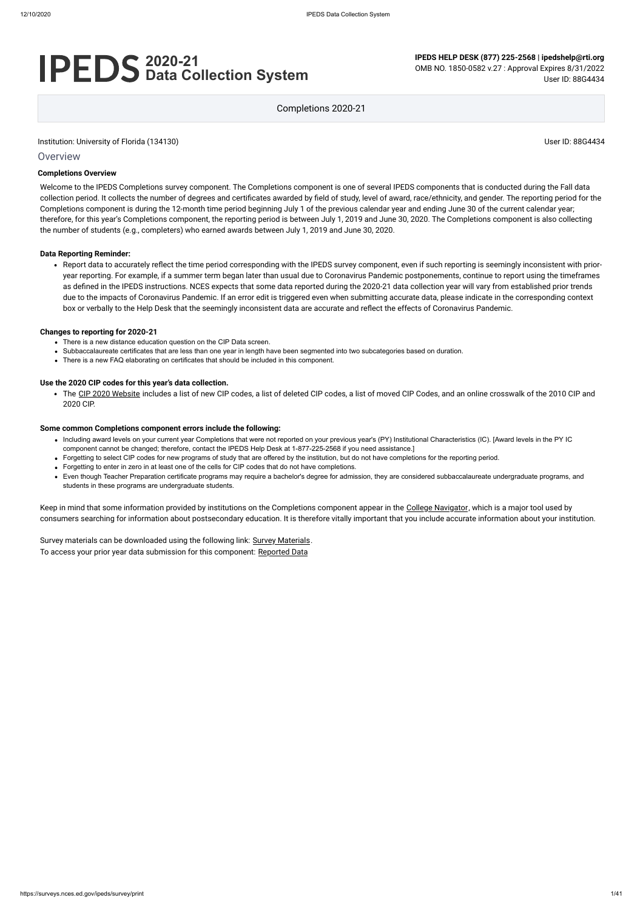#### **Overview**

# **2020-21 Data Collection System**

**IPEDS HELP DESK (877) 225-2568 | ipedshelp@rti.org**

OMB NO. 1850-0582 v.27 : Approval Expires 8/31/2022 User ID: 88G4434

Completions 2020-21

#### **Completions Overview**

Welcome to the IPEDS Completions survey component. The Completions component is one of several IPEDS components that is conducted during the Fall data collection period. It collects the number of degrees and certificates awarded by field of study, level of award, race/ethnicity, and gender. The reporting period for the Completions component is during the 12-month time period beginning July 1 of the previous calendar year and ending June 30 of the current calendar year; therefore, for this year's Completions component, the reporting period is between July 1, 2019 and June 30, 2020. The Completions component is also collecting the number of students (e.g., completers) who earned awards between July 1, 2019 and June 30, 2020.

#### **Data Reporting Reminder:**

• The CIP [2020 Website](https://nces.ed.gov/ipeds/cipcode/Default.aspx?y=56) includes a list of new CIP codes, a list of deleted CIP codes, a list of moved CIP Codes, and an online crosswalk of the 2010 CIP and 2020 CIP.

Report data to accurately reflect the time period corresponding with the IPEDS survey component, even if such reporting is seemingly inconsistent with prioryear reporting. For example, if a summer term began later than usual due to Coronavirus Pandemic postponements, continue to report using the timeframes as defined in the IPEDS instructions. NCES expects that some data reported during the 2020-21 data collection year will vary from established prior trends due to the impacts of Coronavirus Pandemic. If an error edit is triggered even when submitting accurate data, please indicate in the corresponding context box or verbally to the Help Desk that the seemingly inconsistent data are accurate and reflect the effects of Coronavirus Pandemic.

Keep in mind that some information provided by institutions on the Completions component appear in the [College Navigator,](http://collegenavigator.ed.gov/) which is a major tool used by consumers searching for information about postsecondary education. It is therefore vitally important that you include accurate information about your institution.

Survey materials can be downloaded using the following link: Survey [Materials.](https://surveys.nces.ed.gov/ipeds/public/survey-materials/index) To access your prior year data submission for this component: [Reported Data](https://surveys.nces.ed.gov/IPEDS_py/DataForms.aspx?f0e9e4efc4dfb8acaeafacaeaba1eef0edf1e0f4c4dfb8acaba1f0eee0edc4dfb8b3b3c2afafaeafa1f0e9e4efc9dce8e0b8d0e9e4f1e0edeee4eff49beae19bc1e7eaede4dfdca1ebedeadee0eeeeb8e0f3efe0ede9dce7a1eddfefb8acadaaacabaaadabadab9bb0b5adadb5acb19bcbc8)

#### **Changes to reporting for 2020-21**

- There is a new distance education question on the CIP Data screen.
- Subbaccalaureate certificates that are less than one year in length have been segmented into two subcategories based on duration.
- There is a new FAQ elaborating on certificates that should be included in this component.

#### **Use the 2020 CIP codes for this year's data collection.**

#### **Some common Completions component errors include the following:**

- Including award levels on your current year Completions that were not reported on your previous year's (PY) Institutional Characteristics (IC). [Award levels in the PY IC component cannot be changed; therefore, contact the IPEDS Help Desk at 1-877-225-2568 if you need assistance.]
- Forgetting to select CIP codes for new programs of study that are offered by the institution, but do not have completions for the reporting period.
- Forgetting to enter in zero in at least one of the cells for CIP codes that do not have completions.
- Even though Teacher Preparation certificate programs may require a bachelor's degree for admission, they are considered subbaccalaureate undergraduate programs, and students in these programs are undergraduate students.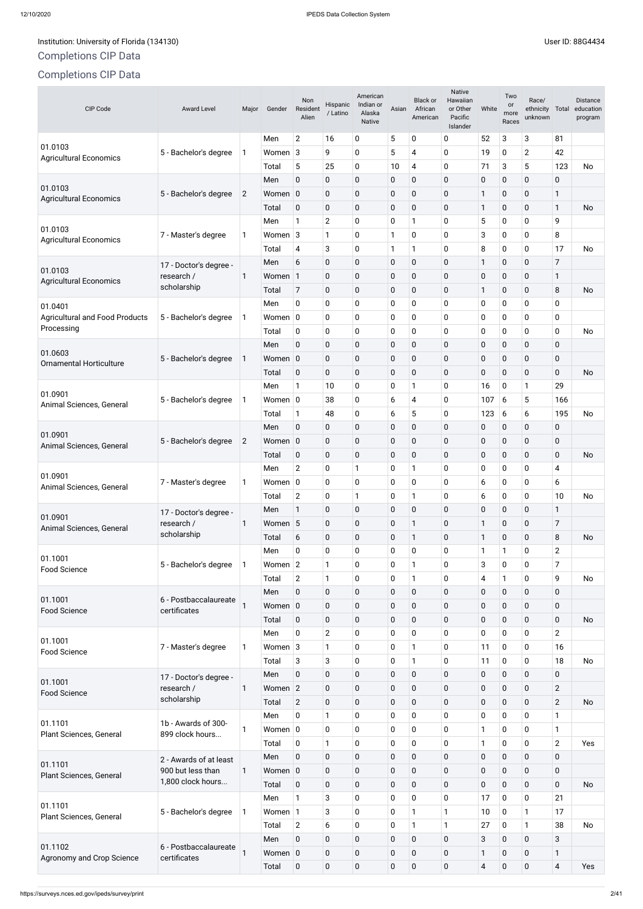# Completions CIP Data

# Completions CIP Data

Native

# Institution: University of Florida (134130) and the USE of Property of Electronic Security of Florida (134130)

| CIP Code                                  | <b>Award Level</b>                    | Major          | Gender      | Non<br>Resident<br>Alien | Hispanic<br>/ Latino      | American<br>Indian or<br>Alaska<br><b>Native</b> | Asian        | Black or<br>African<br>American | <b>Native</b><br>Hawaiian<br>or Other<br>Pacific<br>Islander | White        | Two<br>or<br>more<br>Races | Race/<br>ethnicity<br>unknown | Total          | <b>Distance</b><br>education<br>program |
|-------------------------------------------|---------------------------------------|----------------|-------------|--------------------------|---------------------------|--------------------------------------------------|--------------|---------------------------------|--------------------------------------------------------------|--------------|----------------------------|-------------------------------|----------------|-----------------------------------------|
|                                           |                                       |                | Men         | $\overline{2}$           | 16                        | $\pmb{0}$                                        | 5            | 0                               | 0                                                            | 52           | 3                          | 3                             | 81             |                                         |
| 01.0103<br><b>Agricultural Economics</b>  | 5 - Bachelor's degree                 | 1              | Women 3     |                          | 9                         | $\mathbf 0$                                      | 5            | 4                               | $\mathbf 0$                                                  | 19           | 0                          | $\overline{2}$                | 42             |                                         |
|                                           |                                       |                | Total       | 5                        | 25                        | $\mathbf 0$                                      | 10           | 4                               | 0                                                            | 71           | 3                          | 5                             | 123            | <b>No</b>                               |
|                                           |                                       |                | Men         | 0                        | 0                         | $\mathbf 0$                                      | 0            | $\pmb{0}$                       | $\mathbf 0$                                                  | $\mathbf 0$  | $\pmb{0}$                  | $\pmb{0}$                     | $\mathbf 0$    |                                         |
| 01.0103<br><b>Agricultural Economics</b>  | 5 - Bachelor's degree                 | $\overline{2}$ | Women       | $\mathbf 0$              | 0                         | $\mathbf 0$                                      | 0            | $\pmb{0}$                       | $\mathbf 0$                                                  | $\mathbf{1}$ | $\boldsymbol{0}$           | 0                             | 1              |                                         |
|                                           |                                       |                | Total       | 0                        | 0                         | $\mathbf 0$                                      | 0            | 0                               | $\mathbf 0$                                                  | $\mathbf{1}$ | $\pmb{0}$                  | $\mathbf 0$                   | $\mathbf{1}$   | No                                      |
| 01.0103                                   |                                       |                | Men         | 1                        | $\overline{2}$            | $\mathbf 0$                                      | 0            | 1                               | $\mathbf 0$                                                  | 5            | $\pmb{0}$                  | 0                             | 9              |                                         |
| <b>Agricultural Economics</b>             | 7 - Master's degree                   | 1              | Women 3     |                          | 1                         | 0                                                | 1            | 0                               | $\mathbf 0$                                                  | $\sqrt{3}$   | 0                          | 0                             | 8              |                                         |
|                                           |                                       |                | Total       | 4                        | 3                         | $\mathbf 0$                                      | $\mathbf{1}$ | 1                               | 0                                                            | 8            | $\pmb{0}$                  | 0                             | 17             | No                                      |
| 01.0103                                   | 17 - Doctor's degree -                |                | Men         | 6                        | 0                         | $\mathbf 0$                                      | 0            | $\pmb{0}$                       | $\mathbf 0$                                                  | $\mathbf{1}$ | $\mathbf 0$                | 0                             | $\overline{7}$ |                                         |
| <b>Agricultural Economics</b>             | research /                            | 1              | Women       | $\mathbf{1}$             | 0                         | $\mathbf 0$                                      | 0            | $\pmb{0}$                       | $\mathbf 0$                                                  | $\pmb{0}$    | $\boldsymbol{0}$           | 0                             | 1              |                                         |
|                                           | scholarship                           |                | Total       | 7                        | 0                         | $\mathbf 0$                                      | 0            | 0                               | $\mathbf 0$                                                  | $\mathbf{1}$ | $\pmb{0}$                  | 0                             | 8              | No                                      |
| 01.0401                                   |                                       |                | Men         | 0                        | 0                         | $\mathbf 0$                                      | 0            | 0                               | 0                                                            | 0            | $\pmb{0}$                  | 0                             | 0              |                                         |
| <b>Agricultural and Food Products</b>     | 5 - Bachelor's degree                 | 1              | Women $ 0 $ |                          | 0                         | $\mathbf 0$                                      | 0            | 0                               | $\mathbf 0$                                                  | 0            | 0                          | 0                             | $\mathbf 0$    |                                         |
| Processing                                |                                       |                | Total       | 0                        | 0                         | $\mathbf 0$                                      | 0            | 0                               | 0                                                            | 0            | $\pmb{0}$                  | 0                             | $\mathbf 0$    | No                                      |
|                                           |                                       |                | Men         | 0                        | 0                         | $\mathbf 0$                                      | $\pmb{0}$    | $\pmb{0}$                       | $\mathbf 0$                                                  | $\pmb{0}$    | $\pmb{0}$                  | 0                             | $\pmb{0}$      |                                         |
| 01.0603<br><b>Ornamental Horticulture</b> | 5 - Bachelor's degree                 | 1              | Women 0     |                          | 0                         | $\mathbf 0$                                      | $\pmb{0}$    | $\pmb{0}$                       | $\mathbf 0$                                                  | $\mathbf 0$  | $\pmb{0}$                  | 0                             | $\mathbf 0$    |                                         |
|                                           |                                       |                | Total       | 0                        | 0                         | $\pmb{0}$                                        | $\mathbf 0$  | $\pmb{0}$                       | $\mathbf 0$                                                  | $\mathbf 0$  | $\pmb{0}$                  | 0                             | $\mathbf 0$    | No                                      |
|                                           |                                       |                | Men         | 1                        | 10                        | $\mathbf 0$                                      | 0            | 1                               | $\mathbf 0$                                                  | 16           | $\pmb{0}$                  | 1                             | 29             |                                         |
| 01.0901<br>Animal Sciences, General       | 5 - Bachelor's degree                 | 1              | Women $ 0 $ |                          | 38                        | $\mathbf 0$                                      | 6            | 4                               | $\mathbf 0$                                                  | 107          | 6                          | 5                             | 166            |                                         |
|                                           |                                       |                | Total       | 1                        | 48                        | 0                                                | 6            | 5                               | 0                                                            | 123          | 6                          | 6                             | 195            | No                                      |
|                                           |                                       |                | Men         | 0                        | 0                         | $\mathbf 0$                                      | $\mathbf 0$  | $\mathbf 0$                     | $\mathbf 0$                                                  | 0            | 0                          | $\pmb{0}$                     | 0              |                                         |
| 01.0901<br>Animal Sciences, General       | 5 - Bachelor's degree                 | $\overline{2}$ | Women 0     |                          | 0                         | $\pmb{0}$                                        | 0            | $\pmb{0}$                       | $\mathbf 0$                                                  | 0            | $\pmb{0}$                  | $\pmb{0}$                     | $\pmb{0}$      |                                         |
|                                           |                                       |                | Total       | 0                        | 0                         | $\pmb{0}$                                        | $\pmb{0}$    | $\pmb{0}$                       | $\mathbf 0$                                                  | $\pmb{0}$    | $\pmb{0}$                  | $\pmb{0}$                     | $\mathbf 0$    | No                                      |
|                                           |                                       |                | Men         | $\overline{2}$           | 0                         |                                                  | 0            | 1                               | $\mathbf 0$                                                  | 0            | 0                          | 0                             | 4              |                                         |
| 01.0901<br>Animal Sciences, General       | 7 - Master's degree                   | 1              | Women $ 0 $ |                          | 0                         | $\mathbf 0$                                      | 0            | 0                               | $\mathbf 0$                                                  | 6            | $\pmb{0}$                  | 0                             | 6              |                                         |
|                                           |                                       |                | Total       | $\overline{2}$           | 0                         |                                                  | 0            | 1                               | $\mathbf 0$                                                  | 6            | 0                          | $\pmb{0}$                     | 10             | No                                      |
|                                           | 17 - Doctor's degree -                |                | Men         | 1                        | 0                         | $\mathbf 0$                                      | $\pmb{0}$    | $\pmb{0}$                       | $\mathbf 0$                                                  | $\pmb{0}$    | $\pmb{0}$                  | 0                             | $\mathbf{1}$   |                                         |
| 01.0901<br>Animal Sciences, General       | research /                            | 1              | Women       | 5                        | 0                         | $\pmb{0}$                                        | $\pmb{0}$    | $\mathbf{1}$                    | $\mathbf 0$                                                  | $\mathbf{1}$ | $\pmb{0}$                  | $\pmb{0}$                     | $\overline{7}$ |                                         |
|                                           | scholarship                           |                | Total       | 6                        | 0                         | $\pmb{0}$                                        | $\pmb{0}$    | $\mathbf{1}$                    | $\mathbf 0$                                                  | $\mathbf{1}$ | $\pmb{0}$                  | $\pmb{0}$                     | 8              | No                                      |
|                                           |                                       |                | Men         | 0                        | 0                         | $\pmb{0}$                                        | 0            | 0                               | 0                                                            | $\mathbf{1}$ | $\mathbf{1}$               | $\mathbf 0$                   | $\overline{c}$ |                                         |
| 01.1001<br><b>Food Science</b>            | 5 - Bachelor's degree                 | 1.             | Women       | $\overline{2}$           | 1                         | 0                                                | 0            | 1                               | 0                                                            | $\sqrt{3}$   | $\pmb{0}$                  | $\mathbf 0$                   | $\overline{7}$ |                                         |
|                                           |                                       |                | Total       | $\overline{2}$           | 1                         | 0                                                | 0            | 1                               | $\pmb{0}$                                                    | 4            | 1                          | 0                             | 9              | No                                      |
|                                           |                                       |                | Men         | $\pmb{0}$                | $\mathbf 0$               | $\pmb{0}$                                        | $\pmb{0}$    | $\pmb{0}$                       | $\pmb{0}$                                                    | $\pmb{0}$    | $\pmb{0}$                  | $\pmb{0}$                     | $\pmb{0}$      |                                         |
| 01.1001<br>Food Science                   | 6 - Postbaccalaureate<br>certificates |                | Women $ 0 $ |                          | 0                         | $\pmb{0}$                                        | $\pmb{0}$    | 0                               | $\pmb{0}$                                                    | $\pmb{0}$    | $\pmb{0}$                  | $\pmb{0}$                     | $\mathbf 0$    |                                         |
|                                           |                                       |                | Total       | $\pmb{0}$                | $\bf{0}$                  | $\pmb{0}$                                        | $\pmb{0}$    | 0                               | $\pmb{0}$                                                    | $\pmb{0}$    | $\pmb{0}$                  | 0                             | $\mathbf 0$    | No                                      |
|                                           |                                       |                | Men         | 0                        | $\overline{2}$            | 0                                                | 0            | 0                               | $\mathbf 0$                                                  | $\mathbf 0$  | 0                          | 0                             | $\overline{2}$ |                                         |
| 01.1001                                   | 7 - Master's degree                   | 1              | Women 3     |                          | 1                         | 0                                                | 0            | 1                               | 0                                                            | 11           | 0                          | $\mathbf 0$                   | 16             |                                         |
| <b>Food Science</b>                       |                                       |                | Total       | 3                        | $\ensuremath{\mathsf{3}}$ | 0                                                | 0            | 1                               | $\pmb{0}$                                                    | 11           | $\mathbf 0$                | $\mathbf 0$                   | 18             | No                                      |
| 01.1001                                   | 17 - Doctor's degree -                |                | Men         | $\pmb{0}$                | $\mathbf 0$               | $\pmb{0}$                                        | $\pmb{0}$    | $\pmb{0}$                       | $\pmb{0}$                                                    | $\mathbf 0$  | 0                          | $\mathbf 0$                   | $\pmb{0}$      |                                         |

|                                      | TV - DOCIOI S UBYTHE -                 |             |                |             |   |             |              |   |             |             |             |                |           |
|--------------------------------------|----------------------------------------|-------------|----------------|-------------|---|-------------|--------------|---|-------------|-------------|-------------|----------------|-----------|
| 01.1001<br><b>Food Science</b>       | research /                             | Women $ 2$  |                | $\mathbf 0$ | 0 | $\mathbf 0$ | 0            | 0 | $\mathbf 0$ | $\mathbf 0$ | $\mathbf 0$ | $\overline{2}$ |           |
|                                      | scholarship                            | Total       | $\overline{2}$ | $\mathbf 0$ | 0 | $\mathbf 0$ | $\mathbf 0$  | 0 | $\mathbf 0$ | $\mathbf 0$ | 0           | $\overline{2}$ | <b>No</b> |
|                                      |                                        | Men         | $\mathbf 0$    |             | 0 | 0           | 0            | 0 | 0           | 0           | $\mathbf 0$ | 1              |           |
| 01.1101<br>Plant Sciences, General   | 1b - Awards of 300-<br>899 clock hours | Women $ 0 $ |                | $\mathbf 0$ | 0 | 0           | $\mathbf 0$  | 0 |             | $\mathbf 0$ | $\mathbf 0$ | 1              |           |
|                                      |                                        | Total       | $\mathbf 0$    |             | 0 | $\mathbf 0$ | $\mathbf{0}$ | 0 |             | $\mathbf 0$ | $\mathbf 0$ | $\overline{2}$ | Yes       |
| 01.1101<br>Plant Sciences, General   | 2 - Awards of at least                 | Men         | $\mathbf 0$    | $\pmb{0}$   | 0 | $\mathbf 0$ | $\mathbf 0$  | 0 | $\mathbf 0$ | $\mathbf 0$ | $\mathbf 0$ | $\mathbf 0$    |           |
|                                      | 900 but less than                      | Women 0     |                | $\mathbf 0$ | 0 | $\mathbf 0$ | 0            | 0 | $\mathbf 0$ | $\mathbf 0$ | 0           | $\mathbf 0$    |           |
|                                      | 1,800 clock hours                      | Total       | $\mathbf 0$    | $\pmb{0}$   | 0 | $\mathbf 0$ | $\mathbf 0$  | 0 | $\mathbf 0$ | $\mathbf 0$ | $\mathbf 0$ | $\mathbf 0$    | <b>No</b> |
|                                      |                                        | Men         | 1              | 3           | 0 | $\mathbf 0$ | $\mathbf 0$  | 0 | 17          | $\mathbf 0$ | $\mathbf 0$ | 21             |           |
| 01.1101<br>Plant Sciences, General   | 5 - Bachelor's degree                  | Women 1     |                | 3           | 0 | 0           |              |   | 10          | $\mathbf 0$ |             | 17             |           |
|                                      |                                        | Total       | $\overline{2}$ | 6           | 0 | 0           |              |   | 27          | $\mathbf 0$ |             | 38             | <b>No</b> |
|                                      |                                        | Men         | $\mathbf 0$    | $\pmb{0}$   | 0 | $\mathbf 0$ | 0            | 0 | 3           | $\mathbf 0$ | $\mathbf 0$ | 3              |           |
| 01.1102<br>Agronomy and Crop Science | 6 - Postbaccalaureate<br>certificates  | Women 0     |                | $\pmb{0}$   | 0 | $\mathbf 0$ | $\mathbf 0$  | 0 |             | $\mathbf 0$ | $\mathbf 0$ | $\mathbf{1}$   |           |
|                                      |                                        | Total       | $\mathbf 0$    | $\mathbf 0$ | 0 | $\mathbf 0$ | 0            | 0 | 4           | $\mathbf 0$ | $\mathbf 0$ | $\overline{4}$ | Yes       |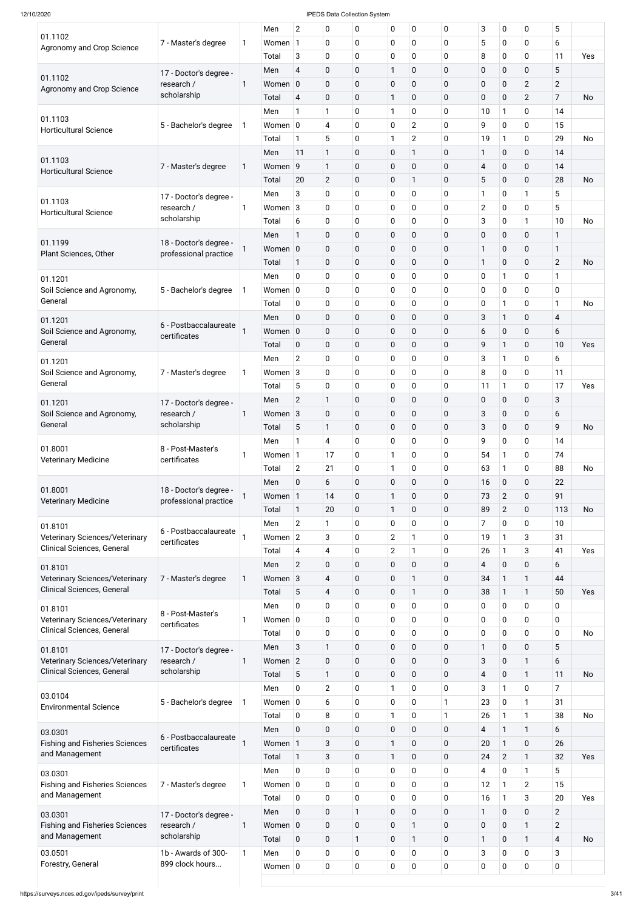|                                                                     |                        |              | Men         | $\overline{2}$ | 0                        | 0            | 0                | $\mathbf 0$    | 0            | 3                | $\mathbf 0$    | $\mathbf 0$    | 5                        |           |
|---------------------------------------------------------------------|------------------------|--------------|-------------|----------------|--------------------------|--------------|------------------|----------------|--------------|------------------|----------------|----------------|--------------------------|-----------|
| 01.1102                                                             | 7 - Master's degree    | 1            | Women       | $\mathbf{1}$   | $\mathbf 0$              | 0            | 0                | 0              | 0            | 5                | 0              | $\mathbf 0$    | 6                        |           |
| Agronomy and Crop Science                                           |                        |              | Total       | 3              | $\mathbf 0$              | $\mathbf 0$  | 0                | 0              | 0            | 8                | 0              | $\mathbf 0$    | 11                       | Yes       |
|                                                                     |                        |              | Men         | $\overline{4}$ | $\mathbf 0$              | $\mathbf 0$  | $\mathbf{1}$     | 0              | $\mathbf 0$  | $\mathbf 0$      | $\mathbf 0$    | $\mathbf 0$    | 5                        |           |
| 01.1102                                                             | 17 - Doctor's degree - |              |             |                |                          |              |                  |                |              |                  |                |                |                          |           |
| Agronomy and Crop Science                                           | research /             | 1            | Women 0     |                | $\mathbf 0$              | 0            | $\mathbf 0$      | 0              | $\mathbf 0$  | $\mathbf 0$      | 0              | $\mathbf{2}$   | $\overline{2}$           |           |
|                                                                     | scholarship            |              | Total       | 4              | $\pmb{0}$                | $\pmb{0}$    | $\mathbf{1}$     | 0              | $\mathbf 0$  | $\mathbf 0$      | 0              | $\overline{2}$ | 7                        | <b>No</b> |
|                                                                     |                        |              | Men         | 1              | $\mathbf{1}$             | 0            | 1                | 0              | $\mathbf 0$  | 10               | $\mathbf{1}$   | $\mathbf 0$    | 14                       |           |
| 01.1103                                                             | 5 - Bachelor's degree  | 1            | Women $ 0$  |                | 4                        | 0            | 0                | $\overline{2}$ | 0            | 9                | $\mathbf 0$    | $\mathbf 0$    | 15                       |           |
| <b>Horticultural Science</b>                                        |                        |              | Total       | 1              | 5                        | 0            | 1                | $\overline{2}$ | 0            | 19               | $\mathbf{1}$   | $\mathbf 0$    | 29                       | <b>No</b> |
|                                                                     |                        |              | Men         | 11             | $\mathbf{1}$             | $\mathbf 0$  | $\mathbf 0$      | 1              | $\mathbf 0$  | 1                | $\pmb{0}$      | $\mathbf 0$    | 14                       |           |
| 01.1103                                                             |                        |              |             |                |                          |              |                  |                |              |                  |                |                |                          |           |
| <b>Horticultural Science</b>                                        | 7 - Master's degree    | 1            | Women 9     |                | $\mathbf{1}$             | $\mathbf 0$  | 0                | $\mathbf 0$    | $\mathbf 0$  | $\overline{4}$   | $\pmb{0}$      | $\mathbf 0$    | 14                       |           |
|                                                                     |                        |              | Total       | 20             | $\mathbf{2}$             | $\mathbf 0$  | $\mathbf 0$      | 1              | $\mathbf 0$  | 5                | $\mathbf 0$    | $\mathbf 0$    | 28                       | <b>No</b> |
| 01.1103                                                             | 17 - Doctor's degree - |              | Men         | 3              | $\mathbf 0$              | 0            | 0                | 0              | $\mathbf 0$  | 1                | 0              | $\mathbf{1}$   | 5                        |           |
| <b>Horticultural Science</b>                                        | research /             | 1            | Women $3$   |                | 0                        | 0            | 0                | 0              | 0            | $\overline{2}$   | $\mathbf 0$    | $\mathbf 0$    | 5                        |           |
|                                                                     | scholarship            |              | Total       | 6              | 0                        | 0            | 0                | 0              | $\mathbf 0$  | 3                | $\mathbf 0$    | $\mathbf{1}$   | 10                       | <b>No</b> |
|                                                                     |                        |              | Men         | 1              | $\mathbf 0$              | $\mathbf 0$  | $\mathbf 0$      | $\mathbf 0$    | $\mathbf 0$  | $\boldsymbol{0}$ | $\mathbf 0$    | $\mathbf 0$    | 1                        |           |
| 01.1199                                                             | 18 - Doctor's degree - |              | Women 0     |                | $\mathbf 0$              | 0            | 0                | 0              | $\mathbf 0$  | $\mathbf{1}$     | $\pmb{0}$      | $\mathbf 0$    | 1                        |           |
| Plant Sciences, Other                                               | professional practice  |              |             |                |                          |              |                  |                |              |                  |                |                |                          |           |
|                                                                     |                        |              | Total       | $\mathbf{1}$   | $\mathbf 0$              | $\mathbf 0$  | $\mathbf 0$      | $\mathbf 0$    | $\mathbf 0$  | 1                | $\mathbf 0$    | $\mathbf 0$    | $\overline{2}$           | <b>No</b> |
| 01.1201                                                             |                        |              | Men         | $\mathbf 0$    | $\mathbf 0$              | 0            | 0                | 0              | $\mathbf 0$  | $\mathbf 0$      | $\mathbf{1}$   | $\mathbf 0$    | 1                        |           |
| Soil Science and Agronomy,                                          | 5 - Bachelor's degree  | 1            | Women $ 0 $ |                | 0                        | 0            | 0                | 0              | 0            | $\mathbf 0$      | 0              | $\mathbf 0$    | 0                        |           |
| General                                                             |                        |              | Total       | 0              | $\mathbf 0$              | 0            | 0                | 0              | $\mathbf 0$  | 0                | $\mathbf{1}$   | $\mathbf 0$    | 1                        | <b>No</b> |
| 01.1201                                                             |                        |              | Men         | $\mathbf 0$    | $\mathbf 0$              | $\mathbf 0$  | $\mathbf 0$      | $\mathbf 0$    | $\mathbf 0$  | 3                | $\mathbf{1}$   | $\mathbf 0$    | $\overline{\mathcal{A}}$ |           |
| Soil Science and Agronomy,                                          | 6 - Postbaccalaureate  | 1            | Women 0     |                | $\mathbf 0$              | $\mathbf 0$  | 0                | 0              | $\mathbf 0$  | 6                | 0              | $\mathbf 0$    | 6                        |           |
| General                                                             | certificates           |              | Total       | $\mathbf 0$    | $\mathbf 0$              | $\mathbf 0$  | $\mathbf 0$      | $\mathbf 0$    | $\mathbf 0$  | 9                | $\mathbf{1}$   | $\mathbf 0$    | 10                       | Yes       |
|                                                                     |                        |              |             |                |                          |              |                  |                |              |                  |                |                |                          |           |
| 01.1201                                                             |                        |              | Men         | $\overline{2}$ | $\mathbf 0$              | 0            | 0                | 0              | 0            | 3                | 1              | 0              | 6                        |           |
| Soil Science and Agronomy,                                          | 7 - Master's degree    | 1            | Women $3$   |                | 0                        | 0            | 0                | $\pmb{0}$      | 0            | 8                | 0              | 0              | 11                       |           |
| General                                                             |                        |              | Total       | 5              | $\mathbf 0$              | $\mathbf 0$  | 0                | 0              | 0            | 11               | $\mathbf{1}$   | $\mathbf 0$    | 17                       | Yes       |
| 01.1201                                                             | 17 - Doctor's degree - |              | Men         | $\overline{2}$ | $\mathbf{1}$             | $\mathbf 0$  | 0                | $\mathbf 0$    | $\mathbf 0$  | $\pmb{0}$        | $\mathbf 0$    | $\mathbf 0$    | 3                        |           |
| Soil Science and Agronomy,                                          | research /             | 1            | Women $3$   |                | $\mathbf 0$              | $\mathbf 0$  | 0                | 0              | $\mathbf 0$  | 3                | $\pmb{0}$      | $\pmb{0}$      | 6                        |           |
| General                                                             | scholarship            |              | Total       | 5              | $\mathbf{1}$             | 0            | 0                | 0              | $\mathbf 0$  | 3                | 0              | $\mathbf 0$    | 9                        | <b>No</b> |
|                                                                     |                        |              |             | 1              |                          |              |                  |                |              | 9                | $\overline{0}$ | $\mathbf 0$    | 14                       |           |
| 01.8001                                                             | 8 - Post-Master's      |              | Men         |                | 4                        | 0            | 0                | 0              | 0            |                  |                |                |                          |           |
| <b>Veterinary Medicine</b>                                          | certificates           | 1            | Women 1     |                | 17                       | 0            | 1                | 0              | $\mathbf 0$  | 54               | $\mathbf{1}$   | $\mathbf 0$    | 74                       |           |
|                                                                     |                        |              | Total       | $\overline{2}$ | 21                       | $\pmb{0}$    | $\mathbf{1}$     | 0              | 0            | 63               | $\mathbf{1}$   | $\mathbf 0$    | 88                       | No        |
|                                                                     |                        |              | Men         | $\mathbf 0$    | 6                        | $\mathbf 0$  | $\boldsymbol{0}$ | $\mathbf 0$    | $\mathbf 0$  | 16               | 0              | $\mathbf 0$    | 22                       |           |
| 01.8001                                                             | 18 - Doctor's degree - |              | Women 1     |                | 14                       | $\mathbf 0$  | $\mathbf{1}$     | 0              | $\mathbf 0$  | 73               | $\overline{2}$ | $\mathbf 0$    | 91                       |           |
| <b>Veterinary Medicine</b>                                          | professional practice  |              | Total       | $\mathbf{1}$   | 20                       | 0            | $\mathbf{1}$     | 0              | $\mathbf 0$  | 89               | $\overline{2}$ | $\mathbf 0$    | 113                      | <b>No</b> |
|                                                                     |                        |              | Men         | $\overline{2}$ | 1                        | 0            | 0                | $\mathbf 0$    | 0            | 7                | 0              | $\mathbf 0$    | 10                       |           |
| 01.8101                                                             | 6 - Postbaccalaureate  |              |             |                |                          |              |                  |                |              |                  |                |                |                          |           |
| <b>Veterinary Sciences/Veterinary</b><br>Clinical Sciences, General | certificates           |              | Women $2$   |                | 3                        | 0            | $\overline{2}$   | $\mathbf{1}$   | 0            | 19               | 1              | 3              | 31                       |           |
|                                                                     |                        |              | Total       | 4              | 4                        | 0            | $\overline{2}$   | $\mathbf{1}$   | 0            | 26               | $\mathbf{1}$   | 3              | 41                       | Yes       |
| 01.8101                                                             |                        |              | Men         | $\overline{2}$ | $\pmb{0}$                | 0            | 0                | $\mathbf 0$    | $\mathbf 0$  | 4                | 0              | $\pmb{0}$      | 6                        |           |
| Veterinary Sciences/Veterinary                                      | 7 - Master's degree    | 1            | Women $3$   |                | 4                        | 0            | $\pmb{0}$        | 1              | $\mathbf 0$  | 34               | $\mathbf{1}$   | $\mathbf{1}$   | 44                       |           |
| Clinical Sciences, General                                          |                        |              | Total       | 5              | $\overline{\mathcal{A}}$ | 0            | 0                | 1              | $\mathbf 0$  | 38               | $\mathbf{1}$   | $\mathbf{1}$   | 50                       | Yes       |
|                                                                     |                        |              | Men         | 0              | 0                        | 0            | 0                | $\mathbf 0$    | $\mathbf 0$  | 0                | 0              | $\pmb{0}$      | 0                        |           |
| 01.8101<br><b>Veterinary Sciences/Veterinary</b>                    | 8 - Post-Master's      | 1            | Women $ 0 $ |                | 0                        | 0            | 0                | 0              | $\mathbf 0$  | 0                | 0              | $\mathbf 0$    | $\mathbf 0$              |           |
| <b>Clinical Sciences, General</b>                                   | certificates           |              |             |                |                          |              |                  |                |              |                  |                |                |                          |           |
|                                                                     |                        |              | Total       | 0              | $\mathbf 0$              | 0            | 0                | $\mathbf 0$    | 0            | 0                | 0              | $\pmb{0}$      | $\mathbf 0$              | No        |
| 01.8101                                                             | 17 - Doctor's degree - |              | Men         | 3              | $\mathbf{1}$             | 0            | 0                | 0              | $\mathbf 0$  | $\mathbf{1}$     | 0              | $\pmb{0}$      | 5                        |           |
| Veterinary Sciences/Veterinary                                      | research /             | 1            | Women 2     |                | $\mathbf 0$              | 0            | 0                | $\mathbf 0$    | $\mathbf 0$  | 3                | 0              | $\mathbf{1}$   | 6                        |           |
| Clinical Sciences, General                                          | scholarship            |              | Total       | 5              | $\mathbf{1}$             | 0            | 0                | 0              | $\mathbf 0$  | $\overline{4}$   | 0              | $\mathbf{1}$   | 11                       | No        |
|                                                                     |                        |              | Men         | 0              | $\overline{c}$           | 0            | 1                | 0              | 0            | 3                | $\mathbf{1}$   | 0              | 7                        |           |
| 03.0104                                                             | 5 - Bachelor's degree  | 1            | Women $ 0 $ |                | 6                        | 0            | 0                | 0              | 1            | 23               | 0              | $\mathbf{1}$   | 31                       |           |
| <b>Environmental Science</b>                                        |                        |              | Total       | $\mathbf 0$    | 8                        | 0            | $\mathbf{1}$     | $\pmb{0}$      | $\mathbf{1}$ | 26               | $\mathbf{1}$   | $\mathbf{1}$   | 38                       | No        |
|                                                                     |                        |              |             |                |                          |              |                  |                |              |                  |                |                |                          |           |
| 03.0301                                                             | 6 - Postbaccalaureate  |              | Men         | $\mathbf 0$    | $\pmb{0}$                | $\pmb{0}$    | $\mathbf 0$      | $\mathbf 0$    | $\mathbf 0$  | 4                | $\mathbf{1}$   | $\mathbf{1}$   | 6                        |           |
| <b>Fishing and Fisheries Sciences</b>                               | certificates           |              | Women 1     |                | $\sqrt{3}$               | $\pmb{0}$    | $\mathbf{1}$     | $\pmb{0}$      | $\mathbf 0$  | 20               | $\mathbf{1}$   | $\pmb{0}$      | 26                       |           |
| and Management                                                      |                        |              | Total       | $\mathbf{1}$   | $\sqrt{3}$               | $\pmb{0}$    | $\mathbf{1}$     | $\mathbf 0$    | $\mathbf 0$  | 24               | $\overline{2}$ | $\mathbf{1}$   | 32                       | Yes       |
| 03.0301                                                             |                        |              | Men         | $\mathbf 0$    | $\mathbf 0$              | 0            | 0                | $\mathbf 0$    | $\mathbf 0$  | 4                | 0              | $\mathbf{1}$   | 5                        |           |
| <b>Fishing and Fisheries Sciences</b>                               | 7 - Master's degree    | 1            | Women $ 0 $ |                | $\mathbf 0$              | 0            | 0                | $\mathbf 0$    | $\mathbf 0$  | 12               | $\mathbf{1}$   | $\overline{2}$ | 15                       |           |
| and Management                                                      |                        |              | Total       | $\mathbf 0$    | $\mathbf 0$              | 0            | 0                | $\mathbf 0$    | $\mathbf 0$  | 16               | $\mathbf{1}$   | 3              | 20                       | Yes       |
|                                                                     |                        |              |             |                |                          |              |                  |                |              |                  |                |                |                          |           |
| 03.0301                                                             | 17 - Doctor's degree - |              | Men         | $\mathbf 0$    | $\pmb{0}$                | $\mathbf{1}$ | $\mathbf 0$      | $\mathbf 0$    | $\mathbf 0$  | $\mathbf 1$      | $\pmb{0}$      | $\mathbf 0$    | $\overline{2}$           |           |
| <b>Fishing and Fisheries Sciences</b>                               | research /             | 1            | Women 0     |                | $\pmb{0}$                | $\pmb{0}$    | $\mathbf 0$      | 1              | $\mathbf 0$  | $\pmb{0}$        | $\pmb{0}$      | $\mathbf{1}$   | $\overline{2}$           |           |
| and Management                                                      | scholarship            |              | Total       | $\mathbf 0$    | $\pmb{0}$                | $\mathbf{1}$ | $\mathbf 0$      | $\mathbf{1}$   | $\mathbf 0$  | $\mathbf 1$      | $\pmb{0}$      | $\mathbf{1}$   | $\overline{4}$           | <b>No</b> |
| 03.0501                                                             | 1b - Awards of 300-    | $\mathbf{1}$ | Men         | $\mathbf 0$    | $\mathbf 0$              | 0            | 0                | $\mathbf 0$    | $\mathbf 0$  | 3                | $\mathbf 0$    | $\mathbf 0$    | 3                        |           |
| Forestry, General                                                   | 899 clock hours        |              | Women $ 0 $ |                | $\mathbf 0$              | $\pmb{0}$    | 0                | $\mathbf 0$    | $\mathbf 0$  | $\pmb{0}$        | 0              | $\mathbf 0$    | $\mathbf 0$              |           |
|                                                                     |                        |              |             |                |                          |              |                  |                |              |                  |                |                |                          |           |
|                                                                     |                        |              |             |                |                          |              |                  |                |              |                  |                |                |                          |           |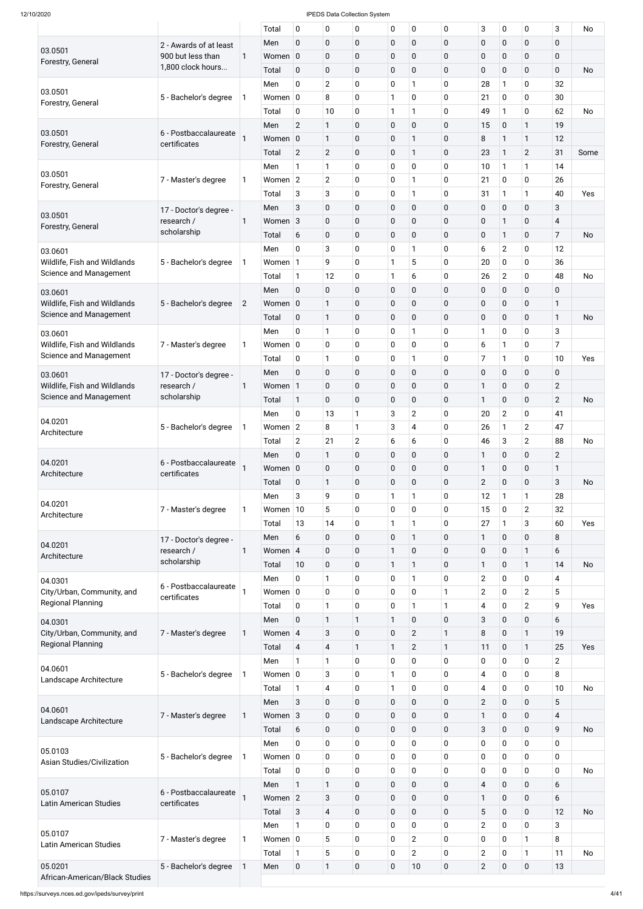| $\overline{0}$<br>$\mathbf 0$<br>$\overline{0}$<br>$\mathbf 0$<br>$\mathbf 0$<br>0<br>$\pmb{0}$<br>$\mathbf 0$<br>Men<br>2 - Awards of at least<br>03.0501<br>0<br>$\pmb{0}$<br>$\mathbf 0$<br>$\mathbf 0$<br>0<br>$\pmb{0}$<br>$\mathbf 0$<br>900 but less than<br>Women $ 0 $<br>$\mathbf{1}$<br>Forestry, General<br>1,800 clock hours<br>0<br>$\pmb{0}$<br>0<br>$\mathbf 0$<br>0<br>$\pmb{0}$<br>$\mathbf 0$<br>Total<br>$\mathbf 0$<br>$\overline{2}$<br>$\pmb{0}$<br>0<br>0<br>0<br>28<br>$\mathbf{1}$<br>Men<br>1<br>03.0501<br>$\pmb{0}$<br>1<br>8<br>0<br>0<br>21<br>$\mathbf 0$<br>Women $ 0 $<br>5 - Bachelor's degree<br>1<br>Forestry, General<br>$\pmb{0}$<br>1<br>0<br>0<br>10<br>49<br>$\mathbf{1}$<br>1<br>Total<br>$\overline{2}$<br>$\mathbf{1}$<br>$\pmb{0}$<br>$\overline{0}$<br>$\mathbf 0$<br>0<br>15<br>$\mathbf 0$<br>Men<br>03.0501<br>6 - Postbaccalaureate<br>$\pmb{0}$<br>$\overline{0}$<br>0<br>8<br>Women 0<br>$\mathbf{1}$<br>$\mathbf{1}$<br>$\mathbf{1}$<br>certificates<br>Forestry, General<br>$\overline{2}$<br>$\pmb{0}$<br>$\overline{2}$<br>0<br>0<br>23<br>$\mathbf{1}$<br>Total<br>1<br>$\mathbf{1}$<br>$\pmb{0}$<br>0<br>0<br>$\mathbf{1}$<br>0<br>10<br>$\mathbf{1}$<br>Men<br>03.0501<br>$\overline{2}$<br>$\pmb{0}$<br>0<br>Women $ 2 $<br>0<br>21<br>$\mathbf 0$<br>7 - Master's degree<br>1<br>1<br>Forestry, General<br>3<br>$\pmb{0}$<br>0<br>0<br>3<br>$\mathbf{1}$<br>31<br>Total<br>$\mathbf{1}$<br>$\mathbf 0$<br>$\pmb{0}$<br>$\overline{0}$<br>3<br>$\mathbf 0$<br>0<br>$\pmb{0}$<br>$\mathbf 0$<br>Men<br>17 - Doctor's degree -<br>03.0501<br>$\pmb{0}$<br>$\overline{0}$<br>0<br>$\pmb{0}$<br>0<br>$\mathbf 0$<br>$\mathbf{1}$<br>research /<br>Women <sub>3</sub><br>1<br>Forestry, General<br>scholarship<br>$\pmb{0}$<br>6<br>0<br>$\mathbf 0$<br>$\mathbf 0$<br>0<br>$\pmb{0}$<br>Total<br>$\mathbf{1}$<br>0<br>3<br>$\pmb{0}$<br>0<br>0<br>$\overline{2}$<br>6<br>1<br>Men<br>03.0601 | 0<br>0<br>0<br>0<br>0<br>0<br>$\mathbf{1}$<br>$\mathbf{1}$<br>$\overline{2}$<br>$\mathbf{1}$<br>0<br>$\mathbf{1}$<br>0<br>0<br>0<br>0 | $\mathbf 0$<br>$\mathbf 0$<br>$\mathbf 0$<br>32<br>30<br>62<br>19<br>12<br>31<br>14<br>26<br>40<br>3 | <b>No</b><br><b>No</b><br>Some |
|-------------------------------------------------------------------------------------------------------------------------------------------------------------------------------------------------------------------------------------------------------------------------------------------------------------------------------------------------------------------------------------------------------------------------------------------------------------------------------------------------------------------------------------------------------------------------------------------------------------------------------------------------------------------------------------------------------------------------------------------------------------------------------------------------------------------------------------------------------------------------------------------------------------------------------------------------------------------------------------------------------------------------------------------------------------------------------------------------------------------------------------------------------------------------------------------------------------------------------------------------------------------------------------------------------------------------------------------------------------------------------------------------------------------------------------------------------------------------------------------------------------------------------------------------------------------------------------------------------------------------------------------------------------------------------------------------------------------------------------------------------------------------------------------------------------------------------------------------------------------------------------------------------------------------------------------------------|---------------------------------------------------------------------------------------------------------------------------------------|------------------------------------------------------------------------------------------------------|--------------------------------|
|                                                                                                                                                                                                                                                                                                                                                                                                                                                                                                                                                                                                                                                                                                                                                                                                                                                                                                                                                                                                                                                                                                                                                                                                                                                                                                                                                                                                                                                                                                                                                                                                                                                                                                                                                                                                                                                                                                                                                       |                                                                                                                                       |                                                                                                      |                                |
|                                                                                                                                                                                                                                                                                                                                                                                                                                                                                                                                                                                                                                                                                                                                                                                                                                                                                                                                                                                                                                                                                                                                                                                                                                                                                                                                                                                                                                                                                                                                                                                                                                                                                                                                                                                                                                                                                                                                                       |                                                                                                                                       |                                                                                                      |                                |
|                                                                                                                                                                                                                                                                                                                                                                                                                                                                                                                                                                                                                                                                                                                                                                                                                                                                                                                                                                                                                                                                                                                                                                                                                                                                                                                                                                                                                                                                                                                                                                                                                                                                                                                                                                                                                                                                                                                                                       |                                                                                                                                       |                                                                                                      |                                |
|                                                                                                                                                                                                                                                                                                                                                                                                                                                                                                                                                                                                                                                                                                                                                                                                                                                                                                                                                                                                                                                                                                                                                                                                                                                                                                                                                                                                                                                                                                                                                                                                                                                                                                                                                                                                                                                                                                                                                       |                                                                                                                                       |                                                                                                      |                                |
|                                                                                                                                                                                                                                                                                                                                                                                                                                                                                                                                                                                                                                                                                                                                                                                                                                                                                                                                                                                                                                                                                                                                                                                                                                                                                                                                                                                                                                                                                                                                                                                                                                                                                                                                                                                                                                                                                                                                                       |                                                                                                                                       |                                                                                                      |                                |
|                                                                                                                                                                                                                                                                                                                                                                                                                                                                                                                                                                                                                                                                                                                                                                                                                                                                                                                                                                                                                                                                                                                                                                                                                                                                                                                                                                                                                                                                                                                                                                                                                                                                                                                                                                                                                                                                                                                                                       |                                                                                                                                       |                                                                                                      |                                |
|                                                                                                                                                                                                                                                                                                                                                                                                                                                                                                                                                                                                                                                                                                                                                                                                                                                                                                                                                                                                                                                                                                                                                                                                                                                                                                                                                                                                                                                                                                                                                                                                                                                                                                                                                                                                                                                                                                                                                       |                                                                                                                                       |                                                                                                      |                                |
|                                                                                                                                                                                                                                                                                                                                                                                                                                                                                                                                                                                                                                                                                                                                                                                                                                                                                                                                                                                                                                                                                                                                                                                                                                                                                                                                                                                                                                                                                                                                                                                                                                                                                                                                                                                                                                                                                                                                                       |                                                                                                                                       |                                                                                                      |                                |
|                                                                                                                                                                                                                                                                                                                                                                                                                                                                                                                                                                                                                                                                                                                                                                                                                                                                                                                                                                                                                                                                                                                                                                                                                                                                                                                                                                                                                                                                                                                                                                                                                                                                                                                                                                                                                                                                                                                                                       |                                                                                                                                       |                                                                                                      |                                |
|                                                                                                                                                                                                                                                                                                                                                                                                                                                                                                                                                                                                                                                                                                                                                                                                                                                                                                                                                                                                                                                                                                                                                                                                                                                                                                                                                                                                                                                                                                                                                                                                                                                                                                                                                                                                                                                                                                                                                       |                                                                                                                                       |                                                                                                      |                                |
|                                                                                                                                                                                                                                                                                                                                                                                                                                                                                                                                                                                                                                                                                                                                                                                                                                                                                                                                                                                                                                                                                                                                                                                                                                                                                                                                                                                                                                                                                                                                                                                                                                                                                                                                                                                                                                                                                                                                                       |                                                                                                                                       |                                                                                                      |                                |
|                                                                                                                                                                                                                                                                                                                                                                                                                                                                                                                                                                                                                                                                                                                                                                                                                                                                                                                                                                                                                                                                                                                                                                                                                                                                                                                                                                                                                                                                                                                                                                                                                                                                                                                                                                                                                                                                                                                                                       |                                                                                                                                       |                                                                                                      |                                |
|                                                                                                                                                                                                                                                                                                                                                                                                                                                                                                                                                                                                                                                                                                                                                                                                                                                                                                                                                                                                                                                                                                                                                                                                                                                                                                                                                                                                                                                                                                                                                                                                                                                                                                                                                                                                                                                                                                                                                       |                                                                                                                                       |                                                                                                      | Yes                            |
|                                                                                                                                                                                                                                                                                                                                                                                                                                                                                                                                                                                                                                                                                                                                                                                                                                                                                                                                                                                                                                                                                                                                                                                                                                                                                                                                                                                                                                                                                                                                                                                                                                                                                                                                                                                                                                                                                                                                                       |                                                                                                                                       |                                                                                                      |                                |
|                                                                                                                                                                                                                                                                                                                                                                                                                                                                                                                                                                                                                                                                                                                                                                                                                                                                                                                                                                                                                                                                                                                                                                                                                                                                                                                                                                                                                                                                                                                                                                                                                                                                                                                                                                                                                                                                                                                                                       |                                                                                                                                       | $\overline{\mathbf{4}}$                                                                              |                                |
|                                                                                                                                                                                                                                                                                                                                                                                                                                                                                                                                                                                                                                                                                                                                                                                                                                                                                                                                                                                                                                                                                                                                                                                                                                                                                                                                                                                                                                                                                                                                                                                                                                                                                                                                                                                                                                                                                                                                                       |                                                                                                                                       | $\overline{7}$                                                                                       | <b>No</b>                      |
|                                                                                                                                                                                                                                                                                                                                                                                                                                                                                                                                                                                                                                                                                                                                                                                                                                                                                                                                                                                                                                                                                                                                                                                                                                                                                                                                                                                                                                                                                                                                                                                                                                                                                                                                                                                                                                                                                                                                                       |                                                                                                                                       |                                                                                                      |                                |
|                                                                                                                                                                                                                                                                                                                                                                                                                                                                                                                                                                                                                                                                                                                                                                                                                                                                                                                                                                                                                                                                                                                                                                                                                                                                                                                                                                                                                                                                                                                                                                                                                                                                                                                                                                                                                                                                                                                                                       |                                                                                                                                       | 12                                                                                                   |                                |
| $\pmb{0}$<br>1<br>5<br>9<br>0<br>20<br>$\mathbf 0$<br>Wildlife, Fish and Wildlands<br>5 - Bachelor's degree<br>1<br>Women 1                                                                                                                                                                                                                                                                                                                                                                                                                                                                                                                                                                                                                                                                                                                                                                                                                                                                                                                                                                                                                                                                                                                                                                                                                                                                                                                                                                                                                                                                                                                                                                                                                                                                                                                                                                                                                           | 0                                                                                                                                     | 36                                                                                                   |                                |
| Science and Management<br>$\pmb{0}$<br>1<br>0<br>$\overline{2}$<br>$\mathbf{1}$<br>12<br>6<br>26<br>Total                                                                                                                                                                                                                                                                                                                                                                                                                                                                                                                                                                                                                                                                                                                                                                                                                                                                                                                                                                                                                                                                                                                                                                                                                                                                                                                                                                                                                                                                                                                                                                                                                                                                                                                                                                                                                                             | 0                                                                                                                                     | 48                                                                                                   | <b>No</b>                      |
| $\pmb{0}$<br>$\overline{0}$<br>$\mathbf 0$<br>$\mathbf 0$<br>$\mathbf 0$<br>0<br>$\pmb{0}$<br>$\mathbf 0$<br>Men<br>03.0601                                                                                                                                                                                                                                                                                                                                                                                                                                                                                                                                                                                                                                                                                                                                                                                                                                                                                                                                                                                                                                                                                                                                                                                                                                                                                                                                                                                                                                                                                                                                                                                                                                                                                                                                                                                                                           | 0                                                                                                                                     | 0                                                                                                    |                                |
| $\pmb{0}$<br>$\mathbf 0$<br>0<br>$\pmb{0}$<br>$\mathbf{1}$<br>$\mathbf 0$<br>$\mathbf 0$<br>Wildlife, Fish and Wildlands<br>5 - Bachelor's degree<br>$\overline{c}$<br>Women 0                                                                                                                                                                                                                                                                                                                                                                                                                                                                                                                                                                                                                                                                                                                                                                                                                                                                                                                                                                                                                                                                                                                                                                                                                                                                                                                                                                                                                                                                                                                                                                                                                                                                                                                                                                        | 0                                                                                                                                     | $\mathbf{1}$                                                                                         |                                |
| Science and Management<br>$\pmb{0}$<br>$\pmb{0}$<br>$\mathbf{1}$<br>$\mathbf 0$<br>$\mathbf 0$<br>0<br>$\pmb{0}$<br>$\mathbf 0$<br>Total                                                                                                                                                                                                                                                                                                                                                                                                                                                                                                                                                                                                                                                                                                                                                                                                                                                                                                                                                                                                                                                                                                                                                                                                                                                                                                                                                                                                                                                                                                                                                                                                                                                                                                                                                                                                              | 0                                                                                                                                     | $\mathbf{1}$                                                                                         | No                             |
| $\pmb{0}$<br>0<br>0<br>$\mathbf{1}$<br>1<br>0<br>$\mathbf{1}$<br>$\mathbf 0$<br>Men<br>03.0601                                                                                                                                                                                                                                                                                                                                                                                                                                                                                                                                                                                                                                                                                                                                                                                                                                                                                                                                                                                                                                                                                                                                                                                                                                                                                                                                                                                                                                                                                                                                                                                                                                                                                                                                                                                                                                                        | 0                                                                                                                                     | 3                                                                                                    |                                |
| 0<br>0<br>0<br>0<br>0<br>6<br>Wildlife, Fish and Wildlands<br>Women $ 0 $<br>$\mathbf{1}$<br>7 - Master's degree<br>1                                                                                                                                                                                                                                                                                                                                                                                                                                                                                                                                                                                                                                                                                                                                                                                                                                                                                                                                                                                                                                                                                                                                                                                                                                                                                                                                                                                                                                                                                                                                                                                                                                                                                                                                                                                                                                 | 0                                                                                                                                     | $\overline{7}$                                                                                       |                                |
| Science and Management<br>$\mathbf 0$<br>$\mathbf{1}$<br>$\mathbf 0$<br>0<br>0<br>7<br>1<br>1<br>Total                                                                                                                                                                                                                                                                                                                                                                                                                                                                                                                                                                                                                                                                                                                                                                                                                                                                                                                                                                                                                                                                                                                                                                                                                                                                                                                                                                                                                                                                                                                                                                                                                                                                                                                                                                                                                                                | 0                                                                                                                                     | 10                                                                                                   | Yes                            |
| $\mathbf 0$<br>0<br>$\pmb{0}$<br>0<br>$\pmb{0}$<br>$\mathbf 0$<br>$\pmb{0}$<br>$\pmb{0}$<br>Men                                                                                                                                                                                                                                                                                                                                                                                                                                                                                                                                                                                                                                                                                                                                                                                                                                                                                                                                                                                                                                                                                                                                                                                                                                                                                                                                                                                                                                                                                                                                                                                                                                                                                                                                                                                                                                                       | 0                                                                                                                                     | $\mathbf 0$                                                                                          |                                |
| 03.0601<br>17 - Doctor's degree -                                                                                                                                                                                                                                                                                                                                                                                                                                                                                                                                                                                                                                                                                                                                                                                                                                                                                                                                                                                                                                                                                                                                                                                                                                                                                                                                                                                                                                                                                                                                                                                                                                                                                                                                                                                                                                                                                                                     |                                                                                                                                       |                                                                                                      |                                |
| $\pmb{0}$<br>0<br>$\mathbf 0$<br>$\mathbf 0$<br>0<br>1<br>$\mathbf 0$<br>Wildlife, Fish and Wildlands<br>research /<br>1<br>Women  <br>$\mathbf{1}$<br>Science and Management<br>scholarship                                                                                                                                                                                                                                                                                                                                                                                                                                                                                                                                                                                                                                                                                                                                                                                                                                                                                                                                                                                                                                                                                                                                                                                                                                                                                                                                                                                                                                                                                                                                                                                                                                                                                                                                                          | 0                                                                                                                                     | $\overline{2}$                                                                                       |                                |
| $\pmb{0}$<br>$\overline{0}$<br>$\mathbf 0$<br>$\mathbf 0$<br>0<br>$\mathbf 0$<br>Total<br>$\mathbf{1}$<br>1                                                                                                                                                                                                                                                                                                                                                                                                                                                                                                                                                                                                                                                                                                                                                                                                                                                                                                                                                                                                                                                                                                                                                                                                                                                                                                                                                                                                                                                                                                                                                                                                                                                                                                                                                                                                                                           | 0                                                                                                                                     | $\overline{2}$                                                                                       | <b>No</b>                      |
| 3<br>$\overline{2}$<br>$\overline{2}$<br>0<br>13<br>$\mathbf{1}$<br>0<br>20<br>Men<br>04.0201                                                                                                                                                                                                                                                                                                                                                                                                                                                                                                                                                                                                                                                                                                                                                                                                                                                                                                                                                                                                                                                                                                                                                                                                                                                                                                                                                                                                                                                                                                                                                                                                                                                                                                                                                                                                                                                         | 0                                                                                                                                     | 41                                                                                                   |                                |
| $\mathbf{1}$<br>3<br>0<br>Women $ 2 $<br>8<br>4<br>26<br>$\mathbf{1}$<br>5 - Bachelor's degree<br>1<br>Architecture                                                                                                                                                                                                                                                                                                                                                                                                                                                                                                                                                                                                                                                                                                                                                                                                                                                                                                                                                                                                                                                                                                                                                                                                                                                                                                                                                                                                                                                                                                                                                                                                                                                                                                                                                                                                                                   | $\overline{2}$                                                                                                                        | 47                                                                                                   |                                |
| $\overline{2}$<br>6<br>$\overline{2}$<br>21<br>6<br>0<br>46<br>$\mathbf{3}$<br>Total                                                                                                                                                                                                                                                                                                                                                                                                                                                                                                                                                                                                                                                                                                                                                                                                                                                                                                                                                                                                                                                                                                                                                                                                                                                                                                                                                                                                                                                                                                                                                                                                                                                                                                                                                                                                                                                                  | $\overline{2}$                                                                                                                        | 88                                                                                                   | No                             |
| $\pmb{0}$<br>$\mathbf 0$<br>$\mathbf 0$<br>0<br>$\mathbf 0$<br>$\mathbf{1}$<br>1<br>$\mathbf 0$<br>Men                                                                                                                                                                                                                                                                                                                                                                                                                                                                                                                                                                                                                                                                                                                                                                                                                                                                                                                                                                                                                                                                                                                                                                                                                                                                                                                                                                                                                                                                                                                                                                                                                                                                                                                                                                                                                                                | 0                                                                                                                                     | $\overline{2}$                                                                                       |                                |
| 04.0201<br>6 - Postbaccalaureate<br>$\pmb{0}$<br>0<br>$\mathbf 0$<br>$\mathbf 0$<br>0<br>$\mathbf 0$<br>Women 0<br>1                                                                                                                                                                                                                                                                                                                                                                                                                                                                                                                                                                                                                                                                                                                                                                                                                                                                                                                                                                                                                                                                                                                                                                                                                                                                                                                                                                                                                                                                                                                                                                                                                                                                                                                                                                                                                                  | 0                                                                                                                                     | $\mathbf{1}$                                                                                         |                                |
| certificates<br>Architecture<br>$\pmb{0}$<br>$\overline{0}$<br>$\overline{2}$<br>$\mathbf 0$<br>$\mathbf{1}$<br>$\mathbf 0$<br>0<br>$\mathbf 0$<br>Total                                                                                                                                                                                                                                                                                                                                                                                                                                                                                                                                                                                                                                                                                                                                                                                                                                                                                                                                                                                                                                                                                                                                                                                                                                                                                                                                                                                                                                                                                                                                                                                                                                                                                                                                                                                              | 0                                                                                                                                     | 3                                                                                                    | <b>No</b>                      |
| 3<br>9<br>$\pmb{0}$<br>1<br>0<br>1<br>12<br>$\mathbf{1}$<br>Men                                                                                                                                                                                                                                                                                                                                                                                                                                                                                                                                                                                                                                                                                                                                                                                                                                                                                                                                                                                                                                                                                                                                                                                                                                                                                                                                                                                                                                                                                                                                                                                                                                                                                                                                                                                                                                                                                       | $\mathbf{1}$                                                                                                                          | 28                                                                                                   |                                |
| 04.0201<br>5<br>$\mathbf 0$<br>0<br>0<br>0<br>15<br>$\mathbf 0$<br>7 - Master's degree<br>Women $10$                                                                                                                                                                                                                                                                                                                                                                                                                                                                                                                                                                                                                                                                                                                                                                                                                                                                                                                                                                                                                                                                                                                                                                                                                                                                                                                                                                                                                                                                                                                                                                                                                                                                                                                                                                                                                                                  | $\overline{2}$                                                                                                                        | 32                                                                                                   |                                |
| 1<br>Architecture                                                                                                                                                                                                                                                                                                                                                                                                                                                                                                                                                                                                                                                                                                                                                                                                                                                                                                                                                                                                                                                                                                                                                                                                                                                                                                                                                                                                                                                                                                                                                                                                                                                                                                                                                                                                                                                                                                                                     |                                                                                                                                       |                                                                                                      |                                |
| 13<br>$\pmb{0}$<br>1<br>0<br>27<br>14<br>1<br>$\mathbf{1}$<br>Total                                                                                                                                                                                                                                                                                                                                                                                                                                                                                                                                                                                                                                                                                                                                                                                                                                                                                                                                                                                                                                                                                                                                                                                                                                                                                                                                                                                                                                                                                                                                                                                                                                                                                                                                                                                                                                                                                   | 3                                                                                                                                     | 60                                                                                                   | Yes                            |
| $\pmb{0}$<br>$\overline{0}$<br>0<br>6<br>$\mathbf 0$<br>$\mathbf{1}$<br>1<br>$\mathbf 0$<br>Men<br>17 - Doctor's degree -<br>04.0201                                                                                                                                                                                                                                                                                                                                                                                                                                                                                                                                                                                                                                                                                                                                                                                                                                                                                                                                                                                                                                                                                                                                                                                                                                                                                                                                                                                                                                                                                                                                                                                                                                                                                                                                                                                                                  | $\mathbf 0$                                                                                                                           | 8                                                                                                    |                                |
| $\pmb{0}$<br>0<br>1<br>$\mathbf 0$<br>0<br>$\pmb{0}$<br>$\mathbf 0$<br>research /<br>Women 4<br>$\mathbf{1}$<br>Architecture                                                                                                                                                                                                                                                                                                                                                                                                                                                                                                                                                                                                                                                                                                                                                                                                                                                                                                                                                                                                                                                                                                                                                                                                                                                                                                                                                                                                                                                                                                                                                                                                                                                                                                                                                                                                                          | $\mathbf{1}$                                                                                                                          | 6                                                                                                    |                                |
| scholarship<br>$\mathbf 0$<br>$\pmb{0}$<br>0<br>$\mathbf{1}$<br>$\mathbf{1}$<br>1<br>$\mathbf 0$<br>Total<br>10                                                                                                                                                                                                                                                                                                                                                                                                                                                                                                                                                                                                                                                                                                                                                                                                                                                                                                                                                                                                                                                                                                                                                                                                                                                                                                                                                                                                                                                                                                                                                                                                                                                                                                                                                                                                                                       | $\mathbf{1}$                                                                                                                          | 14                                                                                                   | <b>No</b>                      |
| $\mathbf 0$<br>$\pmb{0}$<br>0<br>$\overline{2}$<br>$\mathbf{1}$<br>0<br>1<br>$\mathbf 0$<br>Men<br>04.0301                                                                                                                                                                                                                                                                                                                                                                                                                                                                                                                                                                                                                                                                                                                                                                                                                                                                                                                                                                                                                                                                                                                                                                                                                                                                                                                                                                                                                                                                                                                                                                                                                                                                                                                                                                                                                                            | 0                                                                                                                                     | 4                                                                                                    |                                |
| 6 - Postbaccalaureate<br>0<br>$\mathbf 0$<br>0<br>$\mathbf 0$<br>$\overline{2}$<br>Women $ 0 $<br>$\mathbf{1}$<br>$\mathbf 0$<br>City/Urban, Community, and<br>certificates                                                                                                                                                                                                                                                                                                                                                                                                                                                                                                                                                                                                                                                                                                                                                                                                                                                                                                                                                                                                                                                                                                                                                                                                                                                                                                                                                                                                                                                                                                                                                                                                                                                                                                                                                                           | $\overline{2}$                                                                                                                        | 5                                                                                                    |                                |
| <b>Regional Planning</b><br>$\mathbf{1}$<br>$\mathbf 0$<br>0<br>0<br>$\overline{4}$<br>1<br>1<br>$\mathbf 0$<br>Total                                                                                                                                                                                                                                                                                                                                                                                                                                                                                                                                                                                                                                                                                                                                                                                                                                                                                                                                                                                                                                                                                                                                                                                                                                                                                                                                                                                                                                                                                                                                                                                                                                                                                                                                                                                                                                 | $\overline{2}$                                                                                                                        | 9                                                                                                    | Yes                            |
| $\mathbf 0$<br>$\mathbf{1}$<br>$\mathbf{1}$<br>1<br>$\mathbf 0$<br>0<br>3<br>$\mathbf 0$<br>Men                                                                                                                                                                                                                                                                                                                                                                                                                                                                                                                                                                                                                                                                                                                                                                                                                                                                                                                                                                                                                                                                                                                                                                                                                                                                                                                                                                                                                                                                                                                                                                                                                                                                                                                                                                                                                                                       | $\mathbf 0$                                                                                                                           | 6                                                                                                    |                                |
| 04.0301<br>3<br>$\pmb{0}$<br>$\mathbf 0$<br>$\overline{2}$<br>8<br>$\mathbf 0$<br>City/Urban, Community, and<br>Women 4<br>$\mathbf{1}$<br>7 - Master's degree<br>$\mathbf{1}$                                                                                                                                                                                                                                                                                                                                                                                                                                                                                                                                                                                                                                                                                                                                                                                                                                                                                                                                                                                                                                                                                                                                                                                                                                                                                                                                                                                                                                                                                                                                                                                                                                                                                                                                                                        | $\mathbf{1}$                                                                                                                          | 19                                                                                                   |                                |
| <b>Regional Planning</b><br>$\overline{2}$<br>4<br>$\mathbf{1}$<br>1<br>$\mathbf 0$<br>Total<br>$\overline{4}$<br>$\mathbf{1}$<br>11                                                                                                                                                                                                                                                                                                                                                                                                                                                                                                                                                                                                                                                                                                                                                                                                                                                                                                                                                                                                                                                                                                                                                                                                                                                                                                                                                                                                                                                                                                                                                                                                                                                                                                                                                                                                                  | $\mathbf{1}$                                                                                                                          | 25                                                                                                   | Yes                            |
|                                                                                                                                                                                                                                                                                                                                                                                                                                                                                                                                                                                                                                                                                                                                                                                                                                                                                                                                                                                                                                                                                                                                                                                                                                                                                                                                                                                                                                                                                                                                                                                                                                                                                                                                                                                                                                                                                                                                                       |                                                                                                                                       |                                                                                                      |                                |
| 0<br>$\mathbf{1}$<br>$\mathbf{1}$<br>$\mathbf 0$<br>0<br>0<br>$\pmb{0}$<br>$\mathbf 0$<br>Men<br>04.0601                                                                                                                                                                                                                                                                                                                                                                                                                                                                                                                                                                                                                                                                                                                                                                                                                                                                                                                                                                                                                                                                                                                                                                                                                                                                                                                                                                                                                                                                                                                                                                                                                                                                                                                                                                                                                                              | 0                                                                                                                                     | $\overline{2}$                                                                                       |                                |
| 3<br>$\mathbf 0$<br>1<br>0<br>0<br>$\overline{4}$<br>$\mathbf 0$<br>5 - Bachelor's degree<br>Women $ 0 $<br>1<br>Landscape Architecture                                                                                                                                                                                                                                                                                                                                                                                                                                                                                                                                                                                                                                                                                                                                                                                                                                                                                                                                                                                                                                                                                                                                                                                                                                                                                                                                                                                                                                                                                                                                                                                                                                                                                                                                                                                                               | 0                                                                                                                                     | 8                                                                                                    |                                |
| $\mathbf{1}$<br>$\pmb{0}$<br>0<br>$\mathbf 0$<br>$\mathbf{1}$<br>4<br>4<br>$\mathbf 0$<br>Total                                                                                                                                                                                                                                                                                                                                                                                                                                                                                                                                                                                                                                                                                                                                                                                                                                                                                                                                                                                                                                                                                                                                                                                                                                                                                                                                                                                                                                                                                                                                                                                                                                                                                                                                                                                                                                                       | 0                                                                                                                                     | 10                                                                                                   | <b>No</b>                      |
| 3<br>0<br>$\mathbf 0$<br>$\overline{2}$<br>0<br>0<br>0<br>$\mathbf 0$<br>Men<br>04.0601                                                                                                                                                                                                                                                                                                                                                                                                                                                                                                                                                                                                                                                                                                                                                                                                                                                                                                                                                                                                                                                                                                                                                                                                                                                                                                                                                                                                                                                                                                                                                                                                                                                                                                                                                                                                                                                               | $\overline{0}$                                                                                                                        | 5                                                                                                    |                                |
| $\pmb{0}$<br>$\boldsymbol{0}$<br>0<br>$\pmb{0}$<br>$\pmb{0}$<br>$\mathbf{1}$<br>$\pmb{0}$<br>Women <sub>3</sub><br>7 - Master's degree<br>$\mathbf{1}$<br>Landscape Architecture                                                                                                                                                                                                                                                                                                                                                                                                                                                                                                                                                                                                                                                                                                                                                                                                                                                                                                                                                                                                                                                                                                                                                                                                                                                                                                                                                                                                                                                                                                                                                                                                                                                                                                                                                                      | $\pmb{0}$                                                                                                                             | $\overline{4}$                                                                                       |                                |
| $\pmb{0}$<br>$\mathbf 0$<br>3<br>$\mathbf 0$<br>$\mathbf 0$<br>0<br>$\mathbf 0$<br>6<br>Total                                                                                                                                                                                                                                                                                                                                                                                                                                                                                                                                                                                                                                                                                                                                                                                                                                                                                                                                                                                                                                                                                                                                                                                                                                                                                                                                                                                                                                                                                                                                                                                                                                                                                                                                                                                                                                                         | $\mathbf 0$                                                                                                                           | 9                                                                                                    | <b>No</b>                      |
| 0<br>$\pmb{0}$<br>$\mathbf 0$<br>0<br>0<br>$\pmb{0}$<br>0<br>$\mathbf 0$<br>Men                                                                                                                                                                                                                                                                                                                                                                                                                                                                                                                                                                                                                                                                                                                                                                                                                                                                                                                                                                                                                                                                                                                                                                                                                                                                                                                                                                                                                                                                                                                                                                                                                                                                                                                                                                                                                                                                       | $\mathbf 0$                                                                                                                           | $\mathbf 0$                                                                                          |                                |
| 05.0103<br>0<br>$\pmb{0}$<br>0<br>$\mathbf 0$<br>$\pmb{0}$<br>Women $ 0 $<br>0<br>5 - Bachelor's degree<br>$\mathbf 0$<br>1                                                                                                                                                                                                                                                                                                                                                                                                                                                                                                                                                                                                                                                                                                                                                                                                                                                                                                                                                                                                                                                                                                                                                                                                                                                                                                                                                                                                                                                                                                                                                                                                                                                                                                                                                                                                                           | 0                                                                                                                                     | $\mathbf 0$                                                                                          |                                |
| Asian Studies/Civilization<br>$\mathbf 0$<br>$\pmb{0}$<br>$\mathbf 0$<br>0<br>0<br>$\mathbf 0$<br>$\pmb{0}$<br>$\mathbf 0$<br>Total                                                                                                                                                                                                                                                                                                                                                                                                                                                                                                                                                                                                                                                                                                                                                                                                                                                                                                                                                                                                                                                                                                                                                                                                                                                                                                                                                                                                                                                                                                                                                                                                                                                                                                                                                                                                                   | $\mathbf 0$                                                                                                                           | $\mathbf 0$                                                                                          | No                             |
| $\mathbf{1}$<br>$\mathbf{1}$<br>$\pmb{0}$<br>$\mathbf 0$<br>$\mathbf 0$<br>$\mathbf 0$<br>$\overline{4}$<br>$\mathbf 0$<br>Men                                                                                                                                                                                                                                                                                                                                                                                                                                                                                                                                                                                                                                                                                                                                                                                                                                                                                                                                                                                                                                                                                                                                                                                                                                                                                                                                                                                                                                                                                                                                                                                                                                                                                                                                                                                                                        | $\mathbf 0$                                                                                                                           | 6                                                                                                    |                                |
| 05.0107<br>6 - Postbaccalaureate                                                                                                                                                                                                                                                                                                                                                                                                                                                                                                                                                                                                                                                                                                                                                                                                                                                                                                                                                                                                                                                                                                                                                                                                                                                                                                                                                                                                                                                                                                                                                                                                                                                                                                                                                                                                                                                                                                                      |                                                                                                                                       |                                                                                                      |                                |
| 3<br>$\pmb{0}$<br>Women 2<br>$\mathbf 0$<br>$\mathbf 0$<br>0<br>$\mathbf{1}$<br>$\mathbf 0$<br>certificates<br><b>Latin American Studies</b>                                                                                                                                                                                                                                                                                                                                                                                                                                                                                                                                                                                                                                                                                                                                                                                                                                                                                                                                                                                                                                                                                                                                                                                                                                                                                                                                                                                                                                                                                                                                                                                                                                                                                                                                                                                                          | $\mathbf 0$                                                                                                                           | 6                                                                                                    |                                |
| 3<br>$\overline{4}$<br>$\pmb{0}$<br>$\mathbf 0$<br>5<br>$\mathbf 0$<br>0<br>$\mathbf 0$<br>Total                                                                                                                                                                                                                                                                                                                                                                                                                                                                                                                                                                                                                                                                                                                                                                                                                                                                                                                                                                                                                                                                                                                                                                                                                                                                                                                                                                                                                                                                                                                                                                                                                                                                                                                                                                                                                                                      | $\pmb{0}$                                                                                                                             | 12                                                                                                   | <b>No</b>                      |
| $\pmb{0}$<br>0<br>0<br>$\mathbf 0$<br>$\overline{2}$<br>$\mathbf{1}$<br>0<br>$\mathbf 0$<br>Men<br>05.0107                                                                                                                                                                                                                                                                                                                                                                                                                                                                                                                                                                                                                                                                                                                                                                                                                                                                                                                                                                                                                                                                                                                                                                                                                                                                                                                                                                                                                                                                                                                                                                                                                                                                                                                                                                                                                                            | $\mathbf 0$                                                                                                                           | 3                                                                                                    |                                |
| 5<br>$\pmb{0}$<br>0<br>$\overline{2}$<br>$\pmb{0}$<br>Women $ 0 $<br>0<br>7 - Master's degree<br>$\mathbf 0$<br>$\mathbf{1}$<br>Latin American Studies                                                                                                                                                                                                                                                                                                                                                                                                                                                                                                                                                                                                                                                                                                                                                                                                                                                                                                                                                                                                                                                                                                                                                                                                                                                                                                                                                                                                                                                                                                                                                                                                                                                                                                                                                                                                | $\mathbf{1}$                                                                                                                          | 8                                                                                                    |                                |
| 5<br>$\mathbf 0$<br>$\overline{2}$<br>$\overline{2}$<br>0<br>$\mathbf 0$<br>$\mathbf{1}$<br>$\mathbf 0$<br>Total                                                                                                                                                                                                                                                                                                                                                                                                                                                                                                                                                                                                                                                                                                                                                                                                                                                                                                                                                                                                                                                                                                                                                                                                                                                                                                                                                                                                                                                                                                                                                                                                                                                                                                                                                                                                                                      | $\mathbf{1}$                                                                                                                          | 11                                                                                                   | No                             |
| $\mathbf{1}$<br>$\pmb{0}$<br>$\overline{2}$<br>05.0201<br>$\pmb{0}$<br>$\pmb{0}$<br>$\mathbf 0$<br>$\mathbf 0$<br>5 - Bachelor's degree<br>$\mathbf{1}$<br>10<br>Men                                                                                                                                                                                                                                                                                                                                                                                                                                                                                                                                                                                                                                                                                                                                                                                                                                                                                                                                                                                                                                                                                                                                                                                                                                                                                                                                                                                                                                                                                                                                                                                                                                                                                                                                                                                  | $\pmb{0}$                                                                                                                             | 13                                                                                                   |                                |
| African-American/Black Studies                                                                                                                                                                                                                                                                                                                                                                                                                                                                                                                                                                                                                                                                                                                                                                                                                                                                                                                                                                                                                                                                                                                                                                                                                                                                                                                                                                                                                                                                                                                                                                                                                                                                                                                                                                                                                                                                                                                        |                                                                                                                                       |                                                                                                      |                                |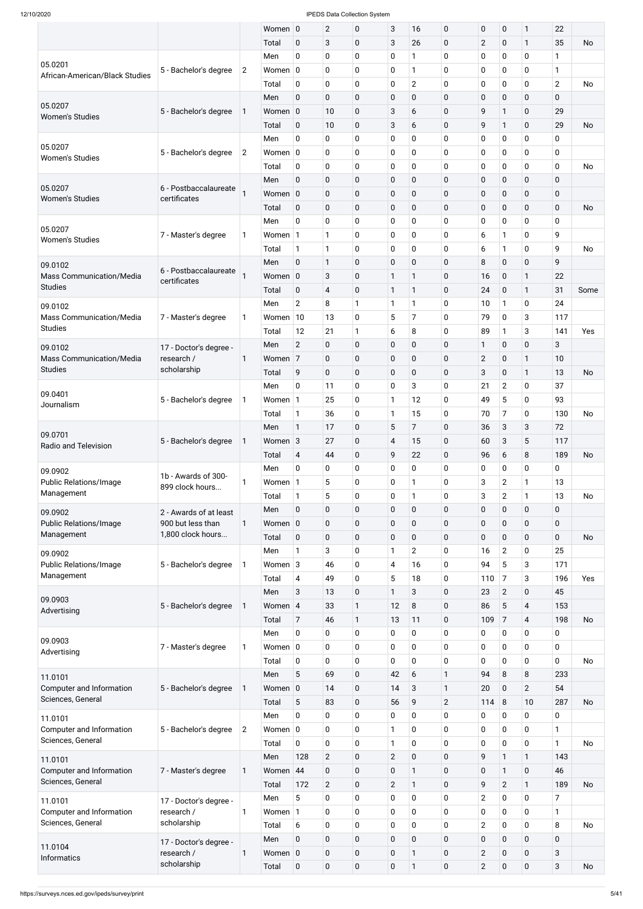|                                               |                           |                | Women 0     |                         | $\overline{2}$ | 0                | 3              | 16             | $\mathbf 0$    | 0              | $\pmb{0}$      | 1                       | 22             |           |
|-----------------------------------------------|---------------------------|----------------|-------------|-------------------------|----------------|------------------|----------------|----------------|----------------|----------------|----------------|-------------------------|----------------|-----------|
|                                               |                           |                | Total       | $\mathbf 0$             | 3              | $\mathbf 0$      | $\mathbf{3}$   | 26             | $\mathbf 0$    | $\overline{2}$ | $\pmb{0}$      | $\mathbf{1}$            | 35             | No        |
|                                               |                           |                | Men         | $\mathbf 0$             | $\pmb{0}$      | 0                | $\mathbf 0$    | 1              | $\mathbf 0$    | 0              | 0              | $\mathbf 0$             | 1              |           |
| 05.0201                                       | 5 - Bachelor's degree     | $\overline{2}$ | Women $ 0$  |                         | 0              | 0                | 0              | 1              | $\mathbf 0$    | 0              | 0              | $\pmb{0}$               | 1              |           |
| African-American/Black Studies                |                           |                | Total       | $\mathbf 0$             | $\pmb{0}$      | 0                | $\mathbf 0$    | $\mathbf{2}$   | $\mathbf 0$    | 0              | 0              | $\pmb{0}$               | $\overline{2}$ | <b>No</b> |
|                                               |                           |                | Men         | $\pmb{0}$               | $\mathbf 0$    | 0                | $\mathbf 0$    | $\mathbf 0$    | $\mathbf 0$    | 0              | $\mathbf 0$    | $\mathbf 0$             | 0              |           |
| 05.0207                                       | 5 - Bachelor's degree     | 1              | Women 0     |                         | 10             | 0                | 3              | 6              | $\mathbf 0$    | 9              | $\mathbf{1}$   | $\mathbf 0$             | 29             |           |
| <b>Women's Studies</b>                        |                           |                | Total       | $\mathbf 0$             | 10             | 0                | 3              | 6              | $\mathbf 0$    | 9              | 1              | $\mathbf 0$             | 29             | <b>No</b> |
|                                               |                           |                | Men         | 0                       | 0              | 0                | $\mathbf 0$    | 0              | $\mathbf 0$    | 0              | $\mathbf 0$    | $\mathbf 0$             | 0              |           |
| 05.0207                                       | 5 - Bachelor's degree     | $\overline{2}$ | Women $ 0 $ |                         | 0              | 0                | 0              | 0              | $\mathbf 0$    | 0              | $\mathbf 0$    | 0                       | 0              |           |
| <b>Women's Studies</b>                        |                           |                |             |                         |                |                  |                |                |                |                |                | $\mathbf 0$             |                |           |
|                                               |                           |                | Total       | $\mathbf 0$             | $\pmb{0}$      | 0                | $\mathbf 0$    | 0              | $\mathbf 0$    | 0              | 0              |                         | 0              | No        |
| 05.0207                                       | 6 - Postbaccalaureate     |                | Men         | $\mathbf 0$             | $\pmb{0}$      | 0                | $\mathbf 0$    | $\mathbf 0$    | $\mathbf 0$    | 0              | $\mathbf 0$    | $\mathbf 0$             | 0              |           |
| <b>Women's Studies</b>                        | certificates              |                | Women 0     |                         | $\pmb{0}$      | 0                | $\pmb{0}$      | $\mathbf 0$    | $\mathbf 0$    | 0              | $\pmb{0}$      | $\pmb{0}$               | 0              |           |
|                                               |                           |                | Total       | $\mathbf 0$             | $\pmb{0}$      | 0                | $\mathbf 0$    | $\mathbf 0$    | $\mathbf 0$    | 0              | $\mathbf 0$    | $\mathbf 0$             | $\mathbf 0$    | <b>No</b> |
| 05.0207                                       |                           |                | Men         | 0                       | $\pmb{0}$      | 0                | $\mathbf 0$    | 0              | $\mathbf 0$    | 0              | 0              | $\mathbf 0$             | 0              |           |
| <b>Women's Studies</b>                        | 7 - Master's degree       | 1              | Women 1     |                         | 1              | 0                | 0              | 0              | 0              | 6              | 1              | $\pmb{0}$               | 9              |           |
|                                               |                           |                | Total       | $\mathbf{1}$            | $\mathbf{1}$   | 0                | $\mathbf 0$    | 0              | $\mathbf 0$    | 6              | 1              | $\mathbf 0$             | 9              | No        |
| 09.0102                                       | 6 - Postbaccalaureate     |                | Men         | $\mathbf 0$             | $\mathbf{1}$   | 0                | $\mathbf 0$    | $\mathbf 0$    | 0              | 8              | $\mathbf 0$    | $\mathbf 0$             | 9              |           |
| <b>Mass Communication/Media</b>               | certificates              |                | Women 0     |                         | 3              | 0                | $\mathbf{1}$   | 1              | $\mathbf 0$    | 16             | 0              | $\mathbf{1}$            | 22             |           |
| <b>Studies</b>                                |                           |                | Total       | $\mathbf 0$             | 4              | 0                | $\mathbf{1}$   | 1              | $\mathbf 0$    | 24             | $\mathbf 0$    | 1                       | 31             | Some      |
| 09.0102                                       |                           |                | Men         | $\overline{2}$          | 8              | 1                | 1              | 1              | $\mathbf 0$    | 10             | 1              | $\mathbf 0$             | 24             |           |
| Mass Communication/Media                      | 7 - Master's degree       | 1              | Women $10$  |                         | 13             | 0                | 5              | $\overline{7}$ | 0              | 79             | 0              | 3                       | 117            |           |
| <b>Studies</b>                                |                           |                | Total       | 12                      | 21             | 1                | 6              | 8              | $\mathbf 0$    | 89             | 1              | 3                       | 141            | Yes       |
| 09.0102                                       | 17 - Doctor's degree -    |                | Men         | $\overline{2}$          | $\pmb{0}$      | 0                | $\mathbf 0$    | $\mathbf 0$    | 0              | 1              | $\mathbf 0$    | $\mathbf 0$             | 3              |           |
| <b>Mass Communication/Media</b>               | research /                | 1              | Women 7     |                         | $\mathbf 0$    | $\mathbf 0$      | $\mathbf 0$    | $\mathbf 0$    | $\mathbf 0$    | $\overline{2}$ | 0              | $\mathbf{1}$            | 10             |           |
| <b>Studies</b>                                | scholarship               |                | Total       | 9                       | $\pmb{0}$      | 0                | $\mathbf 0$    | $\mathbf 0$    | $\mathbf 0$    | 3              | $\mathbf 0$    | 1                       | 13             | No        |
|                                               |                           |                | Men         | $\pmb{0}$               | 11             | 0                | $\mathbf 0$    | 3              | $\mathbf 0$    | 21             | $\overline{2}$ | 0                       | 37             |           |
| 09.0401                                       | 5 - Bachelor's degree     | 1              | Women 1     |                         | 25             | 0                | 1              | 12             | $\mathbf 0$    | 49             | 5              | $\mathbf 0$             | 93             |           |
| Journalism                                    |                           |                | Total       | $\mathbf{1}$            | 36             | 0                | $\mathbf{1}$   | 15             | $\mathbf 0$    | 70             | 7              | $\mathbf 0$             | 130            | <b>No</b> |
|                                               |                           |                | Men         | $\mathbf{1}$            | 17             | 0                | 5              | $\overline{7}$ | $\mathbf 0$    | 36             | 3              | 3                       | 72             |           |
| 09.0701                                       | 5 - Bachelor's degree     |                | Women 3     |                         | 27             | 0                | $\overline{4}$ | 15             | $\mathbf 0$    | 60             | 3              | 5                       | 117            |           |
| Radio and Television                          |                           | 1              |             |                         |                |                  |                |                |                |                |                |                         |                |           |
|                                               |                           |                | Total       | $\overline{\mathbf{4}}$ | 44             | 0                | 9              | 22             | $\mathbf 0$    | 96             | 6              | 8                       | 189            | No        |
| 09.0902                                       | 1b - Awards of 300-       |                | Men         | 0                       | 0              | 0                | 0              | 0              | $\mathbf 0$    | 0              | 0              | 0                       | 0              |           |
| <b>Public Relations/Image</b>                 | 899 clock hours           | 1              | Women 1     |                         | 5              | 0                | $\mathbf 0$    | 1              | $\mathbf 0$    | 3              | $\overline{2}$ | 1                       | 13             |           |
| Management                                    |                           |                | Total       | $\mathbf{1}$            | 5              | 0                | 0              | 1              | $\mathbf 0$    | 3              | $\overline{2}$ | 1                       | 13             | No        |
| 09.0902                                       | 2 - Awards of at least    |                | Men         | $\mathbf 0$             | $\pmb{0}$      | 0                | $\pmb{0}$      | $\mathbf 0$    | $\mathbf 0$    | 0              | $\pmb{0}$      | $\mathbf 0$             | $\mathbf 0$    |           |
| <b>Public Relations/Image</b>                 | 900 but less than         | 1              | Women 0     |                         | $\pmb{0}$      | 0                | $\pmb{0}$      | 0              | $\mathbf 0$    | 0              | $\mathbf 0$    | $\pmb{0}$               | 0              |           |
| Management                                    | 1,800 clock hours         |                | Total       | $\mathbf 0$             | $\pmb{0}$      | 0                | $\pmb{0}$      | $\mathbf 0$    | $\mathbf 0$    | $\mathbf 0$    | 0              | $\mathbf 0$             | $\mathbf 0$    | <b>No</b> |
| 09.0902                                       |                           |                | Men         | $\mathbf{1}$            | 3              | 0                | 1              | $\overline{c}$ | $\mathbf 0$    | 16             | $\overline{2}$ | 0                       | 25             |           |
| Public Relations/Image                        | 5 - Bachelor's degree     | 1              | Women 3     |                         | 46             | 0                | 4              | 16             | $\mathbf 0$    | 94             | 5              | 3                       | 171            |           |
| Management                                    |                           |                | Total       | $\overline{\mathbf{4}}$ | 49             | 0                | 5              | 18             | $\mathbf 0$    | 110            | 7              | 3                       | 196            | Yes       |
|                                               |                           |                | Men         | 3                       | 13             | 0                | 1              | 3              | $\mathbf 0$    | 23             | $\overline{2}$ | 0                       | 45             |           |
| 09.0903<br>Advertising                        | 5 - Bachelor's degree     | 1              | Women 4     |                         | 33             | 1                | 12             | 8              | $\mathbf 0$    | 86             | 5              | $\overline{\mathbf{4}}$ | 153            |           |
|                                               |                           |                | Total       | $\overline{7}$          | 46             | 1                | 13             | 11             | $\mathbf 0$    | 109            | 7              | $\overline{\mathbf{4}}$ | 198            | <b>No</b> |
|                                               |                           |                | Men         | 0                       | 0              | 0                | 0              | 0              | $\mathbf 0$    | 0              | 0              | 0                       | 0              |           |
| 09.0903                                       | 7 - Master's degree       | $\mathbf{1}$   | Women $ 0 $ |                         | 0              | 0                | $\mathbf 0$    | 0              | $\mathbf 0$    | 0              | $\pmb{0}$      | 0                       | 0              |           |
| Advertising                                   |                           |                | Total       | $\mathbf 0$             | 0              | 0                | 0              | 0              | $\mathbf 0$    | 0              | $\mathbf 0$    | 0                       | 0              | <b>No</b> |
| 11.0101                                       |                           |                | Men         | 5                       | 69             | 0                | 42             | 6              | $\mathbf{1}$   | 94             | 8              | 8                       | 233            |           |
| Computer and Information                      | 5 - Bachelor's degree     | 1              | Women 0     |                         | 14             | 0                | 14             | 3              | 1              | 20             | 0              | $\overline{2}$          | 54             |           |
| Sciences, General                             |                           |                | Total       | 5                       | 83             | 0                | 56             | 9              | $\overline{2}$ | 114            | 8              | 10                      | 287            | No        |
|                                               |                           |                | Men         | $\pmb{0}$               | 0              | 0                | $\pmb{0}$      | $\pmb{0}$      | $\pmb{0}$      | 0              | $\pmb{0}$      | $\pmb{0}$               | 0              |           |
| 11.0101<br>Computer and Information           | 5 - Bachelor's degree     | $\overline{2}$ | Women $ 0 $ |                         | $\pmb{0}$      | $\pmb{0}$        | $\mathbf{1}$   | $\mathbf 0$    | $\mathbf 0$    | 0              | $\pmb{0}$      | $\mathbf 0$             | $\mathbf{1}$   |           |
| Sciences, General                             |                           |                | Total       | $\mathbf 0$             | $\pmb{0}$      | $\boldsymbol{0}$ | $\mathbf{1}$   | $\mathbf 0$    | $\pmb{0}$      | 0              | $\pmb{0}$      | $\mathbf 0$             | $\mathbf{1}$   | <b>No</b> |
|                                               |                           |                | Men         | 128                     | $\overline{2}$ | $\pmb{0}$        | $\overline{2}$ | $\mathbf 0$    | $\mathbf 0$    | 9              | $\mathbf{1}$   | $\mathbf{1}$            | 143            |           |
| 11.0101<br>Computer and Information           | 7 - Master's degree       |                | Women 44    |                         | $\pmb{0}$      | $\mathbf 0$      | $\mathbf 0$    | $\mathbf{1}$   | $\mathbf 0$    | 0              | $\mathbf{1}$   | $\mathbf 0$             | 46             |           |
| Sciences, General                             |                           | $\mathbf{1}$   |             |                         |                |                  |                | $\mathbf{1}$   |                |                |                |                         |                |           |
|                                               |                           |                | Total       | 172                     | $\overline{2}$ | 0                | $\overline{2}$ |                | $\mathbf 0$    | 9              | $\overline{2}$ | $\mathbf{1}$            | 189            | <b>No</b> |
| 11.0101                                       | 17 - Doctor's degree -    |                | Men         | 5                       | $\pmb{0}$      | 0                | $\mathbf 0$    | $\mathbf 0$    | $\pmb{0}$      | $\overline{2}$ | $\mathbf 0$    | $\mathbf 0$             | $\overline{7}$ |           |
| Computer and Information<br>Sciences, General | research /<br>scholarship | $\mathbf{1}$   | Women 1     |                         | $\pmb{0}$      | 0                | $\mathbf 0$    | $\mathbf 0$    | $\mathbf 0$    | 0              | $\pmb{0}$      | $\pmb{0}$               | $\mathbf{1}$   |           |
|                                               |                           |                | Total       | 6                       | $\pmb{0}$      | 0                | $\mathbf 0$    | $\mathbf 0$    | $\pmb{0}$      | $\overline{2}$ | $\pmb{0}$      | $\mathbf 0$             | 8              | <b>No</b> |
| 11.0104                                       | 17 - Doctor's degree -    |                | Men         | $\pmb{0}$               | $\pmb{0}$      | $\pmb{0}$        | $\pmb{0}$      | $\mathbf 0$    | $\mathbf 0$    | 0              | $\pmb{0}$      | $\mathbf 0$             | $\mathbf 0$    |           |
| <b>Informatics</b>                            | research /                | $\mathbf{1}$   | Women 0     |                         | $\pmb{0}$      | 0                | $\mathbf 0$    | $\mathbf{1}$   | $\mathbf 0$    | $\overline{2}$ | $\pmb{0}$      | $\mathbf 0$             | 3              |           |
|                                               | scholarship               |                | Total       | $\pmb{0}$               | $\pmb{0}$      | 0                | $\mathbf 0$    | 1              | $\mathbf 0$    | $\overline{2}$ | $\mathbf 0$    | $\mathbf 0$             | 3              | <b>No</b> |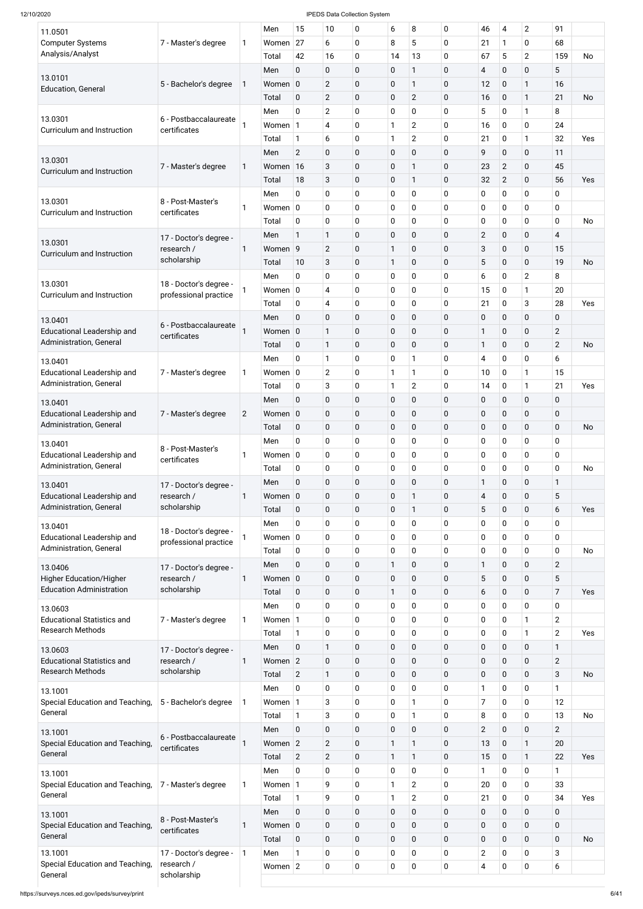| 11.0501<br><b>Computer Systems</b>                           | 7 - Master's degree                   | 1              | Men<br>Women     | 15<br>27            | 10<br>6                                             | 0<br>0                 | 6<br>8                     | 8<br>5                        | $\mathbf 0$<br>$\mathbf 0$ | 46<br>21       | $\overline{4}$<br>1        | $\overline{2}$<br>$\mathbf 0$ | 91<br>68                |           |
|--------------------------------------------------------------|---------------------------------------|----------------|------------------|---------------------|-----------------------------------------------------|------------------------|----------------------------|-------------------------------|----------------------------|----------------|----------------------------|-------------------------------|-------------------------|-----------|
| Analysis/Analyst                                             |                                       |                | Total            | 42                  | 16                                                  | 0                      | 14                         | 13                            | $\mathbf 0$                | 67             | 5                          | $\overline{2}$                | 159                     | <b>No</b> |
|                                                              |                                       |                | Men              | 0                   | $\pmb{0}$                                           | $\pmb{0}$              | $\mathbf 0$                | $\mathbf{1}$                  | $\mathbf 0$                | 4              | $\pmb{0}$                  | $\pmb{0}$                     | 5                       |           |
| 13.0101<br><b>Education, General</b>                         | 5 - Bachelor's degree                 | 1              | Women 0          |                     | $\overline{2}$                                      | 0                      | $\pmb{0}$                  | $\mathbf{1}$                  | $\mathbf 0$                | 12             | $\pmb{0}$                  | $\mathbf{1}$                  | 16                      |           |
|                                                              |                                       |                | Total            | $\pmb{0}$           | $\mathbf{2}$                                        | $\pmb{0}$              | $\pmb{0}$                  | $\overline{2}$                | $\mathbf 0$                | 16             | $\mathbf 0$                | $\mathbf{1}$                  | 21                      | No        |
| 13.0301                                                      | 6 - Postbaccalaureate                 |                | Men              | $\mathbf 0$         | $\overline{2}$                                      | 0                      | $\pmb{0}$                  | $\mathbf 0$                   | $\mathbf 0$                | 5              | $\pmb{0}$                  | $\mathbf{1}$                  | 8                       |           |
| Curriculum and Instruction                                   | certificates                          |                | Women 1          |                     | 4                                                   | 0                      | $\mathbf{1}$               | $\overline{2}$                | $\mathbf 0$                | 16             | $\mathbf 0$                | $\pmb{0}$                     | 24                      |           |
|                                                              |                                       |                | Total<br>Men     | 1<br>$\overline{2}$ | 6<br>$\pmb{0}$                                      | 0<br>$\pmb{0}$         | 1<br>$\pmb{0}$             | $\overline{2}$<br>$\mathbf 0$ | $\mathbf 0$<br>$\mathbf 0$ | 21<br>9        | $\pmb{0}$<br>0             | $\mathbf{1}$<br>$\pmb{0}$     | 32<br>11                | Yes       |
| 13.0301                                                      | 7 - Master's degree                   | 1              | Women            | 16                  | $\mathbf{3}$                                        | $\pmb{0}$              | $\pmb{0}$                  | 1                             | $\mathbf 0$                | 23             | $\overline{2}$             | $\pmb{0}$                     | 45                      |           |
| Curriculum and Instruction                                   |                                       |                | Total            | 18                  | $\sqrt{3}$                                          | $\pmb{0}$              | $\mathbf 0$                | $\mathbf{1}$                  | $\mathbf 0$                | 32             | $\overline{2}$             | $\pmb{0}$                     | 56                      | Yes       |
|                                                              |                                       |                | Men              | 0                   | $\pmb{0}$                                           | 0                      | $\pmb{0}$                  | $\mathbf 0$                   | $\mathbf 0$                | 0              | 0                          | $\pmb{0}$                     | 0                       |           |
| 13.0301<br>Curriculum and Instruction                        | 8 - Post-Master's<br>certificates     | 1              | Women $ 0$       |                     | $\pmb{0}$                                           | 0                      | $\mathbf 0$                | $\mathbf 0$                   | $\mathbf 0$                | 0              | $\mathbf 0$                | $\pmb{0}$                     | $\mathbf 0$             |           |
|                                                              |                                       |                | Total            | $\pmb{0}$           | $\pmb{0}$                                           | 0                      | $\mathbf 0$                | $\mathbf 0$                   | $\mathbf 0$                | 0              | $\pmb{0}$                  | $\pmb{0}$                     | $\mathbf 0$             | No        |
| 13.0301                                                      | 17 - Doctor's degree -                |                | Men              | 1                   | $\mathbf{1}$                                        | $\pmb{0}$              | $\pmb{0}$                  | $\pmb{0}$                     | $\mathbf 0$                | $\overline{2}$ | $\pmb{0}$                  | $\pmb{0}$                     | $\overline{\mathbf{4}}$ |           |
| Curriculum and Instruction                                   | research /                            | 1              | Women 9          |                     | $\overline{2}$                                      | $\pmb{0}$              | $\mathbf{1}$               | $\boldsymbol{0}$              | $\mathbf 0$                | 3              | 0                          | $\pmb{0}$                     | 15                      |           |
|                                                              | scholarship                           |                | Total            | 10                  | $\mathbf{3}$                                        | $\pmb{0}$              | $\mathbf{1}$               | $\pmb{0}$                     | $\mathbf 0$                | 5              | 0                          | $\pmb{0}$                     | 19                      | No        |
| 13.0301                                                      | 18 - Doctor's degree -                |                | Men              | $\mathbf 0$         | $\pmb{0}$                                           | 0                      | $\pmb{0}$                  | $\mathbf 0$                   | $\mathbf 0$                | 6              | $\mathbf 0$                | $\overline{2}$                | 8                       |           |
| Curriculum and Instruction                                   | professional practice                 |                | Women $ 0$       | $\pmb{0}$           | $\overline{\mathcal{A}}$<br>$\overline{\mathbf{4}}$ | 0<br>0                 | $\pmb{0}$<br>$\pmb{0}$     | $\mathbf 0$<br>$\mathbf 0$    | $\mathbf 0$<br>$\mathbf 0$ | 15<br>21       | $\mathbf 0$<br>$\pmb{0}$   | $\mathbf{1}$<br>3             | 20<br>28                | Yes       |
|                                                              |                                       |                | Total<br>Men     | $\mathbf 0$         | $\pmb{0}$                                           | $\pmb{0}$              | $\pmb{0}$                  | $\pmb{0}$                     | $\mathbf 0$                | 0              | $\pmb{0}$                  | $\pmb{0}$                     | 0                       |           |
| 13.0401<br><b>Educational Leadership and</b>                 | 6 - Postbaccalaureate                 |                | Women 0          |                     | $\mathbf{1}$                                        | $\pmb{0}$              | $\pmb{0}$                  | $\boldsymbol{0}$              | $\mathbf 0$                | $\mathbf{1}$   | 0                          | $\pmb{0}$                     | $\overline{2}$          |           |
| Administration, General                                      | certificates                          |                | Total            | $\pmb{0}$           | $\mathbf{1}$                                        | 0                      | $\mathbf 0$                | $\mathbf 0$                   | $\mathbf 0$                | 1              | 0                          | $\pmb{0}$                     | $\overline{c}$          | No        |
| 13.0401                                                      |                                       |                | Men              | 0                   | $\mathbf{1}$                                        | 0                      | 0                          | 1                             | 0                          | 4              | 0                          | $\overline{0}$                | 6                       |           |
| <b>Educational Leadership and</b>                            | 7 - Master's degree                   | 1              | Women $ 0$       |                     | $\mathbf{2}$                                        | 0                      | $\mathbf{1}$               | 1                             | $\mathbf 0$                | 10             | 0                          | $\mathbf{1}$                  | 15                      |           |
| Administration, General                                      |                                       |                | Total            | $\pmb{0}$           | $\sqrt{3}$                                          | 0                      | 1                          | $\overline{c}$                | $\mathbf 0$                | 14             | 0                          | $\mathbf{1}$                  | 21                      | Yes       |
| 13.0401                                                      |                                       |                | Men              | 0                   | $\pmb{0}$                                           | 0                      | $\pmb{0}$                  | $\mathbf 0$                   | $\mathbf 0$                | 0              | 0                          | $\pmb{0}$                     | 0                       |           |
| <b>Educational Leadership and</b>                            | 7 - Master's degree                   | $\overline{2}$ | Women 0          |                     | $\mathbf 0$                                         | 0                      | $\mathbf 0$                | $\mathbf 0$                   | $\mathbf 0$                | 0              | 0                          | $\pmb{0}$                     | 0                       |           |
| Administration, General                                      |                                       |                | Total            | $\mathbf 0$         | $\pmb{0}$                                           | 0                      | $\pmb{0}$                  | $\boldsymbol{0}$              | $\mathbf 0$                | $\pmb{0}$      | 0                          | $\pmb{0}$                     | $\mathbf 0$             | No        |
| 13.0401                                                      | 8 - Post-Master's                     |                | Men              | $\mathbf 0$         | $\mathbf 0$                                         | 0                      | $\mathbf 0$                | $\mathbf 0$                   | $\mathbf 0$                | 0              | $\mathbf 0$                | $\pmb{0}$                     | 0                       |           |
| <b>Educational Leadership and</b><br>Administration, General | certificates                          | 1              | Women $ 0$       |                     | $\mathbf 0$                                         | 0                      | $\mathbf 0$                | 0                             | $\mathbf 0$                | 0              | $\mathbf 0$                | $\mathbf 0$                   | 0                       |           |
|                                                              |                                       |                | Total            | $\pmb{0}$           | $\pmb{0}$                                           | 0                      | $\pmb{0}$                  | $\mathbf 0$                   | $\mathbf 0$                | 0              | 0                          | $\pmb{0}$                     | $\mathbf 0$             | No        |
| 13.0401                                                      | 17 - Doctor's degree -                |                | Men              | 0                   | $\pmb{0}$                                           | 0                      | $\pmb{0}$                  | $\mathbf 0$<br>$\mathbf{1}$   | $\mathbf 0$                | $\mathbf{1}$   | 0                          | $\pmb{0}$                     | 1                       |           |
| <b>Educational Leadership and</b><br>Administration, General | research /<br>scholarship             | 1              | Women 0<br>Total | $\pmb{0}$           | 0<br>$\pmb{0}$                                      | 0<br>0                 | $\mathbf 0$<br>$\mathbf 0$ | $\mathbf{1}$                  | 0<br>$\mathbf 0$           | 4<br>5         | $\mathbf 0$<br>0           | $\pmb{0}$<br>$\pmb{0}$        | 5<br>6                  | Yes       |
|                                                              |                                       |                | Men              | 0                   | $\pmb{0}$                                           | 0                      | 0                          | $\mathbf 0$                   | $\mathbf 0$                | 0              | $\mathbf 0$                | $\pmb{0}$                     | 0                       |           |
| 13.0401<br><b>Educational Leadership and</b>                 | 18 - Doctor's degree -                |                | Women 0          |                     | $\mathbf 0$                                         | 0                      | $\mathbf 0$                | $\mathbf 0$                   | $\mathbf 0$                | 0              | $\mathbf 0$                | $\mathbf 0$                   | 0                       |           |
| Administration, General                                      | professional practice                 |                | Total            | $\mathbf 0$         | $\mathbf 0$                                         | 0                      | $\mathbf 0$                | $\mathbf 0$                   | 0                          | 0              | $\mathbf 0$                | 0                             | 0                       | No        |
| 13.0406                                                      | 17 - Doctor's degree -                |                | Men              | 0                   | $\mathbf 0$                                         | $\pmb{0}$              | 1                          | $\mathbf 0$                   | 0                          | 1              | 0                          | $\pmb{0}$                     | $\overline{2}$          |           |
| <b>Higher Education/Higher</b>                               | research /                            | 1              | Women $ 0$       |                     | 0                                                   | $\mathbf 0$            | $\mathbf 0$                | $\mathbf 0$                   | 0                          | 5              | 0                          | $\mathbf 0$                   | 5                       |           |
| <b>Education Administration</b>                              | scholarship                           |                | Total            | $\pmb{0}$           | $\mathbf 0$                                         | 0                      | 1                          | 0                             | 0                          | 6              | 0                          | $\pmb{0}$                     | $\overline{7}$          | Yes       |
| 13.0603                                                      |                                       |                | Men              | 0                   | $\mathbf 0$                                         | 0                      | $\mathbf 0$                | $\mathbf 0$                   | 0                          | 0              | 0                          | $\mathbf 0$                   | 0                       |           |
| <b>Educational Statistics and</b>                            | 7 - Master's degree                   | 1              | Women 1          |                     | $\mathbf 0$                                         | 0                      | $\mathbf 0$                | 0                             | $\mathbf 0$                | 0              | 0                          | $\mathbf{1}$                  | $\overline{2}$          |           |
| <b>Research Methods</b>                                      |                                       |                | Total            | $\mathbf{1}$        | $\mathbf 0$                                         | 0                      | $\mathbf 0$                | $\mathbf 0$                   | 0                          | 0              | 0                          | $\mathbf{1}$                  | $\overline{2}$          | Yes       |
| 13.0603<br><b>Educational Statistics and</b>                 | 17 - Doctor's degree -                |                | Men<br>Women 2   | $\mathbf 0$         | $\mathbf{1}$                                        | $\mathbf 0$            | $\mathbf 0$                | $\mathbf 0$                   | 0                          | 0              | 0                          | $\pmb{0}$                     | 1                       |           |
| <b>Research Methods</b>                                      | research /<br>scholarship             | 1              | Total            | $\overline{2}$      | 0<br>$\mathbf{1}$                                   | 0<br>0                 | $\mathbf 0$<br>$\mathbf 0$ | $\mathbf 0$<br>0              | 0<br>0                     | 0<br>0         | 0<br>0                     | $\pmb{0}$<br>$\pmb{0}$        | $\mathbf{2}$<br>3       | <b>No</b> |
|                                                              |                                       |                | Men              | 0                   | $\mathbf 0$                                         | 0                      | $\mathbf 0$                | $\mathbf 0$                   | 0                          | 1              | 0                          | $\mathbf 0$                   | 1                       |           |
| 13.1001<br>Special Education and Teaching,                   | 5 - Bachelor's degree                 |                | Women            | 1                   | 3                                                   | 0                      | 0                          | 1                             | 0                          | 7              | 0                          | $\mathbf 0$                   | 12                      |           |
| General                                                      |                                       |                | Total            | 1                   | $\ensuremath{\mathsf{3}}$                           | 0                      | $\mathbf 0$                | $\mathbf{1}$                  | $\mathbf 0$                | 8              | 0                          | $\pmb{0}$                     | 13                      | No        |
| 13.1001                                                      |                                       |                | Men              | $\mathbf 0$         | $\pmb{0}$                                           | 0                      | $\mathbf 0$                | $\mathbf 0$                   | 0                          | $\overline{2}$ | $\mathbf 0$                | $\pmb{0}$                     | $\overline{2}$          |           |
| Special Education and Teaching,                              | 6 - Postbaccalaureate<br>certificates |                | Women 2          |                     | $\overline{2}$                                      | $\pmb{0}$              | 1                          | $\mathbf{1}$                  | $\mathbf 0$                | 13             | $\mathbf 0$                | $\mathbf{1}$                  | 20                      |           |
| General                                                      |                                       |                | Total            | $\overline{2}$      | $\sqrt{2}$                                          | 0                      | 1                          | $\mathbf{1}$                  | $\mathbf 0$                | 15             | 0                          | $\mathbf{1}$                  | 22                      | Yes       |
| 13.1001                                                      |                                       |                | Men              | $\pmb{0}$           | $\pmb{0}$                                           | 0                      | $\mathbf 0$                | $\mathbf 0$                   | 0                          | 1              | $\mathbf 0$                | $\pmb{0}$                     | 1                       |           |
| Special Education and Teaching,                              | 7 - Master's degree                   | 1              | Women 1          |                     | 9                                                   | 0                      | 1                          | $\overline{2}$                | 0                          | 20             | $\mathbf 0$                | $\pmb{0}$                     | 33                      |           |
| General                                                      |                                       |                | Total            | 1                   | 9                                                   | 0                      | $\mathbf{1}$               | $\overline{2}$                | 0                          | 21             | $\pmb{0}$                  | $\pmb{0}$                     | 34                      | Yes       |
| 13.1001                                                      | 8 - Post-Master's                     |                | Men              | $\mathbf 0$         | $\pmb{0}$                                           | 0                      | $\pmb{0}$                  | $\pmb{0}$                     | $\mathbf 0$                | 0              | $\mathbf 0$                | $\pmb{0}$                     | 0                       |           |
| Special Education and Teaching,<br>General                   | certificates                          | 1              | Women 0<br>Total | $\pmb{0}$           | $\pmb{0}$<br>$\pmb{0}$                              | $\pmb{0}$<br>$\pmb{0}$ | $\mathbf 0$<br>$\mathbf 0$ | $\pmb{0}$<br>$\pmb{0}$        | $\mathbf 0$<br>$\mathbf 0$ | 0<br>0         | $\mathbf 0$<br>$\mathbf 0$ | $\pmb{0}$<br>$\pmb{0}$        | 0<br>$\mathbf 0$        | <b>No</b> |
| 13.1001                                                      | 17 - Doctor's degree -                | $\mathbf{1}$   | Men              | $\mathbf{1}$        | $\pmb{0}$                                           | 0                      | 0                          | $\pmb{0}$                     | 0                          | $\overline{2}$ | $\mathbf 0$                | $\pmb{0}$                     | 3                       |           |
| Special Education and Teaching,                              | research /                            |                | Women $ 2$       |                     | $\pmb{0}$                                           | $\pmb{0}$              | $\mathbf 0$                | $\pmb{0}$                     | $\mathbf 0$                | 4              | 0                          | $\pmb{0}$                     | 6                       |           |
| General                                                      | scholarship                           |                |                  |                     |                                                     |                        |                            |                               |                            |                |                            |                               |                         |           |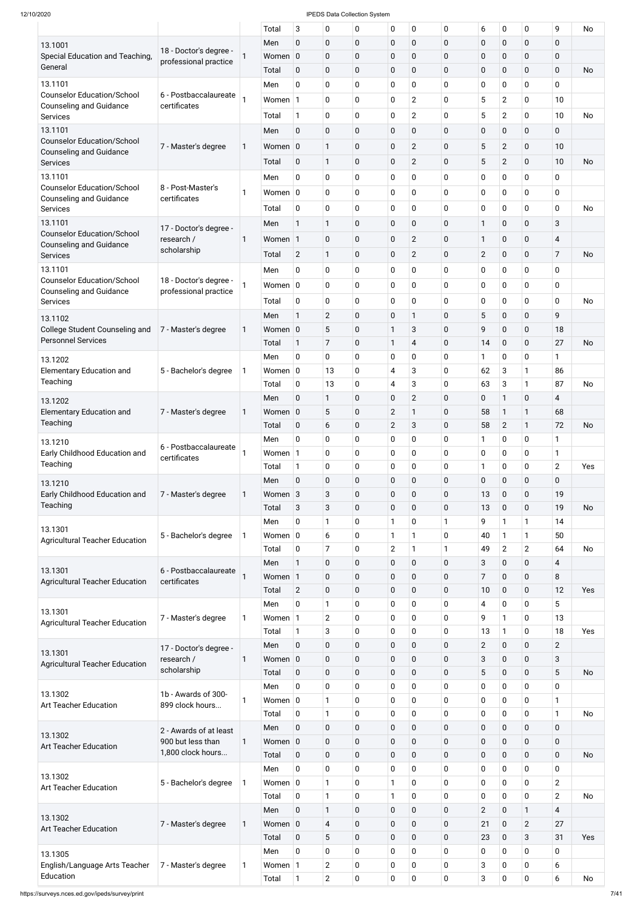|                                                                     |                        |   | Total                 | 3              | 0              | 0           | 0              | 0                | 0            | 6              | 0              | $\mathbf 0$    | 9                       | No        |
|---------------------------------------------------------------------|------------------------|---|-----------------------|----------------|----------------|-------------|----------------|------------------|--------------|----------------|----------------|----------------|-------------------------|-----------|
| 13.1001                                                             |                        |   | Men                   | $\mathbf 0$    | $\mathbf 0$    | 0           | $\mathbf 0$    | 0                | $\mathbf 0$  | $\mathbf 0$    | 0              | $\mathbf 0$    | 0                       |           |
| Special Education and Teaching,                                     | 18 - Doctor's degree - |   | Women 0               |                | $\mathbf 0$    | 0           | $\mathbf 0$    | 0                | $\mathbf 0$  | $\mathbf 0$    | 0              | $\mathbf 0$    | 0                       |           |
| General                                                             | professional practice  |   | Total                 | 0              | $\pmb{0}$      | 0           | $\mathbf 0$    | 0                | $\mathbf 0$  | $\pmb{0}$      | 0              | $\mathbf 0$    | $\mathbf 0$             | <b>No</b> |
| 13.1101                                                             |                        |   | Men                   | 0              | $\pmb{0}$      | 0           | $\mathbf 0$    | 0                | $\mathbf 0$  | 0              | 0              | 0              | 0                       |           |
| <b>Counselor Education/School</b>                                   | 6 - Postbaccalaureate  |   | Women 1               |                | 0              | 0           | $\mathbf 0$    | $\overline{2}$   | $\mathbf{0}$ | 5              | $\overline{2}$ | $\mathbf 0$    | 10 <sup>1</sup>         |           |
| <b>Counseling and Guidance</b>                                      | certificates           |   |                       |                |                |             |                |                  |              |                |                |                |                         |           |
| Services                                                            |                        |   | Total                 | $\mathbf{1}$   | $\pmb{0}$      | 0           | $\mathbf 0$    | $\overline{2}$   | $\mathbf 0$  | 5              | $\overline{2}$ | $\mathbf 0$    | 10                      | No        |
| 13.1101                                                             |                        |   | Men                   | $\pmb{0}$      | $\pmb{0}$      | 0           | $\mathbf 0$    | $\mathbf 0$      | $\mathbf 0$  | $\mathbf 0$    | 0              | $\mathbf 0$    | $\mathbf 0$             |           |
| <b>Counselor Education/School</b><br><b>Counseling and Guidance</b> | 7 - Master's degree    | 1 | Women 0               |                | 1              | 0           | $\mathbf 0$    | $\overline{2}$   | $\mathbf 0$  | 5              | $\overline{2}$ | $\mathbf 0$    | 10                      |           |
| <b>Services</b>                                                     |                        |   | Total                 | $\mathbf 0$    | $\mathbf{1}$   | 0           | $\mathbf 0$    | $\overline{2}$   | $\mathbf 0$  | 5              | $\overline{2}$ | $\mathbf 0$    | 10                      | <b>No</b> |
| 13.1101                                                             |                        |   | Men                   | $\pmb{0}$      | $\mathbf 0$    | 0           | $\mathbf 0$    | 0                | $\mathbf 0$  | 0              | 0              | $\pmb{0}$      | 0                       |           |
| <b>Counselor Education/School</b>                                   | 8 - Post-Master's      | 1 | Women $ 0 $           |                | $\mathbf 0$    | 0           | 0              | 0                | 0            | $\mathbf 0$    | $\mathbf 0$    | $\mathbf 0$    | 0                       |           |
| <b>Counseling and Guidance</b>                                      | certificates           |   |                       |                |                |             |                |                  |              |                |                |                |                         |           |
| <b>Services</b>                                                     |                        |   | Total                 | 0              | $\pmb{0}$      | 0           | $\mathbf 0$    | 0                | $\mathbf 0$  | 0              | 0              | $\mathbf 0$    | 0                       | No        |
| 13.1101                                                             | 17 - Doctor's degree - |   | Men                   | $\mathbf{1}$   | 1              | 0           | $\mathbf 0$    | $\mathbf 0$      | 0            | 1              | 0              | $\mathbf 0$    | 3                       |           |
| <b>Counselor Education/School</b><br><b>Counseling and Guidance</b> | research /             | 1 | Women 1               |                | $\pmb{0}$      | 0           | $\mathbf 0$    | $\overline{2}$   | $\mathbf 0$  | 1              | $\pmb{0}$      | $\mathbf 0$    | $\overline{4}$          |           |
| <b>Services</b>                                                     | scholarship            |   | Total                 | $\mathbf{2}$   | $\mathbf{1}$   | 0           | $\mathbf 0$    | $\overline{2}$   | 0            | $\mathbf{2}$   | 0              | $\mathbf 0$    | 7                       | No        |
| 13.1101                                                             |                        |   | Men                   | 0              | 0              | 0           | $\mathbf 0$    | $\mathbf 0$      | 0            | $\mathbf 0$    | 0              | $\mathbf 0$    | 0                       |           |
| <b>Counselor Education/School</b>                                   | 18 - Doctor's degree - | 1 | Women $ 0 $           |                | $\mathbf 0$    | 0           | $\mathbf 0$    | 0                | 0            | $\mathbf 0$    | 0              | $\mathbf 0$    | 0                       |           |
| <b>Counseling and Guidance</b>                                      | professional practice  |   |                       |                |                |             |                |                  |              |                |                |                |                         |           |
| <b>Services</b>                                                     |                        |   | Total                 | $\mathbf 0$    | 0              | 0           | $\mathbf 0$    | 0                | 0            | 0              | 0              | 0              | 0                       | No        |
| 13.1102                                                             |                        |   | Men                   | $\mathbf{1}$   | $\overline{2}$ | 0           | $\mathbf 0$    | 1                | $\mathbf 0$  | 5              | 0              | $\pmb{0}$      | 9                       |           |
| College Student Counseling and                                      | 7 - Master's degree    | 1 | Women 0               |                | 5              | 0           | $\mathbf{1}$   | 3                | $\mathbf 0$  | 9              | 0              | $\pmb{0}$      | 18                      |           |
| <b>Personnel Services</b>                                           |                        |   | Total                 | $\mathbf{1}$   | $\overline{7}$ | 0           | $\mathbf{1}$   | 4                | $\mathbf 0$  | 14             | 0              | $\mathbf 0$    | 27                      | No        |
| 13.1202                                                             |                        |   | Men                   | 0              | $\mathbf 0$    | 0           | $\mathbf 0$    | 0                | 0            | 1              | 0              | 0              | 1                       |           |
| <b>Elementary Education and</b>                                     | 5 - Bachelor's degree  | 1 | Women $ 0$            |                | 13             | 0           | 4              | 3                | $\mathbf 0$  | 62             | 3              | 1              | 86                      |           |
| Teaching                                                            |                        |   | Total                 | 0              | 13             | 0           | $\overline{4}$ | 3                | $\mathbf 0$  | 63             | 3              | 1              | 87                      | <b>No</b> |
| 13.1202                                                             |                        |   | Men                   | $\mathbf 0$    | $\mathbf{1}$   | 0           | $\pmb{0}$      | $\mathbf{2}$     | $\mathbf 0$  | $\pmb{0}$      | $\mathbf{1}$   | $\mathbf 0$    | 4                       |           |
| <b>Elementary Education and</b>                                     | 7 - Master's degree    | 1 | Women                 | $\overline{0}$ | 5              | 0           | $\mathbf{2}$   | 1                | $\mathbf 0$  | 58             | $\mathbf{1}$   | 1              | 68                      |           |
| Teaching                                                            |                        |   | Total                 | $\mathbf 0$    | 6              | 0           | $\overline{2}$ | 3                | $\mathbf 0$  | 58             | $\overline{2}$ | $\mathbf{1}$   | 72                      | No        |
| 13.1210                                                             |                        |   | Men                   | 0              | 0              | 0           | 0              | 0                | $\mathbf 0$  | 1              | 0              | $\pmb{0}$      | 1                       |           |
| Early Childhood Education and                                       | 6 - Postbaccalaureate  |   | Women 1               |                | $\mathbf 0$    | 0           | $\mathbf 0$    | 0                | $\mathbf 0$  | $\pmb{0}$      | 0              | $\mathbf 0$    | 1                       |           |
| Teaching                                                            | certificates           |   | Total                 | $\mathbf{1}$   | 0              | 0           | 0              | 0                | $\mathbf 0$  | 1              | 0              | $\pmb{0}$      | $\overline{2}$          | Yes       |
| 13.1210                                                             |                        |   | Men                   | $\mathbf 0$    | $\pmb{0}$      | 0           | $\pmb{0}$      | $\boldsymbol{0}$ | $\mathbf 0$  | $\pmb{0}$      | 0              | $\pmb{0}$      | 0                       |           |
| Early Childhood Education and                                       | 7 - Master's degree    | 1 | Women 3               |                | 3              | 0           | $\pmb{0}$      | $\pmb{0}$        | $\mathbf 0$  | 13             | 0              | 0              | 19                      |           |
| Teaching                                                            |                        |   | Total                 | 3              | 3              | 0           | $\mathbf 0$    | $\boldsymbol{0}$ | $\mathbf 0$  | 13             | 0              | 0              | 19                      | No        |
|                                                                     |                        |   | Men                   | 0              | 1              | 0           | 1              | 0                | 1            | 9              | $\mathbf{1}$   | 1              | 14                      |           |
| 13.1301                                                             | 5 - Bachelor's degree  | 1 | Women $ 0$            |                | 6              | 0           | 1              | 1                | $\mathbf 0$  | 40             | 1              | 1              | 50                      |           |
| <b>Agricultural Teacher Education</b>                               |                        |   | Total                 | 0              | 7              | 0           | $\overline{2}$ | 1                |              | 49             | $\overline{2}$ | $\overline{2}$ | 64                      | <b>No</b> |
|                                                                     |                        |   |                       | $\mathbf{1}$   |                |             |                |                  | $\mathbf 0$  |                |                | $\mathbf 0$    |                         |           |
| 13.1301                                                             | 6 - Postbaccalaureate  |   | Men                   |                | $\pmb{0}$      | 0           | $\pmb{0}$      | $\boldsymbol{0}$ |              | 3              | 0              |                | 4                       |           |
| <b>Agricultural Teacher Education</b>                               | certificates           |   | Women                 | $\vert$ 1      | $\pmb{0}$      | 0           | $\pmb{0}$      | $\pmb{0}$        | $\mathbf 0$  | 7              | 0              | $\pmb{0}$      | 8                       |           |
|                                                                     |                        |   | Total                 | $\overline{2}$ | $\pmb{0}$      | 0           | $\pmb{0}$      | $\pmb{0}$        | $\mathbf 0$  | 10             | 0              | $\mathbf 0$    | 12                      | Yes       |
| 13.1301                                                             |                        |   | Men                   | 0              | 1              | 0           | 0              | 0                | $\mathbf 0$  | $\overline{4}$ | 0              | $\pmb{0}$      | 5                       |           |
| <b>Agricultural Teacher Education</b>                               | 7 - Master's degree    | 1 | Women                 | $\vert$ 1      | $\overline{2}$ | 0           | $\mathbf 0$    | 0                | $\mathbf 0$  | 9              | 1              | $\mathbf 0$    | 13                      |           |
|                                                                     |                        |   | Total                 | $\mathbf{1}$   | 3              | 0           | 0              | 0                | $\mathbf 0$  | 13             | 1              | $\pmb{0}$      | 18                      | Yes       |
| 13.1301                                                             | 17 - Doctor's degree - |   | Men                   | $\pmb{0}$      | $\pmb{0}$      | 0           | $\pmb{0}$      | $\pmb{0}$        | $\pmb{0}$    | $\overline{2}$ | 0              | $\pmb{0}$      | $\overline{2}$          |           |
| <b>Agricultural Teacher Education</b>                               | research /             | 1 | Women 0               |                | $\pmb{0}$      | 0           | $\pmb{0}$      | $\pmb{0}$        | $\mathbf 0$  | 3              | 0              | $\pmb{0}$      | 3                       |           |
|                                                                     | scholarship            |   | Total                 | $\mathbf 0$    | $\pmb{0}$      | 0           | $\pmb{0}$      | 0                | $\mathbf 0$  | 5              | 0              | $\pmb{0}$      | 5                       | No        |
| 13.1302                                                             | 1b - Awards of 300-    |   | Men                   | 0              | $\pmb{0}$      | 0           | 0              | 0                | 0            | $\pmb{0}$      | 0              | $\pmb{0}$      | 0                       |           |
| Art Teacher Education                                               | 899 clock hours        | 1 | Women $ 0$            |                | $\mathbf{1}$   | 0           | $\mathbf 0$    | 0                | $\mathbf 0$  | 0              | 0              | $\mathbf 0$    | 1                       |           |
|                                                                     |                        |   | Total                 | $\pmb{0}$      | 1              | 0           | $\pmb{0}$      | $\pmb{0}$        | 0            | $\pmb{0}$      | 0              | $\pmb{0}$      | 1                       | No        |
|                                                                     | 2 - Awards of at least |   | Men                   | $\pmb{0}$      | $\pmb{0}$      | $\mathbf 0$ | $\pmb{0}$      | $\boldsymbol{0}$ | $\mathbf 0$  | $\pmb{0}$      | $\pmb{0}$      | $\pmb{0}$      | $\mathbf 0$             |           |
| 13.1302<br><b>Art Teacher Education</b>                             | 900 but less than      | 1 | Women $\vert 0 \vert$ |                | $\pmb{0}$      | 0           | $\mathbf 0$    | $\mathbf 0$      | $\mathbf 0$  | $\pmb{0}$      | $\mathbf 0$    | $\pmb{0}$      | $\mathbf 0$             |           |
|                                                                     | 1,800 clock hours      |   | Total                 | $\mathbf 0$    | $\pmb{0}$      | 0           | $\mathbf 0$    | $\mathbf 0$      | $\mathbf 0$  | $\pmb{0}$      | 0              | $\pmb{0}$      | $\mathbf 0$             | No        |
|                                                                     |                        |   | Men                   | 0              | $\pmb{0}$      | 0           | 0              | 0                | $\mathbf 0$  | $\pmb{0}$      | $\mathbf 0$    | 0              | 0                       |           |
| 13.1302<br><b>Art Teacher Education</b>                             | 5 - Bachelor's degree  | 1 | Women $ 0 $           |                | 1              | 0           | 1              | 0                | $\mathbf 0$  | $\pmb{0}$      | 0              | 0              | $\overline{2}$          |           |
|                                                                     |                        |   | Total                 | $\mathbf 0$    | $\mathbf{1}$   | 0           | $\mathbf{1}$   | $\mathbf 0$      | $\mathbf 0$  | $\pmb{0}$      | $\mathbf 0$    | $\pmb{0}$      | $\overline{2}$          | No        |
|                                                                     |                        |   | Men                   | $\mathbf 0$    | $\mathbf{1}$   | 0           | $\mathbf 0$    | $\boldsymbol{0}$ | $\mathbf 0$  | $\overline{2}$ | 0              | $\mathbf{1}$   | $\overline{\mathbf{4}}$ |           |
| 13.1302                                                             | 7 - Master's degree    | 1 | Women $\vert 0 \vert$ |                | $\overline{4}$ | 0           | $\mathbf 0$    | $\mathbf 0$      | $\mathbf 0$  | 21             | 0              | $\mathbf{2}$   | 27                      |           |
| <b>Art Teacher Education</b>                                        |                        |   | Total                 | $\mathbf 0$    | 5              | 0           | $\mathbf 0$    | $\boldsymbol{0}$ | $\mathbf 0$  | 23             | 0              | 3              | 31                      | Yes       |
| 13.1305                                                             |                        |   | Men                   | 0              | $\pmb{0}$      | 0           | 0              | $\mathbf 0$      | $\mathbf 0$  | 0              | 0              | 0              | 0                       |           |
| English/Language Arts Teacher                                       | 7 - Master's degree    | 1 | Women 1               |                | $\overline{2}$ | 0           | 0              | $\pmb{0}$        | $\mathbf 0$  | 3              | 0              | $\mathbf 0$    | 6                       |           |
| Education                                                           |                        |   | Total                 | $\mathbf{1}$   | $\overline{2}$ | 0           | $\mathbf 0$    | $\pmb{0}$        | 0            | 3              | 0              | $\pmb{0}$      | 6                       | No        |
|                                                                     |                        |   |                       |                |                |             |                |                  |              |                |                |                |                         |           |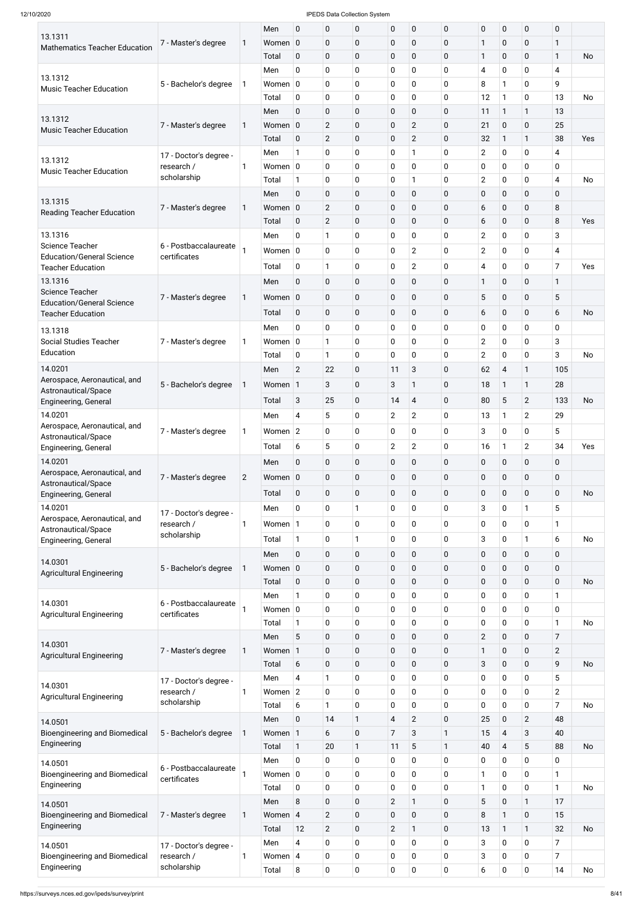|                                                              |                           |                | Men         | $\mathbf 0$    | 0              | $\pmb{0}$    | $\pmb{0}$      | $\mathbf 0$      | $\boldsymbol{0}$ | $\mathbf 0$      | $\mathbf 0$              | $\mathbf 0$    | $\mathbf 0$    |           |
|--------------------------------------------------------------|---------------------------|----------------|-------------|----------------|----------------|--------------|----------------|------------------|------------------|------------------|--------------------------|----------------|----------------|-----------|
| 13.1311<br><b>Mathematics Teacher Education</b>              | 7 - Master's degree       | 1              | Women 0     |                | 0              | $\pmb{0}$    | $\pmb{0}$      | $\mathbf 0$      | $\mathbf 0$      | 1                | $\pmb{0}$                | $\mathbf 0$    | $\mathbf{1}$   |           |
|                                                              |                           |                | Total       | $\mathbf 0$    | 0              | $\pmb{0}$    | $\pmb{0}$      | $\mathbf 0$      | $\mathbf 0$      | 1                | $\mathbf 0$              | $\mathbf 0$    | $\mathbf{1}$   | No        |
|                                                              |                           |                | Men         | 0              | 0              | 0            | $\mathbf 0$    | $\mathbf 0$      | $\mathbf 0$      | 4                | $\mathbf 0$              | $\mathbf 0$    | 4              |           |
| 13.1312                                                      | 5 - Bachelor's degree     | 1              | Women 0     |                | 0              | 0            | $\mathbf 0$    | $\mathbf 0$      | $\mathbf 0$      | 8                | 1                        | $\mathbf 0$    | 9              |           |
| <b>Music Teacher Education</b>                               |                           |                | Total       | $\mathbf 0$    | 0              | 0            | $\pmb{0}$      | $\mathbf 0$      | $\mathbf 0$      | 12               | 1                        | 0              | 13             | No        |
|                                                              |                           |                | Men         | $\mathbf 0$    | 0              | $\pmb{0}$    | $\pmb{0}$      | $\mathbf 0$      | $\pmb{0}$        | 11               | $\mathbf{1}$             | $\mathbf{1}$   | 13             |           |
| 13.1312                                                      | 7 - Master's degree       | 1              | Women 0     |                | $\overline{2}$ | 0            | $\pmb{0}$      | $\overline{2}$   | $\mathbf 0$      | 21               | $\pmb{0}$                | $\mathbf 0$    | 25             |           |
| <b>Music Teacher Education</b>                               |                           |                |             |                |                |              |                |                  |                  |                  |                          |                |                |           |
|                                                              |                           |                | Total       | $\mathbf 0$    | $\mathbf{2}$   | $\pmb{0}$    | $\pmb{0}$      | $\overline{2}$   | $\mathbf 0$      | 32               | $\mathbf{1}$             | $\mathbf{1}$   | 38             | Yes       |
| 13.1312                                                      | 17 - Doctor's degree -    |                | Men         | $\mathbf{1}$   | 0              | 0            | $\pmb{0}$      | 1                | $\mathbf 0$      | $\mathbf{2}$     | $\mathbf 0$              | 0              | 4              |           |
| <b>Music Teacher Education</b>                               | research /<br>scholarship | 1              | Women $ 0$  |                | 0              | 0            | $\mathbf 0$    | $\mathbf 0$      | $\mathbf 0$      | 0                | $\mathbf 0$              | $\mathbf 0$    | $\mathbf 0$    |           |
|                                                              |                           |                | Total       | $\mathbf{1}$   | 0              | 0            | $\pmb{0}$      |                  | $\mathbf 0$      | $\mathbf{2}$     | 0                        | 0              | 4              | No        |
| 13.1315                                                      |                           |                | Men         | $\mathbf 0$    | 0              | $\pmb{0}$    | $\pmb{0}$      | $\mathbf 0$      | $\pmb{0}$        | $\pmb{0}$        | $\mathbf 0$              | $\mathbf 0$    | $\mathbf 0$    |           |
| <b>Reading Teacher Education</b>                             | 7 - Master's degree       | 1              | Women 0     |                | $\overline{2}$ | 0            | $\pmb{0}$      | $\mathbf 0$      | $\mathbf 0$      | 6                | $\pmb{0}$                | $\mathbf 0$    | $\, 8$         |           |
|                                                              |                           |                | Total       | $\mathbf 0$    | $\overline{2}$ | $\pmb{0}$    | $\pmb{0}$      | $\mathbf 0$      | $\pmb{0}$        | 6                | $\mathbf 0$              | $\mathbf 0$    | 8              | Yes       |
| 13.1316                                                      |                           |                | Men         | $\mathbf 0$    | 1              | 0            | $\pmb{0}$      | $\mathbf 0$      | $\mathbf 0$      | $\mathbf{2}$     | $\mathbf 0$              | 0              | 3              |           |
| <b>Science Teacher</b>                                       | 6 - Postbaccalaureate     |                | Women $ 0$  |                | 0              | 0            | $\mathbf 0$    | $\overline{2}$   | $\mathbf 0$      | $\overline{c}$   | $\mathbf 0$              | $\mathbf 0$    | 4              |           |
| <b>Education/General Science</b><br><b>Teacher Education</b> | certificates              |                | Total       | $\mathbf 0$    | 1              | 0            | $\mathbf 0$    | $\overline{2}$   | $\mathbf 0$      | 4                | 0                        | $\mathbf 0$    | $\overline{7}$ | Yes       |
| 13.1316                                                      |                           |                |             |                |                |              |                |                  |                  |                  |                          |                |                |           |
| <b>Science Teacher</b>                                       |                           |                | Men         | $\mathbf 0$    | 0              | 0            | $\pmb{0}$      | $\mathbf 0$      | $\mathbf 0$      | $\mathbf{1}$     | $\mathbf 0$              | $\mathbf 0$    | $\mathbf{1}$   |           |
| <b>Education/General Science</b>                             | 7 - Master's degree       | $\mathbf{1}$   | Women 0     |                | 0              | 0            | $\pmb{0}$      | $\mathbf 0$      | $\mathbf 0$      | 5                | $\pmb{0}$                | $\pmb{0}$      | 5              |           |
| <b>Teacher Education</b>                                     |                           |                | Total       | $\mathbf 0$    | 0              | 0            | $\mathbf 0$    | $\mathbf 0$      | $\mathbf 0$      | 6                | $\mathbf 0$              | $\mathbf 0$    | 6              | <b>No</b> |
| 13.1318                                                      |                           |                | Men         | 0              | 0              | 0            | $\pmb{0}$      | $\mathbf 0$      | $\mathbf 0$      | $\pmb{0}$        | 0                        | 0              | 0              |           |
| <b>Social Studies Teacher</b>                                | 7 - Master's degree       | $\mathbf{1}$   | Women $ 0 $ |                | 1              | 0            | $\pmb{0}$      | $\mathbf 0$      | $\mathbf 0$      | $\mathbf{2}$     | 0                        | $\mathbf 0$    | $\sqrt{3}$     |           |
| Education                                                    |                           |                | Total       | $\mathbf 0$    | 1              | 0            | $\mathbf 0$    | 0                | $\mathbf 0$      | $\overline{2}$   | 0                        | 0              | 3              | <b>No</b> |
| 14.0201                                                      |                           |                | Men         | $\overline{2}$ | 22             | 0            | 11             | 3                | $\pmb{0}$        | 62               | $\overline{4}$           | $\mathbf{1}$   | 105            |           |
| Aerospace, Aeronautical, and                                 |                           |                |             |                |                |              |                | 1                |                  |                  |                          |                | 28             |           |
| Astronautical/Space                                          | 5 - Bachelor's degree     | 1              | Women 1     |                | 3              | 0            | 3              |                  | $\mathbf 0$      | 18               | 1                        | $\mathbf{1}$   |                |           |
| Engineering, General                                         |                           |                | Total       | 3              | 25             | 0            | 14             | $\overline{4}$   | $\mathbf 0$      | 80               | 5                        | $\overline{2}$ | 133            | <b>No</b> |
| 14.0201                                                      |                           |                | Men         | 4              | 5              | 0            | $\overline{2}$ | $\mathbf{2}$     | $\mathbf 0$      | 13               | 1                        | $\overline{2}$ | 29             |           |
| Aerospace, Aeronautical, and                                 | 7 - Master's degree       | 1              | Women 2     |                | 0              | 0            | $\mathbf 0$    | $\mathbf 0$      | $\overline{0}$   | 3                | 0                        | $\mathbf 0$    | 5              |           |
| Astronautical/Space<br>Engineering, General                  |                           |                | Total       | 6              | $\overline{5}$ | 0            | $\overline{2}$ | $\overline{2}$   | $\mathbf 0$      | 16               | 1                        | $\overline{2}$ | 34             | Yes       |
| 14.0201                                                      |                           |                | Men         | $\pmb{0}$      | 0              | 0            | $\pmb{0}$      | $\mathbf 0$      | $\mathbf 0$      | 0                | 0                        | $\pmb{0}$      | $\pmb{0}$      |           |
| Aerospace, Aeronautical, and                                 |                           |                |             |                |                |              |                |                  |                  |                  |                          |                |                |           |
| Astronautical/Space                                          | 7 - Master's degree       | $\overline{2}$ | Women 0     |                | 0              | 0            | $\pmb{0}$      | $\mathbf 0$      | $\mathbf 0$      | $\pmb{0}$        | 0                        | $\pmb{0}$      | 0              |           |
| Engineering, General                                         |                           |                | Total       | $\mathbf 0$    | 0              | 0            | $\pmb{0}$      | $\boldsymbol{0}$ | $\mathbf 0$      | $\pmb{0}$        | 0                        | $\pmb{0}$      | $\mathbf 0$    | <b>No</b> |
| 14.0201                                                      | 17 - Doctor's degree -    |                | Men         | 0              | 0              | 1            | $\mathbf 0$    | $\mathbf 0$      | $\mathbf 0$      | 3                | 0                        | 1              | 5              |           |
| Aerospace, Aeronautical, and                                 | research /                | 1              | Women 1     |                | 0              | 0            | $\pmb{0}$      | $\mathbf 0$      | $\mathbf 0$      | $\pmb{0}$        | $\mathbf 0$              | $\mathbf 0$    | 1              |           |
| Astronautical/Space<br>Engineering, General                  | scholarship               |                | Total       | $\mathbf{1}$   | 0              | $\mathbf{1}$ | $\pmb{0}$      | $\mathbf 0$      | $\mathbf 0$      | 3                | $\pmb{0}$                | $\mathbf{1}$   | 6              | No        |
|                                                              |                           |                | Men         |                |                |              | $\pmb{0}$      | $\mathbf 0$      | $\mathbf 0$      |                  |                          |                |                |           |
| 14.0301                                                      |                           |                |             | $\pmb{0}$      | 0              | 0            |                |                  |                  | $\boldsymbol{0}$ | 0                        | $\pmb{0}$      | 0              |           |
| <b>Agricultural Engineering</b>                              | 5 - Bachelor's degree     | 1              | Women 0     |                | 0              | 0            | $\pmb{0}$      | $\boldsymbol{0}$ | $\mathbf 0$      | $\pmb{0}$        | 0                        | $\pmb{0}$      | $\pmb{0}$      |           |
|                                                              |                           |                | Total       | $\mathbf 0$    | 0              | 0            | $\mathbf 0$    | $\mathbf 0$      | $\mathbf 0$      | $\boldsymbol{0}$ | 0                        | $\mathbf 0$    | $\mathbf 0$    | No        |
| 14.0301                                                      | 6 - Postbaccalaureate     |                | Men         | $\mathbf{1}$   | 0              | 0            | $\pmb{0}$      | $\mathbf 0$      | $\mathbf 0$      | $\pmb{0}$        | 0                        | 0              | 1              |           |
| <b>Agricultural Engineering</b>                              | certificates              |                | Women $ 0$  |                | 0              | 0            | $\pmb{0}$      | $\mathbf 0$      | $\mathbf 0$      | $\pmb{0}$        | 0                        | 0              | 0              |           |
|                                                              |                           |                | Total       | $\mathbf{1}$   | 0              | 0            | $\pmb{0}$      | $\mathbf 0$      | $\mathbf 0$      | $\pmb{0}$        | 0                        | 0              | 1              | No        |
| 14.0301                                                      |                           |                | Men         | 5              | 0              | 0            | $\pmb{0}$      | $\mathbf 0$      | $\mathbf 0$      | $\overline{2}$   | 0                        | $\pmb{0}$      | $\overline{7}$ |           |
| <b>Agricultural Engineering</b>                              | 7 - Master's degree       | 1              | Women 1     |                | 0              | 0            | $\pmb{0}$      | $\mathbf 0$      | $\mathbf 0$      | 1                | 0                        | $\pmb{0}$      | $\overline{2}$ |           |
|                                                              |                           |                | Total       | 6              | 0              | 0            | $\mathbf 0$    | $\mathbf 0$      | $\mathbf 0$      | 3                | 0                        | $\pmb{0}$      | 9              | No        |
|                                                              | 17 - Doctor's degree -    |                | Men         | 4              | $\mathbf{1}$   | 0            | $\pmb{0}$      | $\mathbf 0$      | $\mathbf 0$      | $\pmb{0}$        | 0                        | 0              | 5              |           |
| 14.0301<br><b>Agricultural Engineering</b>                   | research /                | 1              | Women 2     |                | 0              | 0            | $\mathbf 0$    | $\mathbf 0$      | $\mathbf 0$      | $\pmb{0}$        | 0                        | 0              | $\overline{2}$ |           |
|                                                              | scholarship               |                | Total       | 6              | 1              | 0            | $\Omega$       | $\Omega$         | $\Omega$         | 0                | $\Omega$                 | $\Omega$       | $\overline{7}$ | No        |
| 14.0501                                                      |                           |                | Men         | $\pmb{0}$      | 14             | 1            | $\overline{4}$ | $\overline{2}$   | $\pmb{0}$        | 25               | $\pmb{0}$                | $\overline{2}$ | 48             |           |
| <b>Bioengineering and Biomedical</b>                         | 5 - Bachelor's degree     | 1              | Women 1     |                | 6              | 0            | $\overline{7}$ | 3                | 1                | 15               | $\overline{\mathcal{A}}$ | $\mathbf{3}$   | 40             |           |
| Engineering                                                  |                           |                | Total       | $\mathbf{1}$   | 20             | $\mathbf{1}$ | 11             | 5                | 1                | 40               | $\overline{\mathcal{A}}$ | 5              | 88             | <b>No</b> |
|                                                              |                           |                | Men         | $\mathbf 0$    | 0              | $\pmb{0}$    | $\mathbf 0$    | $\mathbf 0$      | $\mathbf 0$      | $\mathbf 0$      | 0                        | $\mathbf 0$    | $\mathsf 0$    |           |
| 14.0501<br><b>Bioengineering and Biomedical</b>              | 6 - Postbaccalaureate     |                | Women $ 0 $ |                | 0              | $\pmb{0}$    | $\pmb{0}$      | $\mathbf 0$      | $\mathbf 0$      | $\mathbf{1}$     | $\mathbf 0$              | $\mathbf 0$    | $\mathbf{1}$   |           |
| Engineering                                                  | certificates              |                |             | $\mathbf 0$    | 0              | $\pmb{0}$    | $\pmb{0}$      | $\mathbf 0$      | $\mathbf 0$      | $\mathbf{1}$     | $\mathbf 0$              | $\mathbf 0$    | $\mathbf{1}$   | <b>No</b> |
|                                                              |                           |                | Total       |                |                |              |                |                  |                  |                  |                          |                |                |           |
| 14.0501                                                      |                           |                | Men         | $\, 8$         | 0              | $\pmb{0}$    | $\overline{2}$ | $\mathbf{1}$     | $\mathbf 0$      | 5                | $\mathbf 0$              | $\mathbf{1}$   | 17             |           |
| <b>Bioengineering and Biomedical</b><br>Engineering          | 7 - Master's degree       | 1              | Women 4     |                | $\mathbf{2}$   | $\pmb{0}$    | $\pmb{0}$      | $\mathbf 0$      | $\mathbf 0$      | 8                | 1                        | $\pmb{0}$      | 15             |           |
|                                                              |                           |                | Total       | 12             | $\overline{2}$ | $\pmb{0}$    | $\overline{2}$ | $\mathbf{1}$     | $\pmb{0}$        | 13               | 1                        | $\mathbf{1}$   | 32             | <b>No</b> |
| 14.0501                                                      | 17 - Doctor's degree -    |                | Men         | $\overline{4}$ | 0              | $\pmb{0}$    | $\mathbf 0$    | $\mathbf 0$      | $\mathbf 0$      | 3                | 0                        | $\mathbf 0$    | $\overline{7}$ |           |
| <b>Bioengineering and Biomedical</b>                         | research /                | 1              | Women 4     |                | 0              | $\pmb{0}$    | $\pmb{0}$      | $\mathbf 0$      | $\mathbf 0$      | 3                | 0                        | $\mathbf 0$    | 7              |           |
| Engineering                                                  | scholarship               |                | Total       | 8              | 0              | $\pmb{0}$    | $\pmb{0}$      | $\pmb{0}$        | 0                | 6                | $\mathbf 0$              | $\mathbf 0$    | 14             | No        |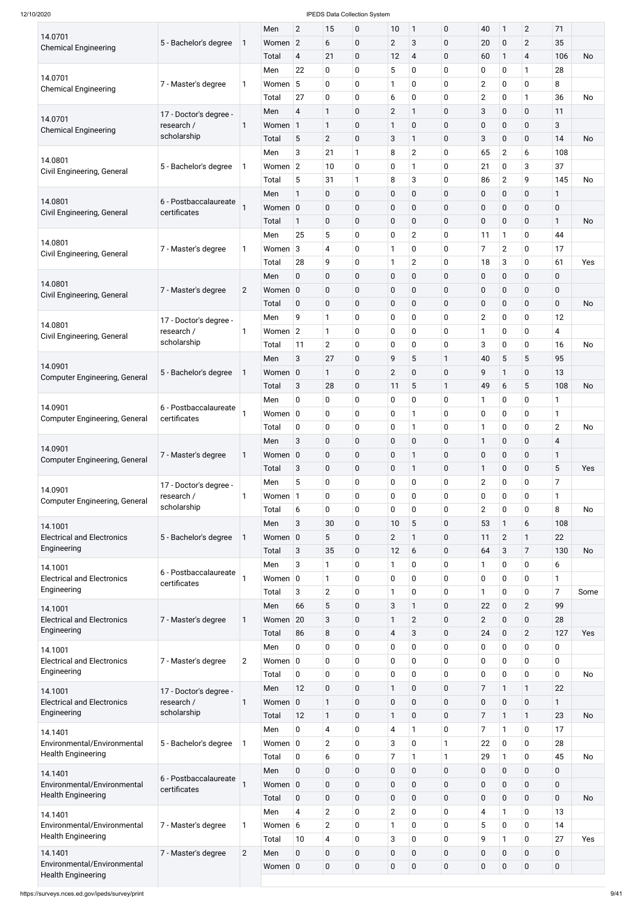| 14.0701                                                  |                                      |                | Men          | $\mathbf{2}$   | 15                       | 0            | 10                         | $\mathbf{1}$     | $\pmb{0}$   | 40               | $\mathbf{1}$   | $\overline{2}$ | 71             |           |
|----------------------------------------------------------|--------------------------------------|----------------|--------------|----------------|--------------------------|--------------|----------------------------|------------------|-------------|------------------|----------------|----------------|----------------|-----------|
| <b>Chemical Engineering</b>                              | 5 - Bachelor's degree                | 1              | Women 2      |                | 6                        | $\pmb{0}$    | $\overline{2}$             | 3                | $\mathbf 0$ | 20               | 0              | $\overline{2}$ | 35             |           |
|                                                          |                                      |                | Total        | $\overline{4}$ | 21                       | 0            | 12                         | 4                | $\mathbf 0$ | 60               | $\mathbf{1}$   | 4              | 106            | No        |
|                                                          |                                      |                | Men          | 22             | $\pmb{0}$                | 0            | 5                          | 0                | $\mathbf 0$ | 0                | 0              | 1              | 28             |           |
| 14.0701<br><b>Chemical Engineering</b>                   | 7 - Master's degree                  | 1              | Women        | 5              | $\mathbf 0$              | 0            | 1                          | 0                | $\mathbf 0$ | $\overline{2}$   | 0              | $\mathbf 0$    | 8              |           |
|                                                          |                                      |                | Total        | 27             | $\pmb{0}$                | 0            | 6                          | 0                | $\mathbf 0$ | $\overline{2}$   | 0              | 1              | 36             | <b>No</b> |
|                                                          | 17 - Doctor's degree -               |                | Men          | 4              | $\mathbf{1}$             | $\pmb{0}$    | $\overline{2}$             | 1                | $\mathbf 0$ | 3                | 0              | $\mathbf 0$    | 11             |           |
| 14.0701<br><b>Chemical Engineering</b>                   | research /                           | 1              | Women        | $\vert$ 1      | 1                        | $\pmb{0}$    | 1                          | $\pmb{0}$        | $\mathbf 0$ | $\pmb{0}$        | 0              | $\pmb{0}$      | 3              |           |
|                                                          | scholarship                          |                | Total        | 5              | $\mathbf{2}$             | $\pmb{0}$    | 3                          | 1                | $\mathbf 0$ | 3                | 0              | $\pmb{0}$      | 14             | No        |
|                                                          |                                      |                | Men          | 3              | 21                       | $\mathbf{1}$ | 8                          | $\overline{2}$   | $\mathbf 0$ | 65               | $\overline{2}$ | 6              | 108            |           |
| 14.0801                                                  | 5 - Bachelor's degree                | 1              | Women $ 2 $  |                | 10                       | 0            | 0                          | 1                | 0           | 21               | 0              | 3              | 37             |           |
| Civil Engineering, General                               |                                      |                | Total        | 5              | 31                       | $\mathbf{1}$ | 8                          | 3                | 0           | 86               | $\overline{2}$ | 9              | 145            | <b>No</b> |
|                                                          |                                      |                | Men          | $\mathbf{1}$   | $\pmb{0}$                | $\pmb{0}$    | $\pmb{0}$                  | $\pmb{0}$        | $\mathbf 0$ | $\pmb{0}$        | 0              | $\pmb{0}$      | $\mathbf{1}$   |           |
| 14.0801                                                  | 6 - Postbaccalaureate                |                | Women 0      |                | $\pmb{0}$                | $\pmb{0}$    | $\pmb{0}$                  | $\pmb{0}$        | $\mathbf 0$ | $\pmb{0}$        | 0              | $\pmb{0}$      | 0              |           |
| Civil Engineering, General                               | certificates                         |                | Total        | 1              | $\mathbf 0$              | 0            | $\mathbf 0$                | $\pmb{0}$        | $\mathbf 0$ | $\pmb{0}$        | 0              | $\pmb{0}$      | $\mathbf{1}$   | No        |
|                                                          |                                      |                | Men          | 25             | 5                        | 0            | 0                          | $\overline{2}$   | $\mathbf 0$ | 11               | $\mathbf{1}$   | 0              | 44             |           |
| 14.0801                                                  | 7 - Master's degree                  | 1              | Women        | 3              | $\overline{4}$           | 0            | 1                          | 0                | $\mathbf 0$ | 7                | $\overline{2}$ | $\pmb{0}$      | 17             |           |
| Civil Engineering, General                               |                                      |                | Total        | 28             | 9                        | 0            | 1                          | $\overline{2}$   | $\mathbf 0$ | 18               | 3              | $\pmb{0}$      | 61             | Yes       |
|                                                          |                                      |                | Men          | 0              | $\pmb{0}$                | $\pmb{0}$    | $\pmb{0}$                  | $\pmb{0}$        | $\mathbf 0$ | $\pmb{0}$        | 0              | $\pmb{0}$      | 0              |           |
| 14.0801                                                  | 7 - Master's degree                  | $\overline{2}$ | Women 0      |                | $\pmb{0}$                | $\pmb{0}$    | $\pmb{0}$                  | $\pmb{0}$        | $\mathbf 0$ | $\pmb{0}$        | 0              | $\pmb{0}$      | 0              |           |
| Civil Engineering, General                               |                                      |                | Total        | $\mathbf 0$    | $\pmb{0}$                | $\pmb{0}$    | $\mathbf 0$                | $\pmb{0}$        | $\mathbf 0$ | $\pmb{0}$        | 0              | $\pmb{0}$      | 0              | No        |
|                                                          |                                      |                | Men          | 9              | $\mathbf{1}$             | 0            | 0                          | 0                | $\mathbf 0$ | $\overline{2}$   | 0              | $\pmb{0}$      | 12             |           |
| 14.0801                                                  | 17 - Doctor's degree -<br>research / | 1              | Women $ 2 $  |                | $\mathbf{1}$             | 0            | 0                          | 0                | $\mathbf 0$ | 1                | 0              | $\pmb{0}$      | 4              |           |
| Civil Engineering, General                               | scholarship                          |                | Total        | 11             | $\mathbf{2}$             | 0            | $\mathbf 0$                | 0                | $\mathbf 0$ | 3                | 0              | $\mathbf 0$    | 16             | No        |
|                                                          |                                      |                | Men          | 3              | 27                       | $\pmb{0}$    | 9                          | 5                | 1           | 40               | 5              | 5              | 95             |           |
| 14.0901                                                  | 5 - Bachelor's degree                | 1              | Women 0      |                | 1                        | 0            | $\mathbf{2}$               | $\mathbf 0$      | $\mathbf 0$ | 9                | $\mathbf{1}$   | $\mathbf 0$    | 13             |           |
| <b>Computer Engineering, General</b>                     |                                      |                | Total        | 3              | 28                       | $\pmb{0}$    | 11                         | 5                | 1           | 49               | 6              | 5              | 108            | No        |
|                                                          |                                      |                | Men          | 0              | $\mathbf 0$              | 0            | 0                          | 0                | $\mathbf 0$ | 1                | 0              | $\mathbf 0$    | 1              |           |
| 14.0901                                                  | 6 - Postbaccalaureate                |                | Women $ 0$   |                | $\mathbf 0$              | 0            | 0                          | 1                | $\mathbf 0$ | $\mathbf 0$      | 0              | $\pmb{0}$      | 1              |           |
| <b>Computer Engineering, General</b>                     | certificates                         |                |              | 0              | $\pmb{0}$                | 0            | 0                          | 1                | $\mathbf 0$ | 1                | 0              | $\pmb{0}$      | $\overline{2}$ | No        |
|                                                          |                                      |                | Total<br>Men | 3              | $\pmb{0}$                | $\pmb{0}$    | $\pmb{0}$                  | $\pmb{0}$        | $\mathbf 0$ | $\mathbf{1}$     | 0              | $\pmb{0}$      | 4              |           |
| 14.0901                                                  |                                      |                | Women 0      |                |                          | $\pmb{0}$    |                            | 1                | $\mathbf 0$ | $\pmb{0}$        |                | $\pmb{0}$      | 1              |           |
| <b>Computer Engineering, General</b>                     | 7 - Master's degree                  | 1              | Total        | 3              | $\pmb{0}$<br>$\pmb{0}$   | $\pmb{0}$    | $\mathbf 0$<br>$\mathbf 0$ | 1                | $\mathbf 0$ | 1                | 0<br>0         | 0              | 5              | Yes       |
|                                                          |                                      |                | Men          | 5              | 0                        | 0            | 0                          | 0                | $\mathbf 0$ | $\overline{2}$   | 0              | 0              | 7              |           |
| 14.0901                                                  | 17 - Doctor's degree -<br>research / | 1              | Women        | $\vert$ 1      | $\mathbf 0$              | 0            | 0                          | 0                | 0           | 0                | 0              | $\pmb{0}$      | 1              |           |
| <b>Computer Engineering, General</b>                     | scholarship                          |                | Total        | 6              | $\mathbf 0$              | 0            | 0                          | 0                | $\mathbf 0$ | $\overline{2}$   | 0              | $\pmb{0}$      | 8              | <b>No</b> |
|                                                          |                                      |                | Men          | 3              | 30                       | $\pmb{0}$    | 10                         | 5                | $\mathbf 0$ | 53               | $\mathbf{1}$   | 6              | 108            |           |
| 14.1001<br><b>Electrical and Electronics</b>             |                                      |                | Women 0      |                | 5                        | 0            | $\overline{2}$             | 1                | $\mathbf 0$ | 11               |                | 1              | 22             |           |
| Engineering                                              | 5 - Bachelor's degree                |                |              |                |                          |              |                            |                  |             |                  | $\overline{2}$ |                |                |           |
|                                                          |                                      |                | Total        | 3              | 35                       | $\pmb{0}$    | 12                         | 6                | $\mathbf 0$ | 64               | 3              | 7              | 130            | No        |
| 14.1001                                                  | 6 - Postbaccalaureate                |                | Men          | 3              | 1                        | 0            | 1                          | 0                | 0           | 1                | 0              | 0              | 6              |           |
| <b>Electrical and Electronics</b><br>Engineering         | certificates                         |                | Women $ 0$   |                | 1                        | 0            | 0                          | 0                | 0           | 0                | 0              | 0              | 1              |           |
|                                                          |                                      |                | Total        | 3              | $\mathbf{2}$             | 0            | 1                          | 0                | $\mathbf 0$ | 1                | 0              | $\pmb{0}$      | 7              | Some      |
| 14.1001                                                  |                                      |                | Men          | 66             | $\sqrt{5}$               | $\pmb{0}$    | 3                          | 1                | $\mathbf 0$ | 22               | 0              | $\overline{2}$ | 99             |           |
| <b>Electrical and Electronics</b><br>Engineering         | 7 - Master's degree                  | 1              | Women        | 20             | $\sqrt{3}$               | $\pmb{0}$    | 1                          | $\overline{2}$   | $\mathbf 0$ | $\overline{2}$   | 0              | $\pmb{0}$      | 28             |           |
|                                                          |                                      |                | Total        | 86             | $\,8\,$                  | 0            | 4                          | 3                | $\mathbf 0$ | 24               | 0              | $\overline{c}$ | 127            | Yes       |
| 14.1001                                                  |                                      |                | Men          | 0              | $\pmb{0}$                | 0            | 0                          | 0                | $\mathbf 0$ | 0                | 0              | 0              | 0              |           |
| <b>Electrical and Electronics</b><br>Engineering         | 7 - Master's degree                  | $\overline{c}$ | Women $ 0 $  |                | $\mathbf 0$              | 0            | 0                          | 0                | $\mathbf 0$ | 0                | 0              | 0              | 0              |           |
|                                                          |                                      |                | Total        | 0              | $\pmb{0}$                | 0            | 0                          | 0                | $\mathbf 0$ | 0                | 0              | 0              | 0              | No        |
| 14.1001                                                  | 17 - Doctor's degree -               |                | Men          | 12             | $\pmb{0}$                | 0            | 1                          | 0                | $\mathbf 0$ | 7                | $\mathbf{1}$   | 1              | 22             |           |
| <b>Electrical and Electronics</b><br>Engineering         | research /<br>scholarship            | 1              | Women 0      |                | $\mathbf{1}$             | $\mathbf 0$  | $\pmb{0}$                  | $\mathbf 0$      | 0           | $\boldsymbol{0}$ | $\pmb{0}$      | $\mathbf 0$    | 1              |           |
|                                                          |                                      |                | Total        | 12             | $\mathbf{1}$             | 0            | $\mathbf{1}$               | $\mathbf 0$      | $\mathbf 0$ | 7                | $\mathbf{1}$   | $\mathbf{1}$   | 23             | No        |
| 14.1401                                                  |                                      |                | Men          | $\mathbf 0$    | $\overline{\mathcal{A}}$ | $\pmb{0}$    | $\overline{4}$             | 1                | $\mathbf 0$ | 7                | $\mathbf{1}$   | $\mathbf 0$    | 17             |           |
| Environmental/Environmental                              | 5 - Bachelor's degree                | 1              | Women $ 0 $  |                | $\overline{2}$           | 0            | 3                          | 0                | 1           | 22               | 0              | $\mathbf 0$    | 28             |           |
| <b>Health Engineering</b>                                |                                      |                | Total        | 0              | 6                        | 0            | $\overline{7}$             | 1                | 1           | 29               | 1              | $\mathbf 0$    | 45             | No        |
| 14.1401                                                  | 6 - Postbaccalaureate                |                | Men          | $\mathbf 0$    | $\pmb{0}$                | $\pmb{0}$    | $\mathbf 0$                | $\pmb{0}$        | $\mathbf 0$ | $\pmb{0}$        | 0              | $\pmb{0}$      | $\mathbf 0$    |           |
| Environmental/Environmental                              | certificates                         |                | Women 0      |                | $\pmb{0}$                | $\pmb{0}$    | $\pmb{0}$                  | $\pmb{0}$        | $\mathbf 0$ | $\pmb{0}$        | 0              | $\pmb{0}$      | $\pmb{0}$      |           |
| <b>Health Engineering</b>                                |                                      |                | Total        | $\mathbf 0$    | $\pmb{0}$                | 0            | $\mathbf 0$                | 0                | $\mathbf 0$ | $\pmb{0}$        | 0              | $\mathbf 0$    | $\mathbf 0$    | No        |
| 14.1401                                                  |                                      |                | Men          | 4              | $\overline{2}$           | 0            | $\overline{2}$             | 0                | $\mathbf 0$ | 4                | $\mathbf{1}$   | 0              | 13             |           |
| Environmental/Environmental                              | 7 - Master's degree                  | 1              | Women 6      |                | $\overline{2}$           | 0            | 1                          | 0                | $\mathbf 0$ | 5                | 0              | $\mathbf 0$    | 14             |           |
| <b>Health Engineering</b>                                |                                      |                | Total        | 10             | $\overline{\mathbf{4}}$  | 0            | 3                          | $\pmb{0}$        | $\mathbf 0$ | 9                | $\mathbf{1}$   | $\pmb{0}$      | 27             | Yes       |
| 14.1401                                                  | 7 - Master's degree                  | $\overline{2}$ | Men          | $\mathbf 0$    | $\pmb{0}$                | $\pmb{0}$    | $\pmb{0}$                  | $\pmb{0}$        | $\mathbf 0$ | $\pmb{0}$        | 0              | $\pmb{0}$      | $\pmb{0}$      |           |
| Environmental/Environmental<br><b>Health Engineering</b> |                                      |                | Women 0      |                | $\pmb{0}$                | $\pmb{0}$    | $\pmb{0}$                  | $\boldsymbol{0}$ | $\mathbf 0$ | $\pmb{0}$        | 0              | $\pmb{0}$      | $\pmb{0}$      |           |
|                                                          |                                      |                |              |                |                          |              |                            |                  |             |                  |                |                |                |           |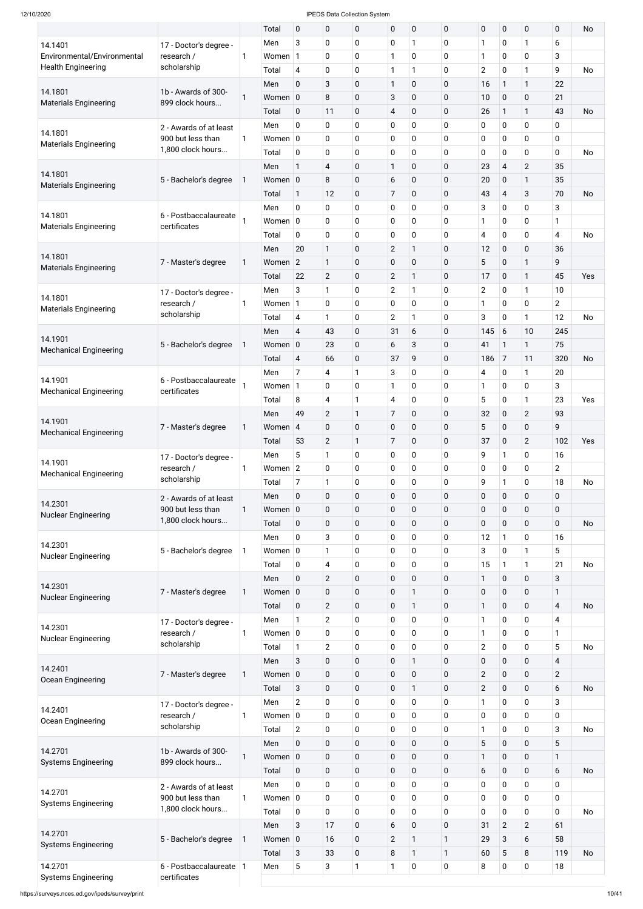| 14.1401                               |                                      |              | Total        | $\mathbf 0$          | 0                       | $\mathbf 0$               | $\mathbf 0$       | $\mathbf 0$    | 0              | $\mathbf 0$              | $\mathbf 0$      | 0              | $\mathbf 0$    | No        |
|---------------------------------------|--------------------------------------|--------------|--------------|----------------------|-------------------------|---------------------------|-------------------|----------------|----------------|--------------------------|------------------|----------------|----------------|-----------|
|                                       | 17 - Doctor's degree -               |              | Men          | 3                    | 0                       | $\mathbf 0$               | $\mathbf 0$       | 1              | 0              | 1                        | $\mathbf 0$      | $\mathbf{1}$   | 6              |           |
| Environmental/Environmental           | research /                           | $\mathbf{1}$ | Women        | $\mathbf{1}$         | 0                       | $\mathbf 0$               | $\mathbf{1}$      | 0              | 0              | $\mathbf{1}$             | $\mathbf 0$      | 0              | 3              |           |
| <b>Health Engineering</b>             | scholarship                          |              | Total        | 4                    | 0                       | $\mathbf 0$               | $\mathbf{1}$      | 1              | 0              | $\overline{2}$           | $\mathbf 0$      | $\mathbf{1}$   | 9              | <b>No</b> |
|                                       |                                      |              |              |                      |                         |                           |                   |                |                |                          |                  |                |                |           |
| 14.1801                               | 1b - Awards of 300-                  |              | Men          | $\mathbf 0$          | 3                       | $\mathbf 0$               | 1                 | 0              | 0              | 16                       | $\mathbf{1}$     | $\mathbf{1}$   | 22             |           |
| <b>Materials Engineering</b>          | 899 clock hours                      | $\mathbf{1}$ | Women 0      |                      | 8                       | $\pmb{0}$                 | 3                 | $\mathbf 0$    | 0              | 10                       | $\mathbf 0$      | $\mathbf 0$    | 21             |           |
|                                       |                                      |              | Total        | $\mathbf 0$          | 11                      | $\pmb{0}$                 | 4                 | 0              | $\overline{0}$ | 26                       | $\mathbf{1}$     | $\mathbf{1}$   | 43             | <b>No</b> |
|                                       | 2 - Awards of at least               |              | Men          | $\mathbf 0$          | 0                       | $\pmb{0}$                 | $\mathbf 0$       | 0              | 0              | $\mathbf 0$              | $\mathbf 0$      | 0              | 0              |           |
| 14.1801                               | 900 but less than                    | $\mathbf{1}$ | Women $ 0 $  |                      | 0                       | $\mathbf 0$               | $\mathbf 0$       | 0              | 0              | $\mathbf 0$              | $\mathbf 0$      | $\overline{0}$ | $\mathbf 0$    |           |
| <b>Materials Engineering</b>          | 1,800 clock hours                    |              | Total        | $\mathbf 0$          | 0                       | $\pmb{0}$                 | $\mathbf 0$       | 0              | 0              | $\mathbf 0$              | $\mathbf 0$      | $\mathbf 0$    | $\mathbf 0$    | <b>No</b> |
|                                       |                                      |              | Men          | $\mathbf{1}$         | 4                       | $\pmb{0}$                 | 1                 | 0              | 0              | 23                       | $\overline{4}$   | $\overline{2}$ | 35             |           |
| 14.1801                               | 5 - Bachelor's degree                | 1            | Women 0      |                      | 8                       | $\mathbf 0$               | 6                 | 0              | 0              | 20                       | $\mathbf 0$      | $\mathbf{1}$   | 35             |           |
| <b>Materials Engineering</b>          |                                      |              |              |                      |                         |                           |                   |                |                |                          |                  |                |                |           |
|                                       |                                      |              | Total        | $\mathbf{1}$         | 12                      | $\pmb{0}$                 | $\overline{7}$    | $\overline{0}$ | $\overline{0}$ | 43                       | $\overline{4}$   | 3              | 70             | <b>No</b> |
| 14.1801                               | 6 - Postbaccalaureate                |              | Men          | $\mathbf 0$          | 0                       | $\pmb{0}$                 | $\mathbf 0$       | 0              | 0              | 3                        | $\mathbf 0$      | $\mathbf 0$    | 3              |           |
| <b>Materials Engineering</b>          | certificates                         |              | Women $ 0$   |                      | 0                       | $\mathbf 0$               | $\mathbf 0$       | 0              | 0              | 1                        | $\mathbf 0$      | $\overline{0}$ | 1              |           |
|                                       |                                      |              | Total        | 0                    | 0                       | $\mathbf 0$               | $\mathbf 0$       | 0              | 0              | $\overline{\mathcal{A}}$ | $\mathbf 0$      | 0              | 4              | <b>No</b> |
|                                       |                                      |              | Men          | 20                   | $\mathbf{1}$            | $\pmb{0}$                 | $\overline{2}$    | $\mathbf{1}$   | 0              | 12                       | $\mathbf 0$      | $\mathbf 0$    | 36             |           |
| 14.1801                               | 7 - Master's degree                  | $\mathbf{1}$ | Women        | $\overline{2}$       | $\mathbf{1}$            | $\pmb{0}$                 | $\mathbf 0$       | 0              | 0              | 5                        | $\mathbf 0$      | $\mathbf{1}$   | 9              |           |
| <b>Materials Engineering</b>          |                                      |              | Total        | 22                   | $\overline{2}$          | $\mathbf 0$               | $\overline{2}$    | $\mathbf{1}$   | $\overline{0}$ | 17                       | $\mathbf 0$      | $\mathbf{1}$   | 45             | Yes       |
|                                       |                                      |              | Men          | 3                    | $\mathbf{1}$            | $\pmb{0}$                 | $\overline{2}$    | 1              | 0              | $\overline{2}$           | $\mathbf 0$      | $\mathbf{1}$   | 10             |           |
| 14.1801                               | 17 - Doctor's degree -<br>research / | 1            | Women        | $\mathbf{1}$         | 0                       | $\mathbf 0$               | $\mathbf 0$       | 0              | 0              | 1                        | $\mathbf 0$      | $\mathbf 0$    | $\overline{2}$ |           |
| <b>Materials Engineering</b>          | scholarship                          |              |              |                      |                         |                           |                   |                |                |                          |                  |                |                |           |
|                                       |                                      |              | Total        | 4                    | $\mathbf{1}$            | $\pmb{0}$                 | $\overline{2}$    | 1              | 0              | $\mathbf{3}$             | 0                | $\mathbf{1}$   | 12             | <b>No</b> |
| 14.1901                               |                                      |              | Men          | 4                    | 43                      | $\pmb{0}$                 | 31                | 6              | 0              | 145                      | 6                | 10             | 245            |           |
| <b>Mechanical Engineering</b>         | 5 - Bachelor's degree                | 1            | Women 0      |                      | 23                      | $\mathbf 0$               | 6                 | 3              | 0              | 41                       | $\mathbf{1}$     | $\mathbf{1}$   | 75             |           |
|                                       |                                      |              | Total        | 4                    | 66                      | $\mathbf 0$               | 37                | 9              | 0              | 186                      | $\overline{7}$   | 11             | 320            | No        |
|                                       |                                      |              | Men          | $\overline{7}$       | 4                       | 1                         | 3                 | 0              | 0              | $\overline{4}$           | $\mathbf 0$      | $\mathbf{1}$   | 20             |           |
| 14.1901                               | 6 - Postbaccalaureate                |              | Women        | $\mathbf{1}$         | 0                       | $\mathbf 0$               | 1                 | 0              | 0              | 1                        | $\mathbf 0$      | $\overline{0}$ | 3              |           |
| <b>Mechanical Engineering</b>         | certificates                         |              | Total        | 8                    | $\overline{\mathbf{4}}$ | $\mathbf{1}$              | 4                 | 0              | 0              | 5                        | $\mathbf 0$      | $\mathbf{1}$   | 23             | Yes       |
|                                       |                                      |              | Men          | 49                   | $\overline{2}$          | $\mathbf{1}$              | $\overline{7}$    | 0              | 0              | 32                       | $\mathbf 0$      | $\overline{2}$ | 93             |           |
| 14.1901                               |                                      |              |              |                      |                         |                           |                   |                |                |                          |                  |                |                |           |
| <b>Mechanical Engineering</b>         | 7 - Master's degree                  | $\mathbf{1}$ | Women        | $\overline{4}$       | 0                       | $\mathbf 0$               | $\mathbf 0$       | $\mathbf 0$    | 0              | 5                        | $\mathbf 0$      | $\mathbf 0$    | 9              |           |
|                                       |                                      |              | Total        | 53                   | $\overline{2}$          | $\mathbf{1}$              | $\overline{7}$    | 0              | 0              | 37                       | $\mathbf 0$      | $\overline{2}$ | 102            | Yes       |
| 14.1901                               | 17 - Doctor's degree -               |              | Men          | 5                    | $\mathbf{1}$            | $\mathbf 0$               | 0                 | 0              | 0              | 9                        | 1                | $\overline{0}$ | 16             |           |
| <b>Mechanical Engineering</b>         | research /                           | $\mathbf{1}$ | Women        | $\overline{2}$       | 0                       | $\pmb{0}$                 | $\mathbf 0$       | 0              | 0              | $\mathbf 0$              | $\mathbf 0$      | 0              | $\overline{2}$ |           |
|                                       | scholarship                          |              | Total        | $\overline{7}$       | $\mathbf{1}$            | $\pmb{0}$                 | $\mathbf 0$       | 0              | 0              | 9                        | $\mathbf{1}$     | $\overline{0}$ | 18             | <b>No</b> |
|                                       | 2 - Awards of at least               |              | Men          | $\mathbf 0$          | 0                       | $\pmb{0}$                 | $\mathbf 0$       | $\mathbf 0$    | 0              | $\pmb{0}$                | $\mathbf 0$      | $\mathbf 0$    | $\mathbf 0$    |           |
| 14.2301                               | 900 but less than                    | $\mathbf{1}$ | Women 0      |                      | 0                       | $\pmb{0}$                 | $\mathbf 0$       | $\mathbf 0$    | 0              | $\pmb{0}$                | $\mathbf 0$      | $\mathbf 0$    | $\mathbf 0$    |           |
| <b>Nuclear Engineering</b>            | 1,800 clock hours                    |              | Total        | $\mathbf 0$          | 0                       | $\pmb{0}$                 | $\mathbf 0$       | $\mathbf 0$    | 0              | $\pmb{0}$                | $\mathbf 0$      | $\mathbf 0$    | $\mathbf 0$    | <b>No</b> |
|                                       |                                      |              |              | $\mathbf 0$          | 3                       | $\mathbf 0$               | 0                 |                |                |                          | $\mathbf{1}$     | $\overline{0}$ | 16             |           |
| 14.2301                               |                                      |              | Men          |                      |                         |                           |                   | 0              | 0              | 12                       |                  |                |                |           |
| <b>Nuclear Engineering</b>            | 5 - Bachelor's degree                | 1            | Women $ 0 $  |                      | $\mathbf{1}$            | $\pmb{0}$                 | 0                 | 0              | 0              | 3                        | $\mathbf 0$      | $\mathbf{1}$   | 5              |           |
|                                       |                                      |              | Total        | $\mathbf 0$          | 4                       | $\mathbf 0$               | 0                 | 0              | 0              | 15                       | $\mathbf{1}$     | $\mathbf{1}$   | 21             | <b>No</b> |
|                                       |                                      |              | Men          | $\mathbf 0$          | $\overline{2}$          | $\pmb{0}$                 | $\mathbf 0$       | $\mathbf 0$    | 0              | $\mathbf{1}$             | $\mathbf 0$      | $\mathbf 0$    | 3              |           |
| 14.2301<br><b>Nuclear Engineering</b> | 7 - Master's degree                  | $\mathbf{1}$ | Women 0      |                      | 0                       | $\pmb{0}$                 | 0                 | 1              | 0              | $\pmb{0}$                | $\pmb{0}$        | $\pmb{0}$      | $\mathbf{1}$   |           |
|                                       |                                      |              | Total        | $\mathbf 0$          | $\overline{2}$          | $\pmb{0}$                 | $\mathbf 0$       | 1              | 0              | $\mathbf{1}$             | $\mathbf 0$      | $\mathbf 0$    | $\overline{4}$ | <b>No</b> |
|                                       | 17 - Doctor's degree -               |              | Men          | $\mathbf{1}$         | $\overline{2}$          | $\mathbf 0$               | 0                 | 0              | 0              | 1                        | $\mathbf 0$      | 0              | 4              |           |
| 14.2301                               | research /                           | $\mathbf{1}$ | Women $ 0 $  |                      | 0                       | $\pmb{0}$                 | 0                 | 0              | 0              | $\mathbf{1}$             | 0                | 0              | 1              |           |
| <b>Nuclear Engineering</b>            | scholarship                          |              | Total        | $\mathbf{1}$         | $\overline{2}$          | $\pmb{0}$                 | 0                 | 0              | 0              | $\overline{2}$           | $\mathbf 0$      | $\mathbf 0$    | 5              | <b>No</b> |
|                                       |                                      |              |              |                      |                         |                           |                   |                |                |                          |                  |                |                |           |
| 14.2401                               |                                      |              | Men          | 3                    | 0                       | $\pmb{0}$                 | $\mathbf 0$       | $\mathbf{1}$   | 0              | $\pmb{0}$                | $\mathbf 0$      | $\mathbf 0$    | $\overline{4}$ |           |
| Ocean Engineering                     | 7 - Master's degree                  | $\mathbf{1}$ | Women 0      |                      | 0                       | $\pmb{0}$                 | $\mathbf 0$       | $\pmb{0}$      | 0              | $\mathbf{2}$             | $\pmb{0}$        | $\pmb{0}$      | $\overline{2}$ |           |
|                                       |                                      |              | Total        | 3                    | 0                       | $\pmb{0}$                 | $\mathbf 0$       | 1              | $\mathbf 0$    | $\overline{2}$           | $\mathbf 0$      | $\mathbf 0$    | 6              | No        |
|                                       | 17 - Doctor's degree -               |              | Men          | $\overline{2}$       | 0                       | $\mathbf 0$               | 0                 | $\mathbf 0$    | 0              | 1                        | $\mathbf 0$      | $\mathbf 0$    | 3              |           |
| 14.2401                               | research /                           | 1            | Women 0      |                      | 0                       | $\pmb{0}$                 | $\pmb{0}$         | $\pmb{0}$      | 0              | $\pmb{0}$                | $\pmb{0}$        | $\pmb{0}$      | $\mathbf 0$    |           |
| Ocean Engineering                     | scholarship                          |              | Total        | $\overline{2}$       | $\pmb{0}$               | $\pmb{0}$                 | $\mathbf 0$       | 0              | 0              | $\mathbf{1}$             | $\mathbf 0$      | $\mathbf 0$    | 3              | No        |
|                                       |                                      |              | Men          | $\mathbf 0$          | $\pmb{0}$               | $\pmb{0}$                 | $\pmb{0}$         | 0              | 0              | 5                        | $\pmb{0}$        | $\mathbf 0$    | 5              |           |
| 14.2701                               | 1b - Awards of 300-                  | 1            | Women 0      |                      | $\pmb{0}$               | $\pmb{0}$                 | $\pmb{0}$         | 0              | 0              | $\mathbf{1}$             | $\mathbf 0$      | $\pmb{0}$      | $\mathbf{1}$   |           |
| <b>Systems Engineering</b>            | 899 clock hours                      |              |              |                      |                         |                           |                   |                |                |                          |                  |                |                |           |
|                                       |                                      |              | Total        | $\pmb{0}$            | $\pmb{0}$               | $\pmb{0}$                 | $\pmb{0}$         | 0              | 0              | $6\,$                    | $\mathbf 0$      | $\pmb{0}$      | 6              | <b>No</b> |
| 14.2701                               | 2 - Awards of at least               |              | Men          | $\mathbf 0$          | $\pmb{0}$               | $\mathbf 0$               | 0                 | 0              | 0              | $\pmb{0}$                | $\mathbf 0$      | $\mathbf 0$    | $\mathbf 0$    |           |
| <b>Systems Engineering</b>            | 900 but less than                    | $\mathbf{1}$ | Women 0      |                      | $\pmb{0}$               | $\pmb{0}$                 | 0                 | 0              | 0              | $\pmb{0}$                | $\mathbf 0$      | $\mathbf 0$    | $\mathbf 0$    |           |
|                                       | 1,800 clock hours                    |              | Total        | 0                    | $\pmb{0}$               | $\pmb{0}$                 | $\pmb{0}$         | 0              | 0              | $\pmb{0}$                | $\mathbf 0$      | $\pmb{0}$      | $\mathbf 0$    | No        |
|                                       |                                      |              | Men          | 3                    | 17                      | $\pmb{0}$                 | 6                 | $\pmb{0}$      | 0              | 31                       | $\overline{2}$   | $\overline{2}$ | 61             |           |
|                                       | 5 - Bachelor's degree                | 1            | Women 0      |                      | 16                      | $\pmb{0}$                 | $\overline{2}$    | $\mathbf{1}$   | 1              | 29                       | 3                | 6              | 58             |           |
| 14.2701                               |                                      |              |              |                      |                         |                           |                   |                |                |                          |                  |                |                |           |
| <b>Systems Engineering</b>            |                                      |              |              |                      |                         |                           |                   | 1              |                |                          |                  |                |                |           |
| 14.2701                               | 6 - Postbaccalaureate   1            |              | Total<br>Men | 3<br>$5\phantom{.0}$ | 33<br>3                 | $\pmb{0}$<br>$\mathbf{1}$ | 8<br>$\mathbf{1}$ | $\mathbf 0$    | 1<br>0         | 60<br>$\,8\,$            | 5<br>$\mathbf 0$ | 8<br>$\pmb{0}$ | 119<br>18      | No        |

https://surveys.nces.ed.gov/ipeds/survey/print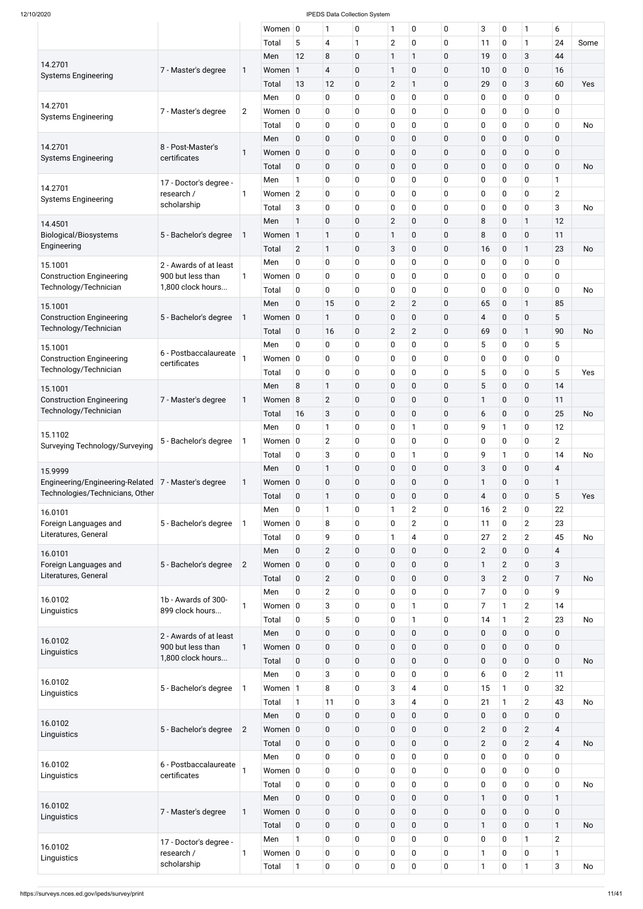|                                                          |                        |                | Women $ 0$  |                | 1                       | 0           | 1              | 0              | $\mathbf 0$  | 3              | 0              | 1              | 6                       |           |
|----------------------------------------------------------|------------------------|----------------|-------------|----------------|-------------------------|-------------|----------------|----------------|--------------|----------------|----------------|----------------|-------------------------|-----------|
|                                                          |                        |                | Total       | 5              | $\overline{\mathbf{4}}$ | 1           | $\overline{2}$ | 0              | $\mathbf 0$  | 11             | 0              | $\mathbf{1}$   | 24                      | Some      |
|                                                          |                        |                | Men         | 12             | 8                       | 0           | $\mathbf{1}$   | 1              | $\mathbf 0$  | 19             | 0              | 3              | 44                      |           |
| 14.2701                                                  | 7 - Master's degree    | 1              | Women       | 1              | $\overline{4}$          | 0           | $\mathbf{1}$   | 0              | $\mathbf 0$  | 10             | 0              | $\mathbf 0$    | 16                      |           |
| <b>Systems Engineering</b>                               |                        |                | Total       | 13             | 12                      | $\mathbf 0$ | $\mathbf{2}$   | $\mathbf{1}$   | $\mathbf 0$  | 29             | $\mathbf 0$    | 3              | 60                      | Yes       |
|                                                          |                        |                | Men         | 0              | $\mathbf 0$             | 0           | $\mathbf 0$    | 0              | $\mathbf 0$  | 0              | 0              | 0              | 0                       |           |
| 14.2701                                                  | 7 - Master's degree    | $\overline{c}$ | Women $ 0$  |                | $\pmb{0}$               | 0           | $\mathbf 0$    | 0              | $\mathbf 0$  | 0              | 0              | $\pmb{0}$      | 0                       |           |
| <b>Systems Engineering</b>                               |                        |                | Total       |                |                         |             | 0              | 0              | $\mathbf 0$  |                | 0              | 0              | 0                       | <b>No</b> |
|                                                          |                        |                |             | 0              | $\pmb{0}$               | 0           |                |                |              | $\pmb{0}$      |                |                |                         |           |
| 14.2701                                                  | 8 - Post-Master's      |                | Men         | $\mathbf 0$    | $\pmb{0}$               | 0           | $\pmb{0}$      | $\pmb{0}$      | $\mathbf 0$  | $\pmb{0}$      | 0              | $\pmb{0}$      | $\mathbf 0$             |           |
| <b>Systems Engineering</b>                               | certificates           | 1              | Women 0     |                | $\pmb{0}$               | 0           | $\pmb{0}$      | $\mathbf 0$    | $\mathbf 0$  | $\pmb{0}$      | 0              | $\pmb{0}$      | 0                       |           |
|                                                          |                        |                | Total       | $\mathbf 0$    | $\pmb{0}$               | 0           | $\pmb{0}$      | 0              | $\mathbf 0$  | $\pmb{0}$      | 0              | 0              | $\mathbf 0$             | <b>No</b> |
| 14.2701                                                  | 17 - Doctor's degree - |                | Men         | 1              | 0                       | 0           | 0              | 0              | $\mathbf 0$  | $\pmb{0}$      | 0              | 0              | 1                       |           |
| <b>Systems Engineering</b>                               | research /             | 1              | Women $ 2 $ |                | $\pmb{0}$               | 0           | $\mathbf 0$    | 0              | $\mathbf 0$  | 0              | 0              | $\pmb{0}$      | $\overline{2}$          |           |
|                                                          | scholarship            |                | Total       | 3              | $\pmb{0}$               | 0           | 0              | 0              | $\mathbf 0$  | $\pmb{0}$      | 0              | $\pmb{0}$      | 3                       | <b>No</b> |
| 14.4501                                                  |                        |                | Men         | $\mathbf{1}$   | $\pmb{0}$               | $\mathbf 0$ | $\overline{2}$ | 0              | $\mathbf 0$  | 8              | 0              | $\mathbf{1}$   | 12                      |           |
| <b>Biological/Biosystems</b>                             | 5 - Bachelor's degree  | 1              | Women 1     |                | $\mathbf{1}$            | 0           | 1              | 0              | $\mathbf 0$  | 8              | 0              | $\pmb{0}$      | 11                      |           |
| Engineering                                              |                        |                | Total       | $\overline{2}$ | $\mathbf{1}$            | 0           | 3              | 0              | $\mathbf 0$  | 16             | 0              | $\mathbf{1}$   | 23                      | <b>No</b> |
| 15.1001                                                  | 2 - Awards of at least |                | Men         | 0              | $\mathbf 0$             | 0           | 0              | 0              | $\mathbf 0$  | 0              | 0              | 0              | 0                       |           |
| <b>Construction Engineering</b>                          | 900 but less than      | 1              | Women $ 0$  |                | $\pmb{0}$               | 0           | $\mathbf 0$    | 0              | $\mathbf 0$  | 0              | 0              | $\mathbf 0$    | 0                       |           |
| Technology/Technician                                    | 1,800 clock hours      |                | Total       | 0              | $\pmb{0}$               | 0           | 0              | 0              | $\mathbf 0$  | 0              | 0              | 0              | 0                       | <b>No</b> |
| 15.1001                                                  |                        |                | Men         | $\mathbf 0$    | 15                      | 0           | $\overline{2}$ | $\overline{2}$ | $\mathbf 0$  | 65             | $\pmb{0}$      | $\mathbf{1}$   | 85                      |           |
| <b>Construction Engineering</b>                          | 5 - Bachelor's degree  | 1              | Women 0     |                | 1                       | 0           | $\mathbf 0$    | 0              | $\mathbf 0$  | 4              | 0              | 0              | 5                       |           |
| Technology/Technician                                    |                        |                | Total       | $\mathbf 0$    | 16                      | 0           | $\overline{2}$ | $\overline{2}$ | $\mathbf 0$  | 69             | 0              | $\mathbf{1}$   | 90                      | <b>No</b> |
|                                                          |                        |                | Men         | 0              | $\mathbf 0$             | 0           | 0              | 0              | $\mathbf 0$  | 5              | 0              | 0              | 5                       |           |
| 15.1001                                                  | 6 - Postbaccalaureate  |                | Women $ 0$  |                | $\mathbf 0$             |             |                | 0              |              |                | 0              | 0              | 0                       |           |
| <b>Construction Engineering</b><br>Technology/Technician | certificates           |                |             |                |                         | 0           | 0              |                | $\mathbf 0$  | 0              |                |                |                         |           |
|                                                          |                        |                | Total       | 0              | $\pmb{0}$               | 0           | 0              | 0              | $\mathbf 0$  | 5              | 0              | 0              | 5                       | Yes       |
| 15.1001                                                  |                        |                | Men         | 8              | $\mathbf{1}$            | $\mathbf 0$ | $\pmb{0}$      | $\mathbf 0$    | $\mathbf 0$  | 5              | 0              | $\mathbf 0$    | 14                      |           |
| <b>Construction Engineering</b>                          | 7 - Master's degree    | 1              | Women 8     |                | $\overline{2}$          | $\mathbf 0$ | $\pmb{0}$      | $\pmb{0}$      | $\mathbf 0$  | 1              | 0              | $\mathbf 0$    | 11                      |           |
| Technology/Technician                                    |                        |                | Total       | 16             | $\sqrt{3}$              | 0           | $\pmb{0}$      | $\mathbf 0$    | $\mathbf{0}$ | 6              | 0              | $\mathbf 0$    | 25                      | <b>No</b> |
| 15.1102                                                  |                        |                | Men         | 0              | 1                       | 0           | $\mathbf 0$    | 1              | $\mathbf 0$  | 9              | $\mathbf{1}$   | $\mathbf 0$    | 12                      |           |
| Surveying Technology/Surveying                           | 5 - Bachelor's degree  | 1              | Women $ 0$  |                | $\mathbf{2}$            | 0           | $\mathbf 0$    | 0              | $\mathbf 0$  | 0              | 0              | $\mathbf 0$    | $\overline{2}$          |           |
|                                                          |                        |                | Total       | 0              | $\sqrt{3}$              | 0           | $\mathbf 0$    | 1              | $\mathbf 0$  | 9              | $\mathbf{1}$   | $\mathbf 0$    | 14                      | <b>No</b> |
| 15.9999                                                  |                        |                | Men         | $\mathbf 0$    | $\mathbf{1}$            | 0           | $\pmb{0}$      | $\mathbf 0$    | $\mathbf{0}$ | 3              | 0              | $\mathbf 0$    | 4                       |           |
| Engineering/Engineering-Related                          | 7 - Master's degree    | 1              | Women 0     |                | $\pmb{0}$               | $\mathbf 0$ | $\pmb{0}$      | 0              | $\mathbf 0$  | 1              | 0              | $\pmb{0}$      | 1                       |           |
| Technologies/Technicians, Other                          |                        |                | Total       | 0              | $\mathbf{1}$            | 0           | $\pmb{0}$      | 0              | $\mathbf 0$  | $\overline{4}$ | 0              | 0              | 5                       | Yes       |
| 16.0101                                                  |                        |                | Men         | 0              | $\mathbf{1}$            | 0           | 1              | $\overline{c}$ | $\mathbf 0$  | 16             | $\overline{2}$ | 0              | 22                      |           |
| Foreign Languages and                                    | 5 - Bachelor's degree  | 1              | Women $ 0$  |                | 8                       | 0           | $\pmb{0}$      | $\overline{2}$ | $\mathbf 0$  | 11             | 0              | $\overline{2}$ | 23                      |           |
| Literatures, General                                     |                        |                | Total       | 0              | 9                       | 0           | 1              | 4              | $\mathbf 0$  | 27             | $\overline{2}$ | $\overline{2}$ | 45                      | <b>No</b> |
|                                                          |                        |                | Men         | 0              | $\mathbf{2}$            | $\pmb{0}$   | $\pmb{0}$      | $\mathbf 0$    | $\mathbf 0$  | $\overline{2}$ | 0              | 0              | 4                       |           |
| 16.0101<br>Foreign Languages and                         | 5 - Bachelor's degree  | $\overline{2}$ | Women 0     |                | $\pmb{0}$               | $\pmb{0}$   | $\pmb{0}$      | 0              | $\mathbf 0$  | 1              | $\overline{2}$ | $\overline{0}$ | 3                       |           |
| Literatures, General                                     |                        |                |             |                |                         |             |                |                |              |                |                |                |                         |           |
|                                                          |                        |                | Total       | 0              | $\mathbf{2}$            | 0           | $\mathbf 0$    | $\mathbf 0$    | $\mathbf 0$  | 3              | $\overline{2}$ | 0              | $\overline{7}$          | <b>No</b> |
| 16.0102                                                  | 1b - Awards of 300-    |                | Men         | 0              | $\mathbf{2}$            | 0           | 0              | 0              | $\mathbf 0$  | 7              | 0              | $\pmb{0}$      | 9                       |           |
| Linguistics                                              | 899 clock hours        | 1              | Women $ 0 $ |                | 3                       | 0           | $\mathbf 0$    | $\mathbf{1}$   | $\mathbf 0$  | 7              | $\mathbf{1}$   | $\overline{2}$ | 14                      |           |
|                                                          |                        |                | Total       | 0              | 5                       | 0           | 0              | 1              | $\mathbf 0$  | 14             | $\mathbf{1}$   | $\overline{2}$ | 23                      | <b>No</b> |
| 16.0102                                                  | 2 - Awards of at least |                | Men         | 0              | $\pmb{0}$               | $\pmb{0}$   | $\pmb{0}$      | $\mathbf 0$    | $\mathbf 0$  | $\pmb{0}$      | 0              | $\mathbf 0$    | 0                       |           |
| Linguistics                                              | 900 but less than      | 1              | Women 0     |                | $\pmb{0}$               | $\pmb{0}$   | $\pmb{0}$      | 0              | $\mathbf 0$  | $\pmb{0}$      | 0              | 0              | 0                       |           |
|                                                          | 1,800 clock hours      |                | Total       | $\mathbf 0$    | $\pmb{0}$               | 0           | $\mathbf 0$    | $\mathbf 0$    | $\mathbf 0$  | $\pmb{0}$      | 0              | 0              | $\mathbf 0$             | <b>No</b> |
|                                                          |                        |                | Men         | 0              | 3                       | 0           | 0              | 0              | $\mathbf 0$  | 6              | 0              | $\overline{2}$ | 11                      |           |
| 16.0102<br>Linguistics                                   | 5 - Bachelor's degree  | $\mathbf{1}$   | Women 1     |                | 8                       | 0           | 3              | 4              | 0            | 15             | 1              | 0              | 32                      |           |
|                                                          |                        |                | Total       | 1              | 11                      | 0           | 3              | 4              | $\mathbf 0$  | 21             | 1              | $\overline{2}$ | 43                      | No        |
|                                                          |                        |                | Men         | $\mathbf 0$    | $\pmb{0}$               | $\pmb{0}$   | $\mathbf 0$    | $\pmb{0}$      | $\mathbf 0$  | $\pmb{0}$      | $\pmb{0}$      | $\mathbf 0$    | 0                       |           |
| 16.0102                                                  | 5 - Bachelor's degree  | $\overline{2}$ | Women 0     |                | $\pmb{0}$               | $\pmb{0}$   | $\mathbf 0$    | $\mathbf 0$    | $\mathbf 0$  | $\overline{2}$ | $\pmb{0}$      | $\overline{2}$ | $\overline{\mathbf{4}}$ |           |
| Linguistics                                              |                        |                | Total       | $\mathbf 0$    | $\pmb{0}$               | $\pmb{0}$   | $\pmb{0}$      | $\mathbf 0$    | $\mathbf 0$  | $\overline{2}$ | 0              | $\overline{2}$ | $\overline{4}$          | <b>No</b> |
|                                                          |                        |                | Men         | $\mathbf 0$    | $\pmb{0}$               | $\pmb{0}$   | $\mathbf 0$    | 0              | $\mathbf 0$  | 0              | $\pmb{0}$      | $\pmb{0}$      | 0                       |           |
| 16.0102                                                  | 6 - Postbaccalaureate  |                | Women $ 0 $ |                | $\mathbf 0$             | $\pmb{0}$   | 0              | $\mathbf 0$    | $\mathbf 0$  | 0              | 0              | $\mathbf 0$    | 0                       |           |
| Linguistics                                              | certificates           |                | Total       | $\mathbf 0$    | $\pmb{0}$               | $\pmb{0}$   | $\mathbf 0$    | $\mathbf 0$    | $\mathbf 0$  | 0              | $\pmb{0}$      | $\mathbf 0$    | $\mathbf 0$             | <b>No</b> |
|                                                          |                        |                |             |                |                         |             |                |                |              |                |                |                |                         |           |
| 16.0102                                                  |                        |                | Men         | $\mathbf 0$    | $\pmb{0}$               | $\pmb{0}$   | $\pmb{0}$      | $\mathbf 0$    | $\mathbf 0$  | $\mathbf{1}$   | 0              | $\mathbf 0$    | $\mathbf{1}$            |           |
| Linguistics                                              | 7 - Master's degree    | 1              | Women 0     |                | $\pmb{0}$               | $\pmb{0}$   | $\pmb{0}$      | $\mathbf 0$    | $\mathbf 0$  | $\pmb{0}$      | $\pmb{0}$      | $\mathbf 0$    | $\mathbf 0$             |           |
|                                                          |                        |                | Total       | $\mathbf 0$    | $\pmb{0}$               | $\pmb{0}$   | $\pmb{0}$      | $\mathbf 0$    | $\mathbf 0$  | 1              | 0              | $\mathbf 0$    | $\mathbf{1}$            | <b>No</b> |
| 16.0102                                                  | 17 - Doctor's degree - |                | Men         | $\mathbf{1}$   | $\pmb{0}$               | $\pmb{0}$   | $\mathbf 0$    | 0              | $\mathbf 0$  | $\pmb{0}$      | 0              | $\mathbf{1}$   | $\overline{2}$          |           |
| Linguistics                                              | research /             | 1              | Women $ 0 $ |                | $\mathbf 0$             | $\pmb{0}$   | 0              | $\mathbf 0$    | $\mathbf 0$  | 1              | 0              | $\mathbf 0$    | $\mathbf{1}$            |           |
|                                                          | scholarship            |                | Total       | $\mathbf{1}$   | $\pmb{0}$               | 0           | $\mathbf 0$    | 0              | $\mathbf 0$  | 1              | 0              | $\mathbf{1}$   | 3                       | No        |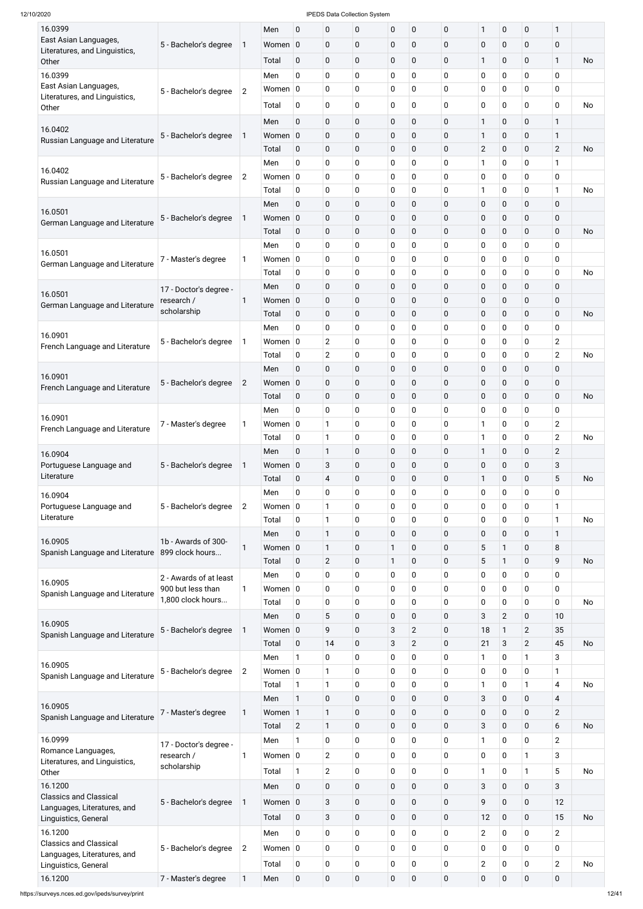https://surveys.nces.ed.gov/ipeds/survey/print 12

| 16.0399                                                      |                                      |                | Men         | $\mathbf 0$    | $\mathbf 0$             | 0                | $\pmb{0}$   | $\pmb{0}$      | 0           | 1                | 0              | $\mathbf 0$    | $\mathbf{1}$            |           |
|--------------------------------------------------------------|--------------------------------------|----------------|-------------|----------------|-------------------------|------------------|-------------|----------------|-------------|------------------|----------------|----------------|-------------------------|-----------|
| East Asian Languages,                                        | 5 - Bachelor's degree                | 1              | Women $ 0$  |                | $\mathbf 0$             | 0                | $\mathbf 0$ | $\pmb{0}$      | 0           | $\pmb{0}$        | 0              | 0              | 0                       |           |
| Literatures, and Linguistics,                                |                                      |                |             |                |                         |                  |             |                |             |                  |                |                |                         |           |
| Other                                                        |                                      |                | Total       | 0              | $\mathbf 0$             | 0                | $\mathbf 0$ | $\mathbf 0$    | 0           | 1                | $\mathbf 0$    | $\mathbf 0$    | $\mathbf{1}$            | <b>No</b> |
| 16.0399                                                      |                                      |                | Men         | $\mathbf 0$    | $\mathbf 0$             | 0                | $\mathbf 0$ | 0              | 0           | 0                | 0              | 0              | 0                       |           |
| East Asian Languages,                                        | 5 - Bachelor's degree                | $\overline{2}$ | Women $ 0 $ |                | $\mathbf 0$             | 0                | $\mathbf 0$ | 0              | 0           | 0                | 0              | 0              | 0                       |           |
| Literatures, and Linguistics,<br>Other                       |                                      |                | Total       | 0              | 0                       | 0                | 0           | 0              | 0           | 0                | 0              | $\mathbf 0$    | $\mathbf 0$             | No        |
|                                                              |                                      |                | Men         | $\mathbf 0$    | $\pmb{0}$               | 0                | $\pmb{0}$   | $\mathbf 0$    | $\mathbf 0$ | $\mathbf{1}$     | $\pmb{0}$      | $\pmb{0}$      | 1                       |           |
| 16.0402                                                      |                                      |                |             |                |                         |                  |             |                |             |                  |                |                |                         |           |
| Russian Language and Literature                              | 5 - Bachelor's degree                | 1              | Women 0     |                | $\pmb{0}$               | 0                | $\mathbf 0$ | $\mathbf 0$    | $\mathbf 0$ | $\mathbf{1}$     | 0              | $\pmb{0}$      | $\mathbf{1}$            |           |
|                                                              |                                      |                | Total       | 0              | $\pmb{0}$               | 0                | $\pmb{0}$   | $\mathbf 0$    | 0           | $\overline{2}$   | $\pmb{0}$      | $\mathbf 0$    | $\overline{2}$          | <b>No</b> |
| 16.0402                                                      |                                      |                | Men         | 0              | $\pmb{0}$               | 0                | $\mathbf 0$ | $\mathbf 0$    | 0           | 1                | 0              | $\mathbf 0$    | $\mathbf{1}$            |           |
| Russian Language and Literature                              | 5 - Bachelor's degree                | $\overline{c}$ | Women $ 0 $ |                | $\pmb{0}$               | 0                | $\mathbf 0$ | $\overline{0}$ | 0           | 0                | 0              | $\mathbf 0$    | 0                       |           |
|                                                              |                                      |                | Total       | 0              | $\pmb{0}$               | 0                | $\mathbf 0$ | $\mathbf 0$    | 0           | 1                | 0              | $\mathbf 0$    | 1                       | <b>No</b> |
|                                                              |                                      |                | Men         | $\mathbf 0$    | $\pmb{0}$               | $\mathbf 0$      | $\pmb{0}$   | $\overline{0}$ | $\mathbf 0$ | $\pmb{0}$        | $\pmb{0}$      | $\overline{0}$ | 0                       |           |
| 16.0501<br>German Language and Literature                    | 5 - Bachelor's degree                | 1              | Women 0     |                | $\pmb{0}$               | 0                | $\pmb{0}$   | $\mathbf 0$    | $\mathbf 0$ | $\pmb{0}$        | $\pmb{0}$      | $\pmb{0}$      | $\pmb{0}$               |           |
|                                                              |                                      |                | Total       | 0              | $\pmb{0}$               | $\mathbf 0$      | $\pmb{0}$   | $\overline{0}$ | $\mathbf 0$ | $\pmb{0}$        | $\pmb{0}$      | $\mathbf 0$    | $\mathbf 0$             | <b>No</b> |
|                                                              |                                      |                | Men         | 0              | $\pmb{0}$               | 0                | $\mathbf 0$ | 0              | 0           | 0                | 0              | $\mathbf 0$    | $\mathbf 0$             |           |
| 16.0501                                                      | 7 - Master's degree                  | 1              | Women $ 0 $ |                | $\pmb{0}$               | 0                | $\mathbf 0$ | 0              | 0           | 0                | 0              | $\mathbf 0$    | 0                       |           |
| German Language and Literature                               |                                      |                | Total       | 0              | $\pmb{0}$               | 0                | $\pmb{0}$   | $\mathbf 0$    | 0           | 0                | 0              | $\mathbf 0$    | $\mathbf 0$             | <b>No</b> |
|                                                              |                                      |                | Men         | $\mathbf 0$    | $\pmb{0}$               | $\mathbf 0$      | $\pmb{0}$   | $\overline{0}$ | $\mathbf 0$ | $\pmb{0}$        | $\pmb{0}$      | $\overline{0}$ | $\overline{0}$          |           |
| 16.0501                                                      | 17 - Doctor's degree -<br>research / | 1              | Women 0     |                | $\pmb{0}$               | 0                | $\mathbf 0$ | $\mathbf 0$    | 0           | 0                | $\pmb{0}$      | $\mathbf 0$    | $\pmb{0}$               |           |
| German Language and Literature                               | scholarship                          |                |             |                | $\pmb{0}$               | 0                | $\pmb{0}$   | $\overline{0}$ | 0           |                  |                | $\mathbf 0$    | $\mathbf 0$             | <b>No</b> |
|                                                              |                                      |                | Total       | 0              |                         |                  |             |                |             | $\pmb{0}$        | $\pmb{0}$      |                |                         |           |
| 16.0901                                                      |                                      |                | Men         | 0              | $\pmb{0}$               | 0                | $\mathbf 0$ | $\mathbf 0$    | $\mathbf 0$ | 0                | 0              | $\mathbf 0$    | 0                       |           |
| French Language and Literature                               | 5 - Bachelor's degree                | 1              | Women $ 0 $ |                | $\mathbf{2}$            | 0                | $\pmb{0}$   | 0              | 0           | 0                | 0              | $\mathbf 0$    | $\overline{c}$          |           |
|                                                              |                                      |                | Total       | 0              | $\overline{2}$          | 0                | $\mathbf 0$ | $\overline{0}$ | 0           | 0                | 0              | $\pmb{0}$      | $\overline{2}$          | <b>No</b> |
| 16.0901                                                      |                                      |                | Men         | 0              | $\pmb{0}$               | 0                | $\pmb{0}$   | $\mathbf 0$    | 0           | $\pmb{0}$        | 0              | $\pmb{0}$      | $\pmb{0}$               |           |
| French Language and Literature                               | 5 - Bachelor's degree                | $\overline{2}$ | Women 0     |                | $\pmb{0}$               | 0                | $\pmb{0}$   | $\mathbf 0$    | $\mathbf 0$ | $\pmb{0}$        | $\pmb{0}$      | $\pmb{0}$      | 0                       |           |
|                                                              |                                      |                | Total       | $\mathbf 0$    | $\pmb{0}$               | 0                | $\pmb{0}$   | $\mathbf 0$    | 0           | $\pmb{0}$        | $\mathbf 0$    | $\mathbf 0$    | $\mathbf 0$             | <b>No</b> |
|                                                              |                                      |                | Men         | 0              | $\pmb{0}$               | 0                | $\mathbf 0$ | $\overline{0}$ | 0           | 0                | 0              | $\mathbf 0$    | 0                       |           |
| 16.0901                                                      | 7 - Master's degree                  | 1              | Women $ 0 $ |                | $\mathbf{1}$            | 0                | $\mathbf 0$ | 0              | 0           | $\mathbf{1}$     | 0              | $\pmb{0}$      | $\overline{2}$          |           |
| French Language and Literature                               |                                      |                | Total       | 0              | $\mathbf{1}$            | 0                | $\mathbf 0$ | $\overline{0}$ | 0           | 1                | 0              | $\mathbf 0$    | $\overline{2}$          | <b>No</b> |
| 16.0904                                                      |                                      |                | Men         | $\mathbf 0$    | $\mathbf{1}$            | 0                | $\mathbf 0$ | $\mathbf 0$    | 0           | $\mathbf{1}$     | $\mathbf 0$    | $\mathbf 0$    | $\overline{2}$          |           |
| Portuguese Language and                                      | 5 - Bachelor's degree                | 1              | Women 0     |                | $\mathbf{3}$            | 0                | $\pmb{0}$   | $\overline{0}$ | $\mathbf 0$ | $\pmb{0}$        | $\pmb{0}$      | $\mathbf 0$    | 3                       |           |
| Literature                                                   |                                      |                | Total       | 0              | $\overline{\mathbf{4}}$ | 0                | $\pmb{0}$   | $\mathbf 0$    | 0           | $\mathbf{1}$     | 0              | $\mathbf 0$    | 5                       | <b>No</b> |
|                                                              |                                      |                | Men         | 0              | $\pmb{0}$               | 0                | $\mathbf 0$ | $\overline{0}$ | 0           | 0                | 0              | $\mathbf 0$    | 0                       |           |
| 16.0904                                                      |                                      |                | Women $ 0 $ |                | $\mathbf{1}$            | 0                | $\mathbf 0$ | 0              | 0           | 0                | 0              | $\pmb{0}$      | $\mathbf{1}$            |           |
| Portuguese Language and<br>Literature                        | 5 - Bachelor's degree                | $\overline{c}$ |             |                |                         |                  |             |                |             |                  |                |                |                         |           |
|                                                              |                                      |                | Total       | 0              | $\mathbf{1}$            | 0                | $\mathbf 0$ | $\overline{0}$ | 0           | 0                | 0              | $\mathbf 0$    | $\mathbf{1}$            | <b>No</b> |
| 16.0905                                                      | 1b - Awards of 300-                  |                | Men         | $\mathbf 0$    | $\mathbf{1}$            | 0                | $\mathbf 0$ | $\overline{0}$ | 0           | 0                | $\mathbf 0$    | $\mathbf 0$    | $\mathbf{1}$            |           |
| Spanish Language and Literature                              | 899 clock hours                      | 1              | Women $ 0$  |                | $\mathbf{1}$            | 0                | 1           | $\mathbf 0$    | 0           | 5                | $\mathbf{1}$   | $\mathbf 0$    | 8                       |           |
|                                                              |                                      |                | Total       | $\mathbf 0$    | $\overline{2}$          | 0                | 1           | 0              | 0           | 5                | 1              | 0              | 9                       | <b>No</b> |
| 16.0905                                                      | 2 - Awards of at least               |                | Men         | 0              | $\pmb{0}$               | 0                | $\mathbf 0$ | $\mathbf 0$    | 0           | 0                | 0              | $\mathbf 0$    | 0                       |           |
| Spanish Language and Literature                              | 900 but less than                    | 1              | Women $ 0$  |                | $\pmb{0}$               | 0                | $\mathbf 0$ | 0              | 0           | 0                | 0              | $\pmb{0}$      | 0                       |           |
|                                                              | 1,800 clock hours                    |                | Total       | 0              | $\pmb{0}$               | 0                | $\mathbf 0$ | $\mathbf 0$    | 0           | $\mathbf 0$      | 0              | $\mathbf 0$    | 0                       | <b>No</b> |
|                                                              |                                      |                | Men         | $\mathbf 0$    | 5                       | 0                | $\mathbf 0$ | $\mathbf 0$    | 0           | 3                | $\overline{2}$ | $\mathbf 0$    | 10                      |           |
| 16.0905<br>Spanish Language and Literature                   | 5 - Bachelor's degree                | 1              | Women $ 0$  |                | 9                       | 0                | 3           | $\overline{2}$ | 0           | 18               | $\mathbf{1}$   | $\overline{2}$ | 35                      |           |
|                                                              |                                      |                | Total       | $\mathbf 0$    | 14                      | 0                | 3           | $\overline{2}$ | 0           | 21               | 3              | $\overline{2}$ | 45                      | <b>No</b> |
|                                                              |                                      |                | Men         | 1              | $\pmb{0}$               | 0                | $\mathbf 0$ | $\mathbf 0$    | 0           | 1                | 0              | 1              | 3                       |           |
| 16.0905                                                      | 5 - Bachelor's degree                | 2              | Women $ 0$  |                | $\mathbf{1}$            | 0                | $\mathbf 0$ | 0              | 0           | 0                | 0              | $\mathbf 0$    | 1                       |           |
| Spanish Language and Literature                              |                                      |                | Total       | $\mathbf{1}$   | $\mathbf{1}$            | 0                | 0           | $\mathbf 0$    | 0           | 1                | 0              | $\mathbf{1}$   | 4                       | <b>No</b> |
|                                                              |                                      |                | Men         | 1              | $\mathbf 0$             | 0                | 0           | $\overline{0}$ | 0           | 3                | $\mathbf 0$    | $\mathbf 0$    | $\overline{\mathbf{4}}$ |           |
| 16.0905                                                      | 7 - Master's degree                  | 1              | Women 1     |                | $\mathbf{1}$            | 0                | $\pmb{0}$   | $\mathbf 0$    | 0           | $\mathbf 0$      | 0              | $\pmb{0}$      | $\overline{c}$          |           |
| Spanish Language and Literature                              |                                      |                | Total       |                |                         | 0                | $\mathbf 0$ | $\pmb{0}$      |             | 3                | $\mathbf 0$    | $\pmb{0}$      | 6                       | <b>No</b> |
|                                                              |                                      |                |             | $\overline{2}$ | $\mathbf{1}$            |                  |             |                | 0           |                  |                |                |                         |           |
| 16.0999<br>Romance Languages,                                | 17 - Doctor's degree -               |                | Men         | $\mathbf{1}$   | $\mathbf 0$             | 0                | $\mathbf 0$ | 0              | 0           | 1                | 0              | 0              | $\overline{2}$          |           |
| Literatures, and Linguistics,                                | research /                           | 1              | Women $ 0 $ |                | $\overline{2}$          | 0                | $\mathbf 0$ | 0              | $\mathbf 0$ | 0                | 0              | $\mathbf{1}$   | 3                       |           |
| Other                                                        | scholarship                          |                | Total       | $\mathbf{1}$   | $\overline{2}$          | 0                | $\mathbf 0$ | 0              | 0           | $\mathbf{1}$     | 0              | $\mathbf{1}$   | 5                       | <b>No</b> |
| 16.1200                                                      |                                      |                | Men         | $\mathbf 0$    | $\pmb{0}$               | 0                | $\mathbf 0$ | $\mathbf 0$    | $\mathbf 0$ | 3                | 0              | $\mathbf 0$    | 3                       |           |
| <b>Classics and Classical</b>                                | 5 - Bachelor's degree                | $\mathbf{1}$   | Women $ 0 $ |                | $\mathbf{3}$            | $\boldsymbol{0}$ | $\mathbf 0$ | $\mathbf 0$    | $\mathbf 0$ | 9                | $\mathbf 0$    | $\pmb{0}$      | 12                      |           |
| Languages, Literatures, and                                  |                                      |                |             |                |                         |                  |             |                |             |                  |                |                |                         |           |
| Linguistics, General                                         |                                      |                | Total       | $\pmb{0}$      | $\sqrt{3}$              | $\boldsymbol{0}$ | $\mathbf 0$ | $\pmb{0}$      | 0           | 12               | $\pmb{0}$      | $\pmb{0}$      | 15                      | <b>No</b> |
| 16.1200                                                      |                                      |                | Men         | 0              | $\mathbf 0$             | 0                | $\mathbf 0$ | 0              | $\mathbf 0$ | $\overline{2}$   | 0              | $\mathbf 0$    | $\overline{2}$          |           |
| <b>Classics and Classical</b><br>Languages, Literatures, and | 5 - Bachelor's degree                | $\mathbf{2}$   | Women $ 0 $ |                | $\mathbf 0$             | 0                | $\mathbf 0$ | $\mathbf 0$    | 0           | 0                | 0              | $\pmb{0}$      | $\pmb{0}$               |           |
| Linguistics, General                                         |                                      |                | Total       | 0              | $\mathbf 0$             | 0                | 0           | 0              | 0           | $\overline{2}$   | 0              | $\pmb{0}$      | $\overline{2}$          | No        |
| 16.1200                                                      | 7 - Master's degree                  | 1              | Men         | $\pmb{0}$      | $\pmb{0}$               | $\boldsymbol{0}$ | $\mathbf 0$ | 0              | 0           | $\boldsymbol{0}$ | 0              | $\pmb{0}$      | $\pmb{0}$               |           |
|                                                              |                                      |                |             |                |                         |                  |             |                |             |                  |                |                |                         |           |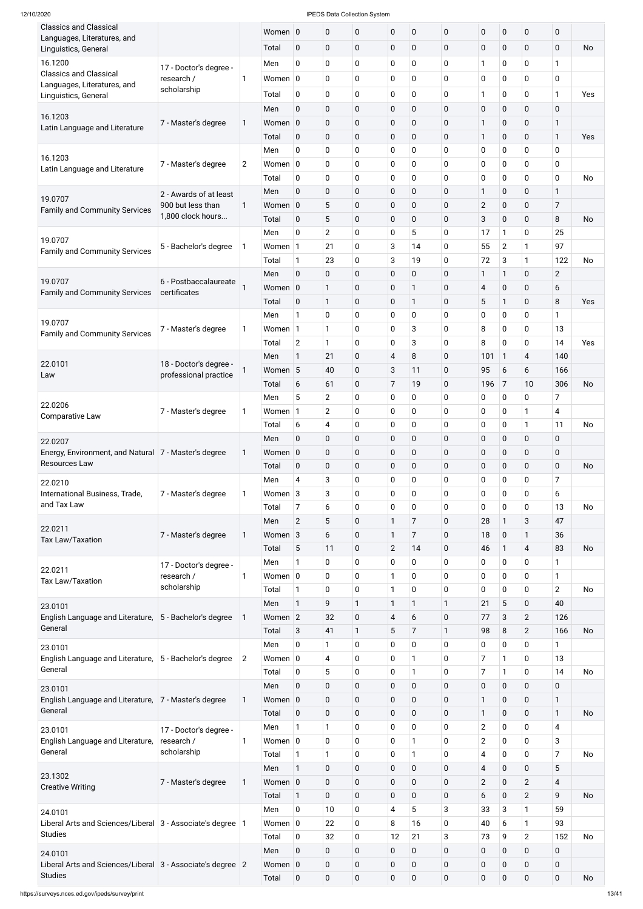| <b>Classics and Classical</b>                                         |                        |                | Women 0         |                | $\pmb{0}$      | 0                | $\mathbf 0$    | $\pmb{0}$        | $\mathbf 0$ | $\mathbf 0$    | $\pmb{0}$      | $\mathbf 0$             | 0                        |           |
|-----------------------------------------------------------------------|------------------------|----------------|-----------------|----------------|----------------|------------------|----------------|------------------|-------------|----------------|----------------|-------------------------|--------------------------|-----------|
| Languages, Literatures, and                                           |                        |                |                 |                |                |                  |                |                  |             |                |                |                         |                          |           |
| Linguistics, General                                                  |                        |                | Total           | $\mathbf 0$    | $\pmb{0}$      | 0                | $\mathbf 0$    | $\boldsymbol{0}$ | $\mathbf 0$ | $\mathbf 0$    | 0              | $\pmb{0}$               | $\mathbf 0$              | No        |
| 16.1200                                                               | 17 - Doctor's degree - |                | Men             | 0              | $\mathbf 0$    | 0                | 0              | $\mathbf 0$      | 0           | 1              | 0              | $\mathbf 0$             | 1                        |           |
| <b>Classics and Classical</b>                                         | research /             | $\mathbf{1}$   | Women $ 0 $     |                | $\mathbf 0$    | 0                | $\mathbf 0$    | 0                | 0           | $\mathbf 0$    | 0              | $\mathbf 0$             | 0                        |           |
| Languages, Literatures, and                                           | scholarship            |                | Total           | $\mathbf 0$    | $\mathbf 0$    |                  | $\mathbf 0$    | 0                | 0           | 1              | 0              | $\pmb{0}$               | $\mathbf{1}$             | Yes       |
| Linguistics, General                                                  |                        |                |                 |                |                | 0                |                |                  |             |                |                |                         |                          |           |
| 16.1203                                                               |                        |                | Men             | $\mathbf 0$    | $\pmb{0}$      | 0                | $\pmb{0}$      | $\mathbf 0$      | $\mathbf 0$ | $\mathbf 0$    | 0              | $\mathbf 0$             | $\mathbf 0$              |           |
| Latin Language and Literature                                         | 7 - Master's degree    | 1              | Women           | $\overline{0}$ | $\pmb{0}$      | 0                | $\pmb{0}$      | $\boldsymbol{0}$ | $\mathbf 0$ | 1              | 0              | $\pmb{0}$               | 1                        |           |
|                                                                       |                        |                | Total           | $\mathbf 0$    | $\pmb{0}$      | 0                | $\mathbf 0$    | $\boldsymbol{0}$ | $\mathbf 0$ | 1              | 0              | $\pmb{0}$               | $\mathbf{1}$             | Yes       |
|                                                                       |                        |                | Men             | 0              | $\mathbf 0$    | 0                | 0              | 0                | $\mathbf 0$ | $\pmb{0}$      | 0              | $\mathbf 0$             | 0                        |           |
| 16.1203                                                               | 7 - Master's degree    | $\overline{2}$ | Women $ 0$      |                | $\mathbf 0$    | 0                | $\mathbf 0$    | 0                | $\mathbf 0$ | $\mathbf 0$    | 0              | $\mathbf 0$             | 0                        |           |
| Latin Language and Literature                                         |                        |                | Total           | 0              | $\pmb{0}$      | 0                | 0              | 0                | $\mathbf 0$ | $\pmb{0}$      | 0              | $\pmb{0}$               | 0                        | <b>No</b> |
|                                                                       | 2 - Awards of at least |                | Men             | $\mathbf 0$    | $\pmb{0}$      | $\mathbf 0$      | $\pmb{0}$      | $\boldsymbol{0}$ | $\mathbf 0$ | 1              | 0              | $\pmb{0}$               | $\mathbf{1}$             |           |
| 19.0707                                                               | 900 but less than      | 1              | Women           | $\overline{0}$ | 5              | 0                | $\pmb{0}$      | $\boldsymbol{0}$ | $\mathbf 0$ | $\mathbf{2}$   | 0              | $\pmb{0}$               | 7                        |           |
| <b>Family and Community Services</b>                                  | 1,800 clock hours      |                | Total           | $\mathbf 0$    | 5              | 0                | $\pmb{0}$      | $\mathbf 0$      | $\mathbf 0$ | 3              | 0              | $\pmb{0}$               | 8                        | No        |
|                                                                       |                        |                | Men             | 0              | $\overline{2}$ | 0                | $\mathbf 0$    | 5                | $\mathbf 0$ | 17             | 1              | $\mathbf 0$             | 25                       |           |
| 19.0707                                                               |                        |                |                 |                |                |                  |                |                  |             |                |                |                         |                          |           |
| <b>Family and Community Services</b>                                  | 5 - Bachelor's degree  | 1              | Women 1         |                | 21             | 0                | 3              | 14               | $\mathbf 0$ | 55             | $\overline{2}$ | $\mathbf{1}$            | 97                       |           |
|                                                                       |                        |                | Total           | $\mathbf{1}$   | 23             | 0                | $\sqrt{3}$     | 19               | $\mathbf 0$ | 72             | 3              | 1                       | 122                      | <b>No</b> |
| 19.0707                                                               | 6 - Postbaccalaureate  |                | Men             | $\mathbf 0$    | $\pmb{0}$      | 0                | $\mathbf 0$    | $\pmb{0}$        | $\mathbf 0$ | 1              | $\mathbf{1}$   | $\mathbf 0$             | $\overline{2}$           |           |
| <b>Family and Community Services</b>                                  | certificates           |                | Women 0         |                | $\mathbf{1}$   | 0                | $\mathbf 0$    | 1                | $\mathbf 0$ | $\overline{4}$ | 0              | $\pmb{0}$               | 6                        |           |
|                                                                       |                        |                | Total           | $\mathbf 0$    | $\mathbf{1}$   | 0                | $\mathbf 0$    | 1                | $\mathbf 0$ | 5              | 1              | $\pmb{0}$               | 8                        | Yes       |
|                                                                       |                        |                | Men             | $\mathbf{1}$   | $\mathbf 0$    | 0                | $\mathbf 0$    | 0                | $\mathbf 0$ | $\mathbf 0$    | 0              | $\mathbf 0$             | $\mathbf{1}$             |           |
| 19.0707                                                               | 7 - Master's degree    | 1              | Women 1         |                | $\mathbf{1}$   | 0                | $\mathbf 0$    | 3                | $\mathbf 0$ | 8              | 0              | $\mathbf 0$             | 13                       |           |
| <b>Family and Community Services</b>                                  |                        |                | Total           | $\mathbf{2}$   | 1              | 0                | $\pmb{0}$      | 3                | $\mathbf 0$ | 8              | 0              | $\mathbf 0$             | 14                       | Yes       |
|                                                                       |                        |                | Men             | 1              | 21             | 0                | 4              | 8                | $\mathbf 0$ | 101            | $\mathbf{1}$   | $\overline{\mathbf{4}}$ | 140                      |           |
| 22.0101                                                               | 18 - Doctor's degree - | 1              | Women 5         |                | 40             | 0                | $\mathbf{3}$   | 11               | $\mathbf 0$ | 95             | 6              | 6                       | 166                      |           |
| Law                                                                   | professional practice  |                |                 |                |                |                  |                |                  |             |                |                |                         |                          |           |
|                                                                       |                        |                | Total           | 6              | 61             | 0                | $\overline{7}$ | 19               | $\mathbf 0$ | 196            | 7              | 10                      | 306                      | <b>No</b> |
| 22.0206                                                               |                        |                | Men             | 5              | $\overline{2}$ | 0                | $\mathbf 0$    | 0                | $\mathbf 0$ | $\pmb{0}$      | 0              | $\mathbf 0$             | 7                        |           |
| <b>Comparative Law</b>                                                | 7 - Master's degree    | 1              | Women           | $\vert$ 1      | $\overline{2}$ | 0                | 0              | 0                | $\mathbf 0$ | $\pmb{0}$      | 0              | 1                       | 4                        |           |
|                                                                       |                        |                | Total           | 6              | 4              | 0                | 0              | 0                | $\mathbf 0$ | $\pmb{0}$      | 0              | 1                       | 11                       | No        |
| 22.0207                                                               |                        |                | Men             | $\pmb{0}$      | $\pmb{0}$      | 0                | $\pmb{0}$      | $\boldsymbol{0}$ | $\mathbf 0$ | $\pmb{0}$      | 0              | $\mathbf 0$             | 0                        |           |
| Energy, Environment, and Natural 7 - Master's degree                  |                        | 1              | Women $ 0 $     |                | $\pmb{0}$      | 0                | $\mathbf 0$    | $\mathbf 0$      | $\mathbf 0$ | $\pmb{0}$      | 0              | $\pmb{0}$               | 0                        |           |
| Resources Law                                                         |                        |                | Total           | $\mathbf 0$    | $\pmb{0}$      | 0                | $\pmb{0}$      | $\pmb{0}$        | $\mathbf 0$ | $\pmb{0}$      | 0              | $\pmb{0}$               | $\mathbf 0$              | <b>No</b> |
|                                                                       |                        |                | Men             | $\overline{4}$ | 3              | 0                | 0              | 0                | $\mathbf 0$ | $\pmb{0}$      | 0              | 0                       | 7                        |           |
| 22.0210<br>International Business, Trade,                             | 7 - Master's degree    | 1              | Women $3$       |                | 3              | 0                | 0              | 0                | $\mathbf 0$ | $\pmb{0}$      | 0              | $\mathbf 0$             | 6                        |           |
| and Tax Law                                                           |                        |                | Total           | $\overline{7}$ | 6              | 0                | $\mathbf 0$    | 0                | $\mathbf 0$ | 0              | 0              | $\mathbf 0$             | 13                       | <b>No</b> |
|                                                                       |                        |                |                 |                |                |                  |                |                  |             |                |                |                         |                          |           |
| 22.0211                                                               |                        |                | Men             | $\overline{2}$ | 5              | 0                | 1              | 7                | $\mathbf 0$ | 28             | $\mathbf{1}$   | 3                       | 47                       |           |
| <b>Tax Law/Taxation</b>                                               | 7 - Master's degree    | 1              | Women 3         |                | 6              | 0                | $\mathbf{1}$   | 7                | $\mathbf 0$ | 18             | 0              | 1                       | 36                       |           |
|                                                                       |                        |                | Total           | 5              | 11             | 0                | $\overline{2}$ | 14               | $\mathbf 0$ | 46             | 1              | 4                       | 83                       | No        |
| 22.0211                                                               | 17 - Doctor's degree - |                | Men             | 1              | 0              | 0                | $\mathbf 0$    | 0                | 0           | 0              | 0              | $\mathbf 0$             | $\mathbf{1}$             |           |
| <b>Tax Law/Taxation</b>                                               | research /             | 1              | Women $ 0 $     |                | 0              | 0                | $\mathbf{1}$   | 0                | $\mathbf 0$ | $\pmb{0}$      | 0              | 0                       | $\mathbf{1}$             |           |
|                                                                       | scholarship            |                | Total           | $\mathbf{1}$   | $\pmb{0}$      | 0                | $\mathbf{1}$   | 0                | $\mathbf 0$ | 0              | 0              | 0                       | $\overline{2}$           | <b>No</b> |
| 23.0101                                                               |                        |                | Men             | $\mathbf{1}$   | 9              | $\mathbf{1}$     | $\mathbf{1}$   | 1                | 1           | 21             | 5              | $\pmb{0}$               | 40                       |           |
| English Language and Literature,                                      | 5 - Bachelor's degree  | 1              | Women 2         |                | 32             | 0                | $\overline{4}$ | 6                | $\pmb{0}$   | 77             | 3              | $\overline{2}$          | 126                      |           |
| General                                                               |                        |                | Total           | 3              | 41             | $\mathbf{1}$     | 5              | 7                | 1           | 98             | 8              | $\overline{c}$          | 166                      | No        |
| 23.0101                                                               |                        |                | Men             | 0              | 1              | 0                | $\mathbf 0$    | 0                | $\mathbf 0$ | 0              | 0              | $\mathbf 0$             | $\mathbf{1}$             |           |
| English Language and Literature,   5 - Bachelor's degree              |                        | $\overline{2}$ | Women $ 0 $     |                | 4              | 0                | $\mathbf 0$    | 1                | $\mathbf 0$ | 7              | 1              | $\mathbf 0$             | 13                       |           |
| General                                                               |                        |                | Total           | 0              | $\sqrt{5}$     | 0                | $\mathbf 0$    | 1                | $\mathbf 0$ | 7              | 1              | $\mathbf 0$             | 14                       | No        |
|                                                                       |                        |                |                 |                |                |                  |                |                  |             |                |                |                         | 0                        |           |
| 23.0101                                                               |                        |                | Men             | $\mathbf 0$    | $\pmb{0}$      | 0                | $\mathbf 0$    | $\mathbf 0$      | $\pmb{0}$   | $\pmb{0}$      | $\mathbf 0$    | $\pmb{0}$               |                          |           |
| English Language and Literature, 7 - Master's degree                  |                        | 1              | Women 0         |                | $\pmb{0}$      | 0                | $\pmb{0}$      | $\mathbf 0$      | $\mathbf 0$ | 1              | $\pmb{0}$      | $\pmb{0}$               | $\mathbf{1}$             |           |
| General                                                               |                        |                | Total           | $\mathbf 0$    | $\pmb{0}$      | 0                | $\mathbf 0$    | $\mathbf 0$      | $\mathbf 0$ | 1              | $\pmb{0}$      | $\pmb{0}$               | 1                        | No        |
| 23.0101                                                               | 17 - Doctor's degree - |                | Men             | $\mathbf{1}$   | $\mathbf{1}$   | 0                | $\mathbf 0$    | $\mathbf 0$      | 0           | $\overline{2}$ | $\pmb{0}$      | $\mathbf 0$             | 4                        |           |
| English Language and Literature,                                      | research /             | 1              | Women $ 0 $     |                | $\mathbf 0$    | 0                | $\mathbf 0$    | 1                | 0           | $\overline{2}$ | 0              | $\mathbf 0$             | 3                        |           |
| General                                                               | scholarship            |                | Total           | $\mathbf{1}$   | 1              | 0                | $\mathbf 0$    | 1                | 0           | 4              | 0              | $\mathbf 0$             | $\overline{7}$           | No        |
|                                                                       |                        |                | Men             | $\mathbf{1}$   | $\pmb{0}$      | 0                | $\mathbf 0$    | $\mathbf 0$      | $\mathbf 0$ | $\overline{4}$ | $\mathbf 0$    | $\pmb{0}$               | 5                        |           |
| 23.1302                                                               | 7 - Master's degree    | 1              | Women $\vert$ 0 |                | $\pmb{0}$      | 0                | $\mathbf 0$    | $\pmb{0}$        | $\mathbf 0$ | $\overline{2}$ | $\mathbf 0$    | $\overline{2}$          | $\overline{\mathcal{A}}$ |           |
| <b>Creative Writing</b>                                               |                        |                | Total           | $\mathbf{1}$   | $\pmb{0}$      | 0                | $\mathbf 0$    | $\mathbf 0$      | $\mathbf 0$ | 6              | $\mathbf 0$    | $\overline{2}$          | 9                        | No        |
|                                                                       |                        |                | Men             | $\mathbf 0$    | 10             | 0                | $\overline{4}$ | 5                | 3           | 33             | 3              | 1                       | 59                       |           |
| 24.0101<br>Liberal Arts and Sciences/Liberal 3 - Associate's degree 1 |                        |                | Women $ 0 $     |                | 22             | 0                | 8              | 16               | 0           | 40             | 6              | 1                       | 93                       |           |
| <b>Studies</b>                                                        |                        |                |                 |                |                |                  |                |                  |             |                |                |                         |                          |           |
|                                                                       |                        |                | Total           | 0              | 32             | 0                | 12             | 21               | 3           | 73             | 9              | $\overline{2}$          | 152                      | <b>No</b> |
| 24.0101                                                               |                        |                | Men             | $\mathbf 0$    | $\pmb{0}$      | 0                | $\mathbf 0$    | $\mathbf 0$      | $\mathbf 0$ | $\mathbf 0$    | $\mathbf 0$    | $\mathbf 0$             | $\mathbf 0$              |           |
| Liberal Arts and Sciences/Liberal 3 - Associate's degree 2            |                        |                | Women 0         |                | $\pmb{0}$      | 0                | $\mathbf 0$    | $\mathbf 0$      | $\mathbf 0$ | $\pmb{0}$      | $\mathbf 0$    | $\pmb{0}$               | $\pmb{0}$                |           |
| <b>Studies</b>                                                        |                        |                | Total           | $\overline{0}$ | $\pmb{0}$      | $\boldsymbol{0}$ | $\mathbf 0$    | $\pmb{0}$        | $\mathbf 0$ | $\pmb{0}$      | $\mathbf 0$    | $\pmb{0}$               | $\mathbf 0$              | No        |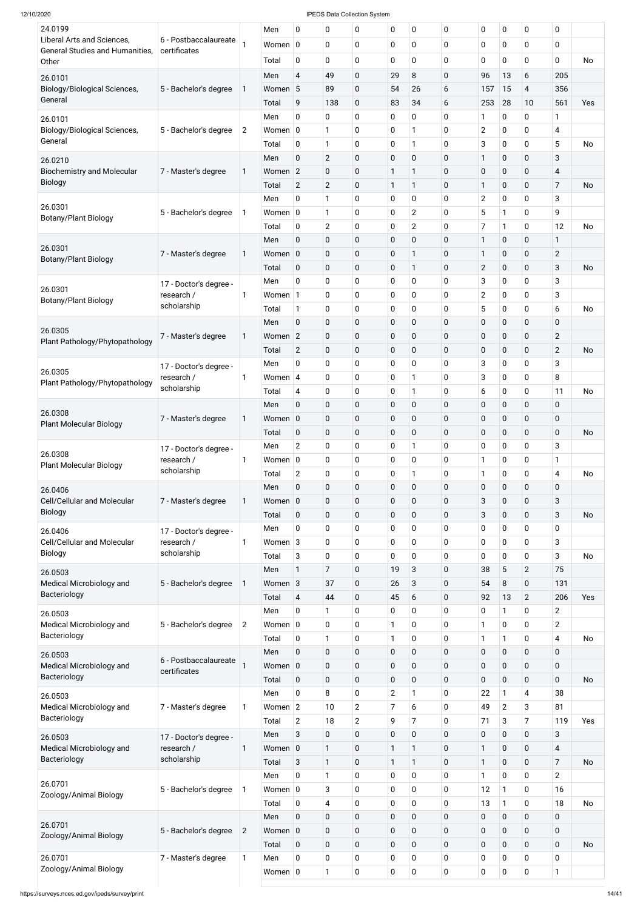| 24.0199                                                              |                                       |                | Men               | 0                        | 0                   | 0              | 0                | $\mathbf 0$                  | 0                | 0                | $\pmb{0}$   | 0                         | 0                                |           |
|----------------------------------------------------------------------|---------------------------------------|----------------|-------------------|--------------------------|---------------------|----------------|------------------|------------------------------|------------------|------------------|-------------|---------------------------|----------------------------------|-----------|
| Liberal Arts and Sciences,<br><b>General Studies and Humanities,</b> | 6 - Postbaccalaureate<br>certificates |                | Women 0           |                          | 0                   | 0              | $\mathbf 0$      | $\mathbf 0$                  | 0                | 0                | $\mathbf 0$ | $\mathbf 0$               | $\mathbf 0$                      |           |
| Other                                                                |                                       |                | Total             | $\mathbf 0$              | 0                   | 0              | $\mathbf 0$      | $\mathbf 0$                  | $\mathbf 0$      | 0                | 0           | $\mathbf 0$               | 0                                | No        |
| 26.0101                                                              |                                       |                | Men               | $\overline{4}$           | 49                  | 0              | 29               | 8                            | $\mathbf 0$      | 96               | 13          | 6                         | 205                              |           |
| Biology/Biological Sciences,                                         | 5 - Bachelor's degree                 |                | Women 5           |                          | 89                  | 0              | 54               | 26                           | 6                | 157              | 15          | $\overline{\mathcal{A}}$  | 356                              |           |
| General                                                              |                                       |                | Total             | 9                        | 138                 | 0              | 83               | 34                           | 6                | 253              | 28          | 10                        | 561                              | Yes       |
| 26.0101                                                              |                                       |                | Men               | 0                        | 0                   | 0              | 0                | $\mathbf 0$                  | 0                | 1                | 0           | $\mathbf 0$               | 1                                |           |
| Biology/Biological Sciences,<br>General                              | 5 - Bachelor's degree                 | $\overline{2}$ | Women $ 0$        |                          | $\mathbf 1$         | 0              | $\mathbf 0$      | 1                            | 0                | $\mathbf{2}$     | $\pmb{0}$   | $\mathbf 0$               | 4                                |           |
|                                                                      |                                       |                | Total<br>Men      | $\mathbf 0$<br>$\pmb{0}$ | 1<br>$\overline{2}$ | 0<br>0         | 0<br>$\pmb{0}$   | $\mathbf{1}$<br>$\mathbf 0$  | 0<br>$\mathbf 0$ | 3<br>1           | 0<br>0      | $\pmb{0}$<br>$\pmb{0}$    | 5<br>3                           | No        |
| 26.0210<br><b>Biochemistry and Molecular</b>                         | 7 - Master's degree                   | 1              | Women 2           |                          | 0                   | 0              | 1                | 1                            | $\mathbf 0$      | $\mathbf 0$      | 0           | $\mathbf 0$               | 4                                |           |
| <b>Biology</b>                                                       |                                       |                | Total             | $\mathbf{2}$             | $\overline{2}$      | 0              | 1                | $\mathbf{1}$                 | $\mathbf 0$      | 1                | 0           | $\mathbf 0$               | $\overline{7}$                   | <b>No</b> |
|                                                                      |                                       |                | Men               | 0                        | 1                   | 0              | 0                | $\mathbf 0$                  | 0                | $\overline{2}$   | 0           | $\pmb{0}$                 | 3                                |           |
| 26.0301<br>Botany/Plant Biology                                      | 5 - Bachelor's degree                 | 1              | Women $ 0$        |                          | 1                   | 0              | $\mathbf 0$      | $\overline{2}$               | $\mathbf 0$      | 5                | 1           | $\mathbf 0$               | 9                                |           |
|                                                                      |                                       |                | Total             | $\mathbf 0$              | $\overline{2}$      | 0              | $\mathbf 0$      | $\overline{2}$               | 0                | 7                | 1           | $\mathbf 0$               | 12                               | No        |
|                                                                      |                                       |                | Men               | $\pmb{0}$                | $\pmb{0}$           | 0              | $\pmb{0}$        | $\mathbf 0$                  | $\mathbf 0$      | 1                | 0           | $\pmb{0}$                 | 1                                |           |
| 26.0301<br><b>Botany/Plant Biology</b>                               | 7 - Master's degree                   | 1              | Women 0           |                          | 0                   | 0              | $\pmb{0}$        | $\mathbf{1}$                 | $\mathbf 0$      | $\mathbf 1$      | 0           | $\mathbf 0$               | $\mathbf{2}$                     |           |
|                                                                      |                                       |                | Total             | $\pmb{0}$                | $\pmb{0}$           | 0              | $\pmb{0}$        | $\mathbf{1}$                 | $\mathbf 0$      | $\mathbf{2}$     | 0           | $\pmb{0}$                 | $\mathbf{3}$                     | <b>No</b> |
| 26.0301                                                              | 17 - Doctor's degree -                |                | Men               | 0                        | 0                   | 0              | 0                | $\mathbf 0$                  | 0                | 3                | 0           | $\pmb{0}$                 | 3                                |           |
| <b>Botany/Plant Biology</b>                                          | research /                            | 1              | Women 1           |                          | 0                   | 0              | $\mathbf 0$      | $\mathbf 0$                  | $\overline{0}$   | $\mathbf{2}$     | 0           | $\mathbf 0$               | 3                                |           |
|                                                                      | scholarship                           |                | Total             | $\mathbf{1}$             | 0                   | 0              | 0                | $\mathbf 0$                  | 0                | 5                | 0           | $\pmb{0}$                 | 6                                | No        |
| 26.0305                                                              |                                       |                | Men               | $\pmb{0}$                | $\pmb{0}$           | 0              | $\pmb{0}$        | $\mathbf 0$                  | $\mathbf 0$      | 0                | 0           | $\pmb{0}$                 | 0                                |           |
| Plant Pathology/Phytopathology                                       | 7 - Master's degree                   | 1              | Women 2           |                          | 0                   | 0              | $\pmb{0}$        | $\mathbf 0$                  | $\mathbf 0$      | 0                | 0           | $\mathbf 0$               | $\mathbf{2}$                     |           |
|                                                                      |                                       |                | Total             | $\overline{2}$           | 0                   | 0              | $\pmb{0}$        | $\mathbf 0$                  | $\mathbf 0$      | 0                | 0           | $\pmb{0}$                 | $\overline{2}$                   | <b>No</b> |
| 26.0305                                                              | 17 - Doctor's degree -<br>research /  |                | Men<br>Women $ 4$ | U                        | 0<br>0              | 0<br>0         | U<br>$\mathbf 0$ | $\mathsf{U}$<br>$\mathbf{1}$ | U<br>0           | 3<br>3           | U<br>0      | U<br>$\pmb{0}$            | З<br>8                           |           |
| Plant Pathology/Phytopathology                                       | scholarship                           |                | Total             | $\overline{4}$           | 0                   | 0              | $\pmb{0}$        | $\mathbf{1}$                 | $\mathbf 0$      | 6                | $\pmb{0}$   | $\pmb{0}$                 | 11                               | No        |
|                                                                      |                                       |                | Men               | $\mathbf 0$              | $\pmb{0}$           | 0              | $\pmb{0}$        | $\mathbf 0$                  | $\mathbf 0$      | $\mathbf 0$      | 0           | $\mathbf 0$               | $\mathbf 0$                      |           |
| 26.0308                                                              | 7 - Master's degree                   | 1              | Women 0           |                          | 0                   | 0              | $\pmb{0}$        | $\mathbf 0$                  | $\mathbf 0$      | $\boldsymbol{0}$ | 0           | $\mathbf 0$               | $\mathbf 0$                      |           |
| <b>Plant Molecular Biology</b>                                       |                                       |                | Total             | 0                        | 0                   | 0              | $\pmb{0}$        | $\mathbf 0$                  | $\mathbf 0$      | $\mathbf 0$      | 0           | $\mathbf 0$               | $\mathbf 0$                      | <b>No</b> |
|                                                                      | 17 - Doctor's degree -                |                | Men               | $\mathbf{2}$             | 0                   | 0              | 0                | 1                            | $\mathbf 0$      | 0                | 0           | $\pmb{0}$                 | 3                                |           |
| 26.0308<br><b>Plant Molecular Biology</b>                            | research /                            |                | Women $ 0 $       |                          | 0                   | 0              | 0                | $\mathbf 0$                  | 0                | 1                | 0           | 0                         | 1                                |           |
|                                                                      | scholarship                           |                | Total             | $\mathbf{2}$             | 0                   | 0              | $\pmb{0}$        | $\mathbf{1}$                 | $\mathbf 0$      | $\mathbf{1}$     | $\pmb{0}$   | $\pmb{0}$                 | 4                                | <b>No</b> |
| 26.0406                                                              |                                       |                | Men               | $\mathbf 0$              | $\pmb{0}$           | 0              | $\pmb{0}$        | $\mathbf 0$                  | $\mathbf 0$      | $\mathbf 0$      | $\pmb{0}$   | $\mathbf 0$               | $\mathbf 0$                      |           |
| Cell/Cellular and Molecular                                          | 7 - Master's degree                   | 1              | Women 0           |                          | 0                   | 0              | $\pmb{0}$        | $\mathbf 0$                  | $\mathbf 0$      | 3                | 0           | $\pmb{0}$                 | 3                                |           |
| <b>Biology</b>                                                       |                                       |                | Total             | 0                        | 0                   | 0              | $\pmb{0}$        | $\mathbf 0$                  | $\mathbf 0$      | 3                | 0           | $\mathbf 0$               | $\sqrt{3}$                       | <b>No</b> |
| 26.0406                                                              | 17 - Doctor's degree -                |                | Men               | $\mathbf 0$              | 0                   | 0              | 0                | $\mathbf 0$                  | $\mathbf 0$      | 0                | 0           | $\pmb{0}$                 | $\mathbf 0$                      |           |
| Cell/Cellular and Molecular<br><b>Biology</b>                        | research /<br>scholarship             |                | Women $3$         |                          | 0                   | 0              | $\mathbf 0$      | $\mathbf 0$                  | 0                | $\mathbf 0$      | 0           | $\pmb{0}$                 | 3                                |           |
|                                                                      |                                       |                | Total             | 3                        | 0                   | 0              | $\pmb{0}$        | $\mathbf 0$                  | $\mathbf 0$      | 0                | 0           | 0                         | 3<br>75                          | No        |
| 26.0503<br>Medical Microbiology and                                  | 5 - Bachelor's degree                 |                | Men<br>Women 3    | 1                        | 7<br>37             | 0<br>0         | 19<br>26         | 3<br>3                       | 0<br>$\mathbf 0$ | 38<br>54         | 5<br>8      | $\mathbf{2}$<br>$\pmb{0}$ | 131                              |           |
| Bacteriology                                                         |                                       |                | Total             | 4                        | 44                  | 0              | 45               | 6                            | 0                | 92               | 13          | $\overline{2}$            | 206                              | Yes       |
| 26.0503                                                              |                                       |                | Men               | 0                        | 1                   | 0              | $\pmb{0}$        | $\mathbf 0$                  | 0                | 0                | 1           | 0                         | $\overline{2}$                   |           |
| Medical Microbiology and                                             | 5 - Bachelor's degree                 | $\overline{2}$ | Women $ 0 $       |                          | 0                   | 0              |                  | $\mathbf 0$                  | 0                | 1                | 0           | $\mathbf 0$               | $\overline{2}$                   |           |
| Bacteriology                                                         |                                       |                | Total             | $\mathbf 0$              | 1                   | 0              | 1                | $\mathbf 0$                  | 0                | 1                | 1           | 0                         | 4                                | No        |
| 26.0503                                                              |                                       |                | Men               | $\mathbf 0$              | 0                   | 0              | $\pmb{0}$        | $\mathbf 0$                  | $\mathbf 0$      | $\mathbf 0$      | $\pmb{0}$   | $\pmb{0}$                 | $\mathbf 0$                      |           |
| Medical Microbiology and                                             | 6 - Postbaccalaureate<br>certificates |                | Women 0           |                          | 0                   | 0              | $\pmb{0}$        | $\pmb{0}$                    | $\mathbf 0$      | $\boldsymbol{0}$ | 0           | $\mathbf 0$               | $\pmb{0}$                        |           |
| Bacteriology                                                         |                                       |                | Total             | $\mathbf 0$              | 0                   | 0              | $\pmb{0}$        | $\mathbf 0$                  | 0                | 0                | 0           | $\mathbf 0$               | $\mathbf 0$                      | No        |
| 26.0503                                                              |                                       |                | Men               | 0                        | 8                   | 0              | $\overline{2}$   |                              | 0                | 22               | 1           | 4                         | 38                               |           |
| Medical Microbiology and                                             | 7 - Master's degree                   |                | Women $ 2$        |                          | 10                  | 2              |                  | 6                            | 0                | 49               | 2           | 3                         | 81                               |           |
| Bacteriology                                                         |                                       |                | Total             | $\overline{2}$           | 18                  | $\overline{2}$ | 9                | $\overline{7}$               | 0                | 71               | 3           | $\overline{7}$            | 119                              | Yes       |
| 26.0503                                                              | 17 - Doctor's degree -                |                | Men               | $\mathbf{3}$             | $\pmb{0}$           | 0              | $\pmb{0}$        | $\mathbf 0$                  | $\mathbf 0$      | $\pmb{0}$        | $\pmb{0}$   | $\pmb{0}$                 | 3                                |           |
| Medical Microbiology and<br>Bacteriology                             | research /<br>scholarship             | 1              | Women 0           |                          | $\mathbf{1}$        | 0              | 1                | $\mathbf{1}$                 | 0                | 1                | 0           | $\pmb{0}$                 | $\overline{\mathbf{4}}$          |           |
|                                                                      |                                       |                | Total<br>Men      | $\sqrt{3}$<br>$\pmb{0}$  | $\mathbf{1}$<br>1   | 0<br>0         | 1<br>0           | $\mathbf{1}$<br>$\mathbf 0$  | 0<br>0           | 1<br>1           | 0<br>0      | $\pmb{0}$<br>$\mathbf 0$  | $\overline{7}$<br>$\overline{2}$ | <b>No</b> |
| 26.0701                                                              | 5 - Bachelor's degree                 |                | Women $ 0 $       |                          | 3                   | 0              | $\pmb{0}$        | $\pmb{0}$                    | 0                | 12               | 1           | $\mathbf 0$               | 16                               |           |
| Zoology/Animal Biology                                               |                                       |                | Total             | $\mathbf 0$              | 4                   | 0              | $\pmb{0}$        | $\mathbf 0$                  | 0                | 13               | 1           | $\mathbf 0$               | 18                               | No        |
|                                                                      |                                       |                | Men               | $\pmb{0}$                | 0                   | 0              | $\pmb{0}$        | $\mathbf 0$                  | $\mathbf 0$      | $\pmb{0}$        | $\pmb{0}$   | $\pmb{0}$                 | $\pmb{0}$                        |           |
| 26.0701                                                              | 5 - Bachelor's degree                 | $\overline{2}$ | Women 0           |                          | 0                   | 0              | $\pmb{0}$        | $\mathbf 0$                  | 0                | $\pmb{0}$        | $\mathbf 0$ | $\mathbf 0$               | $\pmb{0}$                        |           |
| Zoology/Animal Biology                                               |                                       |                | Total             | $\pmb{0}$                | $\pmb{0}$           | 0              | $\pmb{0}$        | $\mathbf 0$                  | $\pmb{0}$        | $\boldsymbol{0}$ | $\mathbf 0$ | $\pmb{0}$                 | $\pmb{0}$                        | <b>No</b> |
| 26.0701                                                              | 7 - Master's degree                   | 1              | Men               | $\mathbf 0$              | 0                   | 0              | 0                | $\mathbf 0$                  | 0                | $\mathbf 0$      | 0           | $\mathbf 0$               | $\pmb{0}$                        |           |
| Zoology/Animal Biology                                               |                                       |                | Women $ 0$        |                          | 1                   | $\bf{0}$       | $\pmb{0}$        | $\pmb{0}$                    | 0                | $\boldsymbol{0}$ | 0           | $\mathbf 0$               | 1                                |           |
|                                                                      |                                       |                |                   |                          |                     |                |                  |                              |                  |                  |             |                           |                                  |           |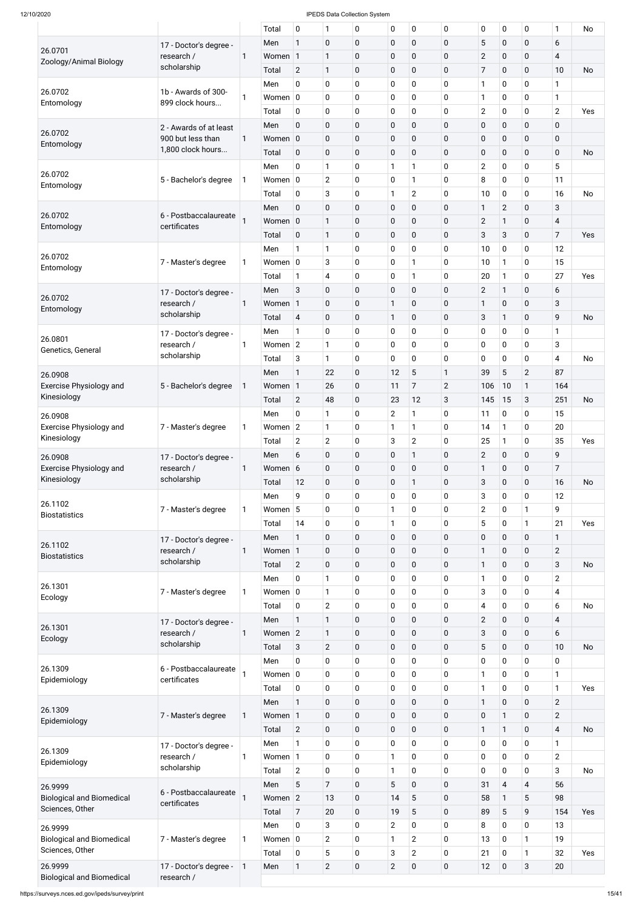|                                                     |                        |              | Total       | 0              | $\mathbf{1}$   | 0           | 0              | 0              | $\mathbf 0$    | $\pmb{0}$      | $\pmb{0}$       | 0              | 1                       | No        |
|-----------------------------------------------------|------------------------|--------------|-------------|----------------|----------------|-------------|----------------|----------------|----------------|----------------|-----------------|----------------|-------------------------|-----------|
|                                                     | 17 - Doctor's degree - |              | Men         | 1              | $\pmb{0}$      | $\pmb{0}$   | $\mathbf 0$    | $\mathbf 0$    | 0              | 5              | $\mathbf 0$     | $\pmb{0}$      | 6                       |           |
| 26.0701                                             | research /             | 1            | Women 1     |                | $\mathbf{1}$   | $\pmb{0}$   | 0              | 0              | $\mathbf 0$    | $\mathbf{2}$   | $\mathbf 0$     | 0              | $\overline{\mathbf{4}}$ |           |
| Zoology/Animal Biology                              | scholarship            |              | Total       | $\overline{2}$ | $\mathbf{1}$   | $\pmb{0}$   | 0              | 0              | 0              | $\overline{7}$ | $\mathbf 0$     | $\mathbf 0$    | 10                      | <b>No</b> |
|                                                     |                        |              | Men         | 0              | $\mathbf 0$    | 0           | 0              | 0              | 0              | $\mathbf{1}$   | $\mathbf 0$     | 0              | $\mathbf{1}$            |           |
| 26.0702                                             | 1b - Awards of 300-    | 1            | Women $ 0 $ |                | $\mathbf 0$    | 0           | 0              | 0              | 0              | $\mathbf{1}$   | $\mathbf 0$     | 0              | 1                       |           |
| Entomology                                          | 899 clock hours        |              |             |                |                |             |                |                |                |                |                 |                |                         |           |
|                                                     |                        |              | Total       | 0              | $\mathbf 0$    | 0           | 0              | 0              | 0              | $\overline{2}$ | $\mathbf 0$     | 0              | $\overline{2}$          | Yes       |
| 26.0702                                             | 2 - Awards of at least |              | Men         | $\mathbf 0$    | $\pmb{0}$      | $\pmb{0}$   | $\pmb{0}$      | $\mathbf 0$    | 0              | $\pmb{0}$      | $\mathbf 0$     | 0              | $\mathbf 0$             |           |
| Entomology                                          | 900 but less than      | $\mathbf{1}$ | Women 0     |                | $\pmb{0}$      | $\pmb{0}$   | $\pmb{0}$      | $\mathbf 0$    | $\mathbf 0$    | $\pmb{0}$      | $\mathbf 0$     | 0              | $\mathbf 0$             |           |
|                                                     | 1,800 clock hours      |              | Total       | $\mathbf 0$    | $\mathbf 0$    | $\pmb{0}$   | 0              | $\mathbf 0$    | 0              | $\pmb{0}$      | $\mathbf 0$     | 0              | $\mathbf 0$             | No        |
|                                                     |                        |              | Men         | 0              | $\mathbf{1}$   | 0           | 1              | 1              | 0              | $\overline{2}$ | $\mathbf 0$     | 0              | 5                       |           |
| 26.0702<br>Entomology                               | 5 - Bachelor's degree  | 1            | Women $ 0 $ |                | $\overline{2}$ | 0           | $\pmb{0}$      | 1              | 0              | 8              | $\mathbf 0$     | 0              | 11                      |           |
|                                                     |                        |              | Total       | 0              | 3              | $\pmb{0}$   | $\mathbf{1}$   | $\overline{2}$ | 0              | 10             | $\pmb{0}$       | 0              | 16                      | <b>No</b> |
|                                                     |                        |              | Men         | $\mathbf 0$    | $\pmb{0}$      | $\pmb{0}$   | $\pmb{0}$      | $\mathbf 0$    | $\mathbf 0$    | $\mathbf{1}$   | $\overline{2}$  | 0              | 3                       |           |
| 26.0702                                             | 6 - Postbaccalaureate  |              | Women $ 0 $ |                | $\mathbf{1}$   | $\pmb{0}$   | 0              | $\pmb{0}$      | $\mathbf 0$    | $\overline{2}$ | $\mathbf{1}$    | 0              | $\overline{\mathbf{4}}$ |           |
| Entomology                                          | certificates           |              | Total       | $\pmb{0}$      | $\mathbf{1}$   | $\pmb{0}$   | 0              | 0              | 0              | 3              | $\mathbf{3}$    | 0              | $\overline{7}$          | Yes       |
|                                                     |                        |              | Men         | 1              | $\mathbf{1}$   | 0           | $\pmb{0}$      | 0              | 0              | 10             | $\pmb{0}$       | 0              | 12                      |           |
| 26.0702                                             |                        |              |             |                |                |             |                | 1              |                |                |                 |                | 15                      |           |
| Entomology                                          | 7 - Master's degree    | $\mathbf{1}$ | Women $ 0 $ |                | 3              | 0           | $\pmb{0}$      |                | $\mathbf 0$    | 10             | $\mathbf{1}$    | 0              |                         |           |
|                                                     |                        |              | Total       | 1              | $\overline{4}$ | $\pmb{0}$   | 0              | 1              | $\mathbf 0$    | 20             | $\mathbf{1}$    | 0              | 27                      | Yes       |
| 26.0702                                             | 17 - Doctor's degree - |              | Men         | 3              | $\pmb{0}$      | $\pmb{0}$   | 0              | $\mathbf 0$    | $\mathbf 0$    | $\overline{2}$ | $\mathbf{1}$    | 0              | 6                       |           |
| Entomology                                          | research /             | 1            | Women 1     |                | $\pmb{0}$      | $\pmb{0}$   | $\mathbf{1}$   | $\mathbf 0$    | $\mathbf 0$    | 1              | $\mathbf 0$     | 0              | 3                       |           |
|                                                     | scholarship            |              | Total       | $\overline{4}$ | $\mathbf 0$    | $\pmb{0}$   | $\mathbf{1}$   | 0              | 0              | 3              | $\mathbf{1}$    | 0              | 9                       | No        |
|                                                     | 17 - Doctor's degree - |              | Men         | 1              | $\mathbf 0$    | 0           | $\pmb{0}$      | 0              | 0              | $\pmb{0}$      | $\mathbf 0$     | 0              | $\mathbf{1}$            |           |
| 26.0801                                             | research /             | 1            | Women $ 2 $ |                | $\mathbf{1}$   | 0           | $\mathbf 0$    | 0              | 0              | $\pmb{0}$      | $\mathbf 0$     | 0              | 3                       |           |
| Genetics, General                                   | scholarship            |              | Total       | 3              | $\mathbf{1}$   | $\mathbf 0$ | 0              | 0              | 0              | $\mathbf 0$    | $\mathbf 0$     | 0              | 4                       | No        |
|                                                     |                        |              | Men         | 1              | 22             | $\pmb{0}$   | 12             | $\overline{5}$ | 1              | 39             | $\overline{5}$  | $\overline{2}$ | 87                      |           |
| 26.0908<br><b>Exercise Physiology and</b>           |                        |              | Women 1     |                | 26             | $\pmb{0}$   | 11             | 7              | $\overline{2}$ | 106            | 10              | $\mathbf{1}$   | 164                     |           |
| Kinesiology                                         | 5 - Bachelor's degree  | 1            |             |                |                |             |                |                |                |                |                 |                |                         |           |
|                                                     |                        |              | Total       | $\overline{2}$ | 48             | $\pmb{0}$   | 23             | 12             | 3              | 145            | 15              | 3              | 251                     | <b>No</b> |
| 26.0908                                             |                        |              | Men         | 0              | $\mathbf{1}$   | 0           | $\overline{2}$ | 1              | 0              | 11             | $\mathbf 0$     | 0              | 15                      |           |
| <b>Exercise Physiology and</b>                      | 7 - Master's degree    | 1            | Women $ 2 $ |                | $\mathbf{1}$   | 0           | 1              | 1              | 0              | 14             | $\mathbf{1}$    | 0              | 20                      |           |
| Kinesiology                                         |                        |              | Total       | $\overline{2}$ | $\overline{2}$ | 0           | 3              | $\overline{2}$ | 0              | 25             | $\mathbf{1}$    | 0              | 35                      | Yes       |
| 26.0908                                             | 17 - Doctor's degree - |              | Men         | 6              | $\pmb{0}$      | $\pmb{0}$   | $\pmb{0}$      | 1              | 0              | $\overline{2}$ | $\mathbf 0$     | 0              | 9                       |           |
| <b>Exercise Physiology and</b>                      | research /             | 1            | Women 6     |                | $\pmb{0}$      | $\pmb{0}$   | 0              | 0              | 0              | 1              | $\mathbf 0$     | 0              | $\overline{7}$          |           |
| Kinesiology                                         | scholarship            |              | Total       | 12             | $\mathbf 0$    | $\pmb{0}$   | 0              | 1              | 0              | 3              | $\mathbf 0$     | 0              | 16                      | <b>No</b> |
|                                                     |                        |              | Men         | 9              | $\mathbf 0$    | 0           | 0              | 0              | 0              | 3              | $\mathbf 0$     | 0              | 12                      |           |
| 26.1102                                             | 7 - Master's degree    | 1            | Women       | 5              | $\mathbf 0$    | 0           | $\mathbf{1}$   | 0              | 0              | $\overline{2}$ | $\mathbf 0$     | $\mathbf{1}$   | 9                       |           |
| <b>Biostatistics</b>                                |                        |              |             | 14             | $\mathbf 0$    |             | $\mathbf{1}$   | 0              | 0              | 5              | $\mathbf 0$     | $\mathbf{1}$   | 21                      | Yes       |
|                                                     |                        |              | Total       |                |                | 0           |                |                |                |                |                 |                |                         |           |
| 26.1102                                             | 17 - Doctor's degree - |              | Men         | $\mathbf{1}$   | $\pmb{0}$      | $\pmb{0}$   | $\pmb{0}$      | $\mathbf 0$    | 0              | $\pmb{0}$      | $\mathbf 0$     | 0              | $\mathbf{1}$            |           |
| <b>Biostatistics</b>                                | research /             | 1            | Women 1     |                | $\pmb{0}$      | $\pmb{0}$   | $\pmb{0}$      | 0              | 0              | $\mathbf{1}$   | $\mathbf 0$     | $\mathbf 0$    | $\overline{2}$          |           |
|                                                     | scholarship            |              | Total       | $\overline{2}$ | $\pmb{0}$      | $\pmb{0}$   | $\pmb{0}$      | 0              | 0              | $\mathbf{1}$   | $\mathbf 0$     | $\mathbf 0$    | 3                       | <b>No</b> |
| 26.1301                                             |                        |              | Men         | 0              | $\mathbf{1}$   | $\pmb{0}$   | $\mathbf 0$    | 0              | 0              | $\mathbf{1}$   | $\mathbf 0$     | 0              | $\overline{2}$          |           |
| Ecology                                             | 7 - Master's degree    | $\mathbf 1$  | Women $ 0 $ |                | $\mathbf{1}$   | $\pmb{0}$   | 0              | 0              | 0              | 3              | $\mathbf 0$     | 0              | 4                       |           |
|                                                     |                        |              | Total       | 0              | $\mathbf{2}$   | $\pmb{0}$   | $\pmb{0}$      | 0              | $\mathbf 0$    | $\overline{4}$ | $\mathbf 0$     | $\mathbf 0$    | 6                       | <b>No</b> |
|                                                     | 17 - Doctor's degree - |              | Men         | $\mathbf{1}$   | $\mathbf{1}$   | $\pmb{0}$   | $\pmb{0}$      | $\mathbf 0$    | 0              | $\overline{2}$ | $\mathbf 0$     | $\mathbf 0$    | $\overline{4}$          |           |
| 26.1301                                             | research /             | 1            | Women 2     |                | $\mathbf{1}$   | $\pmb{0}$   | $\pmb{0}$      | 0              | 0              | 3              | $\mathbf 0$     | 0              | 6                       |           |
| Ecology                                             | scholarship            |              | Total       | 3              | $\overline{2}$ | $\pmb{0}$   | $\pmb{0}$      | $\mathbf 0$    | 0              | 5              | $\mathbf 0$     | $\mathbf 0$    | 10                      | <b>No</b> |
|                                                     |                        |              | Men         | 0              | $\mathbf 0$    | $\pmb{0}$   | $\pmb{0}$      | 0              | 0              | $\pmb{0}$      | $\mathbf 0$     | 0              | 0                       |           |
| 26.1309                                             | 6 - Postbaccalaureate  |              | Women $ 0 $ |                | $\mathbf 0$    | $\pmb{0}$   | $\mathbf 0$    | 0              | 0              | $\mathbf{1}$   | $\mathbf 0$     | 0              | 1                       |           |
| Epidemiology                                        | certificates           |              |             | 0              |                |             | $\mathbf 0$    | 0              | 0              |                |                 | $\mathbf 0$    | $\mathbf{1}$            | Yes       |
|                                                     |                        |              | Total       |                | $\mathbf 0$    | 0           |                |                |                | $\mathbf{1}$   | $\mathbf 0$     |                |                         |           |
| 26.1309                                             |                        |              | Men         | 1              | $\mathbf 0$    | $\mathbf 0$ | $\mathbf 0$    | $\overline{0}$ | 0              | 1              | $\mathbf 0$     | $\overline{0}$ | $\overline{2}$          |           |
| Epidemiology                                        | 7 - Master's degree    | $\mathbf{1}$ | Women 1     |                | $\bf{0}$       | $\pmb{0}$   | $\pmb{0}$      | $\mathbf 0$    | $\mathbf 0$    | $\pmb{0}$      | $\mathbf{1}$    | $\pmb{0}$      | $\overline{2}$          |           |
|                                                     |                        |              | Total       | $\overline{2}$ | $\mathbf 0$    | $\pmb{0}$   | $\pmb{0}$      | $\mathbf 0$    | 0              | $\mathbf{1}$   | $\mathbf{1}$    | $\mathbf 0$    | $\overline{4}$          | No        |
|                                                     | 17 - Doctor's degree - |              | Men         | 1              | $\mathbf 0$    | $\pmb{0}$   | $\pmb{0}$      | 0              | $\mathbf 0$    | 0              | $\mathbf 0$     | $\mathbf 0$    | $\mathbf{1}$            |           |
| 26.1309<br>Epidemiology                             | research /             | 1            | Women 1     |                | $\mathbf 0$    | $\pmb{0}$   | $\mathbf{1}$   | 0              | $\mathbf 0$    | $\mathbf 0$    | $\mathbf 0$     | $\mathbf 0$    | $\overline{2}$          |           |
|                                                     | scholarship            |              | Total       | $\overline{2}$ | $\mathbf 0$    | $\pmb{0}$   | $\mathbf{1}$   | 0              | $\mathbf 0$    | $\pmb{0}$      | $\mathbf 0$     | 0              | 3                       | No        |
| 26.9999                                             |                        |              | Men         | 5              | $\overline{7}$ | $\pmb{0}$   | 5              | $\mathbf 0$    | $\pmb{0}$      | 31             | $\overline{4}$  | $\overline{4}$ | 56                      |           |
| <b>Biological and Biomedical</b>                    | 6 - Postbaccalaureate  |              | Women 2     |                | 13             | $\pmb{0}$   | 14             | 5              | $\mathbf 0$    | 58             | 1               | 5              | 98                      |           |
| Sciences, Other                                     | certificates           |              | Total       | $\overline{7}$ | 20             | $\pmb{0}$   | 19             | 5              | $\mathbf 0$    | 89             | $5\phantom{.0}$ | 9              | 154                     | Yes       |
|                                                     |                        |              | Men         | $\mathbf 0$    | 3              | $\pmb{0}$   | $\overline{2}$ | 0              | $\mathbf 0$    | 8              | $\mathbf 0$     | 0              | 13                      |           |
| 26.9999                                             |                        |              |             |                |                |             |                |                |                |                |                 |                |                         |           |
| <b>Biological and Biomedical</b><br>Sciences, Other | 7 - Master's degree    | 1            | Women $ 0 $ |                | $\overline{2}$ | $\pmb{0}$   | $\mathbf{1}$   | $\overline{2}$ | $\mathbf 0$    | 13             | $\mathbf 0$     | $\mathbf{1}$   | 19                      |           |
|                                                     |                        |              | Total       | $\mathbf 0$    | 5              | $\pmb{0}$   | 3              | $\overline{2}$ | $\mathbf 0$    | 21             | $\mathbf 0$     | $\mathbf{1}$   | 32                      | Yes       |
| 26.9999                                             | 17 - Doctor's degree - | $\mathbf{1}$ | Men         | $\mathbf{1}$   | $\overline{2}$ | $\pmb{0}$   | $\overline{2}$ | $\mathbf 0$    | $\pmb{0}$      | 12             | $\mathbf 0$     | 3              | 20                      |           |
| <b>Biological and Biomedical</b>                    | research /             |              |             |                |                |             |                |                |                |                |                 |                |                         |           |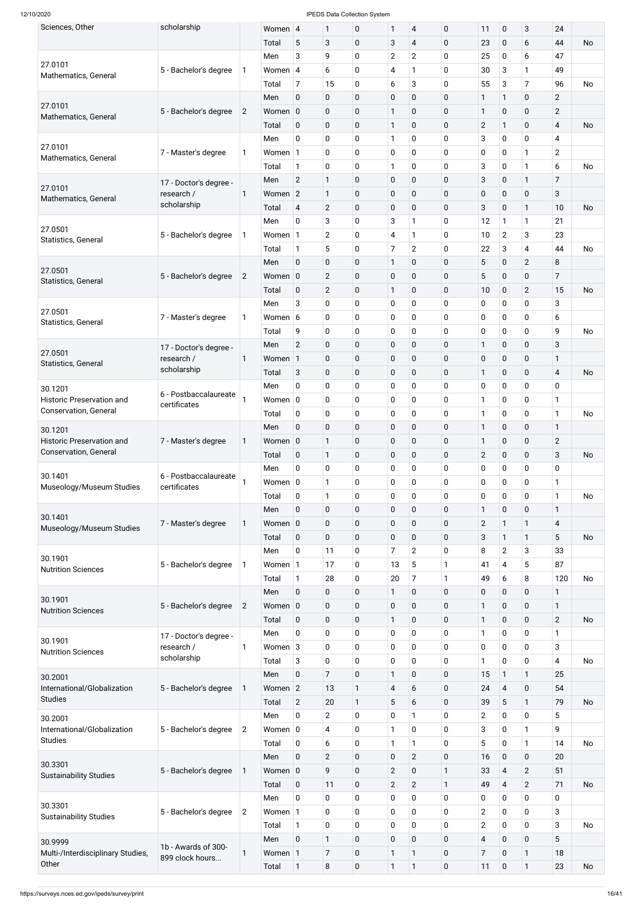| Sciences, Other                                           | scholarship               |                | Women 4     |                | 1              | 0                | $\mathbf{1}$   | $\overline{4}$          | $\pmb{0}$    | 11                      | $\pmb{0}$      | $\sqrt{3}$     | 24             |           |
|-----------------------------------------------------------|---------------------------|----------------|-------------|----------------|----------------|------------------|----------------|-------------------------|--------------|-------------------------|----------------|----------------|----------------|-----------|
|                                                           |                           |                | Total       | $\sqrt{5}$     | 3              | $\pmb{0}$        | $\mathbf{3}$   | $\overline{\mathbf{4}}$ | $\mathbf 0$  | 23                      | $\pmb{0}$      | 6              | 44             | No        |
|                                                           |                           |                | Men         | 3              | 9              | 0                | $\overline{2}$ | $\overline{2}$          | $\mathbf 0$  | 25                      | 0              | 6              | 47             |           |
| 27.0101<br>Mathematics, General                           | 5 - Bachelor's degree     | 1              | Women 4     |                | 6              | 0                | 4              | 1                       | $\mathbf 0$  | 30                      | 3              | 1              | 49             |           |
|                                                           |                           |                | Total       | $\overline{7}$ | 15             | 0                | 6              | 3                       | $\mathbf 0$  | 55                      | 3              | $\overline{7}$ | 96             | <b>No</b> |
|                                                           |                           |                | Men         | $\mathbf 0$    | 0              | $\pmb{0}$        | $\pmb{0}$      | $\mathbf 0$             | $\mathbf 0$  | 1                       | $\mathbf{1}$   | $\pmb{0}$      | $\overline{2}$ |           |
| 27.0101<br>Mathematics, General                           | 5 - Bachelor's degree     | $\overline{2}$ | Women 0     |                | 0              | $\pmb{0}$        | $\mathbf{1}$   | $\mathbf 0$             | $\pmb{0}$    | $\mathbf{1}$            | $\pmb{0}$      | $\pmb{0}$      | $\overline{2}$ |           |
|                                                           |                           |                | Total       | $\mathbf 0$    | 0              | 0                | $\mathbf{1}$   | $\mathbf 0$             | $\mathbf 0$  | $\overline{2}$          | $\mathbf{1}$   | $\pmb{0}$      | $\overline{4}$ | No        |
|                                                           |                           |                | Men         | $\mathbf 0$    | 0              | 0                | $\mathbf{1}$   | $\mathbf 0$             | $\mathbf 0$  | 3                       | 0              | $\pmb{0}$      | 4              |           |
| 27.0101                                                   | 7 - Master's degree       | 1              | Women 1     |                | 0              | 0                | $\pmb{0}$      | $\mathbf 0$             | $\mathbf 0$  | 0                       | $\mathbf 0$    | 1              | $\overline{2}$ |           |
| Mathematics, General                                      |                           |                | Total       | $\mathbf{1}$   | 0              | 0                | $\mathbf{1}$   | $\mathbf 0$             | $\mathbf 0$  | 3                       | 0              | $\mathbf{1}$   | 6              | No        |
|                                                           | 17 - Doctor's degree -    |                | Men         | $\overline{2}$ | $\mathbf{1}$   | 0                | $\pmb{0}$      | $\mathbf 0$             | $\mathbf 0$  | 3                       | $\pmb{0}$      | $\mathbf{1}$   | $\overline{7}$ |           |
| 27.0101                                                   | research /                | $\mathbf 1$    | Women 2     |                | $\mathbf{1}$   | $\pmb{0}$        | $\pmb{0}$      | $\pmb{0}$               | $\pmb{0}$    | $\pmb{0}$               | $\pmb{0}$      | $\pmb{0}$      | 3              |           |
| Mathematics, General                                      | scholarship               |                | Total       | $\overline{4}$ | $\overline{2}$ | $\pmb{0}$        | $\pmb{0}$      | $\mathbf 0$             | $\mathbf 0$  | 3                       | $\mathbf 0$    | $\mathbf{1}$   | 10             | No        |
|                                                           |                           |                | Men         | $\mathbf 0$    | 3              | 0                | $\mathbf{3}$   | $\mathbf{1}$            | $\mathbf 0$  | 12                      | 1              | $\mathbf{1}$   | 21             |           |
| 27.0501                                                   | 5 - Bachelor's degree     | 1              | Women 1     |                | $\overline{2}$ | 0                | $\overline{4}$ | 1                       | $\mathbf 0$  | 10                      | $\overline{c}$ | 3              | 23             |           |
| Statistics, General                                       |                           |                | Total       | $\mathbf{1}$   | 5              | 0                | $\overline{7}$ | $\overline{2}$          | $\mathbf 0$  | 22                      | 3              | 4              | 44             | No        |
|                                                           |                           |                | Men         | $\mathbf 0$    | 0              | 0                | $\mathbf{1}$   | $\mathbf 0$             | $\mathbf 0$  | 5                       | $\pmb{0}$      | $\mathbf{2}$   | 8              |           |
| 27.0501                                                   | 5 - Bachelor's degree     | $\overline{2}$ | Women 0     |                | $\mathbf{2}$   | $\pmb{0}$        | $\pmb{0}$      | $\pmb{0}$               | $\pmb{0}$    | 5                       | $\pmb{0}$      | $\pmb{0}$      | $\overline{7}$ |           |
| Statistics, General                                       |                           |                | Total       | $\mathbf 0$    | $\overline{2}$ | 0                | $\mathbf{1}$   | $\mathbf 0$             | $\mathbf 0$  | 10                      | $\pmb{0}$      | $\mathbf{2}$   | 15             | No        |
|                                                           |                           |                | Men         | $\sqrt{3}$     | 0              | 0                | $\pmb{0}$      | $\mathbf 0$             | $\mathbf 0$  | 0                       | 0              | $\pmb{0}$      | 3              |           |
| 27.0501                                                   | 7 - Master's degree       | 1              | Women 6     |                | 0              | 0                | $\mathbf 0$    | $\mathbf 0$             | $\mathbf 0$  | 0                       | 0              | 0              | 6              |           |
| Statistics, General                                       |                           |                | Total       | 9              | 0              | 0                | $\pmb{0}$      | $\mathbf 0$             | $\mathbf 0$  | 0                       | 0              | $\pmb{0}$      | 9              | No        |
|                                                           |                           |                |             |                |                |                  |                |                         |              |                         |                |                |                |           |
| 27.0501                                                   | 17 - Doctor's degree -    |                | Men         | $\overline{2}$ | 0              | 0                | $\pmb{0}$      | $\mathbf 0$             | $\pmb{0}$    | $\mathbf{1}$            | $\mathbf 0$    | $\pmb{0}$      | 3              |           |
| Statistics, General                                       | research /<br>scholarship | 1              | Women 1     |                | 0              | $\overline{0}$   | $\pmb{0}$      | 0                       | $\mathbf 0$  | $\pmb{0}$               | $\mathbf 0$    | $\pmb{0}$      | $\mathbf{1}$   |           |
|                                                           |                           |                | Total       | $\mathbf{3}$   | 0              | 0                | $\pmb{0}$      | $\mathbf 0$             | $\pmb{0}$    | $\mathbf{1}$            | $\mathbf 0$    | $\pmb{0}$      | $\overline{4}$ | No        |
| 30.1201                                                   | 6 - Postbaccalaureate     |                | Men         | $\pmb{0}$      | 0              | 0                | $\pmb{0}$      | $\mathbf 0$             | $\mathbf 0$  | $\mathbf 0$             | $\mathbf 0$    | $\pmb{0}$      | 0              |           |
| <b>Historic Preservation and</b><br>Conservation, General | certificates              |                | Women $ 0 $ |                | 0              | 0                | $\mathbf 0$    | $\mathbf 0$             | $\mathbf 0$  | 1                       | 0              | $\pmb{0}$      | 1              |           |
|                                                           |                           |                | Total       | 0              | 0              | 0                | $\pmb{0}$      | $\mathbf 0$             | $\mathbf 0$  | 1                       | 0              | $\pmb{0}$      | $\mathbf{1}$   | No        |
| 30.1201                                                   |                           |                | Men         | $\mathbf 0$    | 0              | $\pmb{0}$        | $\pmb{0}$      | $\mathbf 0$             | $\mathbf 0$  | $\mathbf{1}$            | $\pmb{0}$      | $\pmb{0}$      | $\mathbf{1}$   |           |
| <b>Historic Preservation and</b>                          | 7 - Master's degree       | 1              | Women 0     |                | $\mathbf{1}$   | $\boldsymbol{0}$ | $\pmb{0}$      | $\mathbf 0$             | $\mathbf 0$  | 1                       | $\pmb{0}$      | $\pmb{0}$      | $\overline{2}$ |           |
| Conservation, General                                     |                           |                | Total       | $\mathbf 0$    | $\mathbf{1}$   | $\pmb{0}$        | $\pmb{0}$      | $\mathbf 0$             | $\mathbf 0$  | $\overline{2}$          | $\pmb{0}$      | $\pmb{0}$      | $\mathbf{3}$   | No        |
| 30.1401                                                   | 6 - Postbaccalaureate     |                | Men         | $\mathbf 0$    | 0              | 0                | $\pmb{0}$      | $\mathbf 0$             | $\mathbf 0$  | 0                       | $\mathbf 0$    | 0              | 0              |           |
| Museology/Museum Studies                                  | certificates              |                | Women 0     |                | $\mathbf{1}$   | 0                | $\mathbf 0$    | $\mathbf 0$             | $\mathbf 0$  | $\mathbf 0$             | $\mathbf 0$    | $\pmb{0}$      | 1              |           |
|                                                           |                           |                | Total       | 0              | $\mathbf{1}$   | 0                | $\pmb{0}$      | $\mathbf 0$             | $\mathbf 0$  | $\boldsymbol{0}$        | $\pmb{0}$      | $\pmb{0}$      | $\mathbf{1}$   | No        |
| 30.1401                                                   |                           |                | Men         | $\mathbf 0$    | 0              | $\pmb{0}$        | $\pmb{0}$      | $\mathbf 0$             | $\mathbf 0$  | $\mathbf{1}$            | $\pmb{0}$      | $\pmb{0}$      | $\mathbf{1}$   |           |
| Museology/Museum Studies                                  | 7 - Master's degree       | 1              | Women 0     |                | 0              | $\mathbf 0$      | $\pmb{0}$      | $\mathbf 0$             | $\mathbf 0$  | $\mathbf{2}$            | 1              | 1              | $\overline{4}$ |           |
|                                                           |                           |                | Total       | $\mathbf 0$    | 0              | $\pmb{0}$        | $\pmb{0}$      | $\mathbf 0$             | $\mathbf 0$  | 3                       | $\mathbf{1}$   | $\mathbf{1}$   | 5              | No        |
|                                                           |                           |                | Men         | 0              | 11             | 0                | $\overline{7}$ | $\overline{2}$          | $\mathbf 0$  | 8                       | $\overline{2}$ | 3              | 33             |           |
| 30.1901<br><b>Nutrition Sciences</b>                      | 5 - Bachelor's degree     | 1              | Women 1     |                | 17             | 0                | 13             | 5                       | 1            | 41                      | 4              | 5              | 87             |           |
|                                                           |                           |                | Total       | $\mathbf{1}$   | 28             | 0                | 20             | $\overline{7}$          |              | 49                      | 6              | 8              | 120            | <b>No</b> |
|                                                           |                           |                | Men         | $\mathbf 0$    | 0              | $\pmb{0}$        | $\mathbf{1}$   | $\mathbf 0$             | $\mathbf 0$  | 0                       | $\pmb{0}$      | $\mathbf 0$    | $\mathbf{1}$   |           |
| 30.1901                                                   | 5 - Bachelor's degree     | $\overline{2}$ | Women 0     |                | 0              | $\pmb{0}$        | $\pmb{0}$      | $\mathbf 0$             | $\mathbf 0$  | 1                       | $\mathbf 0$    | $\mathbf 0$    | $\mathbf{1}$   |           |
| <b>Nutrition Sciences</b>                                 |                           |                | Total       | $\mathbf 0$    | 0              | 0                | $\mathbf{1}$   | $\mathbf 0$             | $\mathbf 0$  | 1                       | $\mathbf 0$    | $\mathbf 0$    | $\overline{2}$ | <b>No</b> |
|                                                           | 17 - Doctor's degree -    |                | Men         | $\mathbf 0$    | 0              | 0                | $\pmb{0}$      | $\mathbf 0$             | $\mathbf 0$  | 1                       | $\mathbf 0$    | $\mathbf 0$    | $\mathbf{1}$   |           |
| 30.1901                                                   | research /                | 1              | Women $3$   |                | 0              | 0                | $\mathbf 0$    | $\mathbf 0$             | $\mathbf 0$  | 0                       | $\mathbf 0$    | $\mathbf 0$    | 3              |           |
| <b>Nutrition Sciences</b>                                 | scholarship               |                | Total       | $\sqrt{3}$     | 0              | 0                | $\pmb{0}$      | $\mathbf 0$             | $\mathbf 0$  | 1                       | $\mathbf 0$    | $\pmb{0}$      | 4              | <b>No</b> |
| 30.2001                                                   |                           |                | Men         | $\mathbf 0$    | $\overline{7}$ | $\pmb{0}$        | $\mathbf{1}$   | $\mathbf 0$             | $\mathbf 0$  | 15                      | $\mathbf{1}$   | $\mathbf{1}$   | 25             |           |
| International/Globalization                               | 5 - Bachelor's degree     | 1              | Women 2     |                | 13             | 1                | $\overline{4}$ | 6                       | $\mathbf 0$  | 24                      | $\overline{4}$ | $\mathbf 0$    | 54             |           |
| <b>Studies</b>                                            |                           |                | Total       | $\overline{2}$ | 20             | 1                | 5              | 6                       | $\mathbf 0$  | 39                      | 5              | $\mathbf{1}$   | 79             | No        |
|                                                           |                           |                | Men         | $\pmb{0}$      | $\overline{2}$ | 0                | $\pmb{0}$      | $\mathbf{1}$            | $\pmb{0}$    | $\overline{2}$          | $\mathbf 0$    | $\pmb{0}$      | 5              |           |
| 30.2001<br>International/Globalization                    | 5 - Bachelor's degree     | $\overline{2}$ | Women $ 0 $ |                | 4              | 0                | $\mathbf{1}$   | $\mathbf 0$             | $\mathbf 0$  | 3                       | $\mathbf 0$    | $\mathbf{1}$   | 9              |           |
| <b>Studies</b>                                            |                           |                | Total       | $\mathbf 0$    | 6              | $\pmb{0}$        | 1              | 1                       | $\mathbf 0$  | 5                       | $\pmb{0}$      | $\mathbf{1}$   | 14             | <b>No</b> |
|                                                           |                           |                | Men         | $\pmb{0}$      | $\overline{2}$ | $\pmb{0}$        | $\pmb{0}$      | $\overline{2}$          | $\pmb{0}$    | 16                      | $\pmb{0}$      | $\mathbf 0$    | 20             |           |
| 30.3301                                                   | 5 - Bachelor's degree     | 1              | Women 0     |                | 9              | $\boldsymbol{0}$ | $\mathbf{2}$   | $\mathbf 0$             | 1            | 33                      | $\overline{4}$ | $\overline{2}$ | 51             |           |
| <b>Sustainability Studies</b>                             |                           |                | Total       | $\pmb{0}$      | 11             | $\mathbf 0$      | $\overline{2}$ | $\overline{2}$          | $\mathbf{1}$ | 49                      | $\overline{4}$ | $\overline{2}$ | 71             | <b>No</b> |
|                                                           |                           |                |             |                |                |                  |                |                         | $\pmb{0}$    |                         |                | $\mathbf 0$    |                |           |
| 30.3301                                                   |                           |                | Men         | $\pmb{0}$      | 0              | 0                | $\mathbf 0$    | $\mathbf 0$             |              | 0                       | $\mathbf 0$    |                | 0              |           |
| <b>Sustainability Studies</b>                             | 5 - Bachelor's degree     | $\overline{2}$ | Women 1     |                | 0              | 0                | $\mathbf 0$    | $\mathbf 0$             | $\mathbf 0$  | $\overline{2}$          | $\mathbf 0$    | $\pmb{0}$      | 3              |           |
|                                                           |                           |                | Total       | $\mathbf{1}$   | 0              | 0                | $\pmb{0}$      | $\mathbf 0$             | $\mathbf 0$  | $\overline{2}$          | $\mathbf 0$    | $\pmb{0}$      | 3              | <b>No</b> |
| 30.9999                                                   | 1b - Awards of 300-       |                | Men         | $\pmb{0}$      | $\mathbf{1}$   | $\pmb{0}$        | $\pmb{0}$      | $\mathbf 0$             | $\mathbf 0$  | $\overline{\mathbf{4}}$ | $\mathbf 0$    | $\mathbf 0$    | 5              |           |
| Multi-/Interdisciplinary Studies,<br>Other                | 899 clock hours           | 1              | Women 1     |                | $\overline{7}$ | $\pmb{0}$        | $\mathbf{1}$   | $\mathbf{1}$            | $\mathbf 0$  | $\overline{7}$          | $\mathbf 0$    | $\mathbf{1}$   | 18             |           |
|                                                           |                           |                | Total       | $\mathbf{1}$   | 8              | 0                | $\mathbf{1}$   | $\mathbf{1}$            | $\mathbf 0$  | 11                      | $\pmb{0}$      | $\mathbf{1}$   | 23             | <b>No</b> |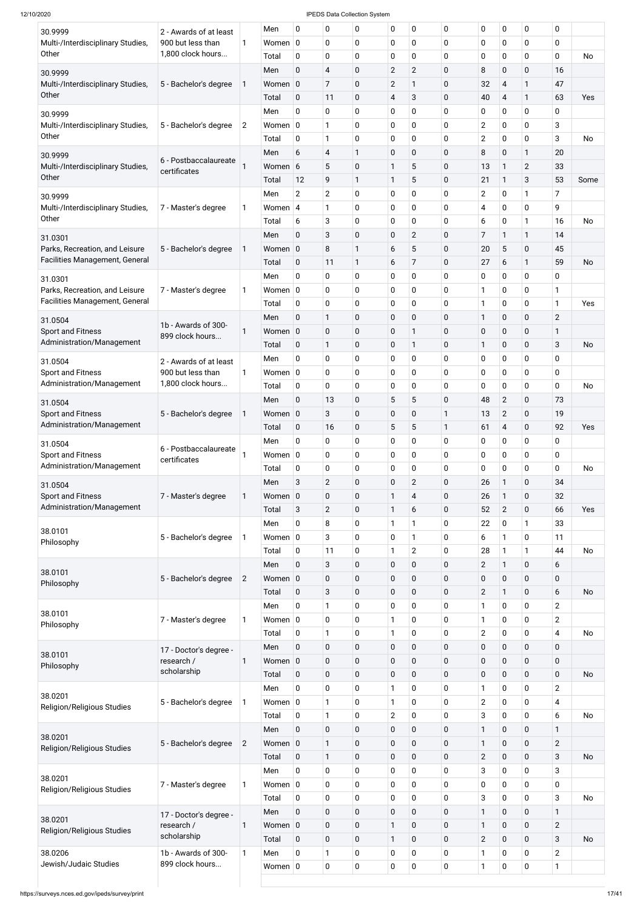| 30.9999                                                                 | 2 - Awards of at least                 |                | Men                 | 0                          | $\pmb{0}$                 | 0            | 0                           | 0                | $\mathbf 0$                | 0                              | 0                          | 0                      | 0                       |           |
|-------------------------------------------------------------------------|----------------------------------------|----------------|---------------------|----------------------------|---------------------------|--------------|-----------------------------|------------------|----------------------------|--------------------------------|----------------------------|------------------------|-------------------------|-----------|
| Multi-/Interdisciplinary Studies,<br>Other                              | 900 but less than<br>1,800 clock hours | 1              | Women $ 0$<br>Total | $\mathbf 0$                | $\mathbf 0$<br>$\pmb{0}$  | 0<br>0       | 0<br>$\mathbf 0$            | 0<br>0           | 0<br>$\mathbf 0$           | 0<br>0                         | $\mathbf 0$<br>0           | 0<br>0                 | 0<br>0                  | No        |
|                                                                         |                                        |                | Men                 | $\mathbf 0$                | $\overline{4}$            | $\pmb{0}$    | $\overline{2}$              | $\overline{c}$   | 0                          | 8                              | $\pmb{0}$                  | $\mathbf 0$            | 16                      |           |
| 30.9999<br>Multi-/Interdisciplinary Studies,                            | 5 - Bachelor's degree                  | 1              | Women 0             |                            | $\overline{7}$            | $\pmb{0}$    | $\overline{2}$              | 1                | $\mathbf 0$                | 32                             | $\overline{\mathbf{4}}$    | 1                      | 47                      |           |
| Other                                                                   |                                        |                | Total               | $\mathbf 0$                | 11                        | $\mathbf 0$  | $\overline{\mathbf{4}}$     | 3                | 0                          | 40                             | $\overline{4}$             | 1                      | 63                      | Yes       |
| 30.9999                                                                 |                                        |                | Men                 | 0                          | $\mathbf 0$               | 0            | 0                           | 0                | $\mathbf 0$                | 0                              | $\mathbf 0$                | 0                      | 0                       |           |
| Multi-/Interdisciplinary Studies,                                       | 5 - Bachelor's degree                  | $\overline{2}$ | Women $ 0 $         |                            | $\mathbf{1}$              | 0            | 0                           | 0                | 0                          | $\mathbf{2}$                   | $\mathbf 0$                | 0                      | 3                       |           |
| Other                                                                   |                                        |                | Total               | $\mathbf 0$                | $\mathbf{1}$              | 0            | 0                           | 0                | $\mathbf 0$                | $\overline{2}$                 | $\mathbf 0$                | 0                      | 3                       | <b>No</b> |
| 30.9999                                                                 |                                        |                | Men                 | 6                          | $\overline{4}$            | 1            | $\pmb{0}$                   | 0                | 0                          | 8                              | $\mathbf 0$                | 1                      | 20                      |           |
| Multi-/Interdisciplinary Studies,                                       | 6 - Postbaccalaureate<br>certificates  |                | Women 6             |                            | 5                         | 0            | 1                           | 5                | $\mathbf 0$                | 13                             | 1                          | $\overline{2}$         | 33                      |           |
| Other                                                                   |                                        |                | Total               | 12                         | 9                         | $\mathbf{1}$ | $\mathbf{1}$                | 5                | $\mathbf 0$                | 21                             | $\mathbf{1}$               | 3                      | 53                      | Some      |
| 30.9999                                                                 |                                        |                | Men                 | $\overline{2}$             | $\overline{2}$            | 0            | 0                           | 0                | $\mathbf 0$                | $\overline{2}$                 | $\mathbf 0$                | 1                      | 7                       |           |
| Multi-/Interdisciplinary Studies,<br>Other                              | 7 - Master's degree                    | 1              | Women $ 4$          |                            | 1                         | 0            | 0                           | 0                | 0                          | 4                              | $\mathbf 0$                | 0                      | 9                       |           |
|                                                                         |                                        |                | Total               | 6                          | 3                         | 0            | 0                           | 0                | 0                          | 6                              | $\mathbf 0$                | $\mathbf{1}$           | 16                      | <b>No</b> |
| 31.0301                                                                 |                                        |                | Men                 | 0                          | 3                         | $\mathbf 0$  | $\pmb{0}$                   | $\overline{c}$   | 0                          | 7                              | 1                          | 1                      | 14                      |           |
| Parks, Recreation, and Leisure<br><b>Facilities Management, General</b> | 5 - Bachelor's degree                  | 1              | Women 0             |                            | 8                         | 1            | 6                           | 5                | $\mathbf 0$                | 20                             | 5                          | $\mathbf 0$            | 45                      |           |
|                                                                         |                                        |                | Total<br>Men        | $\mathbf 0$<br>0           | 11<br>0                   | 1<br>0       | 6                           | 7<br>0           | 0<br>$\mathbf 0$           | 27<br>0                        | 6<br>$\mathbf 0$           | 1<br>0                 | 59                      | <b>No</b> |
| 31.0301<br>Parks, Recreation, and Leisure                               | 7 - Master's degree                    | 1              | Women $ 0 $         |                            | 0                         | 0            | 0<br>0                      | 0                | $\mathbf 0$                | 1                              | $\mathbf 0$                | 0                      | 0<br>1                  |           |
| <b>Facilities Management, General</b>                                   |                                        |                | Total               | 0                          | $\pmb{0}$                 | 0            | 0                           | 0                | $\mathbf 0$                | 1                              | $\mathbf 0$                | 0                      | 1                       | Yes       |
|                                                                         |                                        |                | Men                 | $\mathbf 0$                | $\mathbf{1}$              | $\mathbf 0$  | $\pmb{0}$                   | 0                | 0                          | 1                              | $\mathbf 0$                | $\mathbf 0$            | $\overline{2}$          |           |
| 31.0504<br><b>Sport and Fitness</b>                                     | 1b - Awards of 300-                    | 1              | Women 0             |                            | $\pmb{0}$                 | $\mathbf 0$  | $\mathbf 0$                 | 1                | $\mathbf 0$                | 0                              | $\pmb{0}$                  | 0                      | 1                       |           |
| Administration/Management                                               | 899 clock hours                        |                | Total               | $\mathbf 0$                | $\mathbf{1}$              | 0            | 0                           | 1                | 0                          | 1                              | $\mathbf 0$                | 0                      | 3                       | No        |
| 31.0504                                                                 | 2 - Awards of at least                 |                | Men                 | 0                          | $\mathbf 0$               | 0            | 0                           | 0                | 0                          | $\mathbf 0$                    | 0                          | 0                      | 0                       |           |
| <b>Sport and Fitness</b>                                                | 900 but less than                      | 1              | Women $ 0$          |                            | 0                         | 0            | 0                           | 0                | $\mathbf 0$                | 0                              | 0                          | 0                      | 0                       |           |
| Administration/Management                                               | 1,800 clock hours                      |                | Total               | 0                          | $\mathbf 0$               | 0            | 0                           | 0                | $\mathbf 0$                | 0                              | $\mathbf 0$                | 0                      | 0                       | <b>No</b> |
| 31.0504                                                                 |                                        |                | Men                 | $\mathbf 0$                | 13                        | $\mathbf 0$  | 5                           | 5                | $\mathbf 0$                | 48                             | $\overline{2}$             | $\mathbf 0$            | 73                      |           |
| <b>Sport and Fitness</b>                                                | 5 - Bachelor's degree                  | 1              | Women 0             |                            | 3                         | $\mathbf 0$  | $\pmb{0}$                   | 0                | 1                          | 13                             | $\overline{2}$             | $\mathbf 0$            | 19                      |           |
| Administration/Management                                               |                                        |                | Total               | $\mathbf 0$                | 16                        | $\mathbf 0$  | 5                           | 5                | $\mathbf{1}$               | 61                             | $\overline{\mathbf{4}}$    | $\mathbf 0$            | 92                      | Yes       |
| 31.0504                                                                 | 6 - Postbaccalaureate                  |                | Men                 | 0                          | 0                         | 0            | 0                           | 0                | $\mathbf 0$                | 0                              | $\mathbf 0$                | 0                      | 0                       |           |
| <b>Sport and Fitness</b>                                                | certificates                           |                | Women $ 0 $         |                            | $\mathbf 0$               | 0            | 0                           | 0                | $\mathbf 0$                | 0                              | $\mathbf 0$                | 0                      | 0                       |           |
| Administration/Management                                               |                                        |                | Total               | 0                          | $\mathbf 0$               | 0            | 0                           | 0                | $\mathbf 0$                | 0                              | $\mathbf 0$                | 0                      | 0                       | <b>No</b> |
| 31.0504                                                                 |                                        |                | Men                 | 3                          | $\mathbf{2}$              | $\mathbf 0$  | $\pmb{0}$                   | $\overline{c}$   | $\mathbf 0$                | 26                             | $\mathbf{1}$               | $\mathbf 0$            | 34                      |           |
| <b>Sport and Fitness</b><br>Administration/Management                   | 7 - Master's degree                    | 1              | Women 0             |                            | $\pmb{0}$                 | 0            | 1                           | 4                | 0                          | 26                             | 1                          | 0                      | 32                      |           |
|                                                                         |                                        |                | Total               | 3                          | $\mathbf{2}$              | $\mathbf 0$  | $\mathbf{1}$                | 6                | $\mathbf 0$                | 52                             | $\overline{2}$             | $\mathbf 0$            | 66                      | Yes       |
| 38.0101                                                                 |                                        |                | Men<br>Women $ 0 $  | 0                          | 8<br>3                    | 0<br>0       | $\mathbf{1}$                | 1<br>1           | $\mathbf 0$<br>$\mathbf 0$ | 22                             | $\mathbf 0$<br>1           | $\mathbf{1}$<br>0      | 33<br>11                |           |
| Philosophy                                                              | 5 - Bachelor's degree                  | 1              | Total               | 0                          | 11                        | 0            | $\mathbf 0$<br>$\mathbf{1}$ | $\overline{c}$   | 0                          | 6<br>28                        | 1                          | $\mathbf{1}$           | 44                      | <b>No</b> |
|                                                                         |                                        |                | Men                 | 0                          | $\sqrt{3}$                | $\mathbf 0$  | $\mathbf 0$                 | $\mathbf 0$      | $\mathbf 0$                | $\overline{2}$                 | $\mathbf{1}$               | 0                      | 6                       |           |
| 38.0101                                                                 | 5 - Bachelor's degree                  | $\overline{2}$ | Women 0             |                            | $\pmb{0}$                 | $\mathbf 0$  | $\mathbf 0$                 | 0                | 0                          | 0                              | $\mathbf 0$                | $\mathbf 0$            | 0                       |           |
| Philosophy                                                              |                                        |                | Total               | $\mathbf 0$                | $\mathbf{3}$              | $\mathbf 0$  | $\pmb{0}$                   | $\mathbf 0$      | $\mathbf 0$                | $\overline{2}$                 | $\mathbf{1}$               | $\mathbf 0$            | 6                       | <b>No</b> |
|                                                                         |                                        |                | Men                 | 0                          | 1                         | 0            | $\mathbf 0$                 | 0                | 0                          | 1                              | $\mathbf 0$                | 0                      | $\overline{2}$          |           |
| 38.0101                                                                 | 7 - Master's degree                    | 1              | Women $ 0 $         |                            | $\mathbf 0$               | 0            | 1                           | 0                | 0                          | 1                              | $\mathbf 0$                | 0                      | $\overline{2}$          |           |
| Philosophy                                                              |                                        |                | Total               | 0                          | 1                         | 0            | $\mathbf{1}$                | 0                | 0                          | $\overline{2}$                 | $\mathbf 0$                | 0                      | $\overline{\mathbf{4}}$ | <b>No</b> |
|                                                                         | 17 - Doctor's degree -                 |                | Men                 | 0                          | $\pmb{0}$                 | 0            | $\pmb{0}$                   | $\mathbf 0$      | $\mathbf 0$                | 0                              | $\pmb{0}$                  | $\mathbf 0$            | $\mathbf 0$             |           |
| 38.0101<br>Philosophy                                                   | research /                             | 1              | Women 0             |                            | $\mathbf 0$               | 0            | $\pmb{0}$                   | $\mathbf 0$      | 0                          | 0                              | $\pmb{0}$                  | 0                      | 0                       |           |
|                                                                         | scholarship                            |                | Total               | $\mathbf 0$                | $\pmb{0}$                 | 0            | $\pmb{0}$                   | $\mathbf 0$      | $\mathbf 0$                | $\pmb{0}$                      | $\mathbf 0$                | $\mathbf 0$            | $\mathbf 0$             | <b>No</b> |
|                                                                         |                                        |                | Men                 | 0                          | $\mathbf 0$               | 0            | $\mathbf{1}$                | 0                | $\mathbf 0$                | 1                              | $\mathbf 0$                | 0                      | $\overline{2}$          |           |
| 38.0201<br>Religion/Religious Studies                                   | 5 - Bachelor's degree                  | 1              | Women $ 0$          |                            | $\mathbf{1}$              | 0            | $\mathbf{1}$                | 0                | 0                          | $\overline{2}$                 | 0                          | 0                      | 4                       |           |
|                                                                         |                                        |                | Total               | $\pmb{0}$                  | 1                         | 0            | $\overline{2}$              | $\pmb{0}$        | $\mathbf 0$                | 3                              | 0                          | $\pmb{0}$              | 6                       | No        |
| 38.0201                                                                 |                                        |                | Men                 | $\mathbf 0$                | $\pmb{0}$                 | $\pmb{0}$    | $\mathbf 0$                 | $\mathbf 0$      | $\mathbf 0$                | $\mathbf{1}$                   | $\mathbf 0$                | $\pmb{0}$              | $\mathbf{1}$            |           |
| <b>Religion/Religious Studies</b>                                       | 5 - Bachelor's degree                  | $\overline{2}$ | Women 0             |                            | $\mathbf{1}$              | 0            | $\mathbf 0$                 | $\pmb{0}$        | $\pmb{0}$                  | 1                              | $\pmb{0}$                  | $\pmb{0}$              | $\mathbf{2}$            |           |
|                                                                         |                                        |                | Total               | $\mathbf 0$                | $\mathbf{1}$              | 0            | $\mathbf 0$                 | 0                | $\mathbf 0$                | $\mathbf{2}$                   | $\mathbf 0$                | $\mathbf 0$            | 3                       | <b>No</b> |
| 38.0201                                                                 |                                        |                | Men                 | $\mathbf 0$                | $\pmb{0}$                 | 0            | $\mathbf 0$                 | 0                | $\mathbf 0$                | 3                              | $\mathbf 0$                | $\pmb{0}$              | 3                       |           |
| Religion/Religious Studies                                              | 7 - Master's degree                    | 1              | Women $ 0 $         |                            | $\pmb{0}$                 | 0            | $\pmb{0}$                   | 0                | $\mathbf 0$                | 0                              | $\mathbf 0$                | $\pmb{0}$              | $\mathbf 0$             |           |
|                                                                         |                                        |                | Total               | $\mathbf 0$                | $\pmb{0}$                 | 0            | $\pmb{0}$                   | 0                | $\mathbf 0$                | 3                              | $\mathbf 0$                | $\pmb{0}$              | 3                       | <b>No</b> |
| 38.0201                                                                 | 17 - Doctor's degree -                 |                | Men                 | $\mathbf 0$                | $\pmb{0}$                 | $\pmb{0}$    | $\mathbf 0$                 | $\mathbf 0$      | $\mathbf 0$                | $\mathbf{1}$                   | $\mathbf 0$                | $\mathbf 0$            | $\mathbf{1}$            |           |
| <b>Religion/Religious Studies</b>                                       | research /<br>scholarship              | 1              | Women 0             |                            | $\pmb{0}$                 | $\pmb{0}$    | $\mathbf{1}$                | $\mathbf 0$      | $\mathbf 0$                | $\mathbf{1}$                   | $\pmb{0}$                  | $\pmb{0}$              | $\mathbf{2}$            |           |
| 38.0206                                                                 | 1b - Awards of 300-                    | $\mathbf{1}$   | Total               | $\mathbf 0$<br>$\mathbf 0$ | $\pmb{0}$<br>$\mathbf{1}$ | $\pmb{0}$    | $\mathbf{1}$                | $\mathbf 0$<br>0 | $\mathbf 0$<br>$\mathbf 0$ | $\overline{2}$<br>$\mathbf{1}$ | $\mathbf 0$<br>$\mathbf 0$ | $\pmb{0}$<br>$\pmb{0}$ | 3<br>$\overline{2}$     | <b>No</b> |
| Jewish/Judaic Studies                                                   | 899 clock hours                        |                | Men<br>Women $ 0 $  |                            | $\pmb{0}$                 | 0<br>0       | $\mathbf 0$<br>$\mathbf 0$  | 0                | $\mathbf 0$                | $\mathbf{1}$                   | $\mathbf 0$                | $\pmb{0}$              | $\mathbf{1}$            |           |
|                                                                         |                                        |                |                     |                            |                           |              |                             |                  |                            |                                |                            |                        |                         |           |
|                                                                         |                                        |                |                     |                            |                           |              |                             |                  |                            |                                |                            |                        |                         |           |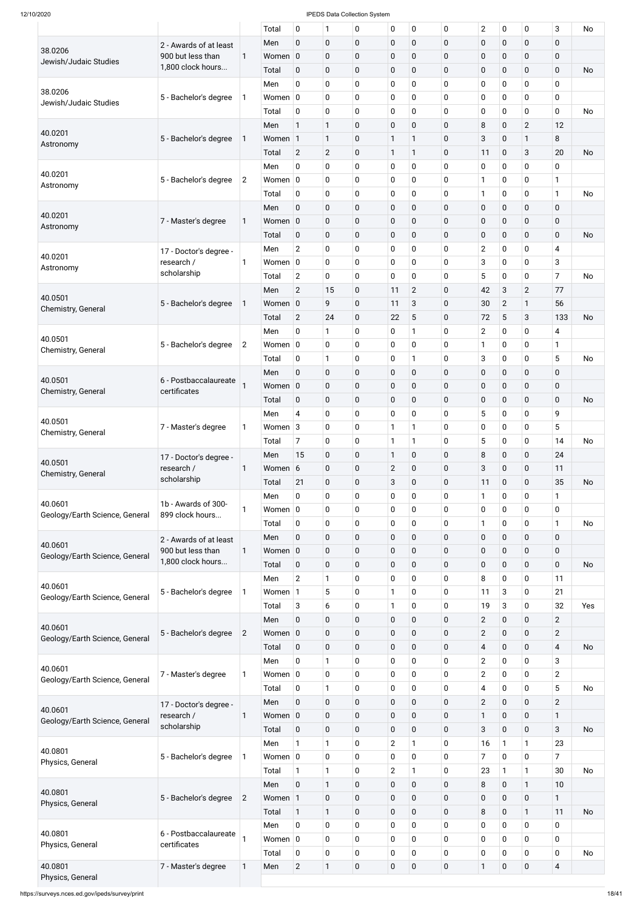|                                           |                                        |                | Total       | 0              | 1              | 0           | 0              | 0              | $\mathbf 0$ | $\overline{2}$          | $\pmb{0}$      | 0              | 3                       | <b>No</b> |
|-------------------------------------------|----------------------------------------|----------------|-------------|----------------|----------------|-------------|----------------|----------------|-------------|-------------------------|----------------|----------------|-------------------------|-----------|
|                                           | 2 - Awards of at least                 |                | Men         | $\mathbf 0$    | $\mathbf 0$    | $\pmb{0}$   | $\pmb{0}$      | $\mathbf 0$    | 0           | $\pmb{0}$               | $\mathbf 0$    | $\mathbf 0$    | $\mathbf 0$             |           |
| 38.0206                                   | 900 but less than                      | $\mathbf{1}$   | Women 0     |                | $\mathbf 0$    | $\pmb{0}$   | 0              | $\mathbf 0$    | $\mathbf 0$ | $\pmb{0}$               | $\mathbf 0$    | 0              | $\mathbf 0$             |           |
| Jewish/Judaic Studies                     | 1,800 clock hours                      |                | Total       | 0              | $\pmb{0}$      | $\pmb{0}$   | 0              | $\mathbf 0$    | 0           | $\pmb{0}$               | $\mathbf 0$    | 0              | $\mathbf 0$             | <b>No</b> |
|                                           |                                        |                | Men         | 0              | $\mathbf 0$    | 0           | 0              | 0              | 0           | $\pmb{0}$               | $\mathbf 0$    | 0              | $\mathbf 0$             |           |
| 38.0206                                   |                                        | 1              | Women $ 0 $ |                | $\mathbf 0$    | 0           | 0              | 0              | 0           | $\pmb{0}$               | $\mathbf 0$    | 0              | $\mathbf 0$             |           |
| Jewish/Judaic Studies                     | 5 - Bachelor's degree                  |                |             |                |                |             |                |                |             |                         |                |                |                         |           |
|                                           |                                        |                | Total       | 0              | $\mathbf 0$    | $\pmb{0}$   | 0              | 0              | 0           | $\pmb{0}$               | $\mathbf 0$    | 0              | $\mathbf 0$             | <b>No</b> |
| 40.0201                                   |                                        |                | Men         | 1              | $\mathbf{1}$   | $\pmb{0}$   | $\overline{0}$ | $\mathbf 0$    | 0           | 8                       | $\mathbf 0$    | $\overline{2}$ | 12                      |           |
| Astronomy                                 | 5 - Bachelor's degree                  | $\mathbf 1$    | Women 1     |                | $\mathbf{1}$   | $\pmb{0}$   | 1              | 1              | 0           | 3                       | $\mathbf 0$    | $\mathbf{1}$   | 8                       |           |
|                                           |                                        |                | Total       | $\overline{2}$ | $\overline{2}$ | $\pmb{0}$   | $\mathbf{1}$   | 1              | 0           | 11                      | $\mathbf 0$    | 3              | 20                      | <b>No</b> |
|                                           |                                        |                | Men         | 0              | $\mathbf 0$    | 0           | 0              | 0              | 0           | $\pmb{0}$               | $\mathbf 0$    | 0              | 0                       |           |
| 40.0201<br>Astronomy                      | 5 - Bachelor's degree                  | $\overline{2}$ | Women $ 0 $ |                | $\mathbf 0$    | 0           | 0              | 0              | 0           | $\mathbf{1}$            | $\mathbf 0$    | 0              | 1                       |           |
|                                           |                                        |                | Total       | 0              | $\mathbf 0$    | $\pmb{0}$   | 0              | 0              | 0           | $\mathbf{1}$            | $\mathbf 0$    | $\pmb{0}$      | $\mathbf{1}$            | <b>No</b> |
|                                           |                                        |                | Men         | $\mathbf 0$    | $\pmb{0}$      | $\pmb{0}$   | $\pmb{0}$      | $\mathbf 0$    | 0           | $\pmb{0}$               | $\mathbf 0$    | 0              | $\mathbf 0$             |           |
| 40.0201                                   | 7 - Master's degree                    | $\mathbf{1}$   | Women 0     |                | $\pmb{0}$      | $\pmb{0}$   | $\pmb{0}$      | $\mathbf 0$    | $\mathbf 0$ | $\pmb{0}$               | $\mathbf 0$    | 0              | $\mathbf 0$             |           |
| Astronomy                                 |                                        |                | Total       | $\pmb{0}$      | $\mathbf 0$    | $\pmb{0}$   | 0              | 0              | 0           | $\pmb{0}$               | $\mathbf 0$    | 0              | $\mathbf 0$             | No        |
|                                           |                                        |                | Men         | $\overline{2}$ | $\mathbf 0$    | $\pmb{0}$   | 0              | 0              | 0           | $\mathbf{2}$            | $\mathbf 0$    | 0              | $\overline{4}$          |           |
| 40.0201                                   | 17 - Doctor's degree -                 |                |             |                |                |             | 0              |                |             |                         |                |                | 3                       |           |
| Astronomy                                 | research /<br>scholarship              | 1              | Women $ 0 $ |                | $\mathbf 0$    | 0           |                | 0              | 0           | 3                       | $\mathbf 0$    | 0              |                         |           |
|                                           |                                        |                | Total       | $\overline{2}$ | 0              | $\pmb{0}$   | 0              | $\mathbf 0$    | 0           | 5                       | $\pmb{0}$      | 0              | $\overline{7}$          | <b>No</b> |
| 40.0501                                   |                                        |                | Men         | $\overline{2}$ | 15             | $\pmb{0}$   | 11             | $\overline{2}$ | $\mathbf 0$ | 42                      | $\mathbf{3}$   | $\overline{2}$ | 77                      |           |
| Chemistry, General                        | 5 - Bachelor's degree                  | $\mathbf{1}$   | Women 0     |                | 9              | $\pmb{0}$   | 11             | 3              | 0           | 30                      | $\overline{2}$ | $\mathbf{1}$   | 56                      |           |
|                                           |                                        |                | Total       | $\overline{2}$ | 24             | $\pmb{0}$   | 22             | 5              | 0           | 72                      | 5              | 3              | 133                     | No        |
|                                           |                                        |                | Men         | 0              | $\mathbf{1}$   | $\pmb{0}$   | 0              | 1              | 0           | $\overline{2}$          | $\pmb{0}$      | 0              | 4                       |           |
| 40.0501                                   | 5 - Bachelor's degree                  | $\overline{2}$ | Women $ 0 $ |                | $\mathbf 0$    | 0           | 0              | 0              | 0           | $\mathbf{1}$            | $\mathbf 0$    | 0              | 1                       |           |
| Chemistry, General                        |                                        |                | Total       | $\mathbf 0$    | $\mathbf{1}$   | $\mathbf 0$ | 0              | 1              | 0           | 3                       | $\mathbf 0$    | 0              | 5                       | No        |
|                                           |                                        |                | Men         | $\pmb{0}$      | $\mathbf 0$    | $\pmb{0}$   | $\pmb{0}$      | 0              | $\pmb{0}$   | $\pmb{0}$               | $\pmb{0}$      | $\pmb{0}$      | $\mathbf 0$             |           |
| 40.0501                                   | 6 - Postbaccalaureate                  |                | Women $ 0 $ |                | $\pmb{0}$      | $\pmb{0}$   | 0              | 0              | 0           | $\pmb{0}$               | $\pmb{0}$      | $\pmb{0}$      | $\mathbf 0$             |           |
| Chemistry, General                        | certificates                           |                |             |                |                |             |                |                |             |                         |                |                |                         |           |
|                                           |                                        |                | Total       | $\mathbf 0$    | $\mathbf 0$    | $\pmb{0}$   | $\mathbf 0$    | $\mathbf 0$    | 0           | $\pmb{0}$               | $\pmb{0}$      | 0              | $\mathbf 0$             | <b>No</b> |
| 40.0501                                   |                                        |                | Men         | 4              | $\mathbf 0$    | 0           | 0              | 0              | 0           | 5                       | $\mathbf 0$    | 0              | 9                       |           |
| Chemistry, General                        | 7 - Master's degree                    | 1              | Women 3     |                | $\mathbf 0$    | $\pmb{0}$   | 1              | 1              | 0           | $\pmb{0}$               | $\mathbf 0$    | 0              | 5                       |           |
|                                           |                                        |                | Total       | 7              | $\mathbf 0$    | 0           | $\mathbf{1}$   | 1              | 0           | 5                       | $\mathbf 0$    | $\mathbf 0$    | 14                      | No        |
|                                           | 17 - Doctor's degree -                 |                | Men         | 15             | $\pmb{0}$      | $\pmb{0}$   | $\mathbf{1}$   | $\pmb{0}$      | $\mathbf 0$ | 8                       | $\pmb{0}$      | 0              | 24                      |           |
| 40.0501<br>Chemistry, General             | research /                             | 1              | Women       | 6              | $\mathbf 0$    | $\pmb{0}$   | $\overline{2}$ | 0              | 0           | 3                       | $\mathbf 0$    | 0              | 11                      |           |
|                                           | scholarship                            |                | Total       | 21             | $\mathbf 0$    | $\pmb{0}$   | 3              | $\mathbf 0$    | 0           | 11                      | $\pmb{0}$      | 0              | 35                      | <b>No</b> |
|                                           |                                        |                | Men         | 0              | $\mathbf 0$    | 0           | 0              | 0              | 0           | $\mathbf{1}$            | $\mathbf 0$    | 0              | 1                       |           |
| 40.0601                                   | 1b - Awards of 300-                    | 1              | Women $ 0 $ |                | $\mathbf 0$    | $\pmb{0}$   | 0              | 0              | 0           | $\pmb{0}$               | $\mathbf 0$    | 0              | $\mathbf 0$             |           |
| Geology/Earth Science, General            | 899 clock hours                        |                | Total       | 0              | $\mathbf 0$    | 0           | 0              | 0              | 0           | $\mathbf{1}$            | $\mathbf 0$    | 0              | 1                       | No        |
|                                           |                                        |                | Men         | $\mathbf 0$    | $\pmb{0}$      | $\pmb{0}$   | $\pmb{0}$      | $\mathbf 0$    | 0           | $\pmb{0}$               | $\mathbf 0$    | $\mathbf 0$    | $\mathbf 0$             |           |
| 40.0601                                   | 2 - Awards of at least                 |                |             |                |                |             |                |                |             |                         |                |                |                         |           |
| Geology/Earth Science, General            | 900 but less than<br>1,800 clock hours | 1              | Women $ 0 $ |                | $\pmb{0}$      | $\pmb{0}$   | $\mathbf 0$    | 0              | 0           | $\pmb{0}$               | $\mathbf 0$    | 0              | $\mathbf 0$             |           |
|                                           |                                        |                | Total       | $\mathbf 0$    | $\pmb{0}$      | $\pmb{0}$   | $\pmb{0}$      | 0              | 0           | $\pmb{0}$               | $\mathbf 0$    | $\mathbf 0$    | 0                       | <b>No</b> |
| 40.0601                                   |                                        |                | Men         | $\overline{2}$ | $\mathbf{1}$   | $\pmb{0}$   | 0              | 0              | 0           | 8                       | $\mathbf 0$    | 0              | 11                      |           |
| Geology/Earth Science, General            | 5 - Bachelor's degree                  | 1              | Women 1     |                | 5              | $\pmb{0}$   | $\mathbf{1}$   | 0              | 0           | 11                      | $\sqrt{3}$     | 0              | 21                      |           |
|                                           |                                        |                | Total       | 3              | 6              | $\pmb{0}$   | $\mathbf{1}$   | 0              | $\mathbf 0$ | 19                      | $\mathbf{3}$   | 0              | 32                      | Yes       |
|                                           |                                        |                | Men         | $\mathbf 0$    | $\pmb{0}$      | $\pmb{0}$   | $\pmb{0}$      | $\mathbf 0$    | 0           | $\overline{2}$          | $\mathbf 0$    | $\mathbf 0$    | $\overline{2}$          |           |
| 40.0601<br>Geology/Earth Science, General | 5 - Bachelor's degree                  | $\overline{2}$ | Women $ 0 $ |                | $\pmb{0}$      | $\pmb{0}$   | $\pmb{0}$      | 0              | 0           | $\overline{2}$          | $\mathbf 0$    | $\mathbf 0$    | $\overline{2}$          |           |
|                                           |                                        |                | Total       | $\mathbf 0$    | $\pmb{0}$      | $\pmb{0}$   | $\pmb{0}$      | $\mathbf 0$    | 0           | $\overline{\mathbf{4}}$ | $\mathbf 0$    | $\mathbf 0$    | $\overline{4}$          | <b>No</b> |
|                                           |                                        |                | Men         | 0              | $\mathbf{1}$   | $\pmb{0}$   | $\pmb{0}$      | 0              | 0           | $\overline{2}$          | $\mathbf 0$    | 0              | 3                       |           |
| 40.0601                                   | 7 - Master's degree                    | 1              | Women $ 0 $ |                | $\mathbf 0$    | $\pmb{0}$   | 0              | 0              | 0           | $\overline{2}$          | $\mathbf 0$    | 0              | $\overline{2}$          |           |
| Geology/Earth Science, General            |                                        |                | Total       | 0              | $\mathbf{1}$   | 0           | $\mathbf 0$    | 0              | 0           | 4                       | $\mathbf 0$    | 0              | 5                       | No        |
|                                           |                                        |                | Men         | $\mathbf 0$    | $\mathbf 0$    | $\mathbf 0$ | $\mathbf 0$    | $\mathbf 0$    | 0           | $\overline{2}$          | $\mathbf 0$    | $\mathbf 0$    | $\overline{2}$          |           |
| 40.0601                                   | 17 - Doctor's degree -                 |                |             |                |                |             |                |                |             |                         |                |                |                         |           |
| Geology/Earth Science, General            | research /<br>scholarship              | $\mathbf{1}$   | Women $ 0 $ |                | $\bf{0}$       | $\pmb{0}$   | $\pmb{0}$      | $\pmb{0}$      | $\pmb{0}$   | $\mathbf{1}$            | $\pmb{0}$      | $\pmb{0}$      | $\mathbf{1}$            |           |
|                                           |                                        |                | Total       | $\pmb{0}$      | $\mathbf 0$    | $\pmb{0}$   | $\mathbf 0$    | $\mathbf 0$    | 0           | $\overline{3}$          | $\mathbf 0$    | $\mathbf 0$    | 3                       | No        |
| 40.0801                                   |                                        |                | Men         | 1              | $\mathbf{1}$   | $\pmb{0}$   | $\overline{2}$ | $\mathbf{1}$   | $\mathbf 0$ | 16                      | $\mathbf{1}$   | $\mathbf{1}$   | 23                      |           |
| Physics, General                          | 5 - Bachelor's degree                  | 1              | Women $ 0 $ |                | $\mathbf 0$    | $\pmb{0}$   | $\pmb{0}$      | 0              | 0           | $\overline{7}$          | $\mathbf 0$    | $\mathbf 0$    | $\overline{7}$          |           |
|                                           |                                        |                | Total       | $\mathbf{1}$   | $\mathbf{1}$   | $\pmb{0}$   | $\overline{2}$ | $\mathbf{1}$   | $\mathbf 0$ | 23                      | $\mathbf{1}$   | $\mathbf{1}$   | 30                      | No        |
|                                           |                                        |                | Men         | $\mathbf 0$    | $\mathbf{1}$   | $\pmb{0}$   | $\mathbf 0$    | $\mathbf 0$    | $\pmb{0}$   | 8                       | $\mathbf 0$    | $\mathbf{1}$   | 10                      |           |
| 40.0801                                   | 5 - Bachelor's degree                  | $\overline{2}$ | Women 1     |                | $\mathbf 0$    | $\pmb{0}$   | $\mathbf 0$    | $\mathbf 0$    | $\mathbf 0$ | $\pmb{0}$               | $\mathbf 0$    | $\pmb{0}$      | $\mathbf{1}$            |           |
| Physics, General                          |                                        |                | Total       | $\mathbf{1}$   | $\mathbf{1}$   | $\pmb{0}$   | $\pmb{0}$      | 0              | $\mathbf 0$ | 8                       | $\mathbf 0$    | $\mathbf{1}$   | 11                      | No        |
|                                           |                                        |                | Men         | $\mathbf 0$    | $\mathbf 0$    | $\pmb{0}$   | $\pmb{0}$      | 0              | $\mathbf 0$ | $\pmb{0}$               | $\mathbf 0$    | $\mathbf 0$    | $\mathbf 0$             |           |
| 40.0801                                   | 6 - Postbaccalaureate                  |                | Women $ 0 $ |                | $\mathbf 0$    | $\pmb{0}$   | $\pmb{0}$      | 0              | $\mathbf 0$ | $\pmb{0}$               | $\mathbf 0$    | $\mathbf 0$    | $\mathbf 0$             |           |
| Physics, General                          | certificates                           |                |             |                |                |             | $\mathbf 0$    | 0              |             |                         |                | $\mathbf 0$    | $\mathbf 0$             |           |
|                                           |                                        |                | Total       | $\mathbf 0$    | $\pmb{0}$      | $\pmb{0}$   |                |                | $\mathbf 0$ | $\pmb{0}$               | $\mathbf 0$    |                |                         | No        |
| 40.0801                                   | 7 - Master's degree                    | $\mathbf{1}$   | Men         | $\overline{2}$ | $\mathbf{1}$   | $\pmb{0}$   | $\pmb{0}$      | $\pmb{0}$      | $\pmb{0}$   | $\mathbf{1}$            | $\mathbf 0$    | $\pmb{0}$      | $\overline{\mathbf{4}}$ |           |
| Physics, General                          |                                        |                |             |                |                |             |                |                |             |                         |                |                |                         |           |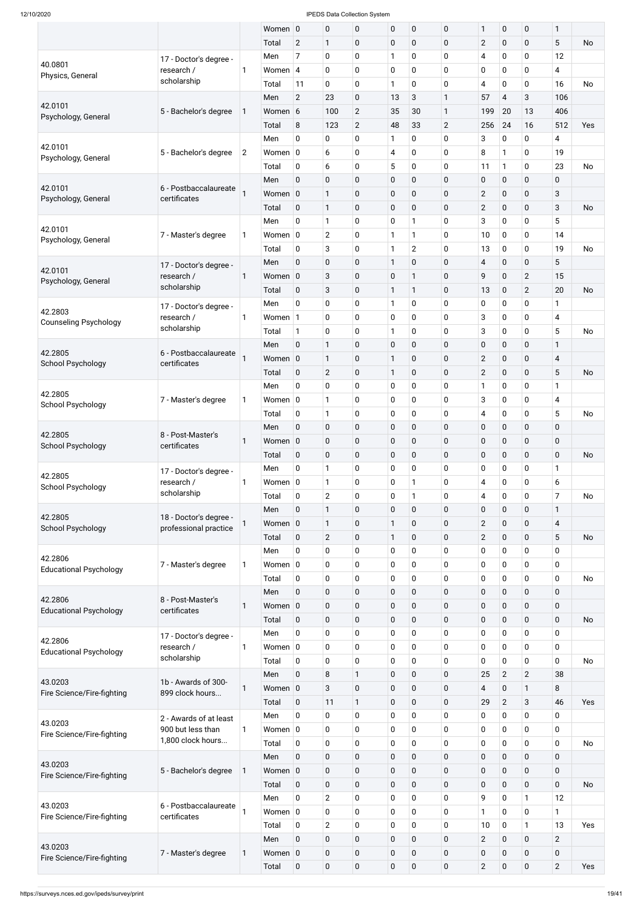|                                          |                                                 |                | Women 0          |                | $\pmb{0}$              | 0                | $\pmb{0}$                 | $\boldsymbol{0}$ | $\pmb{0}$                  | 1              | $\pmb{0}$      | $\pmb{0}$      | 1              |           |
|------------------------------------------|-------------------------------------------------|----------------|------------------|----------------|------------------------|------------------|---------------------------|------------------|----------------------------|----------------|----------------|----------------|----------------|-----------|
|                                          |                                                 |                | Total            | $\overline{2}$ | 1                      | 0                | $\mathbf 0$               | $\boldsymbol{0}$ | $\mathbf 0$                | $\overline{2}$ | $\pmb{0}$      | $\mathbf 0$    | 5              | <b>No</b> |
|                                          | 17 - Doctor's degree -                          |                | Men              | $\overline{7}$ | $\pmb{0}$              | 0                | $\mathbf{1}$              | 0                | $\mathbf 0$                | $\overline{4}$ | 0              | 0              | 12             |           |
| 40.0801<br>Physics, General              | research /                                      | 1              | Women $ 4$       |                | $\pmb{0}$              | 0                | $\mathbf 0$               | 0                | $\mathbf 0$                | $\pmb{0}$      | 0              | 0              | 4              |           |
|                                          | scholarship                                     |                | Total            | 11             | $\pmb{0}$              | 0                | 1                         | $\mathbf 0$      | $\mathbf 0$                | 4              | $\pmb{0}$      | $\mathbf 0$    | 16             | <b>No</b> |
|                                          |                                                 |                | Men              | $\overline{2}$ | 23                     | 0                | 13                        | 3                | $\mathbf{1}$               | 57             | $\overline{4}$ | 3              | 106            |           |
| 42.0101                                  | 5 - Bachelor's degree                           | 1              | Women 6          |                | 100                    | $\overline{2}$   | 35                        | 30               | $\mathbf{1}$               | 199            | 20             | 13             | 406            |           |
| Psychology, General                      |                                                 |                | Total            | 8              | 123                    | $\overline{2}$   | 48                        | 33               | $\overline{2}$             | 256            | 24             | 16             | 512            | Yes       |
|                                          |                                                 |                | Men              | $\mathbf 0$    | $\pmb{0}$              | 0                | $\mathbf{1}$              | 0                | $\mathbf 0$                | 3              | 0              | 0              | 4              |           |
| 42.0101                                  | 5 - Bachelor's degree                           | $\overline{2}$ | Women $ 0 $      |                | 6                      | 0                | $\overline{4}$            | 0                | $\mathbf 0$                | 8              | $\mathbf{1}$   | 0              | 19             |           |
| Psychology, General                      |                                                 |                | Total            | $\mathbf 0$    | 6                      | 0                | 5                         | $\pmb{0}$        | $\mathbf 0$                | 11             | $\mathbf{1}$   | $\pmb{0}$      | 23             | <b>No</b> |
|                                          |                                                 |                | Men              | $\mathbf 0$    | $\pmb{0}$              | 0                | $\mathbf 0$               | $\pmb{0}$        | $\mathbf 0$                | $\pmb{0}$      | $\pmb{0}$      | $\pmb{0}$      | 0              |           |
| 42.0101                                  | 6 - Postbaccalaureate                           |                | Women            | $\overline{0}$ | $\mathbf{1}$           | 0                | $\pmb{0}$                 | $\pmb{0}$        | $\mathbf 0$                | $\overline{2}$ | $\pmb{0}$      | 0              | 3              |           |
| Psychology, General                      | certificates                                    |                | Total            | $\mathbf 0$    | $\mathbf{1}$           | 0                | $\mathbf 0$               | $\pmb{0}$        | $\mathbf 0$                | $\overline{2}$ | 0              | 0              | 3              | No        |
|                                          |                                                 |                | Men              | $\pmb{0}$      | $\mathbf{1}$           | 0                | $\mathbf 0$               | 1                | $\mathbf 0$                | 3              | 0              | 0              | 5              |           |
| 42.0101                                  | 7 - Master's degree                             | 1              | Women $ 0 $      |                | $\overline{2}$         | 0                | $\mathbf{1}$              | 1                | $\mathbf 0$                | 10             | 0              | $\pmb{0}$      | 14             |           |
| Psychology, General                      |                                                 |                | Total            | $\mathbf 0$    | 3                      | 0                | $\mathbf{1}$              | $\overline{2}$   | $\mathbf 0$                | 13             | 0              | $\pmb{0}$      | 19             | No        |
|                                          |                                                 |                | Men              | $\mathbf 0$    | $\pmb{0}$              | 0                | $\mathbf{1}$              | $\mathbf 0$      | $\mathbf 0$                | $\overline{4}$ | 0              | $\pmb{0}$      | 5              |           |
| 42.0101                                  | 17 - Doctor's degree -<br>research /            | 1              | Women            | $\overline{0}$ | 3                      | 0                | $\pmb{0}$                 | 1                | $\mathbf 0$                | 9              | $\mathbf 0$    | $\overline{2}$ | 15             |           |
| Psychology, General                      | scholarship                                     |                | Total            | $\mathbf 0$    | $\sqrt{3}$             | 0                | $\mathbf{1}$              | 1                | $\mathbf 0$                | 13             | 0              | $\overline{2}$ | 20             | No        |
|                                          |                                                 |                |                  |                |                        |                  |                           |                  |                            |                |                |                |                |           |
| 42.2803                                  | 17 - Doctor's degree -<br>research /            | 1              | Men<br>Women $1$ | $\mathbf 0$    | $\pmb{0}$<br>$\pmb{0}$ | 0                | $\mathbf{1}$<br>$\pmb{0}$ | 0<br>0           | $\mathbf 0$<br>$\mathbf 0$ | 0<br>3         | 0<br>0         | $\pmb{0}$<br>0 | 1<br>4         |           |
| <b>Counseling Psychology</b>             | scholarship                                     |                |                  |                |                        | 0                |                           |                  |                            |                |                |                |                |           |
|                                          |                                                 |                | Total            | $\mathbf{1}$   | $\pmb{0}$              | 0                | $\mathbf{1}$              | $\mathbf 0$      | $\mathbf 0$                | 3              | $\pmb{0}$      | $\pmb{0}$      | 5              | No        |
| 42.2805                                  | 6 - Postbaccalaureate                           |                | Men              | $\mathbf 0$    | $\mathbf{1}$           | 0                | $\mathbf 0$               | $\boldsymbol{0}$ | $\mathbf 0$                | $\pmb{0}$      | 0              | $\pmb{0}$      | $\mathbf{1}$   |           |
| <b>School Psychology</b>                 | certificates                                    |                | Women 0          |                | $\mathbf{1}$           | 0                | 1                         | 0                | $\mathbf 0$                | $\overline{2}$ | 0              | $\mathbf 0$    | 4              |           |
|                                          |                                                 |                | Total            | $\pmb{0}$      | $\overline{2}$         | 0                | $\mathbf{1}$              | $\boldsymbol{0}$ | $\pmb{0}$                  | $\overline{2}$ | $\pmb{0}$      | $\pmb{0}$      | 5              | No        |
| 42.2805                                  |                                                 |                | Men              | $\pmb{0}$      | $\pmb{0}$              | 0                | $\mathbf 0$               | $\boldsymbol{0}$ | $\mathbf 0$                | 1              | 0              | $\pmb{0}$      | 1              |           |
| School Psychology                        | 7 - Master's degree                             | 1              | Women $ 0 $      |                | $\mathbf{1}$           | 0                | $\pmb{0}$                 | $\boldsymbol{0}$ | $\mathbf 0$                | 3              | 0              | $\pmb{0}$      | 4              |           |
|                                          |                                                 |                | Total            | $\mathbf 0$    | $\mathbf{1}$           | 0                | $\mathbf 0$               | $\boldsymbol{0}$ | $\mathbf 0$                | $\overline{4}$ | 0              | $\pmb{0}$      | 5              | No        |
| 42.2805                                  | 8 - Post-Master's                               |                | Men              | $\pmb{0}$      | $\pmb{0}$              | $\mathbf 0$      | $\pmb{0}$                 | $\boldsymbol{0}$ | $\mathbf 0$                | $\pmb{0}$      | $\pmb{0}$      | $\pmb{0}$      | $\pmb{0}$      |           |
| <b>School Psychology</b>                 | certificates                                    | 1              | Women            | $\overline{0}$ | $\pmb{0}$              | 0                | $\mathbf 0$               | $\boldsymbol{0}$ | $\mathbf 0$                | $\pmb{0}$      | 0              | $\mathbf 0$    | 0              |           |
|                                          |                                                 |                | Total            | $\mathbf 0$    | $\pmb{0}$              | $\boldsymbol{0}$ | $\pmb{0}$                 | $\boldsymbol{0}$ | $\mathbf 0$                | $\pmb{0}$      | $\pmb{0}$      | 0              | $\mathbf 0$    | No        |
| 42.2805                                  | 17 - Doctor's degree -                          |                | Men              | $\pmb{0}$      | 1                      | 0                | $\mathbf 0$               | $\pmb{0}$        | $\mathbf 0$                | $\pmb{0}$      | 0              | $\pmb{0}$      | 1              |           |
| School Psychology                        | research /                                      | $\mathbf{1}$   | Women $ 0 $      |                | $\mathbf{1}$           | 0                | $\mathbf 0$               | 1                | $\mathbf 0$                | 4              | $\pmb{0}$      | $\pmb{0}$      | 6              |           |
|                                          | scholarship                                     |                | Total            | $\mathbf 0$    | $\overline{2}$         | 0                | $\mathbf 0$               | 1                | $\mathbf 0$                | $\overline{4}$ | 0              | $\pmb{0}$      | 7              | No        |
|                                          |                                                 |                | Men              | $\mathbf 0$    | $\mathbf{1}$           | $\mathbf 0$      | $\pmb{0}$                 | $\boldsymbol{0}$ | $\mathbf 0$                | $\pmb{0}$      | $\pmb{0}$      | $\pmb{0}$      | $\mathbf{1}$   |           |
| 42.2805<br><b>School Psychology</b>      | 18 - Doctor's degree -<br>professional practice | 1              | Women $ 0 $      |                | $\mathbf{1}$           | 0                | $\mathbf{1}$              | $\pmb{0}$        | $\mathbf 0$                | $\mathbf{2}$   | $\pmb{0}$      | $\pmb{0}$      | 4              |           |
|                                          |                                                 |                | Total            | $\mathbf 0$    | $\overline{2}$         | $\boldsymbol{0}$ | $\mathbf{1}$              | $\boldsymbol{0}$ | $\mathbf 0$                | $\overline{2}$ | $\pmb{0}$      | 0              | 5              | <b>No</b> |
|                                          |                                                 |                | Men              | 0              | 0                      | 0                | $\mathbf 0$               | 0                | $\mathbf 0$                | $\pmb{0}$      | 0              | $\pmb{0}$      | 0              |           |
| 42.2806<br><b>Educational Psychology</b> | 7 - Master's degree                             | 1              | Women $ 0 $      |                | $\pmb{0}$              | 0                | $\pmb{0}$                 | $\pmb{0}$        | $\mathbf 0$                | $\pmb{0}$      | 0              | $\pmb{0}$      | $\pmb{0}$      |           |
|                                          |                                                 |                | Total            | $\mathbf 0$    | $\pmb{0}$              | 0                | $\pmb{0}$                 | $\boldsymbol{0}$ | $\mathbf 0$                | $\pmb{0}$      | $\pmb{0}$      | $\pmb{0}$      | 0              | No        |
|                                          |                                                 |                | Men              | $\mathbf 0$    | $\pmb{0}$              | $\mathbf 0$      | $\pmb{0}$                 | $\boldsymbol{0}$ | $\mathbf 0$                | $\pmb{0}$      | $\pmb{0}$      | $\pmb{0}$      | $\mathbf 0$    |           |
| 42.2806                                  | 8 - Post-Master's                               | 1              | Women $ 0 $      |                | $\pmb{0}$              | 0                | $\mathbf 0$               | $\boldsymbol{0}$ | $\mathbf 0$                | $\pmb{0}$      | 0              | $\mathbf 0$    | $\pmb{0}$      |           |
| <b>Educational Psychology</b>            | certificates                                    |                | Total            | $\mathbf 0$    | $\pmb{0}$              | $\mathbf 0$      | $\pmb{0}$                 | $\boldsymbol{0}$ | $\mathbf 0$                | $\pmb{0}$      | $\mathbf 0$    | $\pmb{0}$      | $\mathbf 0$    | <b>No</b> |
|                                          | 17 - Doctor's degree -                          |                | Men              | $\pmb{0}$      | $\pmb{0}$              | 0                | $\mathbf 0$               | $\pmb{0}$        | $\mathbf 0$                | $\pmb{0}$      | $\pmb{0}$      | $\pmb{0}$      | 0              |           |
| 42.2806                                  | research /                                      | 1              | Women $ 0 $      |                | $\mathbf 0$            | 0                | $\pmb{0}$                 | $\pmb{0}$        | $\pmb{0}$                  | $\pmb{0}$      | 0              | $\mathbf 0$    | 0              |           |
| <b>Educational Psychology</b>            | scholarship                                     |                | Total            | $\mathbf 0$    | $\pmb{0}$              | 0                | $\pmb{0}$                 | $\boldsymbol{0}$ | $\mathbf 0$                | $\pmb{0}$      | 0              | $\pmb{0}$      | 0              | <b>No</b> |
|                                          |                                                 |                | Men              | $\pmb{0}$      | 8                      | $\mathbf{1}$     | $\pmb{0}$                 | $\boldsymbol{0}$ | $\mathbf 0$                | 25             | $\overline{2}$ | $\overline{2}$ | 38             |           |
| 43.0203                                  | 1b - Awards of 300-                             | 1              | Women 0          |                | $\sqrt{3}$             | 0                | $\mathbf 0$               | $\boldsymbol{0}$ | $\mathbf 0$                | 4              | 0              | $\mathbf 1$    | 8              |           |
| Fire Science/Fire-fighting               | 899 clock hours                                 |                | Total            | $\mathbf 0$    | 11                     | 1                | $\mathbf 0$               | 0                | $\mathbf 0$                | 29             | $\overline{2}$ | 3              | 46             | Yes       |
|                                          |                                                 |                | Men              | $\mathbf 0$    | 0                      | 0                | 0                         | $\pmb{0}$        | $\mathbf 0$                | $\pmb{0}$      | $\pmb{0}$      | $\pmb{0}$      | 0              |           |
| 43.0203                                  | 2 - Awards of at least<br>900 but less than     | $\mathbf{1}$   | Women $ 0 $      |                | $\mathbf 0$            | 0                | $\mathbf 0$               | $\pmb{0}$        | $\mathbf 0$                | $\mathbf 0$    | $\mathbf 0$    | $\mathbf 0$    | 0              |           |
| Fire Science/Fire-fighting               | 1,800 clock hours                               |                | Total            | $\mathbf 0$    | $\mathbf 0$            | 0                | $\mathbf 0$               | $\pmb{0}$        | $\mathbf 0$                | $\mathbf 0$    | $\mathbf 0$    | $\mathbf 0$    | 0              | <b>No</b> |
|                                          |                                                 |                | Men              | $\mathbf 0$    | $\pmb{0}$              | $\mathbf 0$      | $\mathbf 0$               | $\mathbf 0$      | $\mathbf{0}$               | $\pmb{0}$      | $\mathbf 0$    | $\mathbf 0$    | $\mathbf 0$    |           |
| 43.0203                                  | 5 - Bachelor's degree                           | 1              | Women 0          |                | $\pmb{0}$              | $\mathbf 0$      | $\mathbf 0$               | $\mathbf 0$      | $\mathbf 0$                | $\pmb{0}$      | $\mathbf 0$    | $\mathbf 0$    | $\mathbf 0$    |           |
| Fire Science/Fire-fighting               |                                                 |                | Total            | $\mathbf 0$    | $\pmb{0}$              | $\mathbf 0$      | $\mathbf 0$               | $\mathbf 0$      | $\mathbf 0$                | $\pmb{0}$      | $\mathbf 0$    | $\mathbf 0$    | $\mathbf 0$    | <b>No</b> |
|                                          |                                                 |                |                  | $\mathsf{O}$   | $\overline{2}$         | 0                |                           | $\pmb{0}$        | $\pmb{0}$                  | 9              | 0              | $\mathbf{1}$   | 12             |           |
| 43.0203                                  | 6 - Postbaccalaureate                           |                | Men              |                |                        |                  | $\mathbf 0$               |                  |                            |                |                |                |                |           |
| Fire Science/Fire-fighting               | certificates                                    |                | Women $ 0 $      |                | $\mathbf 0$            | 0                | $\mathbf 0$               | $\mathbf 0$      | $\mathbf 0$                | $\mathbf{1}$   | 0              | $\mathbf 0$    | $\mathbf{1}$   |           |
|                                          |                                                 |                | Total            | $\mathbf 0$    | $\overline{2}$         | 0                | $\mathbf 0$               | $\pmb{0}$        | $\mathbf 0$                | 10             | $\mathbf 0$    | $\mathbf{1}$   | 13             | Yes       |
| 43.0203                                  |                                                 |                | Men              | $\pmb{0}$      | $\pmb{0}$              | $\mathbf 0$      | $\pmb{0}$                 | $\mathbf 0$      | $\mathbf 0$                | $\overline{2}$ | $\mathbf 0$    | $\mathbf 0$    | $\overline{2}$ |           |
| Fire Science/Fire-fighting               | 7 - Master's degree                             | $\mathbf{1}$   | Women $\vert$ 0  |                | $\pmb{0}$              | $\mathbf 0$      | $\pmb{0}$                 | $\mathbf 0$      | $\mathbf 0$                | $\pmb{0}$      | $\mathbf 0$    | $\mathbf 0$    | $\mathbf 0$    |           |
|                                          |                                                 |                | Total            | $\pmb{0}$      | $\pmb{0}$              | $\boldsymbol{0}$ | $\mathbf 0$               | $\boldsymbol{0}$ | $\pmb{0}$                  | $\overline{2}$ | $\mathbf 0$    | $\mathbf 0$    | $\overline{2}$ | Yes       |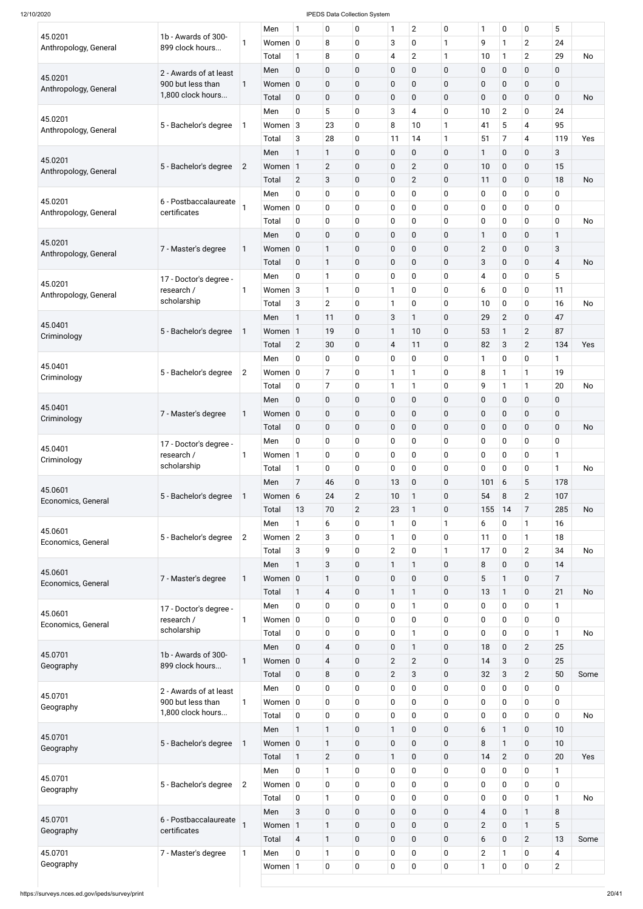|                               |                                       |                | Men         | 1              | 0                       | 0              | 1              | $\overline{2}$   | $\mathbf 0$  | 1                       | 0              | $\mathbf 0$             | 5              |           |
|-------------------------------|---------------------------------------|----------------|-------------|----------------|-------------------------|----------------|----------------|------------------|--------------|-------------------------|----------------|-------------------------|----------------|-----------|
| 45.0201                       | 1b - Awards of 300-                   | 1              | Women $ 0 $ |                | 8                       | 0              | 3              | 0                | 1            | 9                       | $\mathbf{1}$   | $\overline{2}$          | 24             |           |
| Anthropology, General         | 899 clock hours                       |                | Total       | $\mathbf{1}$   | 8                       | 0              | 4              | $\overline{2}$   | $\mathbf{1}$ | 10                      | $\mathbf{1}$   | $\overline{2}$          | 29             | <b>No</b> |
|                               | 2 - Awards of at least                |                | Men         | $\mathbf 0$    | $\pmb{0}$               | $\mathbf 0$    | $\pmb{0}$      | $\mathbf 0$      | $\mathbf 0$  | $\mathbf 0$             | 0              | $\mathbf 0$             | 0              |           |
| 45.0201                       | 900 but less than                     | 1              | Women 0     |                | $\pmb{0}$               | $\mathbf 0$    | $\pmb{0}$      | $\pmb{0}$        | $\mathbf 0$  | $\pmb{0}$               | 0              | $\pmb{0}$               | $\mathbf 0$    |           |
| Anthropology, General         | 1,800 clock hours                     |                | Total       | $\mathbf 0$    | $\pmb{0}$               | 0              | $\pmb{0}$      | $\mathbf 0$      | $\mathbf 0$  | $\pmb{0}$               | 0              | $\pmb{0}$               | $\mathbf 0$    | <b>No</b> |
|                               |                                       |                |             |                |                         |                |                |                  |              |                         |                |                         |                |           |
| 45.0201                       |                                       |                | Men         | 0              | 5                       | 0              | 3              | 4                | $\mathbf 0$  | 10                      | $\overline{2}$ | $\mathbf 0$             | 24             |           |
| Anthropology, General         | 5 - Bachelor's degree                 | 1              | Women $3$   |                | 23                      | 0              | 8              | 10               | $\mathbf{1}$ | 41                      | 5              | $\overline{\mathbf{4}}$ | 95             |           |
|                               |                                       |                | Total       | 3              | 28                      | 0              | 11             | 14               | $\mathbf{1}$ | 51                      | $\overline{7}$ | $\overline{\mathbf{4}}$ | 119            | Yes       |
| 45.0201                       |                                       |                | Men         | $\mathbf{1}$   | $\mathbf{1}$            | 0              | $\mathbf 0$    | $\pmb{0}$        | $\mathbf 0$  | 1                       | 0              | $\mathbf 0$             | 3              |           |
| Anthropology, General         | 5 - Bachelor's degree                 | $\overline{2}$ | Women 1     |                | $\mathbf{2}$            | 0              | $\pmb{0}$      | $\overline{2}$   | $\mathbf 0$  | 10                      | $\pmb{0}$      | $\mathbf 0$             | 15             |           |
|                               |                                       |                | Total       | $\overline{2}$ | $\sqrt{3}$              | 0              | $\mathbf 0$    | $\overline{2}$   | $\mathbf 0$  | 11                      | 0              | $\mathbf 0$             | 18             | <b>No</b> |
|                               |                                       |                | Men         | 0              | $\pmb{0}$               | 0              | $\mathbf 0$    | 0                | $\mathbf 0$  | 0                       | 0              | $\pmb{0}$               | 0              |           |
| 45.0201                       | 6 - Postbaccalaureate<br>certificates |                | Women $ 0 $ |                | $\pmb{0}$               | 0              | $\mathbf 0$    | 0                | $\mathbf 0$  | $\mathbf 0$             | 0              | 0                       | 0              |           |
| Anthropology, General         |                                       |                | Total       | $\mathbf 0$    | $\pmb{0}$               | 0              | $\mathbf 0$    | 0                | $\mathbf 0$  | $\pmb{0}$               | $\pmb{0}$      | $\pmb{0}$               | 0              | <b>No</b> |
|                               |                                       |                | Men         | $\mathbf 0$    | $\pmb{0}$               | 0              | $\pmb{0}$      | $\pmb{0}$        | $\mathbf 0$  | 1                       | 0              | $\mathbf 0$             | $\mathbf{1}$   |           |
| 45.0201                       | 7 - Master's degree                   | 1              | Women 0     |                | $\mathbf{1}$            | 0              | $\pmb{0}$      | $\pmb{0}$        | $\mathbf 0$  | $\mathbf{2}$            | 0              | $\mathbf 0$             | 3              |           |
| Anthropology, General         |                                       |                | Total       | $\mathbf 0$    | $\mathbf{1}$            | 0              | $\mathbf 0$    | $\mathbf 0$      | $\mathbf 0$  | 3                       | 0              | $\pmb{0}$               | 4              | <b>No</b> |
|                               |                                       |                |             |                |                         |                |                |                  |              |                         |                |                         |                |           |
| 45.0201                       | 17 - Doctor's degree -                |                | Men         | $\mathbf 0$    | $\mathbf{1}$            | 0              | $\mathbf 0$    | 0                | $\mathbf 0$  | 4                       | 0              | $\pmb{0}$               | 5              |           |
| Anthropology, General         | research /                            | 1              | Women 3     |                | 1                       | 0              | $\mathbf{1}$   | 0                | 0            | 6                       | 0              | $\mathbf 0$             | 11             |           |
|                               | scholarship                           |                | Total       | 3              | $\overline{2}$          | 0              | $\mathbf{1}$   | 0                | $\mathbf 0$  | 10                      | $\pmb{0}$      | $\mathbf 0$             | 16             | <b>No</b> |
| 45.0401                       |                                       |                | Men         | 1              | 11                      | 0              | 3              | $\mathbf{1}$     | $\mathbf 0$  | 29                      | $\overline{2}$ | $\mathbf 0$             | 47             |           |
| Criminology                   | 5 - Bachelor's degree                 | $\mathbf{1}$   | Women 1     |                | 19                      | 0              | $\mathbf{1}$   | 10               | $\mathbf 0$  | 53                      | $\mathbf{1}$   | $\overline{2}$          | 87             |           |
|                               |                                       |                | Total       | $\overline{2}$ | 30                      | 0              | 4              | 11               | $\mathbf 0$  | 82                      | 3              | $\overline{2}$          | 134            | Yes       |
|                               |                                       |                | Men         | 0              | $\mathbf 0$             | 0              | 0              | 0                | 0            | 1                       | 0              | 0                       | 1              |           |
| 45.0401                       | 5 - Bachelor's degree                 | $\overline{2}$ | Women $ 0$  |                | $\overline{7}$          | 0              | $\mathbf{1}$   | 1                | $\mathbf 0$  | 8                       | $\mathbf{1}$   | 1                       | 19             |           |
| Criminology                   |                                       |                | Total       | 0              | $\overline{7}$          | 0              | $\mathbf{1}$   | $\mathbf{1}$     | $\mathbf 0$  | 9                       | $\mathbf{1}$   | $\mathbf{1}$            | 20             | <b>No</b> |
|                               |                                       |                | Men         | $\mathbf 0$    | $\pmb{0}$               | $\mathbf 0$    | $\mathbf 0$    | $\pmb{0}$        | $\mathbf 0$  | $\pmb{0}$               | $\pmb{0}$      | $\mathbf 0$             | $\mathbf 0$    |           |
| 45.0401                       | 7 - Master's degree                   | 1              | Women 0     |                | $\mathbf 0$             | 0              | $\mathbf 0$    | $\mathbf 0$      | $\mathbf 0$  | $\pmb{0}$               | 0              | $\pmb{0}$               | 0              |           |
| Criminology                   |                                       |                | Total       | $\mathbf 0$    | $\pmb{0}$               | 0              | $\pmb{0}$      | $\mathbf 0$      | $\mathbf 0$  | $\pmb{0}$               | 0              | $\mathbf 0$             | $\mathbf 0$    | <b>No</b> |
|                               |                                       |                |             |                |                         |                |                |                  |              |                         |                |                         |                |           |
| 45.0401                       | 17 - Doctor's degree -                |                | Men         | 0              | $\pmb{0}$               | 0              | $\mathbf 0$    | 0                | $\mathbf 0$  | $\pmb{0}$               | 0              | 0                       | 0              |           |
| Criminology                   | research /<br>scholarship             | 1              | Women 1     |                | $\pmb{0}$               | 0              | $\mathbf 0$    | 0                | $\mathbf 0$  | $\pmb{0}$               | 0              | $\pmb{0}$               | $\mathbf{1}$   |           |
|                               |                                       |                | Total       | $\mathbf{1}$   | $\pmb{0}$               | 0              | $\mathbf 0$    | 0                | $\mathbf 0$  | $\mathbf 0$             | 0              | $\pmb{0}$               | 1              | <b>No</b> |
| 45.0601                       |                                       |                | Men         | $\overline{7}$ | 46                      | 0              | 13             | $\pmb{0}$        | $\mathbf 0$  | 101                     | 6              | 5                       | 178            |           |
| Economics, General            | 5 - Bachelor's degree                 | 1              | Women 6     |                | 24                      | $\overline{2}$ | 10             | $\mathbf{1}$     | $\mathbf 0$  | 54                      | 8              | $\overline{2}$          | 107            |           |
|                               |                                       |                | Total       | 13             | 70                      | $\overline{2}$ | 23             | $\mathbf{1}$     | $\mathbf 0$  | 155                     | 14             | $\overline{7}$          | 285            | <b>No</b> |
|                               |                                       |                | Men         | $\mathbf{1}$   | 6                       | 0              | 1              | 0                | $\mathbf{1}$ | 6                       | 0              | $\mathbf{1}$            | 16             |           |
| 45.0601<br>Economics, General | 5 - Bachelor's degree                 | $\overline{2}$ | Women $2$   |                | 3                       | 0              | $\mathbf{1}$   | 0                | $\mathbf 0$  | 11                      | 0              | $\mathbf{1}$            | 18             |           |
|                               |                                       |                | Total       | 3              | 9                       | 0              | 2              | 0                | 1            | 17                      | 0              | $\overline{2}$          | 34             | <b>No</b> |
|                               |                                       |                | Men         | $\mathbf{1}$   | $\sqrt{3}$              | $\pmb{0}$      | $\mathbf{1}$   | $\mathbf{1}$     | $\mathbf 0$  | 8                       | 0              | $\mathbf 0$             | 14             |           |
| 45.0601                       | 7 - Master's degree                   | 1              | Women 0     |                | $\mathbf{1}$            | 0              | $\mathbf 0$    | $\mathbf 0$      | $\mathbf 0$  | 5                       | $\mathbf{1}$   | $\mathbf 0$             | $\overline{7}$ |           |
| Economics, General            |                                       |                | Total       | $\mathbf{1}$   | $\overline{4}$          | 0              | 1              | $\mathbf{1}$     | $\mathbf 0$  | 13                      | $\mathbf{1}$   | $\mathbf 0$             | 21             | <b>No</b> |
|                               |                                       |                |             | 0              |                         |                | $\mathbf 0$    | 1                | $\mathbf 0$  |                         | 0              | $\mathbf 0$             | $\mathbf{1}$   |           |
| 45.0601                       | 17 - Doctor's degree -                |                | Men         |                | $\mathbf 0$             | 0              |                |                  |              | 0                       |                |                         |                |           |
| Economics, General            | research /<br>scholarship             | 1              | Women $ 0 $ |                | $\pmb{0}$               | 0              | $\pmb{0}$      | 0                | $\mathbf 0$  | 0                       | $\pmb{0}$      | $\pmb{0}$               | 0              |           |
|                               |                                       |                | Total       | $\mathbf 0$    | $\pmb{0}$               | 0              | $\mathbf 0$    | $\mathbf{1}$     | $\mathbf 0$  | $\pmb{0}$               | $\pmb{0}$      | $\pmb{0}$               | 1              | <b>No</b> |
| 45.0701                       | 1b - Awards of 300-                   |                | Men         | $\mathbf 0$    | $\overline{\mathbf{4}}$ | $\pmb{0}$      | $\pmb{0}$      | $\mathbf{1}$     | $\mathbf 0$  | 18                      | $\pmb{0}$      | $\overline{2}$          | 25             |           |
| Geography                     | 899 clock hours                       | 1              | Women 0     |                | $\overline{\mathbf{4}}$ | 0              | $\overline{2}$ | $\overline{2}$   | $\mathbf 0$  | 14                      | 3              | 0                       | 25             |           |
|                               |                                       |                | Total       | $\mathbf 0$    | $\,8\,$                 | $\pmb{0}$      | $\mathbf{2}$   | 3                | $\mathbf 0$  | 32                      | 3              | $\overline{2}$          | 50             | Some      |
|                               | 2 - Awards of at least                |                | Men         | 0              | $\pmb{0}$               | 0              | $\mathbf 0$    | 0                | 0            | 0                       | 0              | 0                       | 0              |           |
| 45.0701                       | 900 but less than                     | 1              | Women $ 0$  |                | $\mathbf 0$             | 0              | 0              | 0                | $\mathbf 0$  | 0                       | 0              | $\mathbf 0$             | 0              |           |
| Geography                     | 1,800 clock hours                     |                | Total       | $\pmb{0}$      | $\pmb{0}$               | 0              | $\pmb{0}$      | $\pmb{0}$        | $\mathbf 0$  | $\pmb{0}$               | $\pmb{0}$      | $\boldsymbol{0}$        | 0              | No        |
|                               |                                       |                | Men         | $\mathbf{1}$   | $\mathbf{1}$            | $\pmb{0}$      | $\mathbf{1}$   | $\mathbf 0$      | $\mathbf 0$  | 6                       | $\mathbf{1}$   | $\mathbf 0$             | 10             |           |
| 45.0701                       | 5 - Bachelor's degree                 | $\mathbf 1$    | Women 0     |                | $\mathbf{1}$            | $\pmb{0}$      | $\pmb{0}$      | $\pmb{0}$        | $\pmb{0}$    | $\, 8$                  | $\mathbf{1}$   | $\mathbf 0$             | 10             |           |
| Geography                     |                                       |                | Total       | $\mathbf{1}$   | $\overline{2}$          |                | $\mathbf{1}$   | $\pmb{0}$        | $\mathbf 0$  | 14                      |                | $\mathbf 0$             | 20             | Yes       |
|                               |                                       |                |             |                |                         | $\pmb{0}$      |                |                  |              |                         | $\overline{2}$ |                         |                |           |
| 45.0701                       |                                       |                | Men         | $\pmb{0}$      | $\mathbf{1}$            | $\pmb{0}$      | $\mathbf 0$    | $\boldsymbol{0}$ | $\mathbf 0$  | 0                       | 0              | $\mathbf 0$             | 1              |           |
| Geography                     | 5 - Bachelor's degree                 | $\overline{2}$ | Women $ 0 $ |                | $\pmb{0}$               | $\pmb{0}$      | $\mathbf 0$    | $\mathbf 0$      | $\mathbf 0$  | 0                       | $\pmb{0}$      | $\mathbf 0$             | $\mathbf 0$    |           |
|                               |                                       |                | Total       | $\mathbf 0$    | $\mathbf{1}$            | $\pmb{0}$      | $\mathbf 0$    | $\boldsymbol{0}$ | $\mathbf 0$  | 0                       | $\pmb{0}$      | $\pmb{0}$               | $\mathbf{1}$   | No        |
| 45.0701                       | 6 - Postbaccalaureate                 |                | Men         | 3              | $\pmb{0}$               | $\pmb{0}$      | $\pmb{0}$      | $\pmb{0}$        | $\mathbf 0$  | $\overline{\mathbf{4}}$ | $\pmb{0}$      | $\mathbf{1}$            | 8              |           |
| Geography                     | certificates                          |                | Women 1     |                | $\mathbf{1}$            | $\pmb{0}$      | $\pmb{0}$      | $\pmb{0}$        | $\pmb{0}$    | $\overline{2}$          | 0              | $\mathbf{1}$            | 5              |           |
|                               |                                       |                | Total       | $\overline{4}$ | $\mathbf{1}$            | $\pmb{0}$      | $\mathbf 0$    | $\pmb{0}$        | $\mathbf 0$  | 6                       | 0              | $\overline{2}$          | 13             | Some      |
| 45.0701                       | 7 - Master's degree                   | $\mathbf{1}$   | Men         | $\pmb{0}$      | $\mathbf{1}$            | 0              | $\mathbf 0$    | 0                | $\mathbf 0$  | $\overline{2}$          | $\mathbf{1}$   | $\mathbf 0$             | 4              |           |
| Geography                     |                                       |                | Women   1   |                | $\pmb{0}$               | $\pmb{0}$      | $\mathbf 0$    | 0                | $\mathbf 0$  | 1                       | 0              | $\mathbf 0$             | $\overline{2}$ |           |
|                               |                                       |                |             |                |                         |                |                |                  |              |                         |                |                         |                |           |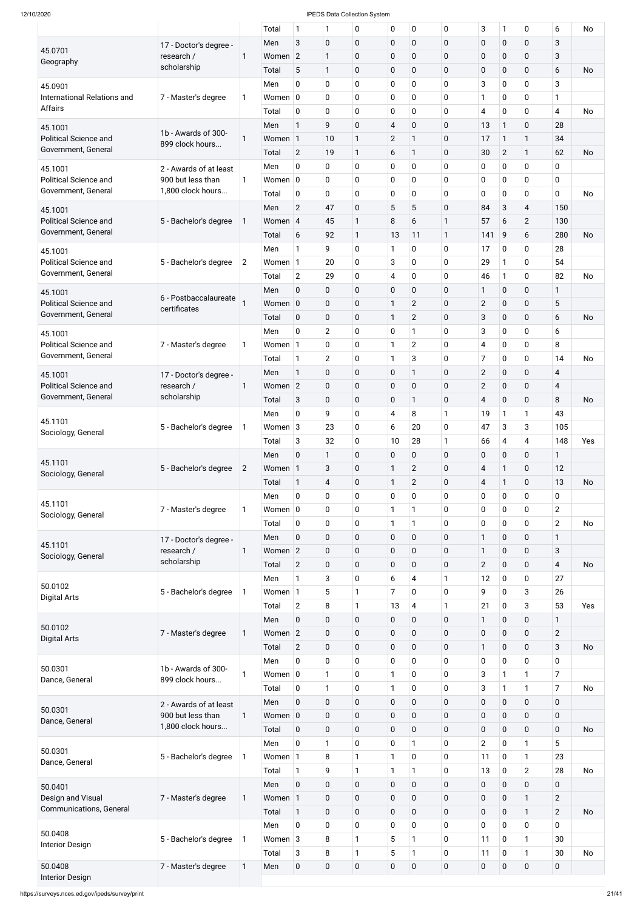|                                                     |                                             |                | Total              | $\mathbf{1}$   | 1                   | 0              | 0                       | 0                   | 0            | 3                   | $\mathbf{1}$               | 0                | 6                       | No        |
|-----------------------------------------------------|---------------------------------------------|----------------|--------------------|----------------|---------------------|----------------|-------------------------|---------------------|--------------|---------------------|----------------------------|------------------|-------------------------|-----------|
|                                                     | 17 - Doctor's degree -                      |                | Men                | 3              | $\mathbf 0$         | $\pmb{0}$      | 0                       | $\mathbf 0$         | 0            | $\pmb{0}$           | $\mathbf 0$                | $\mathbf 0$      | 3                       |           |
| 45.0701                                             | research /                                  | 1              | Women 2            |                | $\mathbf{1}$        | $\pmb{0}$      | 0                       | $\mathbf 0$         | 0            | $\pmb{0}$           | $\mathbf 0$                | 0                | 3                       |           |
| Geography                                           | scholarship                                 |                | Total              | 5              | $\mathbf{1}$        | $\pmb{0}$      | $\mathbf 0$             | $\mathbf 0$         | 0            | $\pmb{0}$           | $\mathbf 0$                | $\mathbf 0$      | 6                       | <b>No</b> |
| 45.0901                                             |                                             |                | Men                | 0              | 0                   | $\mathbf 0$    | 0                       | 0                   | 0            | 3                   | $\mathbf 0$                | $\overline{0}$   | 3                       |           |
| International Relations and                         | 7 - Master's degree                         | 1              | Women $ 0 $        |                | 0                   | $\pmb{0}$      | 0                       | 0                   | 0            | 1                   | $\mathbf 0$                | 0                | 1                       |           |
| Affairs                                             |                                             |                | Total              | 0              | 0                   | $\pmb{0}$      | 0                       | 0                   | $\mathbf 0$  | $\overline{4}$      | $\mathbf 0$                | 0                | 4                       | <b>No</b> |
| 45.1001                                             |                                             |                | Men                | $\mathbf{1}$   | 9                   | $\mathbf 0$    | 4                       | $\mathbf 0$         | $\mathbf 0$  | 13                  | $\mathbf{1}$               | $\mathbf 0$      | 28                      |           |
| <b>Political Science and</b>                        | 1b - Awards of 300-                         | $\mathbf{1}$   | Women 1            |                | 10                  | $\mathbf{1}$   | $\overline{2}$          | $\mathbf{1}$        | $\mathbf 0$  | 17                  | $\mathbf{1}$               | $\mathbf{1}$     | 34                      |           |
| Government, General                                 | 899 clock hours                             |                | Total              | $\overline{2}$ | 19                  | $\mathbf{1}$   | 6                       | 1                   | 0            | 30                  | $\overline{2}$             | $\mathbf{1}$     | 62                      | <b>No</b> |
|                                                     |                                             |                | Men                | 0              | 0                   | $\mathbf 0$    | 0                       | 0                   | 0            | $\mathbf 0$         | $\mathbf 0$                | 0                | 0                       |           |
| 45.1001<br><b>Political Science and</b>             | 2 - Awards of at least<br>900 but less than | $\mathbf{1}$   | Women $ 0 $        |                | 0                   | $\pmb{0}$      | 0                       | 0                   | 0            | 0                   | $\mathbf 0$                | 0                | $\mathbf 0$             |           |
| Government, General                                 | 1,800 clock hours                           |                | Total              | 0              | 0                   | $\mathbf 0$    | 0                       | 0                   | $\mathbf 0$  | $\mathbf 0$         | $\mathbf 0$                | 0                | 0                       | <b>No</b> |
|                                                     |                                             |                | Men                | $\overline{2}$ | 47                  | $\pmb{0}$      | 5                       | 5                   | 0            | 84                  | $\mathbf{3}$               | $\overline{4}$   | 150                     |           |
| 45.1001<br><b>Political Science and</b>             | 5 - Bachelor's degree                       | 1              | Women 4            |                | 45                  | $\mathbf{1}$   | 8                       | 6                   | $\mathbf{1}$ | 57                  | 6                          | $\overline{2}$   | 130                     |           |
| Government, General                                 |                                             |                | Total              | 6              | 92                  | $\mathbf{1}$   | 13                      | 11                  | 1            | 141                 | 9                          | 6                | 280                     | <b>No</b> |
|                                                     |                                             |                | Men                | $\mathbf{1}$   | 9                   | $\mathbf 0$    | 1                       | 0                   | 0            | 17                  | $\mathbf 0$                | 0                | 28                      |           |
| 45.1001<br><b>Political Science and</b>             | 5 - Bachelor's degree                       | $\overline{c}$ | Women $1$          |                | 20                  | $\pmb{0}$      | 3                       | 0                   | 0            | 29                  | $\mathbf{1}$               | 0                | 54                      |           |
| Government, General                                 |                                             |                | Total              | $\overline{2}$ | 29                  | $\pmb{0}$      | $\overline{\mathbf{4}}$ | 0                   | $\mathbf 0$  | 46                  | $\mathbf{1}$               | 0                | 82                      | <b>No</b> |
|                                                     |                                             |                | Men                | $\mathbf 0$    | 0                   | $\pmb{0}$      | $\mathbf 0$             | $\mathbf 0$         | $\mathbf 0$  | $\mathbf{1}$        | $\mathbf 0$                | 0                | $\mathbf{1}$            |           |
| 45.1001<br><b>Political Science and</b>             | 6 - Postbaccalaureate                       |                | Women $ 0 $        |                | 0                   | $\pmb{0}$      | 1                       | $\overline{2}$      | 0            | $\mathbf{2}$        | $\pmb{0}$                  | 0                | 5                       |           |
| Government, General                                 | certificates                                |                |                    |                |                     |                |                         |                     |              |                     |                            |                  |                         |           |
|                                                     |                                             |                | Total<br>Men       | 0<br>0         | 0<br>$\overline{2}$ | $\pmb{0}$<br>0 | $\mathbf{1}$<br>0       | $\overline{2}$<br>1 | 0<br>0       | 3<br>3              | $\mathbf 0$<br>$\mathbf 0$ | $\mathbf 0$<br>0 | 6<br>6                  | <b>No</b> |
| 45.1001<br><b>Political Science and</b>             |                                             |                |                    |                |                     |                | 1                       |                     |              |                     |                            |                  | 8                       |           |
| Government, General                                 | 7 - Master's degree                         | 1              | Women $1$          | $\mathbf{1}$   | 0                   | 0              |                         | $\overline{2}$      | 0            | 4<br>$\overline{7}$ | $\mathbf 0$                | 0                | 14                      |           |
|                                                     |                                             |                | Total              |                | $\overline{2}$      | $\mathbf 0$    | 1                       | 3                   | 0            |                     | $\mathbf 0$                | 0                |                         | <b>No</b> |
| 45.1001                                             | 17 - Doctor's degree -                      |                | Men                | $\mathbf{1}$   | $\mathbf 0$         | $\pmb{0}$      | 0                       | 1                   | $\pmb{0}$    | $\mathbf{2}$        | $\pmb{0}$                  | $\pmb{0}$        | $\overline{4}$          |           |
| <b>Political Science and</b><br>Government, General | research /<br>scholarship                   | $\mathbf{1}$   | Women <sub>2</sub> |                | $\mathbf 0$         | $\pmb{0}$      | $\mathbf 0$             | $\mathbf 0$         | 0            | $\overline{2}$      | $\mathbf 0$                | 0                | $\overline{\mathbf{4}}$ |           |
|                                                     |                                             |                | Total              | 3              | $\mathbf 0$         | $\pmb{0}$      | $\mathbf 0$             | $\mathbf{1}$        | 0            | $\overline{4}$      | $\mathbf 0$                | 0                | 8                       | <b>No</b> |
| 45.1101                                             |                                             |                | Men                | 0              | 9                   | 0              | 4                       | 8                   | 1            | 19                  | 1                          | $\mathbf{1}$     | 43                      |           |
| Sociology, General                                  | 5 - Bachelor's degree                       | 1              | Women $3$          |                | 23                  | $\pmb{0}$      | 6                       | 20                  | $\mathbf 0$  | 47                  | $\mathbf{3}$               | 3                | 105                     |           |
|                                                     |                                             |                | Total              | 3              | 32                  | 0              | 10                      | 28                  | $\mathbf{1}$ | 66                  | $\overline{4}$             | $\overline{4}$   | 148                     | Yes       |
| 45.1101                                             |                                             |                | Men                | $\mathbf{0}$   | $\mathbf{1}$        | $\mathbf 0$    | $\overline{0}$          | $\mathbf 0$         | $\mathbf 0$  | $\pmb{0}$           | $\mathbf 0$                | 0                | $\mathbf{1}$            |           |
| Sociology, General                                  | 5 - Bachelor's degree                       | $\overline{2}$ | Women 1            |                | 3                   | $\pmb{0}$      | 1                       | $\overline{2}$      | 0            | $\overline{4}$      | $\mathbf{1}$               | 0                | 12                      |           |
|                                                     |                                             |                | Total              | $\mathbf{1}$   | $\overline{4}$      | $\pmb{0}$      | 1                       | $\overline{2}$      | 0            | $\overline{4}$      | $\mathbf{1}$               | 0                | 13                      | <b>No</b> |
| 45.1101                                             |                                             |                | Men                | 0              | 0                   | 0              | 0                       | 0                   | 0            | 0                   | $\mathbf 0$                | 0                | $\mathbf 0$             |           |
| Sociology, General                                  | 7 - Master's degree                         | 1              | Women $ 0 $        |                | 0                   | $\pmb{0}$      | $\mathbf{1}$            | $\mathbf{1}$        | 0            | $\mathbf 0$         | $\mathbf 0$                | 0                | $\overline{2}$          |           |
|                                                     |                                             |                | Total              | 0              | 0                   | 0              | $\mathbf{1}$            | 1                   | 0            | 0                   | $\mathbf 0$                | 0                | $\overline{2}$          | No        |
| 45.1101                                             | 17 - Doctor's degree -                      |                | Men                | $\mathbf 0$    | $\mathbf 0$         | $\pmb{0}$      | $\mathbf 0$             | $\mathbf 0$         | 0            | $\mathbf{1}$        | $\pmb{0}$                  | 0                | $\mathbf{1}$            |           |
| Sociology, General                                  | research /                                  | $\mathbf{1}$   | Women $2$          |                | 0                   | $\pmb{0}$      | 0                       | $\mathbf 0$         | 0            | 1                   | $\mathbf 0$                | 0                | 3                       |           |
|                                                     | scholarship                                 |                | Total              | $\overline{2}$ | $\mathbf 0$         | $\pmb{0}$      | $\mathbf 0$             | 0                   | 0            | $\overline{2}$      | $\mathbf 0$                | 0                | $\overline{4}$          | <b>No</b> |
| 50.0102                                             |                                             |                | Men                | $\mathbf{1}$   | 3                   | $\pmb{0}$      | 6                       | 4                   | 1            | 12                  | $\mathbf 0$                | 0                | 27                      |           |
| <b>Digital Arts</b>                                 | 5 - Bachelor's degree                       | 1              | Women 1            |                | 5                   | $\mathbf{1}$   | $\overline{7}$          | 0                   | 0            | 9                   | $\mathbf 0$                | 3                | 26                      |           |
|                                                     |                                             |                | Total              | $\overline{2}$ | $\, 8$              | $\mathbf{1}$   | 13                      | 4                   | $\mathbf{1}$ | 21                  | $\mathbf 0$                | 3                | 53                      | Yes       |
| 50.0102                                             |                                             |                | Men                | $\mathbf 0$    | $\mathbf 0$         | $\pmb{0}$      | $\mathbf 0$             | $\mathbf 0$         | 0            | 1                   | $\mathbf 0$                | 0                | $\mathbf{1}$            |           |
| <b>Digital Arts</b>                                 | 7 - Master's degree                         | 1              | Women $2$          |                | $\mathbf 0$         | $\pmb{0}$      | 0                       | $\mathbf 0$         | 0            | $\pmb{0}$           | $\mathbf 0$                | 0                | $\overline{2}$          |           |
|                                                     |                                             |                | Total              | $\overline{2}$ | $\mathbf 0$         | $\pmb{0}$      | $\overline{0}$          | 0                   | 0            | 1                   | $\mathbf 0$                | 0                | 3                       | <b>No</b> |
| 50.0301                                             | 1b - Awards of 300-                         |                | Men                | 0              | 0                   | 0              | 0                       | 0                   | 0            | $\pmb{0}$           | $\mathbf 0$                | 0                | $\mathbf 0$             |           |
| Dance, General                                      | 899 clock hours                             | $\mathbf{1}$   | Women $ 0 $        |                | $\mathbf{1}$        | $\pmb{0}$      | 1                       | 0                   | 0            | 3                   | $\mathbf{1}$               | $\mathbf{1}$     | $\overline{7}$          |           |
|                                                     |                                             |                | Total              | 0              | $\mathbf{1}$        | 0              | $\mathbf{1}$            | 0                   | $\mathbf 0$  | 3                   | $\mathbf{1}$               | $\mathbf{1}$     | $\overline{7}$          | No        |
| 50.0301                                             | 2 - Awards of at least                      |                | Men                | $\overline{0}$ | 0                   | $\mathbf 0$    | 0                       | 0                   | 0            | $\mathbf 0$         | $\mathbf 0$                | 0                | 0                       |           |
| Dance, General                                      | 900 but less than                           | $\mathbf{1}$   | Women $ 0 $        |                | $\mathbf 0$         | $\pmb{0}$      | 0                       | $\pmb{0}$           | $\mathbf 0$  | $\pmb{0}$           | $\pmb{0}$                  | $\pmb{0}$        | $\pmb{0}$               |           |
|                                                     | 1,800 clock hours                           |                | Total              | $\pmb{0}$      | $\pmb{0}$           | $\pmb{0}$      | $\mathbf 0$             | $\mathbf 0$         | 0            | $\pmb{0}$           | $\mathbf 0$                | $\pmb{0}$        | $\mathbf 0$             | <b>No</b> |
| 50.0301                                             |                                             |                | Men                | $\mathbf 0$    | $\mathbf{1}$        | $\pmb{0}$      | 0                       | 1                   | 0            | $2^{\circ}$         | $\pmb{0}$                  | $\mathbf{1}$     | 5                       |           |
| Dance, General                                      | 5 - Bachelor's degree                       | 1              | Women 1            |                | 8                   | $\mathbf{1}$   | $\mathbf{1}$            | 0                   | 0            | 11                  | $\mathbf 0$                | $\mathbf{1}$     | 23                      |           |
|                                                     |                                             |                | Total              | $\mathbf{1}$   | 9                   | $\mathbf{1}$   | $\mathbf{1}$            | 1                   | $\mathbf 0$  | 13                  | $\mathbf 0$                | $\overline{2}$   | 28                      | No        |
| 50.0401                                             |                                             |                | Men                | $\mathbf 0$    | $\pmb{0}$           | $\pmb{0}$      | $\mathbf 0$             | $\mathbf 0$         | 0            | $\pmb{0}$           | $\mathbf 0$                | $\mathbf 0$      | 0                       |           |
| Design and Visual                                   | 7 - Master's degree                         | 1              | Women 1            |                | $\pmb{0}$           | $\pmb{0}$      | $\mathbf 0$             | $\mathbf 0$         | 0            | $\pmb{0}$           | $\mathbf 0$                | $\mathbf{1}$     | $\overline{2}$          |           |
| Communications, General                             |                                             |                | Total              | $\mathbf{1}$   | $\pmb{0}$           | $\pmb{0}$      | $\mathbf 0$             | $\mathbf 0$         | 0            | $\pmb{0}$           | $\mathbf 0$                | $\mathbf{1}$     | $\overline{2}$          | <b>No</b> |
|                                                     |                                             |                | Men                | $\mathbf 0$    | $\mathbf 0$         | $\pmb{0}$      | $\overline{0}$          | 0                   | 0            | $\pmb{0}$           | $\pmb{0}$                  | $\mathbf 0$      | $\mathbf 0$             |           |
| 50.0408<br><b>Interior Design</b>                   | 5 - Bachelor's degree                       | 1              | Women $3$          |                | 8                   | $\mathbf{1}$   | 5                       | 1                   | 0            | 11                  | $\mathbf 0$                | $\mathbf{1}$     | 30                      |           |
|                                                     |                                             |                | Total              | 3              | 8                   | $\mathbf{1}$   | 5                       | 1                   | $\mathbf 0$  | 11                  | $\mathbf 0$                | $\mathbf{1}$     | 30                      | No        |
| 50.0408                                             | 7 - Master's degree                         | $\mathbf{1}$   | Men                | $\pmb{0}$      | $\pmb{0}$           | $\pmb{0}$      | $\mathbf 0$             | $\pmb{0}$           | $\mathbf 0$  | $\pmb{0}$           | $\mathbf 0$                | $\pmb{0}$        | $\pmb{0}$               |           |
| <b>Interior Design</b>                              |                                             |                |                    |                |                     |                |                         |                     |              |                     |                            |                  |                         |           |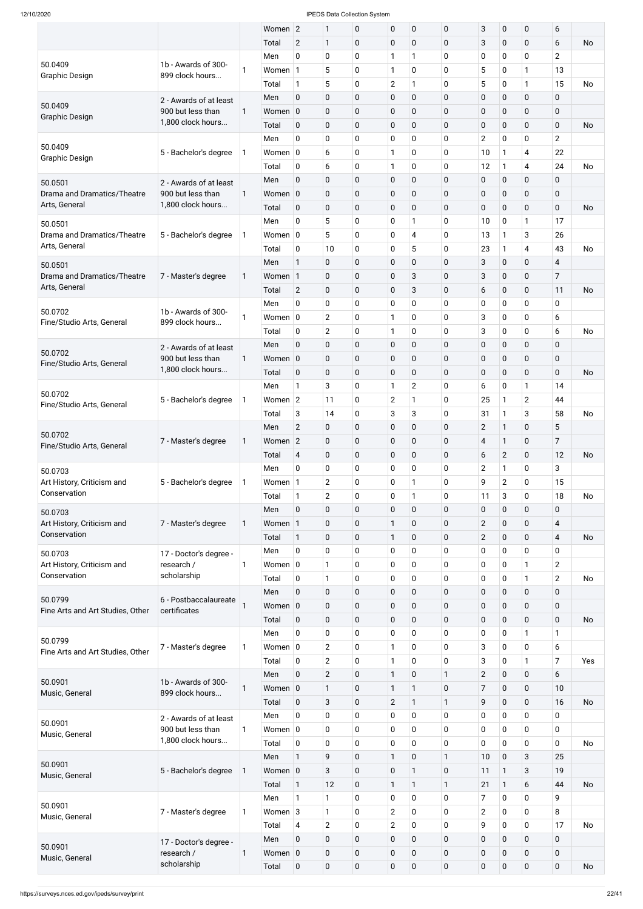|                                       |                                                                                                                                                                                                                                                                                                                                                                                                                                                                                              |    | Women 2               |                | $\mathbf{1}$   | $\pmb{0}$   | $\pmb{0}$      | $\pmb{0}$      | 0            | $\sqrt{3}$              | $\pmb{0}$    | $\pmb{0}$      | 6              |           |
|---------------------------------------|----------------------------------------------------------------------------------------------------------------------------------------------------------------------------------------------------------------------------------------------------------------------------------------------------------------------------------------------------------------------------------------------------------------------------------------------------------------------------------------------|----|-----------------------|----------------|----------------|-------------|----------------|----------------|--------------|-------------------------|--------------|----------------|----------------|-----------|
|                                       |                                                                                                                                                                                                                                                                                                                                                                                                                                                                                              |    | Total                 | $\overline{2}$ | $\mathbf{1}$   | $\mathbf 0$ | $\mathbf 0$    | $\mathbf 0$    | $\mathbf 0$  | 3                       | $\mathbf 0$  | $\mathbf 0$    | 6              | <b>No</b> |
|                                       |                                                                                                                                                                                                                                                                                                                                                                                                                                                                                              |    | Men                   | $\mathbf 0$    | $\mathbf 0$    | $\pmb{0}$   | 1              | 1              | 0            | $\pmb{0}$               | $\mathbf 0$  | $\mathbf 0$    | $\overline{2}$ |           |
| 50.0409<br><b>Graphic Design</b>      | 1b - Awards of 300-<br>899 clock hours                                                                                                                                                                                                                                                                                                                                                                                                                                                       | 1  | Women 1               |                | 5              | 0           | $\mathbf{1}$   | 0              | 0            | 5                       | $\mathbf 0$  | 1              | 13             |           |
|                                       |                                                                                                                                                                                                                                                                                                                                                                                                                                                                                              |    | Total                 | $\mathbf{1}$   | $\sqrt{5}$     | 0           | $\mathbf{2}$   |                | 0            | 5                       | $\mathbf 0$  | 1              | 15             | <b>No</b> |
|                                       | 2 - Awards of at least                                                                                                                                                                                                                                                                                                                                                                                                                                                                       |    | Men                   | $\mathbf 0$    | $\mathbf 0$    | 0           | $\mathbf 0$    | $\mathbf 0$    | 0            | $\pmb{0}$               | $\mathbf 0$  | $\mathbf 0$    | $\mathbf 0$    |           |
| 50.0409<br><b>Graphic Design</b>      | 900 but less than                                                                                                                                                                                                                                                                                                                                                                                                                                                                            | 1  | Women 0               |                | $\mathbf 0$    | 0           | $\mathbf 0$    | 0              | 0            | $\pmb{0}$               | $\mathbf 0$  | $\mathbf 0$    | $\mathbf 0$    |           |
|                                       | 1,800 clock hours                                                                                                                                                                                                                                                                                                                                                                                                                                                                            |    | Total                 | $\mathbf 0$    | $\mathbf 0$    | 0           | $\pmb{0}$      | 0              | $\mathbf 0$  | $\pmb{0}$               | $\mathbf 0$  | $\mathbf 0$    | $\mathbf 0$    | No        |
|                                       | 2 - Awards of at least<br>900 but less than<br>1,800 clock hours<br>7 - Master's degree<br>1b - Awards of 300-<br>899 clock hours<br>2 - Awards of at least<br>900 but less than<br>1,800 clock hours<br>5 - Bachelor's degree<br>7 - Master's degree<br>5 - Bachelor's degree<br>7 - Master's degree<br>17 - Doctor's degree -<br>research /<br>scholarship<br>certificates<br>7 - Master's degree<br>1b - Awards of 300-<br>899 clock hours<br>2 - Awards of at least<br>900 but less than |    | Men                   | $\mathbf 0$    | $\pmb{0}$      | 0           | $\mathbf 0$    | 0              | 0            | $\overline{2}$          | $\mathbf 0$  | 0              | $\overline{2}$ |           |
| 50.0409<br><b>Graphic Design</b>      | 5 - Bachelor's degree                                                                                                                                                                                                                                                                                                                                                                                                                                                                        | 1  | Women $ 0 $           |                | 6              | 0           | 1              | 0              | 0            | 10                      |              | 4              | 22             |           |
|                                       |                                                                                                                                                                                                                                                                                                                                                                                                                                                                                              |    | Total                 | $\mathbf 0$    | 6              | 0           | 1              | 0              | 0            | 12                      | 1            | 4              | 24             | <b>No</b> |
| 50.0501                               |                                                                                                                                                                                                                                                                                                                                                                                                                                                                                              |    | Men                   | $\mathbf 0$    | $\mathbf 0$    | 0           | $\pmb{0}$      | $\mathbf 0$    | 0            | $\pmb{0}$               | $\mathbf 0$  | $\mathbf 0$    | 0              |           |
| Drama and Dramatics/Theatre           |                                                                                                                                                                                                                                                                                                                                                                                                                                                                                              | 1  | Women 0               |                | $\mathbf 0$    | 0           | $\mathbf 0$    | 0              | 0            | $\pmb{0}$               | $\mathbf 0$  | $\mathbf 0$    | $\mathbf 0$    |           |
| Arts, General                         |                                                                                                                                                                                                                                                                                                                                                                                                                                                                                              |    | Total                 | $\mathbf 0$    | $\mathbf 0$    | 0           | $\mathbf 0$    | $\mathbf 0$    | $\mathbf 0$  | $\pmb{0}$               | $\mathbf 0$  | $\mathbf 0$    | $\mathbf 0$    | No        |
| 50.0501                               |                                                                                                                                                                                                                                                                                                                                                                                                                                                                                              |    | Men                   | $\mathbf 0$    | 5              | 0           | $\mathbf 0$    |                | 0            | 10                      | $\mathbf 0$  | 1              | 17             |           |
| Drama and Dramatics/Theatre           | 5 - Bachelor's degree                                                                                                                                                                                                                                                                                                                                                                                                                                                                        | 1  | Women $ 0 $           |                | 5              | 0           | 0              | 4              | 0            | 13                      |              | 3              | 26             |           |
| Arts, General                         |                                                                                                                                                                                                                                                                                                                                                                                                                                                                                              |    | Total                 | $\mathbf 0$    | 10             | 0           | $\mathbf 0$    | 5              | 0            | 23                      | 1            | 4              | 43             | <b>No</b> |
| 50.0501                               |                                                                                                                                                                                                                                                                                                                                                                                                                                                                                              |    | Men                   | 1              | $\mathbf 0$    | 0           | $\pmb{0}$      | $\mathbf 0$    | 0            | 3                       | $\mathbf 0$  | $\mathbf 0$    | $\overline{4}$ |           |
| Drama and Dramatics/Theatre           |                                                                                                                                                                                                                                                                                                                                                                                                                                                                                              | 1  | Women 1               |                | $\mathbf 0$    | 0           | $\pmb{0}$      | 3              | 0            | 3                       | $\pmb{0}$    | $\mathbf 0$    | 7              |           |
| Arts, General                         |                                                                                                                                                                                                                                                                                                                                                                                                                                                                                              |    | Total                 | $\overline{2}$ | $\mathbf 0$    | 0           | $\pmb{0}$      | 3              | $\mathbf 0$  | 6                       | $\mathbf 0$  | $\mathbf 0$    | 11             | No        |
|                                       |                                                                                                                                                                                                                                                                                                                                                                                                                                                                                              |    | Men                   | $\mathbf 0$    | $\pmb{0}$      | 0           | $\mathbf 0$    | 0              | 0            | $\pmb{0}$               | $\mathbf 0$  | $\mathbf 0$    | $\mathbf 0$    |           |
| 50.0702                               |                                                                                                                                                                                                                                                                                                                                                                                                                                                                                              | 1  | Women $ 0 $           |                | $\overline{2}$ | 0           | 1              | 0              | 0            | 3                       | $\mathbf 0$  | $\mathbf 0$    | 6              |           |
| Fine/Studio Arts, General             |                                                                                                                                                                                                                                                                                                                                                                                                                                                                                              |    | Total                 | $\mathbf 0$    | $\overline{2}$ | 0           | 1              | 0              | 0            | 3                       | $\mathbf 0$  | $\mathbf 0$    | 6              | No        |
|                                       |                                                                                                                                                                                                                                                                                                                                                                                                                                                                                              |    | Men                   | $\mathbf 0$    | $\mathbf 0$    | 0           | $\pmb{0}$      | 0              | 0            | $\pmb{0}$               | $\mathbf 0$  | $\mathbf 0$    | $\mathbf 0$    |           |
| 50.0702                               |                                                                                                                                                                                                                                                                                                                                                                                                                                                                                              | 1  | Women $ 0$            |                | $\mathbf 0$    | 0           | 0              | $\mathbf 0$    | 0            | $\pmb{0}$               | $\pmb{0}$    | 0              | 0              |           |
| Fine/Studio Arts, General             |                                                                                                                                                                                                                                                                                                                                                                                                                                                                                              |    | Total                 | $\mathbf 0$    | 0              | $\mathbf 0$ | $\mathbf 0$    | $\mathbf 0$    | $\mathbf 0$  | $\pmb{0}$               | $\mathbf 0$  | $\mathbf 0$    | $\mathbf 0$    | No        |
|                                       |                                                                                                                                                                                                                                                                                                                                                                                                                                                                                              |    | Men                   | $\mathbf{1}$   | $\sqrt{3}$     | 0           | $\mathbf{1}$   | $\overline{2}$ | 0            | 6                       | $\mathbf 0$  | 1              | 14             |           |
| 50.0702                               |                                                                                                                                                                                                                                                                                                                                                                                                                                                                                              | 1  | Women $ 2 $           |                | 11             | 0           | $\overline{2}$ |                | 0            | 25                      | 1            | $\overline{2}$ | 44             |           |
| Fine/Studio Arts, General             |                                                                                                                                                                                                                                                                                                                                                                                                                                                                                              |    | Total                 | 3              | 14             | 0           | 3              | 3              | 0            | 31                      | 1            | 3              | 58             | No        |
|                                       |                                                                                                                                                                                                                                                                                                                                                                                                                                                                                              |    | Men                   | $\overline{2}$ | $\mathbf 0$    | 0           | $\pmb{0}$      | $\mathbf 0$    | $\mathbf 0$  | $\overline{2}$          | $\mathbf{1}$ | $\mathbf 0$    | 5              |           |
| 50.0702                               |                                                                                                                                                                                                                                                                                                                                                                                                                                                                                              | 1  | Women 2               |                | $\mathbf 0$    | $\pmb{0}$   | $\pmb{0}$      | $\pmb{0}$      | $\mathbf 0$  | $\overline{\mathbf{4}}$ | $\mathbf{1}$ | $\pmb{0}$      | $\overline{7}$ |           |
| Fine/Studio Arts, General             |                                                                                                                                                                                                                                                                                                                                                                                                                                                                                              |    | Total                 | $\overline{4}$ | $\pmb{0}$      | $\pmb{0}$   | $\mathbf 0$    | $\mathbf 0$    | $\mathbf 0$  | $\boldsymbol{6}$        | $\mathbf{2}$ | $\mathbf 0$    | 12             | No        |
| 50.0703                               |                                                                                                                                                                                                                                                                                                                                                                                                                                                                                              |    | Men                   | $\mathbf 0$    | $\mathbf 0$    | 0           | 0              | 0              | 0            | $\overline{2}$          | 1            | 0              | 3              |           |
| Art History, Criticism and            |                                                                                                                                                                                                                                                                                                                                                                                                                                                                                              | 1  | Women 1               |                | $\overline{2}$ | 0           | 0              |                | 0            | 9                       | $\mathbf{2}$ | $\mathbf 0$    | 15             |           |
| Conservation                          |                                                                                                                                                                                                                                                                                                                                                                                                                                                                                              |    | Total                 | $\mathbf{1}$   | $\overline{2}$ | 0           | $\mathbf 0$    | 1              | 0            | 11                      | 3            | 0              | 18             | No        |
| 50.0703                               |                                                                                                                                                                                                                                                                                                                                                                                                                                                                                              |    | Men                   | $\mathbf 0$    | $\pmb{0}$      | 0           | $\pmb{0}$      | $\pmb{0}$      | $\mathbf 0$  | $\pmb{0}$               | $\pmb{0}$    | $\mathbf 0$    | $\mathbf 0$    |           |
| Art History, Criticism and            |                                                                                                                                                                                                                                                                                                                                                                                                                                                                                              | 1  | Women 1               |                | $\mathbf 0$    | 0           | $\mathbf{1}$   | $\pmb{0}$      | $\mathbf 0$  | $\mathbf{2}$            | $\pmb{0}$    | $\mathbf 0$    | $\overline{4}$ |           |
| Conservation                          |                                                                                                                                                                                                                                                                                                                                                                                                                                                                                              |    | Total                 | $\mathbf{1}$   | $\mathbf 0$    | $\mathbf 0$ | $\mathbf{1}$   | 0              | 0            | $\mathbf{2}$            | $\mathbf 0$  | $\mathbf 0$    | $\overline{4}$ | No        |
|                                       |                                                                                                                                                                                                                                                                                                                                                                                                                                                                                              |    | Men                   | $\pmb{0}$      | $\mathbf 0$    | $\pmb{0}$   | $\mathbf 0$    | 0              | 0            | $\pmb{0}$               | $\mathbf 0$  | $\mathbf 0$    | $\mathbf 0$    |           |
| 50.0703<br>Art History, Criticism and |                                                                                                                                                                                                                                                                                                                                                                                                                                                                                              | 1  | Women $ 0$            |                | $\mathbf{1}$   | 0           | 0              | 0              | 0            | $\pmb{0}$               | $\mathbf 0$  | 1              | $\overline{2}$ |           |
| Conservation                          |                                                                                                                                                                                                                                                                                                                                                                                                                                                                                              |    | Total                 | $\pmb{0}$      | $\mathbf{1}$   | 0           | 0              | 0              | 0            | $\pmb{0}$               | $\mathbf 0$  | 1              | $\overline{c}$ | No        |
|                                       |                                                                                                                                                                                                                                                                                                                                                                                                                                                                                              |    | Men                   | $\mathbf 0$    | $\pmb{0}$      | 0           | $\pmb{0}$      | $\pmb{0}$      | 0            | $\pmb{0}$               | $\pmb{0}$    | $\mathbf 0$    | $\mathbf 0$    |           |
| 50.0799                               | 6 - Postbaccalaureate                                                                                                                                                                                                                                                                                                                                                                                                                                                                        |    | Women 0               |                | $\mathbf 0$    | $\pmb{0}$   | $\mathbf 0$    | $\mathbf 0$    | 0            | $\pmb{0}$               | $\pmb{0}$    | $\mathbf 0$    | $\pmb{0}$      |           |
| Fine Arts and Art Studies, Other      |                                                                                                                                                                                                                                                                                                                                                                                                                                                                                              |    | Total                 | $\mathbf 0$    | $\pmb{0}$      | $\pmb{0}$   | $\mathbf 0$    | 0              | 0            | $\pmb{0}$               | $\mathbf 0$  | $\mathbf 0$    | $\mathbf 0$    | No        |
|                                       |                                                                                                                                                                                                                                                                                                                                                                                                                                                                                              |    | Men                   | $\mathbf 0$    | $\pmb{0}$      | 0           | 0              | 0              | 0            | $\pmb{0}$               | $\mathbf 0$  | 1              | 1              |           |
| 50.0799                               |                                                                                                                                                                                                                                                                                                                                                                                                                                                                                              | 1  | Women $ 0 $           |                | $\overline{2}$ | 0           | $\mathbf{1}$   | 0              | 0            | 3                       | $\mathbf 0$  | $\mathbf 0$    | 6              |           |
| Fine Arts and Art Studies, Other      |                                                                                                                                                                                                                                                                                                                                                                                                                                                                                              |    | Total                 | $\pmb{0}$      | $\mathbf{2}$   | 0           | $\mathbf{1}$   | 0              | 0            | 3                       | 0            | 1              | $\overline{7}$ | Yes       |
|                                       |                                                                                                                                                                                                                                                                                                                                                                                                                                                                                              |    | Men                   | $\mathbf 0$    | $\mathbf{2}$   | 0           | $\mathbf{1}$   | $\pmb{0}$      | 1            | $\mathbf{2}$            | $\pmb{0}$    | $\mathbf 0$    | 6              |           |
| 50.0901                               |                                                                                                                                                                                                                                                                                                                                                                                                                                                                                              | 1  | Women 0               |                | $\mathbf{1}$   | $\mathbf 0$ | $\mathbf{1}$   | 1              | 0            | 7                       | $\mathbf 0$  | $\mathbf 0$    | 10             |           |
| Music, General                        |                                                                                                                                                                                                                                                                                                                                                                                                                                                                                              |    | Total                 | $\mathbf 0$    | $\mathbf{3}$   | 0           | $\overline{2}$ | 1              | 1            | 9                       | $\pmb{0}$    | $\mathbf 0$    | 16             | No        |
|                                       |                                                                                                                                                                                                                                                                                                                                                                                                                                                                                              |    | Men                   | $\pmb{0}$      | $\pmb{0}$      | $\pmb{0}$   | $\pmb{0}$      | $\pmb{0}$      | 0            | $\pmb{0}$               | $\mathbf 0$  | $\pmb{0}$      | $\mathbf 0$    |           |
| 50.0901                               |                                                                                                                                                                                                                                                                                                                                                                                                                                                                                              | 1  | Women $ 0 $           |                | $\pmb{0}$      | $\pmb{0}$   | $\mathbf 0$    | $\mathbf 0$    | 0            | $\pmb{0}$               | $\mathbf 0$  | $\mathbf 0$    | $\mathbf 0$    |           |
| Music, General                        | 1,800 clock hours                                                                                                                                                                                                                                                                                                                                                                                                                                                                            |    | Total                 | $\mathbf 0$    | $\pmb{0}$      | $\pmb{0}$   | $\mathbf 0$    | $\mathbf 0$    | 0            | $\pmb{0}$               | $\mathbf 0$  | $\pmb{0}$      | $\mathbf 0$    | No        |
|                                       |                                                                                                                                                                                                                                                                                                                                                                                                                                                                                              |    | Men                   | $\mathbf{1}$   | 9              | $\pmb{0}$   | $\mathbf{1}$   | 0              | $\mathbf{1}$ | 10                      | $\mathbf 0$  | 3              | 25             |           |
| 50.0901                               | 5 - Bachelor's degree                                                                                                                                                                                                                                                                                                                                                                                                                                                                        | -1 | Women $\vert 0 \vert$ |                | $\mathbf{3}$   | $\pmb{0}$   | $\mathbf 0$    | $\mathbf{1}$   | $\mathbf 0$  | 11                      | 1            | 3              | 19             |           |
| Music, General                        |                                                                                                                                                                                                                                                                                                                                                                                                                                                                                              |    | Total                 | $\mathbf{1}$   | 12             | $\pmb{0}$   | $\mathbf{1}$   | 1              | 1            | 21                      | $\mathbf{1}$ | 6              | 44             | No        |
|                                       |                                                                                                                                                                                                                                                                                                                                                                                                                                                                                              |    | Men                   | $\mathbf{1}$   | $\mathbf{1}$   | $\pmb{0}$   | $\mathbf 0$    | $\mathbf 0$    | 0            | $\overline{7}$          | $\mathbf 0$  | $\mathbf 0$    | 9              |           |
| 50.0901                               | 7 - Master's degree                                                                                                                                                                                                                                                                                                                                                                                                                                                                          | 1  | Women $3$             |                | $\mathbf{1}$   | $\pmb{0}$   | $\overline{2}$ | $\mathbf 0$    | 0            | $\overline{2}$          | $\mathbf 0$  | $\mathbf 0$    | 8              |           |
| Music, General                        |                                                                                                                                                                                                                                                                                                                                                                                                                                                                                              |    | Total                 | 4              | $\overline{2}$ | $\pmb{0}$   | $\overline{2}$ | $\mathbf 0$    | 0            | 9                       | $\mathbf 0$  | $\mathbf 0$    | 17             | No        |
|                                       |                                                                                                                                                                                                                                                                                                                                                                                                                                                                                              |    | Men                   | $\mathbf 0$    | $\pmb{0}$      | $\pmb{0}$   | $\mathbf 0$    | $\mathbf 0$    | 0            | $\pmb{0}$               | $\mathbf 0$  | $\pmb{0}$      | $\mathbf 0$    |           |
| 50.0901                               | 17 - Doctor's degree -<br>research /                                                                                                                                                                                                                                                                                                                                                                                                                                                         |    | Women $\vert 0 \vert$ |                | $\pmb{0}$      | $\pmb{0}$   | $\mathbf 0$    | $\mathbf 0$    | $\mathbf 0$  | $\pmb{0}$               | $\mathbf 0$  | $\pmb{0}$      | $\mathbf 0$    |           |
| Music, General                        | scholarship                                                                                                                                                                                                                                                                                                                                                                                                                                                                                  | 1  |                       |                |                |             |                |                |              |                         |              |                |                |           |
|                                       |                                                                                                                                                                                                                                                                                                                                                                                                                                                                                              |    | Total                 | $\pmb{0}$      | $\pmb{0}$      | $\pmb{0}$   | $\pmb{0}$      | 0              | $\mathbf 0$  | $\pmb{0}$               | $\mathbf 0$  | $\pmb{0}$      | $\mathbf 0$    | No        |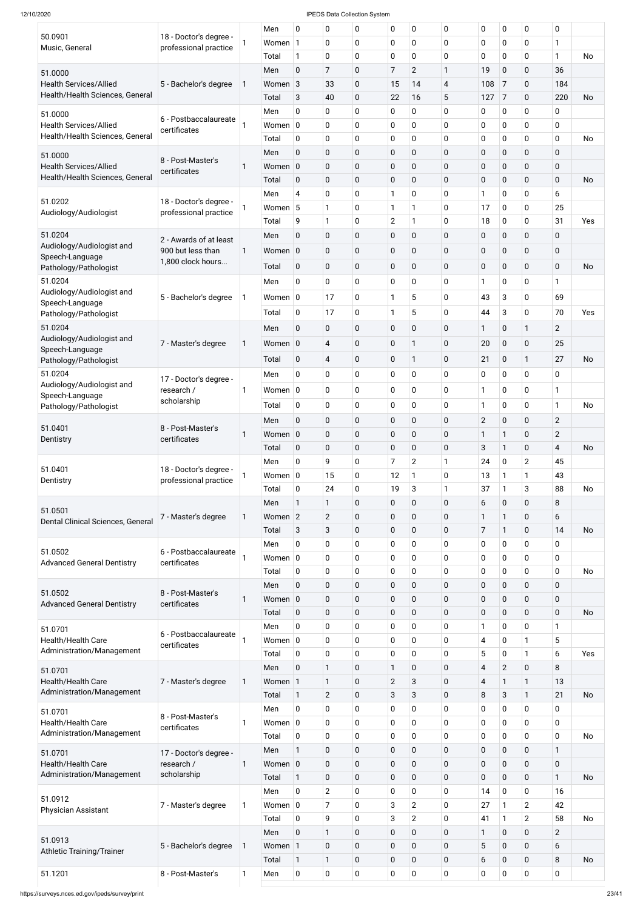|                                                                  |                                       |   | Men         | 0              | 0              | 0              | 0              | 0                | 0           | $\mathbf 0$      | 0              | $\pmb{0}$      | 0              |           |
|------------------------------------------------------------------|---------------------------------------|---|-------------|----------------|----------------|----------------|----------------|------------------|-------------|------------------|----------------|----------------|----------------|-----------|
| 50.0901                                                          | 18 - Doctor's degree -                |   | Women 1     |                | 0              | 0              | $\mathbf 0$    | 0                | $\mathbf 0$ | $\mathbf 0$      | 0              | $\mathbf 0$    | 1              |           |
| Music, General                                                   | professional practice                 |   | Total       | $\mathbf{1}$   | $\mathbf 0$    | 0              | $\mathbf 0$    | 0                | $\mathbf 0$ | 0                | 0              | $\mathbf 0$    | $\mathbf{1}$   | No        |
|                                                                  |                                       |   | Men         | $\mathbf 0$    | $\overline{7}$ | 0              | $\overline{7}$ | $\overline{2}$   | 1           | 19               | 0              | $\mathbf 0$    | 36             |           |
| 51.0000                                                          |                                       |   |             |                |                |                |                |                  |             |                  |                |                |                |           |
| <b>Health Services/Allied</b><br>Health/Health Sciences, General | 5 - Bachelor's degree                 | 1 | Women 3     |                | 33             | 0              | 15             | 14               | 4           | 108              | 7              | $\mathbf 0$    | 184            |           |
|                                                                  |                                       |   | Total       | 3              | 40             | 0              | 22             | 16               | 5           | 127              | $\overline{7}$ | $\mathbf 0$    | 220            | <b>No</b> |
| 51.0000                                                          | 6 - Postbaccalaureate                 |   | Men         | $\mathbf 0$    | $\mathbf 0$    | 0              | $\mathbf 0$    | 0                | 0           | 0                | 0              | $\mathbf 0$    | 0              |           |
| <b>Health Services/Allied</b>                                    | certificates                          | 1 | Women $ 0 $ |                | $\mathbf 0$    | 0              | $\mathbf 0$    | 0                | 0           | 0                | 0              | $\mathbf 0$    | 0              |           |
| Health/Health Sciences, General                                  |                                       |   | Total       | $\mathbf 0$    | $\mathbf 0$    | 0              | $\mathbf 0$    | 0                | $\mathbf 0$ | 0                | 0              | $\mathbf 0$    | 0              | No        |
| 51.0000                                                          |                                       |   | Men         | $\mathbf 0$    | $\pmb{0}$      | 0              | $\mathbf 0$    | 0                | $\mathbf 0$ | $\pmb{0}$        | 0              | $\mathbf 0$    | 0              |           |
| <b>Health Services/Allied</b>                                    | 8 - Post-Master's                     | 1 | Women       | $\overline{0}$ | $\pmb{0}$      | 0              | $\pmb{0}$      | $\mathbf 0$      | $\mathbf 0$ | $\pmb{0}$        | 0              | $\pmb{0}$      | 0              |           |
| Health/Health Sciences, General                                  | certificates                          |   | Total       | $\mathbf 0$    | $\pmb{0}$      | 0              | $\mathbf 0$    | $\mathbf 0$      | $\mathbf 0$ | $\pmb{0}$        | 0              | $\mathbf 0$    | $\mathbf 0$    | <b>No</b> |
|                                                                  |                                       |   | Men         | $\overline{4}$ | $\mathbf 0$    | 0              | $\mathbf{1}$   | 0                | $\mathbf 0$ | 1                | 0              | 0              | 6              |           |
| 51.0202                                                          | 18 - Doctor's degree -                | 1 | Women 5     |                | 1              | 0              | $\mathbf{1}$   | 1                | 0           | 17               | 0              | $\mathbf 0$    | 25             |           |
| Audiology/Audiologist                                            | professional practice                 |   |             |                | $\mathbf{1}$   |                |                | 1                |             | 18               |                | $\mathbf 0$    | 31             | Yes       |
|                                                                  |                                       |   | Total       | 9              |                | 0              | $\overline{2}$ |                  | 0           |                  | 0              |                |                |           |
| 51.0204                                                          | 2 - Awards of at least                |   | Men         | $\pmb{0}$      | $\pmb{0}$      | 0              | $\mathbf 0$    | $\mathbf 0$      | $\mathbf 0$ | $\pmb{0}$        | 0              | $\mathbf 0$    | 0              |           |
| Audiology/Audiologist and<br>Speech-Language                     | 900 but less than                     | 1 | Women 0     |                | $\pmb{0}$      | 0              | $\mathbf 0$    | $\mathbf 0$      | $\mathbf 0$ | $\pmb{0}$        | 0              | $\mathbf 0$    | 0              |           |
| Pathology/Pathologist                                            | 1,800 clock hours                     |   | Total       | $\mathbf 0$    | $\pmb{0}$      | $\overline{0}$ | $\mathbf 0$    | $\mathbf 0$      | $\mathbf 0$ | $\pmb{0}$        | 0              | $\mathbf 0$    | $\mathbf 0$    | No        |
| 51.0204                                                          |                                       |   | Men         | 0              | $\mathbf 0$    | 0              | $\mathbf 0$    | 0                | $\mathbf 0$ | 1                | 0              | $\mathbf 0$    | $\mathbf{1}$   |           |
| Audiology/Audiologist and                                        |                                       |   |             |                |                |                |                |                  |             |                  |                |                |                |           |
| Speech-Language                                                  | 5 - Bachelor's degree                 | 1 | Women $ 0 $ |                | 17             | 0              | 1              | 5                | 0           | 43               | 3              | $\mathbf 0$    | 69             |           |
| Pathology/Pathologist                                            |                                       |   | Total       | $\mathbf 0$    | 17             | 0              | $\mathbf{1}$   | 5                | 0           | 44               | 3              | $\mathbf 0$    | 70             | Yes       |
| 51.0204                                                          |                                       |   | Men         | $\pmb{0}$      | $\pmb{0}$      | 0              | $\mathbf 0$    | $\mathbf 0$      | 0           | 1                | 0              | $\mathbf{1}$   | $\overline{2}$ |           |
| Audiology/Audiologist and                                        | 7 - Master's degree                   | 1 | Women 0     |                | 4              | 0              | $\mathbf 0$    | 1                | $\mathbf 0$ | 20               | 0              | $\mathbf 0$    | 25             |           |
| Speech-Language                                                  |                                       |   | Total       | $\mathbf 0$    | 4              | 0              | $\mathbf 0$    | 1                | $\mathbf 0$ | 21               | 0              | 1              | 27             | No        |
| Pathology/Pathologist                                            |                                       |   |             |                |                |                |                |                  |             |                  |                |                |                |           |
| 51.0204<br>Audiology/Audiologist and                             | 17 - Doctor's degree -                |   | Men         | 0              | 0              | 0              | $\mathbf 0$    | $\mathbf 0$      | $\mathbf 0$ | $\mathbf 0$      | 0              | 0              | 0              |           |
| Speech-Language                                                  | research /                            | 1 | Women $ 0 $ |                | $\mathbf 0$    | 0              | $\mathbf 0$    | 0                | $\mathbf 0$ | 1                | 0              | $\mathbf 0$    | 1              |           |
| Pathology/Pathologist                                            | scholarship                           |   | Total       | $\mathbf 0$    | $\pmb{0}$      | 0              | $\mathbf 0$    | 0                | $\mathbf 0$ | 1                | 0              | $\pmb{0}$      | $\mathbf{1}$   | <b>No</b> |
|                                                                  |                                       |   | Men         | $\mathbf 0$    | $\pmb{0}$      | 0              | $\mathbf 0$    | $\mathbf 0$      | $\mathbf 0$ | $\overline{2}$   | 0              | $\pmb{0}$      | $\overline{2}$ |           |
| 51.0401                                                          | 8 - Post-Master's                     | 1 | Women 0     |                | $\pmb{0}$      | 0              | $\mathbf 0$    | $\mathbf 0$      | $\mathbf 0$ | 1                | 1              | $\mathbf 0$    | $\overline{2}$ |           |
| Dentistry                                                        | certificates                          |   | Total       | $\mathbf 0$    | $\pmb{0}$      | 0              | $\mathbf 0$    | 0                | $\mathbf 0$ | 3                | $\mathbf{1}$   | $\mathbf 0$    | 4              | <b>No</b> |
|                                                                  |                                       |   | Men         | 0              | 9              | 0              | $\overline{7}$ | $\overline{2}$   | 1           | 24               | 0              | $\overline{2}$ | 45             |           |
| 51.0401                                                          | 18 - Doctor's degree -                |   |             |                |                |                |                |                  |             |                  |                |                |                |           |
| Dentistry                                                        | professional practice                 |   | Women $ 0 $ |                | 15             | 0              | 12             | 1                | $\mathbf 0$ | 13               | 1              | 1              | 43             |           |
|                                                                  |                                       |   | Total       | $\mathbf 0$    | 24             | 0              | 19             | 3                | 1           | 37               | 1              | $\mathbf{3}$   | 88             | No        |
| 51.0501                                                          |                                       |   | Men         | $\mathbf{1}$   | 1              | 0              | $\pmb{0}$      | $\boldsymbol{0}$ | $\mathbf 0$ | 6                | 0              | $\pmb{0}$      | 8              |           |
| Dental Clinical Sciences, General                                | 7 - Master's degree                   | 1 | Women 2     |                | $\overline{2}$ | 0              | $\mathbf 0$    | $\mathbf 0$      | $\mathbf 0$ | 1                | 1              | $\mathbf 0$    | 6              |           |
|                                                                  |                                       |   | Total       | $\sqrt{3}$     | $\sqrt{3}$     | 0              | $\mathbf 0$    | $\pmb{0}$        | $\mathbf 0$ | 7                | $\mathbf{1}$   | $\mathbf 0$    | 14             | <b>No</b> |
|                                                                  |                                       |   | Men         | 0              | $\pmb{0}$      | 0              | $\mathbf 0$    | 0                | $\mathbf 0$ | $\pmb{0}$        | 0              | $\mathbf 0$    | 0              |           |
| 51.0502<br><b>Advanced General Dentistry</b>                     | 6 - Postbaccalaureate<br>certificates |   | Women $ 0 $ |                | $\pmb{0}$      | 0              | $\mathbf 0$    | 0                | $\mathbf 0$ | $\pmb{0}$        | 0              | 0              | 0              |           |
|                                                                  |                                       |   | Total       | 0              | $\pmb{0}$      | 0              | $\mathbf 0$    | $\mathbf 0$      | $\mathbf 0$ | $\pmb{0}$        | 0              | 0              | 0              | No        |
|                                                                  |                                       |   | Men         | $\pmb{0}$      | $\pmb{0}$      | 0              | $\pmb{0}$      | $\boldsymbol{0}$ | $\mathbf 0$ | $\pmb{0}$        | 0              | $\pmb{0}$      | 0              |           |
| 51.0502                                                          | 8 - Post-Master's                     | 1 | Women 0     |                | $\pmb{0}$      | 0              | $\pmb{0}$      | $\mathbf 0$      | $\mathbf 0$ | $\pmb{0}$        | 0              | $\mathbf 0$    | $\pmb{0}$      |           |
| <b>Advanced General Dentistry</b>                                | certificates                          |   | Total       | $\mathbf 0$    | $\pmb{0}$      | 0              | $\mathbf 0$    | $\boldsymbol{0}$ | $\mathbf 0$ | $\pmb{0}$        | 0              | $\pmb{0}$      | 0              | <b>No</b> |
|                                                                  |                                       |   | Men         | 0              | 0              | 0              | $\mathbf 0$    | $\mathbf 0$      | $\mathbf 0$ | 1                | 0              | $\pmb{0}$      | 1              |           |
| 51.0701                                                          | 6 - Postbaccalaureate                 |   |             |                |                |                |                |                  |             |                  |                |                |                |           |
| Health/Health Care<br>Administration/Management                  | certificates                          |   | Women $ 0 $ |                | $\pmb{0}$      | 0              | $\mathbf 0$    | 0                | $\mathbf 0$ | 4                | 0              | 1              | 5              |           |
|                                                                  |                                       |   | Total       | $\mathbf 0$    | $\pmb{0}$      | 0              | $\mathbf 0$    | $\pmb{0}$        | $\mathbf 0$ | 5                | 0              | 1              | 6              | Yes       |
| 51.0701                                                          |                                       |   | Men         | $\mathbf 0$    | $\mathbf{1}$   | 0              | 1              | $\pmb{0}$        | $\mathbf 0$ | $\overline{4}$   | $\overline{2}$ | $\pmb{0}$      | 8              |           |
| Health/Health Care                                               | 7 - Master's degree                   | 1 | Women 1     |                | 1              | 0              | $\overline{2}$ | 3                | $\mathbf 0$ | 4                | 1              | 1              | 13             |           |
| Administration/Management                                        |                                       |   | Total       | 1              | $\overline{2}$ | 0              | $\mathbf{3}$   | 3                | $\mathbf 0$ | 8                | 3              | 1              | 21             | <b>No</b> |
| 51.0701                                                          |                                       |   | Men         | 0              | 0              | 0              | 0              | 0                | $\bf{0}$    | 0                | 0              | 0              | 0              |           |
| Health/Health Care                                               | 8 - Post-Master's<br>certificates     | 1 | Women $ 0 $ |                | 0              | 0              | $\mathbf 0$    | $\mathbf 0$      | $\mathbf 0$ | $\pmb{0}$        | 0              | $\mathbf 0$    | 0              |           |
| Administration/Management                                        |                                       |   | Total       | $\mathbf 0$    | $\pmb{0}$      | 0              | $\mathbf 0$    | $\pmb{0}$        | $\mathbf 0$ | $\pmb{0}$        | 0              | $\mathbf 0$    | 0              | <b>No</b> |
| 51.0701                                                          | 17 - Doctor's degree -                |   | Men         | $\mathbf{1}$   | $\pmb{0}$      | 0              | $\mathbf 0$    | $\mathbf 0$      | $\mathbf 0$ | $\pmb{0}$        | 0              | $\pmb{0}$      | $\mathbf{1}$   |           |
| Health/Health Care                                               | research /                            | 1 | Women 0     |                | $\pmb{0}$      | 0              | $\mathbf 0$    | $\boldsymbol{0}$ | $\mathbf 0$ | $\pmb{0}$        | 0              | $\pmb{0}$      | 0              |           |
| Administration/Management                                        | scholarship                           |   | Total       | $\mathbf{1}$   | $\pmb{0}$      | 0              | $\mathbf 0$    | $\mathbf 0$      | $\mathbf 0$ | $\pmb{0}$        | 0              | $\pmb{0}$      | 1              | No        |
|                                                                  |                                       |   | Men         | $\mathbf 0$    | $\overline{2}$ | 0              | 0              | 0                | $\pmb{0}$   | 14               | 0              | $\pmb{0}$      | 16             |           |
| 51.0912                                                          |                                       |   |             |                |                |                |                |                  |             |                  |                |                |                |           |
| <b>Physician Assistant</b>                                       | 7 - Master's degree                   | 1 | Women $ 0 $ |                | $\overline{7}$ | 0              | 3              | $\overline{2}$   | $\mathbf 0$ | 27               | 1              | $\overline{2}$ | 42             |           |
|                                                                  |                                       |   | Total       | $\mathbf 0$    | 9              | 0              | 3              | $\overline{2}$   | $\mathbf 0$ | 41               | $\mathbf{1}$   | $\overline{2}$ | 58             | <b>No</b> |
| 51.0913                                                          |                                       |   | Men         | $\mathbf 0$    | 1              | 0              | $\mathbf 0$    | $\mathbf 0$      | $\mathbf 0$ | 1                | 0              | $\pmb{0}$      | $\overline{2}$ |           |
| <b>Athletic Training/Trainer</b>                                 | 5 - Bachelor's degree                 | 1 | Women 1     |                | $\pmb{0}$      | 0              | $\mathbf 0$    | $\boldsymbol{0}$ | $\mathbf 0$ | 5                | 0              | $\pmb{0}$      | 6              |           |
|                                                                  |                                       |   | Total       | $\mathbf{1}$   | $\mathbf{1}$   | 0              | $\mathbf 0$    | $\mathbf 0$      | $\mathbf 0$ | 6                | 0              | $\mathbf 0$    | 8              | No        |
| 51.1201                                                          | 8 - Post-Master's                     | 1 | Men         | $\mathbf 0$    | $\pmb{0}$      | 0              | 0              | $\pmb{0}$        | 0           | $\boldsymbol{0}$ | 0              | $\pmb{0}$      | 0              |           |
|                                                                  |                                       |   |             |                |                |                |                |                  |             |                  |                |                |                |           |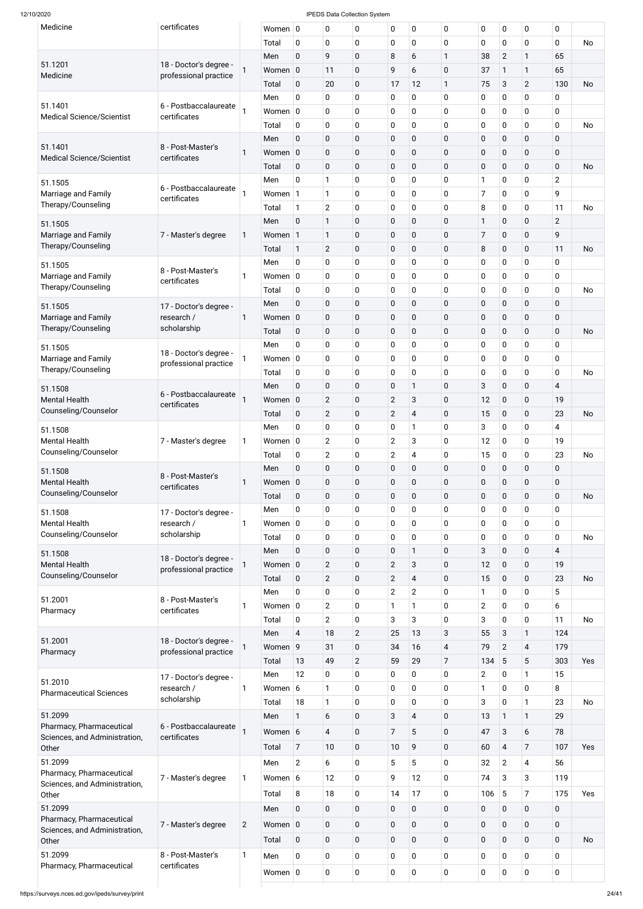| Medicine                                     | certificates                                    |                | Women $ 0$         |                | 0              | 0              | $\mathbf 0$      | 0              | 0              | 0              | 0               | 0              | $\mathbf 0$    |           |
|----------------------------------------------|-------------------------------------------------|----------------|--------------------|----------------|----------------|----------------|------------------|----------------|----------------|----------------|-----------------|----------------|----------------|-----------|
|                                              |                                                 |                | Total              | 0              | $\mathbf 0$    | 0              | 0                | $\mathbf 0$    | 0              | 0              | 0               | 0              | $\mathbf 0$    | <b>No</b> |
|                                              |                                                 |                | Men                | $\overline{0}$ | 9              | 0              | 8                | 6              | $\mathbf{1}$   | 38             | $\overline{2}$  | 1              | 65             |           |
| 51.1201<br>Medicine                          | 18 - Doctor's degree -<br>professional practice |                | Women 0            |                | 11             | 0              | 9                | 6              | 0              | 37             | 1               | 1              | 65             |           |
|                                              |                                                 |                | Total              | $\mathbf 0$    | 20             | 0              | 17               | 12             | 1              | 75             | 3               | $\overline{2}$ | 130            | <b>No</b> |
|                                              |                                                 |                | Men                | $\mathbf 0$    | $\mathbf 0$    | 0              | 0                | $\mathbf 0$    | 0              | 0              | 0               | 0              | $\mathbf 0$    |           |
| 51.1401                                      | 6 - Postbaccalaureate                           |                | Women $ 0$         |                | $\mathbf 0$    | 0              | 0                | $\mathbf 0$    | 0              | 0              | 0               | 0              | $\mathbf 0$    |           |
| <b>Medical Science/Scientist</b>             | certificates                                    |                | Total              | $\mathbf 0$    | $\mathbf 0$    | 0              | 0                | $\mathbf 0$    | 0              | 0              | 0               | 0              | $\mathbf 0$    | <b>No</b> |
|                                              |                                                 |                | Men                | $\overline{0}$ | $\mathbf 0$    | 0              | $\boldsymbol{0}$ | $\mathbf 0$    | $\mathbf 0$    | 0              | 0               | $\mathbf 0$    | $\mathbf 0$    |           |
| 51.1401                                      | 8 - Post-Master's                               | 1              | Women 0            |                | $\mathbf 0$    | 0              | 0                | $\mathbf 0$    | 0              | 0              | 0               | $\mathbf 0$    | $\pmb{0}$      |           |
| <b>Medical Science/Scientist</b>             | certificates                                    |                |                    |                | $\mathbf 0$    | 0              |                  |                | $\mathbf 0$    | 0              |                 |                | $\mathbf 0$    | <b>No</b> |
|                                              |                                                 |                | Total              | $\mathbf 0$    |                |                | $\pmb{0}$        | $\mathbf 0$    |                |                | 0               | $\mathbf{0}$   |                |           |
| 51.1505                                      | 6 - Postbaccalaureate                           |                | Men                | $\mathbf 0$    | $\mathbf{1}$   | 0              | 0                | 0              | $\pmb{0}$      | 1              | 0               | 0              | $\overline{2}$ |           |
| Marriage and Family                          | certificates                                    |                | Women 1            |                | $\mathbf{1}$   | 0              | 0                | $\mathbf 0$    | 0              | 7              | 0               | 0              | 9              |           |
| Therapy/Counseling                           |                                                 |                | Total              | $\mathbf{1}$   | $\overline{2}$ | 0              | 0                | $\mathbf 0$    | $\pmb{0}$      | 8              | 0               | 0              | 11             | <b>No</b> |
| 51.1505                                      |                                                 |                | Men                | $\overline{0}$ | $\mathbf{1}$   | 0              | $\boldsymbol{0}$ | $\mathbf 0$    | 0              | 1              | 0               | $\mathbf 0$    | $\overline{2}$ |           |
| Marriage and Family                          | 7 - Master's degree                             | $\mathbf{1}$   | Women 1            |                | $\mathbf{1}$   | 0              | 0                | $\mathbf 0$    | 0              | 7              | 0               | $\mathbf{0}$   | 9              |           |
| Therapy/Counseling                           |                                                 |                | Total              | 1              | $\overline{2}$ | 0              | $\pmb{0}$        | $\mathbf 0$    | $\mathbf 0$    | 8              | 0               | $\mathbf{0}$   | 11             | <b>No</b> |
| 51.1505                                      |                                                 |                | Men                | $\mathbf 0$    | 0              | 0              | 0                | $\mathbf 0$    | 0              | 0              | 0               | 0              | $\mathbf 0$    |           |
| Marriage and Family                          | 8 - Post-Master's<br>certificates               |                | Women $ 0$         |                | $\mathbf 0$    | 0              | 0                | $\mathbf 0$    | 0              | 0              | 0               | 0              | $\mathbf 0$    |           |
| Therapy/Counseling                           |                                                 |                | Total              | 0              | $\mathbf 0$    | 0              | 0                | 0              | 0              | 0              | 0               | 0              | $\mathbf 0$    | <b>No</b> |
| 51.1505                                      | 17 - Doctor's degree -                          |                | Men                | $\overline{0}$ | $\mathbf 0$    | 0              | $\pmb{0}$        | $\mathbf 0$    | 0              | 0              | 0               | $\mathbf 0$    | $\mathbf 0$    |           |
| Marriage and Family                          | research /                                      | 1              | Women 0            |                | $\mathbf 0$    | 0              | 0                | $\mathbf 0$    | 0              | 0              | 0               | 0              | $\pmb{0}$      |           |
| Therapy/Counseling                           | scholarship                                     |                | Total              | $\mathbf 0$    | $\mathbf 0$    | 0              | $\pmb{0}$        | $\mathbf 0$    | 0              | 0              | 0               | $\mathbf 0$    | $\mathbf 0$    | <b>No</b> |
|                                              |                                                 |                | Men                | $\mathbf 0$    | 0              | 0              | 0                | $\mathbf 0$    | 0              | 0              | 0               | 0              | $\mathbf 0$    |           |
| 51.1505                                      | 18 - Doctor's degree -                          |                |                    |                |                |                |                  |                |                |                |                 |                |                |           |
| Marriage and Family<br>Therapy/Counseling    | professional practice                           |                | Women $ 0$         |                | $\mathbf 0$    | 0              | 0                | 0              | 0              | 0              | 0               | 0              | $\mathbf 0$    |           |
|                                              |                                                 |                | Total              | $\mathbf 0$    | 0              | 0              | $\mathbf 0$      | 0              | 0              | 0              | 0               | 0              | $\mathbf 0$    | No        |
| 51.1508                                      | 6 - Postbaccalaureate                           |                | Men                | $\overline{0}$ | $\mathbf 0$    | 0              | 0                | $\mathbf{1}$   | 0              | 3              | $\mathbf 0$     | $\mathbf{0}$   | $\overline{4}$ |           |
| <b>Mental Health</b>                         | certificates                                    |                | Women 0            |                | $\overline{2}$ | 0              | $\mathbf{2}$     | 3              | 0              | 12             | 0               | $\mathbf{0}$   | 19             |           |
| Counseling/Counselor                         |                                                 |                | Total              | $\mathbf 0$    | $\overline{2}$ | 0              | $\mathbf{2}$     | $\overline{4}$ | 0              | 15             | 0               | $\mathbf{0}$   | 23             | <b>No</b> |
| 51.1508                                      |                                                 |                | Men                | $\overline{0}$ | $\mathbf 0$    | 0              | 0                | 1              | 0              | 3              | 0               | 0              | $\overline{4}$ |           |
| <b>Mental Health</b>                         | 7 - Master's degree                             |                | Women $ 0$         |                | $\overline{2}$ | 0              | $\overline{2}$   | 3              | 0              | 12             | 0               | 0              | 19             |           |
| Counseling/Counselor                         |                                                 |                | Total              | $\mathbf 0$    | $\overline{2}$ | 0              | $\overline{2}$   | 4              | 0              | 15             | 0               | 0              | 23             | <b>No</b> |
| 51.1508                                      |                                                 |                | Men                | $\overline{0}$ | $\mathbf 0$    | 0              | 0                | $\mathbf 0$    | 0              | 0              | 0               | $\mathbf 0$    | $\mathbf 0$    |           |
| <b>Mental Health</b>                         | 8 - Post-Master's                               |                | Women 0            |                | $\mathbf 0$    | 0              | 0                | $\mathbf 0$    | 0              | 0              | 0               | $\mathbf 0$    | $\pmb{0}$      |           |
| Counseling/Counselor                         | certificates                                    |                | Total              | $\mathbf 0$    | $\mathbf 0$    | 0              | 0                | $\mathbf 0$    | 0              | 0              | 0               | $\mathbf{0}$   | $\mathbf 0$    | No        |
|                                              |                                                 |                | Men                | $\overline{0}$ | $\mathbf 0$    | 0              | 0                | $\mathbf 0$    | 0              | 0              | 0               | 0              | $\mathbf 0$    |           |
| 51.1508                                      | 17 - Doctor's degree -                          |                |                    |                |                |                |                  |                |                |                |                 |                |                |           |
| <b>Mental Health</b><br>Counseling/Counselor | research /<br>scholarship                       |                | Women $ 0$         |                | $\mathbf 0$    | 0              | 0                | $\mathbf 0$    | 0              | 0              | 0               | 0              | $\mathbf 0$    |           |
|                                              |                                                 |                | Total              | $\mathbf 0$    | $\mathbf 0$    | 0              | 0                | $\mathbf 0$    | 0              | 0              | 0               | 0              | $\mathbf 0$    | <b>No</b> |
| 51.1508                                      | 18 - Doctor's degree -                          |                | Men                | $\overline{0}$ | $\mathbf 0$    | 0              | 0                | $\mathbf{1}$   | 0              | 3              | 0               | $\mathbf{0}$   | $\overline{4}$ |           |
| <b>Mental Health</b>                         | professional practice                           |                | Women 0            |                | $\overline{2}$ | 0              | $\mathbf{2}$     | 3              | 0              | 12             | $\mathbf 0$     | $\mathbf 0$    | 19             |           |
| Counseling/Counselor                         |                                                 |                | Total              | $\mathbf 0$    | $\overline{2}$ | 0              | $\overline{2}$   | $\overline{4}$ | 0              | 15             | $\mathbf 0$     | $\mathbf{0}$   | 23             | No        |
|                                              |                                                 |                | Men                | $\overline{0}$ | $\mathbf 0$    | 0              | $\overline{2}$   | $\overline{2}$ | 0              | 1              | 0               | 0              | 5              |           |
| 51.2001                                      | 8 - Post-Master's<br>certificates               |                | Women $ 0$         |                | $\overline{2}$ | 0              |                  | 1              | 0              | $\overline{2}$ | $\mathbf 0$     | 0              | 6              |           |
| Pharmacy                                     |                                                 |                | Total              | $\mathbf 0$    | $\overline{2}$ | $\mathbf 0$    | 3                | 3              | 0              | 3              | 0               | 0              | 11             | <b>No</b> |
|                                              |                                                 |                | Men                | $\overline{4}$ | 18             | $\overline{2}$ | 25               | 13             | 3              | 55             | 3               | 1              | 124            |           |
| 51.2001                                      | 18 - Doctor's degree -                          |                | Women <sub>9</sub> |                | 31             | 0              | 34               | 16             | $\overline{4}$ | 79             | $\overline{2}$  | $\overline{4}$ | 179            |           |
| Pharmacy                                     | professional practice                           |                | Total              | 13             | 49             | $\overline{2}$ | 59               | 29             | $\overline{7}$ | 134            | $5\phantom{.0}$ | 5              | 303            | Yes       |
|                                              |                                                 |                |                    |                |                |                |                  |                |                |                |                 | 1              |                |           |
| 51.2010                                      | 17 - Doctor's degree -                          |                | Men                | 12             | $\mathbf 0$    | 0              | 0                | $\mathbf 0$    | 0              | $\overline{2}$ | 0               |                | 15             |           |
| <b>Pharmaceutical Sciences</b>               | research /                                      |                | Women 6            |                | 1              | 0              | 0                | $\mathbf 0$    | 0              | 1              | 0               | 0              | 8              |           |
|                                              | scholarship                                     |                | Total              | 18             | $\mathbf{1}$   | 0              | 0                | $\mathbf 0$    | 0              | 3              | 0               | 1              | 23             | No        |
| 51.2099                                      |                                                 |                | Men                | $\mathbf{1}$   | 6              | 0              | 3                | 4              | $\pmb{0}$      | 13             | $\mathbf{1}$    | 1              | 29             |           |
| Pharmacy, Pharmaceutical                     | 6 - Postbaccalaureate                           |                | Women 6            |                | $\overline{4}$ | 0              | $\overline{7}$   | 5              | 0              | 47             | $\mathbf{3}$    | 6              | 78             |           |
| Sciences, and Administration,<br>Other       | certificates                                    |                | Total              | $\overline{7}$ | 10             | 0              | 10               | 9              | $\mathbf 0$    | 60             | $\overline{4}$  | 7              | 107            | Yes       |
|                                              |                                                 |                |                    |                |                |                |                  |                |                |                |                 |                |                |           |
| 51.2099<br>Pharmacy, Pharmaceutical          |                                                 |                | Men                | $\overline{2}$ | 6              | 0              | 5                | 5              | $\mathbf 0$    | 32             | $\overline{2}$  | 4              | 56             |           |
|                                              | 7 - Master's degree                             |                | Women $6$          |                | 12             | 0              | 9                | 12             | $\mathbf 0$    | 74             | 3               | 3              | 119            |           |
|                                              |                                                 |                | Total              | 8              | 18             | 0              | 14               | 17             | $\mathbf 0$    | 106            | $5\phantom{.0}$ | 7              | 175            | Yes       |
| Sciences, and Administration,<br>Other       |                                                 |                | Men                | $\mathbf 0$    | $\mathbf 0$    | 0              | $\pmb{0}$        | $\mathbf 0$    | $\mathbf 0$    | 0              | $\mathbf 0$     | $\mathbf 0$    | $\mathbf 0$    |           |
| 51.2099                                      |                                                 |                |                    |                |                |                |                  |                |                | $\mathbf 0$    | $\mathbf 0$     | $\mathbf 0$    | $\mathbf 0$    |           |
| Pharmacy, Pharmaceutical                     |                                                 |                |                    |                |                |                |                  |                |                |                |                 |                |                |           |
| Sciences, and Administration,                | 7 - Master's degree                             | $\overline{2}$ | Women 0            |                | $\mathbf 0$    | 0              | $\mathbf 0$      | $\mathbf 0$    | $\mathbf 0$    |                |                 |                |                |           |
| Other                                        |                                                 |                | Total              | $\mathbf 0$    | $\mathbf 0$    | 0              | $\mathbf 0$      | $\mathbf 0$    | $\mathbf 0$    | 0              | $\mathbf 0$     | $\mathbf 0$    | $\mathbf 0$    | No        |
| 51.2099<br>Pharmacy, Pharmaceutical          | 8 - Post-Master's<br>certificates               |                | Men                | $\mathbf 0$    | $\mathbf 0$    | 0              | $\mathbf 0$      | 0              | $\mathbf 0$    | 0              | $\mathbf 0$     | 0              | $\mathbf 0$    |           |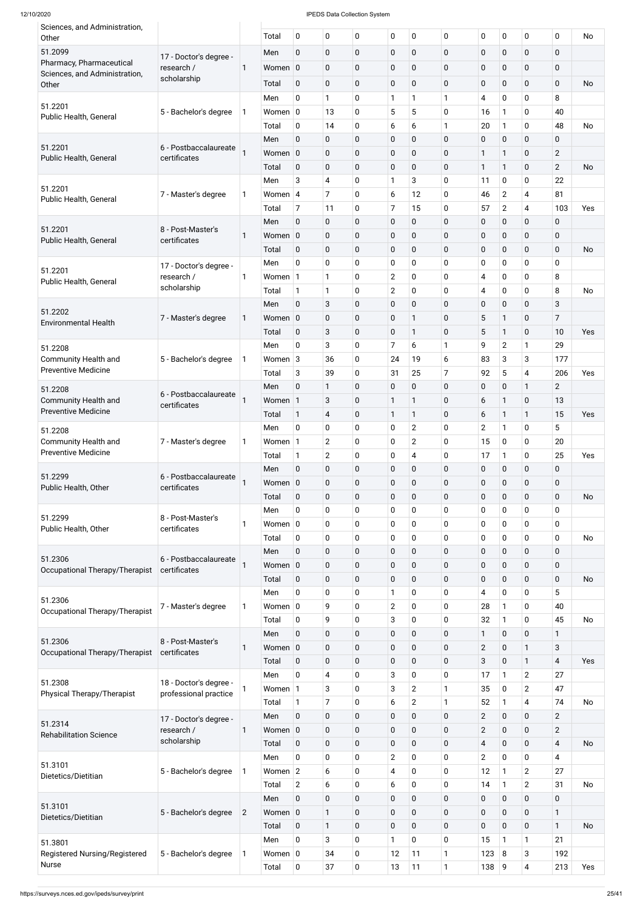| 12/10/2020                                                |                                      |                |             |                |                         | <b>IPEDS Data Collection System</b> |                |                |                |                |                |                         |                |           |
|-----------------------------------------------------------|--------------------------------------|----------------|-------------|----------------|-------------------------|-------------------------------------|----------------|----------------|----------------|----------------|----------------|-------------------------|----------------|-----------|
| Sciences, and Administration,<br>Other                    |                                      |                | Total       | $\mathbf 0$    | $\pmb{0}$               | 0                                   | $\mathbf 0$    | $\pmb{0}$      | $\pmb{0}$      | 0              | $\mathbf 0$    | $\mathbf 0$             | $\overline{0}$ | No        |
| 51.2099                                                   |                                      |                | Men         | $\overline{0}$ | $\mathbf 0$             | $\mathbf{0}$                        | 0              | $\mathbf 0$    | $\mathbf 0$    | 0              | $\mathbf 0$    | $\mathbf 0$             | $\overline{0}$ |           |
| Pharmacy, Pharmaceutical                                  | 17 - Doctor's degree -<br>research / | -1             | Women 0     |                | $\overline{0}$          | 0                                   | 0              | $\mathbf 0$    | $\pmb{0}$      | 0              | $\mathbf 0$    | $\mathbf{0}$            | 0              |           |
| Sciences, and Administration,                             | scholarship                          |                |             |                |                         |                                     |                |                |                |                |                |                         |                |           |
| Other                                                     |                                      |                | Total       | $\mathbf 0$    | 0                       | $\mathbf 0$                         | $\pmb{0}$      | $\mathbf 0$    | $\mathbf 0$    | 0              | $\mathbf 0$    | $\mathbf 0$             | $\mathbf 0$    | <b>No</b> |
| 51.2201                                                   |                                      |                | Men         | 0              | 1                       | 0                                   | 1              | 1              | $\mathbf{1}$   | 4              | $\mathbf 0$    | 0                       | 8              |           |
| Public Health, General                                    | 5 - Bachelor's degree                |                | Women $ 0 $ |                | 13                      | 0                                   | 5              | 5              | $\mathbf 0$    | 16             | $\mathbf{1}$   | 0                       | 40             |           |
|                                                           |                                      |                | Total       | 0              | 14                      | 0                                   | 6              | 6              | $\mathbf{1}$   | 20             | $\mathbf{1}$   | 0                       | 48             | <b>No</b> |
| 51.2201                                                   | 6 - Postbaccalaureate                |                | Men         | 0              | $\mathbf 0$             | 0                                   | $\mathbf 0$    | 0              | $\mathbf 0$    | 0              | $\mathbf 0$    | $\mathbf 0$             | 0              |           |
| Public Health, General                                    | certificates                         |                | Women 0     |                | $\mathbf 0$             | $\mathbf 0$                         | $\pmb{0}$      | $\mathbf 0$    | $\mathbf 0$    | $\mathbf{1}$   | 1              | $\mathbf 0$             | $\overline{2}$ |           |
|                                                           |                                      |                | Total       | $\mathbf 0$    | $\mathbf 0$             | $\mathbf 0$                         | $\mathbf 0$    | 0              | $\mathbf 0$    | $\mathbf{1}$   | 1              | $\mathbf{0}$            | $\overline{2}$ | <b>No</b> |
|                                                           |                                      |                | Men         | 3              | $\overline{4}$          | 0                                   | $\mathbf{1}$   | 3              | $\overline{0}$ | 11             | $\mathbf 0$    | 0                       | 22             |           |
| 51.2201<br>Public Health, General                         | 7 - Master's degree                  |                | Women 4     |                | $\overline{7}$          | 0                                   | 6              | 12             | $\mathbf 0$    | 46             | $\overline{2}$ | 4                       | 81             |           |
|                                                           |                                      |                | Total       | $\overline{7}$ | 11                      | 0                                   | $\overline{7}$ | 15             | $\mathbf 0$    | 57             | $\overline{2}$ | $\overline{4}$          | 103            | Yes       |
|                                                           |                                      |                | Men         | 0              | $\mathbf 0$             | 0                                   | 0              | 0              | $\mathbf 0$    | 0              | $\mathbf 0$    | $\mathbf 0$             | 0              |           |
| 51.2201                                                   | 8 - Post-Master's                    |                | Women 0     |                | $\mathbf 0$             | $\mathbf 0$                         | $\pmb{0}$      | $\mathbf 0$    | $\mathbf 0$    | 0              | $\mathbf 0$    | $\mathbf 0$             | 0              |           |
| Public Health, General                                    | certificates                         |                | Total       | $\mathbf 0$    | $\mathbf 0$             | $\mathbf{0}$                        | 0              | 0              | $\mathbf 0$    | 0              | $\mathbf 0$    | $\mathbf{0}$            | 0              | <b>No</b> |
|                                                           |                                      |                | Men         | $\overline{0}$ | $\mathbf 0$             | 0                                   | 0              | 0              | $\overline{0}$ | 0              | 0              | 0                       | 0              |           |
| 51.2201                                                   | 17 - Doctor's degree -               |                |             |                |                         |                                     |                |                |                |                |                |                         |                |           |
| Public Health, General                                    | research /<br>scholarship            | 1              | Women 1     |                | 1                       | 0                                   | $\overline{c}$ | 0              | $\mathbf 0$    | 4              | $\mathbf 0$    | $\mathbf{0}$            | 8              |           |
|                                                           |                                      |                | Total       | $\mathbf{1}$   | $\mathbf{1}$            | 0                                   | $\mathbf{2}$   | 0              | $\mathbf 0$    | 4              | 0              | 0                       | 8              | <b>No</b> |
| 51.2202                                                   |                                      |                | Men         | $\overline{0}$ | 3                       | $\mathbf{0}$                        | 0              | 0              | $\mathbf 0$    | 0              | $\mathbf 0$    | $\mathbf{0}$            | 3              |           |
| <b>Environmental Health</b>                               | 7 - Master's degree                  | 1              | Women 0     |                | $\mathbf 0$             | $\mathbf{0}$                        | 0              | $\mathbf{1}$   | $\mathbf 0$    | 5              | 1              | 0                       | 7              |           |
|                                                           |                                      |                | Total       | 0              | 3                       | $\mathbf{0}$                        | 0              | $\mathbf{1}$   | $\mathbf 0$    | 5              | 1              | $\mathbf 0$             | 10             | Yes       |
| 51.2208                                                   |                                      |                | Men         | 0              | 3                       | 0                                   | $\overline{7}$ | 6              | $\mathbf{1}$   | 9              | $\overline{2}$ |                         | 29             |           |
| <b>Community Health and</b>                               | 5 - Bachelor's degree                | -1             | Women $3$   |                | 36                      | 0                                   | 24             | 19             | 6              | 83             | 3              | 3                       | 177            |           |
| <b>Preventive Medicine</b>                                |                                      |                | Total       | 3              | 39                      | 0                                   | 31             | 25             | $\overline{7}$ | 92             | 5              | 4                       | 206            | Yes       |
| 51.2208                                                   |                                      |                | Men         | 0              | 1                       | 0                                   | $\mathbf 0$    | $\mathbf 0$    | $\mathbf 0$    | 0              | $\mathbf 0$    | 1                       | $\overline{2}$ |           |
| <b>Community Health and</b>                               | 6 - Postbaccalaureate                |                | Women 1     |                | 3                       | 0                                   | 1              | 1              | $\mathbf 0$    | 6              | 1              | $\mathbf 0$             | 13             |           |
| <b>Preventive Medicine</b>                                | certificates                         |                | Total       | $\mathbf{1}$   | $\overline{\mathbf{4}}$ | 0                                   | $\mathbf{1}$   | $\mathbf{1}$   | $\mathbf 0$    | 6              | $\mathbf{1}$   | 1                       | 15             | Yes       |
|                                                           |                                      |                | Men         | $\overline{0}$ | 0                       | 0                                   | 0              | $\overline{2}$ | $\overline{0}$ | $\overline{2}$ | $\mathbf{1}$   | 0                       | 5              |           |
| 51.2208                                                   |                                      |                | Women 1     |                | $\overline{2}$          |                                     | 0              | $\overline{2}$ | $\overline{0}$ | 15             | $\mathbf 0$    | $\mathbf 0$             | 20             |           |
| <b>Community Health and</b><br><b>Preventive Medicine</b> | 7 - Master's degree                  |                |             |                |                         | 0                                   |                |                |                |                |                |                         |                |           |
|                                                           |                                      |                | Total       | 1              | $\overline{2}$          | 0                                   | 0              | 4              | $\overline{0}$ | 17             | $\mathbf{1}$   | 0                       | 25             | Yes       |
| 51.2299                                                   | 6 - Postbaccalaureate                |                | Men         | $\overline{0}$ | $\mathbf 0$             | 0                                   | $\pmb{0}$      | 0              | $\mathbf 0$    | 0              | $\mathbf 0$    | $\mathbf 0$             | 0              |           |
| Public Health, Other                                      | certificates                         |                | Women 0     |                | $\overline{0}$          | 0                                   | $\mathbf 0$    | 0              | $\mathbf 0$    | 0              | $\mathbf 0$    | $\mathbf 0$             | 0              |           |
|                                                           |                                      |                | Total       | $\mathbf 0$    | $\mathbf{0}$            | 0                                   | $\mathbf 0$    | $\mathbf 0$    | $\mathbf 0$    | 0              | $\mathbf 0$    | $\mathbf{0}$            | 0              | <b>No</b> |
| 51.2299                                                   | 8 - Post-Master's                    |                | Men         | 0              | $\mathbf 0$             | 0                                   | 0              | 0              | $\overline{0}$ | 0              | $\mathbf 0$    | 0                       | 0              |           |
| Public Health, Other                                      | certificates                         |                | Women $ 0 $ |                | $\mathbf 0$             | 0                                   | 0              | 0              | $\overline{0}$ | 0              | $\mathbf 0$    | $\mathbf 0$             | 0              |           |
|                                                           |                                      |                | Total       | $\mathbf 0$    | $\mathbf 0$             | 0                                   | 0              | 0              | $\mathbf 0$    | 0              | $\mathbf 0$    | 0                       | $\mathbf 0$    | <b>No</b> |
|                                                           |                                      |                | Men         | 0              | 0                       | 0                                   | $\pmb{0}$      | 0              | $\mathbf 0$    | $\pmb{0}$      | $\mathbf 0$    | $\mathbf 0$             | 0              |           |
| 51.2306                                                   | 6 - Postbaccalaureate                |                | Women 0     |                | 0                       | 0                                   | 0              | $\mathbf 0$    | $\mathbf 0$    | 0              | $\mathbf 0$    | $\mathbf 0$             | 0              |           |
| Occupational Therapy/Therapist                            | certificates                         |                | Total       | $\mathbf 0$    | $\overline{0}$          | 0                                   | $\mathbf 0$    | $\mathbf 0$    | $\mathbf 0$    | $\mathbf 0$    | 0              | $\mathbf{0}$            | 0              | <b>No</b> |
|                                                           |                                      |                | Men         | 0              | 0                       | 0                                   | 1              | 0              | $\mathbf 0$    | 4              | $\mathbf 0$    | 0                       | 5              |           |
| 51.2306                                                   | 7 - Master's degree                  | 1              | Women $ 0$  |                | 9                       | 0                                   | $\overline{c}$ | 0              | $\overline{0}$ | 28             | $\mathbf{1}$   | $\mathbf{0}$            | 40             |           |
| Occupational Therapy/Therapist                            |                                      |                | Total       | 0              | 9                       | 0                                   | 3              | 0              | $\overline{0}$ | 32             | $\mathbf{1}$   | 0                       | 45             | <b>No</b> |
|                                                           |                                      |                | Men         | 0              | 0                       | 0                                   | $\pmb{0}$      | $\mathbf 0$    | $\mathbf 0$    | $\mathbf{1}$   | 0              | $\mathbf 0$             | 1              |           |
| 51.2306                                                   | 8 - Post-Master's                    |                |             |                |                         |                                     |                |                |                |                |                |                         |                |           |
| Occupational Therapy/Therapist                            | certificates                         | 1              | Women 0     |                | $\overline{0}$          | 0                                   | 0              | $\mathbf 0$    | $\mathbf 0$    | $\overline{2}$ | $\mathbf 0$    |                         | 3              |           |
|                                                           |                                      |                | Total       | $\mathbf 0$    | $\overline{0}$          | $\mathbf 0$                         | $\mathbf 0$    | $\mathbf 0$    | $\mathbf 0$    | 3              | 0              | 1                       | $\overline{4}$ | Yes       |
| 51.2308                                                   | 18 - Doctor's degree -               |                | Men         | 0              | 4                       | 0                                   | 3              | 0              | $\overline{0}$ | 17             | 1              | $\overline{2}$          | 27             |           |
| Physical Therapy/Therapist                                | professional practice                | 1              | Women   1   |                | 3                       | 0                                   | 3              | $\overline{2}$ | $\mathbf{1}$   | 35             | 0              | $\overline{2}$          | 47             |           |
|                                                           |                                      |                | Total       | $\mathbf{1}$   | $\overline{7}$          | 0                                   | 6              | $\overline{2}$ | $\mathbf{1}$   | 52             | $\mathbf{1}$   | 4                       | 74             | <b>No</b> |
|                                                           | 17 - Doctor's degree -               |                | Men         | $\mathbf 0$    | $\mathbf 0$             | $\mathbf 0$                         | $\pmb{0}$      | $\mathbf 0$    | $\overline{0}$ | $\overline{2}$ | $\mathbf 0$    | $\mathbf 0$             | $\overline{2}$ |           |
| 51.2314<br><b>Rehabilitation Science</b>                  | research /                           | 1              | Women 0     |                | $\mathbf 0$             | $\mathbf 0$                         | $\pmb{0}$      | $\mathbf 0$    | $\mathbf 0$    | $\overline{2}$ | $\mathbf 0$    | $\mathbf 0$             | $\overline{2}$ |           |
|                                                           | scholarship                          |                | Total       | $\mathbf 0$    | $\mathbf 0$             | $\mathbf 0$                         | 0              | $\mathbf 0$    | $\mathbf 0$    | 4              | $\mathbf 0$    | $\mathbf 0$             | 4              | <b>No</b> |
|                                                           |                                      |                | Men         | $\overline{0}$ | $\mathbf 0$             | 0                                   | $\overline{2}$ | $\mathbf 0$    | $\mathbf 0$    | $\overline{2}$ | $\mathbf 0$    | $\mathbf 0$             | $\overline{4}$ |           |
| 51.3101                                                   | 5 - Bachelor's degree                |                | Women $ 2 $ |                | 6                       | 0                                   | 4              | $\mathbf 0$    | $\mathbf 0$    | 12             | $\mathbf{1}$   | $\overline{2}$          | 27             |           |
| Dietetics/Dietitian                                       |                                      |                | Total       | $\overline{2}$ | 6                       | 0                                   | 6              | $\mathbf 0$    | $\mathbf 0$    | 14             | $\mathbf{1}$   | $\overline{2}$          | 31             | <b>No</b> |
|                                                           |                                      |                |             |                |                         |                                     |                |                |                |                |                |                         |                |           |
| 51.3101                                                   |                                      |                | Men         | $\mathbf 0$    | 0                       | 0                                   | 0              | $\mathbf 0$    | $\mathbf 0$    | 0              | $\mathbf 0$    | $\mathbf 0$             | 0              |           |
| Dietetics/Dietitian                                       | 5 - Bachelor's degree                | $\overline{2}$ | Women 0     |                | 1                       | $\mathbf 0$                         | 0              | $\mathbf 0$    | $\pmb{0}$      | 0              | $\mathbf 0$    | $\mathbf 0$             | $\mathbf{1}$   |           |
|                                                           |                                      |                | Total       | $\mathbf 0$    | $\mathbf{1}$            | $\mathbf 0$                         | 0              | $\mathbf 0$    | $\mathbf 0$    | $\mathbf 0$    | $\mathbf 0$    | $\mathbf{0}$            | $\mathbf{1}$   | <b>No</b> |
| 51.3801                                                   |                                      |                | Men         | $\mathbf 0$    | 3                       | 0                                   | 1              | 0              | $\mathbf 0$    | 15             | 1              |                         | 21             |           |
| Registered Nursing/Registered                             | 5 - Bachelor's degree                |                | Women $ 0 $ |                | 34                      | 0                                   | 12             | 11             | $\mathbf{1}$   | 123            | 8              | 3                       | 192            |           |
| Nurse                                                     |                                      |                | Total       | $\mathbf 0$    | 37                      | 0                                   | 13             | 11             | $\mathbf{1}$   | 138            | 9              | $\overline{\mathbf{4}}$ | 213            | Yes       |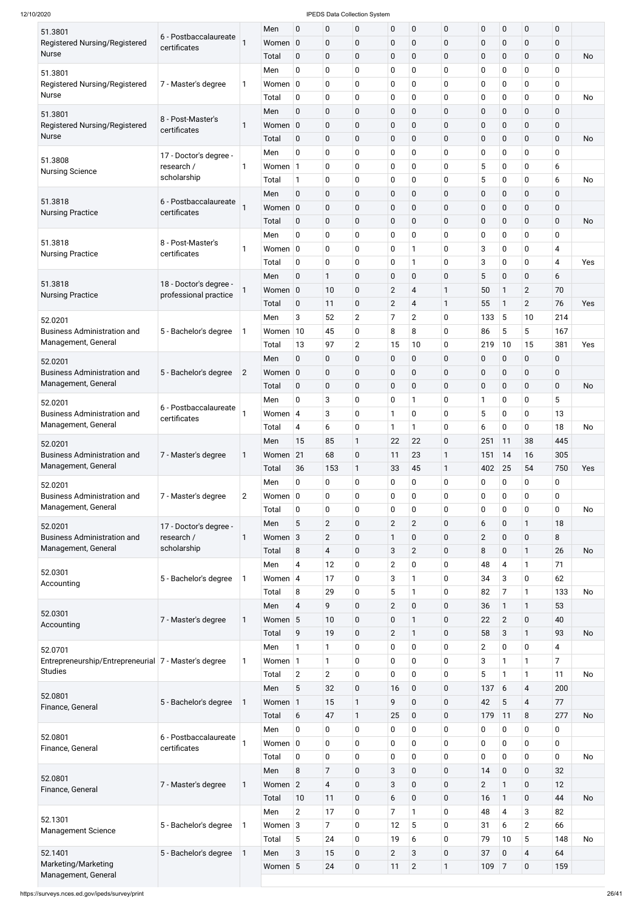| 51.3801<br>Registered Nursing/Registered                          | 6 - Postbaccalaureate                           |                | Men<br>Women 0       | 0                          | $\pmb{0}$<br>$\pmb{0}$        | 0<br>0           | $\mathbf 0$<br>$\mathbf 0$   | $\mathbf 0$<br>$\boldsymbol{0}$ | $\mathbf 0$<br>$\mathbf 0$ | $\pmb{0}$<br>$\pmb{0}$ | $\pmb{0}$<br>$\pmb{0}$       | $\pmb{0}$<br>$\pmb{0}$   | 0<br>$\pmb{0}$   |     |
|-------------------------------------------------------------------|-------------------------------------------------|----------------|----------------------|----------------------------|-------------------------------|------------------|------------------------------|---------------------------------|----------------------------|------------------------|------------------------------|--------------------------|------------------|-----|
| <b>Nurse</b>                                                      | certificates                                    |                | Total                | $\mathbf 0$                | $\pmb{0}$                     | 0                | $\mathbf 0$                  | $\mathbf 0$                     | $\pmb{0}$                  | $\pmb{0}$              | 0                            | $\pmb{0}$                | $\mathbf 0$      | No  |
| 51.3801                                                           |                                                 |                | Men                  | 0                          | $\pmb{0}$                     | 0                | 0                            | 0                               | $\mathbf 0$                | $\pmb{0}$              | 0                            | 0                        | 0                |     |
| Registered Nursing/Registered<br><b>Nurse</b>                     | 7 - Master's degree                             | 1              | Women $ 0 $          |                            | $\mathbf 0$                   | 0                | $\mathbf 0$                  | 0                               | $\mathbf 0$                | $\pmb{0}$              | 0                            | $\pmb{0}$                | $\pmb{0}$        |     |
|                                                                   |                                                 |                | Total<br>Men         | 0<br>$\mathbf 0$           | $\pmb{0}$<br>$\pmb{0}$        | 0<br>0           | $\mathbf 0$<br>$\pmb{0}$     | 0<br>$\pmb{0}$                  | $\mathbf 0$<br>$\mathbf 0$ | $\pmb{0}$<br>$\pmb{0}$ | 0<br>0                       | $\mathbf 0$<br>$\pmb{0}$ | 0<br>$\pmb{0}$   | No  |
| 51.3801<br>Registered Nursing/Registered                          | 8 - Post-Master's                               | 1              | Women 0              |                            | $\pmb{0}$                     | 0                | $\mathbf 0$                  | $\pmb{0}$                       | $\mathbf 0$                | $\pmb{0}$              | 0                            | $\pmb{0}$                | $\pmb{0}$        |     |
| <b>Nurse</b>                                                      | certificates                                    |                | Total                | $\mathbf 0$                | $\pmb{0}$                     | 0                | $\pmb{0}$                    | $\pmb{0}$                       | $\mathbf 0$                | $\pmb{0}$              | 0                            | $\pmb{0}$                | $\mathbf 0$      | No  |
|                                                                   | 17 - Doctor's degree -                          |                | Men                  | $\mathbf 0$                | $\pmb{0}$                     | 0                | 0                            | 0                               | $\mathbf 0$                | $\pmb{0}$              | 0                            | 0                        | 0                |     |
| 51.3808<br><b>Nursing Science</b>                                 | research /                                      | 1              | Women 1              |                            | $\pmb{0}$                     | 0                | $\mathbf 0$                  | 0                               | $\mathbf 0$                | 5                      | 0                            | $\mathbf 0$              | 6                |     |
|                                                                   | scholarship                                     |                | Total                | $\mathbf{1}$               | $\pmb{0}$                     | 0                | $\mathbf 0$                  | 0                               | $\mathbf 0$                | 5                      | 0                            | $\mathbf 0$              | 6                | No  |
| 51.3818                                                           | 6 - Postbaccalaureate                           |                | Men                  | $\mathbf 0$                | $\pmb{0}$                     | 0                | $\pmb{0}$                    | $\pmb{0}$                       | $\pmb{0}$                  | $\pmb{0}$              | $\pmb{0}$                    | $\pmb{0}$                | $\pmb{0}$        |     |
| <b>Nursing Practice</b>                                           | certificates                                    |                | Women 0              |                            | $\pmb{0}$                     | 0                | $\mathbf 0$                  | $\pmb{0}$                       | $\mathbf 0$                | $\pmb{0}$              | 0                            | $\pmb{0}$                | $\pmb{0}$        |     |
|                                                                   |                                                 |                | Total<br>Men         | $\mathbf 0$<br>$\mathbf 0$ | $\pmb{0}$<br>$\pmb{0}$        | 0<br>0           | $\pmb{0}$<br>0               | $\pmb{0}$<br>0                  | $\pmb{0}$<br>$\mathbf 0$   | $\pmb{0}$<br>$\pmb{0}$ | 0<br>0                       | $\pmb{0}$<br>$\mathbf 0$ | $\mathbf 0$<br>0 | No  |
| 51.3818                                                           | 8 - Post-Master's                               | 1              | Women $ 0 $          |                            | $\pmb{0}$                     | 0                | $\mathbf 0$                  | 1                               | $\mathbf 0$                | 3                      | 0                            | $\mathbf 0$              | 4                |     |
| <b>Nursing Practice</b>                                           | certificates                                    |                | Total                | 0                          | $\pmb{0}$                     | 0                | $\mathbf 0$                  | 1                               | $\mathbf 0$                | 3                      | 0                            | $\mathbf 0$              | 4                | Yes |
|                                                                   |                                                 |                | Men                  | $\mathbf 0$                | $\mathbf{1}$                  | 0                | $\pmb{0}$                    | $\pmb{0}$                       | $\mathbf 0$                | 5                      | 0                            | $\pmb{0}$                | 6                |     |
| 51.3818<br><b>Nursing Practice</b>                                | 18 - Doctor's degree -<br>professional practice |                | Women 0              |                            | 10                            | 0                | $\overline{2}$               | $\overline{\mathbf{4}}$         | 1                          | 50                     | 1                            | $\overline{c}$           | 70               |     |
|                                                                   |                                                 |                | Total                | $\mathbf 0$                | 11                            | 0                | $\mathbf{2}$                 | $\overline{\mathbf{4}}$         | 1                          | 55                     | $\mathbf{1}$                 | $\overline{2}$           | 76               | Yes |
| 52.0201                                                           |                                                 |                | Men                  | 3                          | 52                            | $\overline{2}$   | $\overline{7}$               | $\overline{c}$                  | $\mathbf 0$                | 133                    | 5                            | 10                       | 214              |     |
| <b>Business Administration and</b>                                | 5 - Bachelor's degree                           | 1              | Women                | 10                         | 45                            | 0                | 8                            | 8                               | $\mathbf 0$                | 86                     | 5                            | 5                        | 167              |     |
| Management, General                                               |                                                 |                | Total                | 13                         | 97                            | $\overline{2}$   | 15                           | 10                              | $\mathbf 0$                | 219                    | 10                           | 15                       | 381              | Yes |
| 52.0201<br><b>Business Administration and</b>                     |                                                 | $\overline{2}$ | Men<br>Women 0       | 0                          | $\pmb{0}$<br>0                | 0<br>0           | $\pmb{0}$<br>$\pmb{0}$       | 0<br>$\mathbf 0$                | $\mathbf 0$<br>$\mathbf 0$ | 0<br>$\pmb{0}$         | $\pmb{0}$<br>$\mathbf 0$     | 0<br>$\mathbf 0$         | 0<br>0           |     |
| Management, General                                               | 5 - Bachelor's degree                           |                | Total                | $\mathbf 0$                | $\pmb{0}$                     | 0                | $\pmb{0}$                    | $\pmb{0}$                       | $\mathbf 0$                | $\pmb{0}$              | 0                            | $\mathbf 0$              | $\mathbf 0$      | No  |
| 52.0201                                                           |                                                 |                | Men                  | 0                          | 3                             | 0                | $\mathbf 0$                  | 1                               | $\mathbf 0$                | 1                      | 0                            | 0                        | 5                |     |
| <b>Business Administration and</b>                                | 6 - Postbaccalaureate                           |                | Women                | $\overline{4}$             | 3                             | 0                | 1                            | 0                               | $\mathbf 0$                | 5                      | 0                            | $\pmb{0}$                | 13               |     |
| Management, General                                               | certificates                                    |                | Total                | 4                          | 6                             | 0                | 1                            | 1                               | $\mathbf 0$                | 6                      | 0                            | 0                        | 18               | No  |
| 52.0201                                                           |                                                 |                | Men                  | 15                         | 85                            | 1                | 22                           | 22                              | $\mathbf 0$                | 251                    | 11                           | 38                       | 445              |     |
| <b>Business Administration and</b>                                | 7 - Master's degree                             | 1              | Women                | 21                         | 68                            | 0                | 11                           | 23                              | 1                          | 151                    | 14                           | 16                       | 305              |     |
| Management, General                                               |                                                 |                | Total                | 36                         | 153                           | $\mathbf{1}$     | 33                           | 45                              | 1                          | 402                    | 25                           | 54                       | 750              | Yes |
| 52.0201                                                           |                                                 |                | Men                  | 0                          | 0                             | 0                | $\mathbf 0$                  | 0                               | $\mathbf 0$                | 0                      | 0                            | $\mathbf 0$              | 0                |     |
| <b>Business Administration and</b><br>Management, General         | 7 - Master's degree                             | $\overline{2}$ | Women $ 0 $<br>Total | 0                          | 0<br>0                        | 0<br>0           | 0<br>0                       | 0<br>0                          | $\mathbf 0$<br>$\mathbf 0$ | 0<br>0                 | 0<br>0                       | $\pmb{0}$<br>$\pmb{0}$   | 0<br>0           | No  |
|                                                                   |                                                 |                | Men                  | 5                          | $\overline{2}$                | 0                | $\overline{2}$               | $\overline{2}$                  | $\mathbf 0$                | 6                      | 0                            | 1                        | 18               |     |
| 52.0201<br><b>Business Administration and</b>                     | 17 - Doctor's degree -<br>research /            | 1              | Women 3              |                            | $\overline{2}$                | 0                | 1                            | 0                               | $\mathbf 0$                | $\overline{2}$         | 0                            | $\pmb{0}$                | 8                |     |
| Management, General                                               | scholarship                                     |                | Total                | 8                          | 4                             | 0                | $\mathbf{3}$                 | $\overline{2}$                  | $\mathbf 0$                | 8                      | 0                            | 1                        | 26               | No  |
|                                                                   |                                                 |                | Men                  | 4                          | 12                            | 0                | $\mathbf{2}$                 | 0                               | $\mathbf 0$                | 48                     | 4                            | 1                        | 71               |     |
| 52.0301<br>Accounting                                             | 5 - Bachelor's degree                           | 1              | Women $ 4$           |                            | 17                            | 0                | $\sqrt{3}$                   | 1                               | $\mathbf 0$                | 34                     | 3                            | 0                        | 62               |     |
|                                                                   |                                                 |                | Total                | 8                          | 29                            | 0                | 5                            | 1                               | $\mathbf 0$                | 82                     | 7                            | 1                        | 133              | No  |
| 52.0301                                                           |                                                 |                | Men                  | $\overline{4}$             | 9                             | 0                | $\overline{2}$               | 0                               | $\mathbf 0$                | 36                     | 1                            | 1                        | 53               |     |
| Accounting                                                        | 7 - Master's degree                             | 1              | Women 5              |                            | 10                            | 0                | $\mathbf 0$                  | 1                               | $\mathbf 0$                | 22                     | $\overline{2}$               | 0                        | 40               |     |
|                                                                   |                                                 |                | Total                | 9<br>1                     | 19                            | 0                | $\overline{2}$               | 1                               | $\mathbf 0$                | 58                     | 3                            | 1                        | 93               | No  |
| 52.0701<br>Entrepreneurship/Entrepreneurial   7 - Master's degree |                                                 | 1              | Men<br>Women 1       |                            | 1<br>1                        | 0<br>0           | 0<br>0                       | 0<br>0                          | $\mathbf 0$<br>$\mathbf 0$ | $\overline{2}$<br>3    | 0<br>1                       | $\mathbf 0$<br>1         | 4<br>7           |     |
| <b>Studies</b>                                                    |                                                 |                | Total                | $\overline{2}$             | $\overline{2}$                | 0                | 0                            | 0                               | $\mathbf 0$                | 5                      | $\mathbf{1}$                 | 1                        | 11               | No  |
|                                                                   |                                                 |                | Men                  | 5                          | 32                            | 0                | 16                           | 0                               | 0                          | 137                    | 6                            | 4                        | 200              |     |
| 52.0801<br>Finance, General                                       | 5 - Bachelor's degree                           | 1              | Women 1              |                            | 15                            | $\mathbf{1}$     | 9                            | 0                               | $\mathbf 0$                | 42                     | 5                            | 4                        | 77               |     |
|                                                                   |                                                 |                | Total                | 6                          | 47                            | 1                | 25                           | $\pmb{0}$                       | $\pmb{0}$                  | 179                    | 11                           | $\, 8$                   | 277              | No  |
| 52.0801                                                           | 6 - Postbaccalaureate                           |                | Men                  | $\mathbf 0$                | $\pmb{0}$                     | 0                | $\mathbf 0$                  | $\mathbf 0$                     | $\mathbf 0$                | 0                      | 0                            | $\pmb{0}$                | 0                |     |
| Finance, General                                                  | certificates                                    |                | Women $ 0 $          |                            | $\mathbf 0$                   | 0                | $\mathbf 0$                  | 0                               | $\mathbf 0$                | 0                      | 0                            | $\pmb{0}$                | $\mathbf 0$      |     |
|                                                                   |                                                 |                | Total                | $\overline{0}$             | $\pmb{0}$                     | 0                | $\mathbf 0$                  | 0                               | $\mathbf 0$                | 0                      | 0                            | $\pmb{0}$                | $\mathbf 0$      | No  |
| 52.0801                                                           |                                                 |                | Men                  | 8                          | $\overline{7}$                | 0                | $\mathbf{3}$<br>$\mathbf{3}$ | $\pmb{0}$                       | $\mathbf 0$                | 14                     | $\pmb{0}$                    | $\mathbf 0$              | 32               |     |
| Finance, General                                                  | 7 - Master's degree                             | $\mathbf{1}$   | Women 2<br>Total     | 10                         | $\overline{\mathbf{4}}$<br>11 | 0<br>$\mathbf 0$ | $6\phantom{a}$               | $\boldsymbol{0}$<br>$\pmb{0}$   | $\mathbf 0$<br>$\pmb{0}$   | $\overline{2}$<br>16   | $\mathbf{1}$<br>$\mathbf{1}$ | $\pmb{0}$<br>$\mathbf 0$ | 12<br>44         | No  |
|                                                                   |                                                 |                | Men                  | $\overline{2}$             | 17                            | 0                | $\overline{7}$               | 1                               | $\mathbf 0$                | 48                     | $\overline{4}$               | 3                        | 82               |     |
| 52.1301                                                           | 5 - Bachelor's degree                           | $\mathbf{1}$   | Women $3$            |                            | $\overline{7}$                | 0                | 12                           | 5                               | $\mathbf 0$                | 31                     | 6                            | $\overline{2}$           | 66               |     |
| <b>Management Science</b>                                         |                                                 |                | Total                | $\overline{5}$             | 24                            | 0                | 19                           | 6                               | $\mathbf 0$                | 79                     | 10                           | 5                        | 148              | No  |
| 52.1401                                                           | 5 - Bachelor's degree                           | $\mathbf{1}$   | Men                  | $\mathbf{3}$               | 15                            | 0                | $\overline{2}$               | 3                               | $\pmb{0}$                  | 37                     | $\pmb{0}$                    | $\overline{\mathbf{4}}$  | 64               |     |
| Marketing/Marketing<br>Management, General                        |                                                 |                | Women 5              |                            | 24                            | $\boldsymbol{0}$ | 11                           | $\overline{2}$                  | $\mathbf{1}$               | 109                    | $\overline{7}$               | $\mathbf 0$              | 159              |     |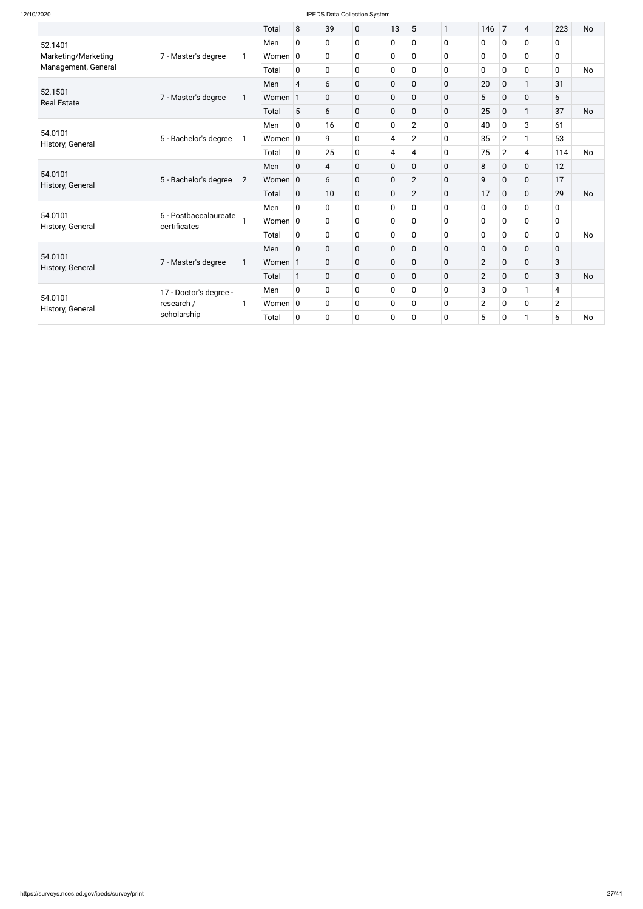|                               |                                                                                         |                | Total       | 8              | 39             | 0 | 13          | 5              | $\mathbf{1}$ | 146            | $\overline{7}$ | $\overline{4}$ | 223            | <b>No</b> |
|-------------------------------|-----------------------------------------------------------------------------------------|----------------|-------------|----------------|----------------|---|-------------|----------------|--------------|----------------|----------------|----------------|----------------|-----------|
| 52.1401                       |                                                                                         |                | Men         | $\mathbf 0$    | $\pmb{0}$      | 0 | 0           | 0              | $\mathbf 0$  | $\pmb{0}$      | $\mathbf 0$    | $\mathbf 0$    | $\mathbf 0$    |           |
| Marketing/Marketing           | 7 - Master's degree                                                                     | 1              | Women $ 0 $ |                | $\mathbf 0$    | 0 | $\mathbf 0$ | 0              | 0            | $\mathbf 0$    | 0              | $\mathbf 0$    | $\mathbf 0$    |           |
| Management, General           |                                                                                         |                | Total       | $\mathbf 0$    | $\mathbf 0$    | 0 | $\mathbf 0$ | 0              | 0            | $\mathbf 0$    | $\mathbf 0$    | $\mathbf 0$    | $\mathbf{0}$   | <b>No</b> |
|                               |                                                                                         |                | Men         | $\overline{4}$ | 6              | 0 | $\mathbf 0$ | 0              | $\mathbf 0$  | 20             | $\mathbf 0$    | $\mathbf{1}$   | 31             |           |
| 52.1501<br><b>Real Estate</b> | 7 - Master's degree                                                                     | $\mathbf{1}$   | Women       | $\mathbf{1}$   | $\mathbf 0$    | 0 | $\mathbf 0$ | 0              | 0            | 5              | $\mathbf 0$    | $\mathbf 0$    | 6              |           |
|                               |                                                                                         |                | Total       | 5              | 6              | 0 | $\mathbf 0$ | 0              | $\mathbf 0$  | 25             | $\mathbf 0$    | $\mathbf{1}$   | 37             | <b>No</b> |
|                               |                                                                                         |                | Men         | $\mathbf 0$    | 16             | 0 | 0           | $\overline{2}$ | 0            | 40             | $\mathbf 0$    | 3              | 61             |           |
| 54.0101<br>History, General   | 5 - Bachelor's degree                                                                   | 1              | Women $ 0$  |                | 9              | 0 | 4           | $\overline{2}$ | $\mathbf 0$  | 35             | $\overline{2}$ | $\mathbf{1}$   | 53             |           |
|                               |                                                                                         | Total          | $\mathbf 0$ | 25             | 0              | 4 | 4           | $\mathbf 0$    | 75           | $\overline{2}$ | $\overline{4}$ | 114            | <b>No</b>      |           |
|                               |                                                                                         | $\overline{2}$ | Men         | $\overline{0}$ | $\overline{4}$ | 0 | $\mathbf 0$ | 0              | $\mathbf 0$  | 8              | $\pmb{0}$      | $\mathbf 0$    | 12             |           |
| 54.0101<br>History, General   | 5 - Bachelor's degree                                                                   |                | Women 0     |                | 6              | 0 | $\mathbf 0$ | $\overline{2}$ | $\mathbf 0$  | 9              | $\mathbf 0$    | $\mathbf 0$    | 17             |           |
|                               |                                                                                         |                | Total       | $\mathbf 0$    | 10             | 0 | $\mathbf 0$ | $\overline{2}$ | $\mathbf 0$  | 17             | $\mathbf 0$    | $\mathbf 0$    | 29             | <b>No</b> |
|                               |                                                                                         |                | Men         | 0              | $\mathbf 0$    | 0 | $\mathbf 0$ | 0              | 0            | $\mathbf 0$    | $\mathbf 0$    | $\mathbf 0$    | 0              |           |
| 54.0101<br>History, General   | 6 - Postbaccalaureate<br>certificates                                                   |                | Women $ 0 $ |                | $\mathbf 0$    | 0 | $\mathbf 0$ | 0              | 0            | $\mathbf 0$    | $\mathbf 0$    | $\mathbf 0$    | $\mathbf 0$    |           |
|                               |                                                                                         |                | Total       | $\mathbf 0$    | $\pmb{0}$      | 0 | $\pmb{0}$   | 0              | $\mathbf 0$  | $\pmb{0}$      | $\mathbf 0$    | $\mathbf 0$    | $\mathbf 0$    | <b>No</b> |
|                               |                                                                                         |                | Men         | $\mathbf 0$    | $\pmb{0}$      | 0 | $\mathbf 0$ | $\pmb{0}$      | $\mathbf 0$  | $\pmb{0}$      | $\pmb{0}$      | $\pmb{0}$      | $\mathbf 0$    |           |
| 54.0101                       | 7 - Master's degree                                                                     | 1              | Women 1     |                | $\mathbf 0$    | 0 | $\mathbf 0$ | 0              | $\mathbf 0$  | $\overline{2}$ | $\mathbf 0$    | $\mathbf 0$    | 3              |           |
| History, General              |                                                                                         |                | Total       | $\mathbf{1}$   | $\mathbf 0$    | 0 | $\mathbf 0$ | $\overline{0}$ | $\mathbf 0$  | $\overline{2}$ | $\mathbf 0$    | $\mathbf 0$    | 3              | <b>No</b> |
|                               | 17 - Doctor's degree -<br>54.0101<br>research /<br>1<br>History, General<br>scholarship |                | Men         | $\mathbf 0$    | $\mathbf 0$    | 0 | $\mathbf 0$ | 0              | $\mathbf 0$  | 3              | $\mathbf 0$    | $\mathbf{1}$   | 4              |           |
|                               |                                                                                         |                | Women $ 0 $ |                | $\mathbf 0$    | 0 | $\mathbf 0$ | 0              | 0            | $\overline{2}$ | $\mathbf 0$    | $\mathbf 0$    | $\overline{2}$ |           |
|                               |                                                                                         |                | Total       | $\mathbf 0$    | $\mathbf 0$    | 0 | $\mathbf 0$ | 0              | 0            | 5              | 0              | $\mathbf{1}$   | 6              | <b>No</b> |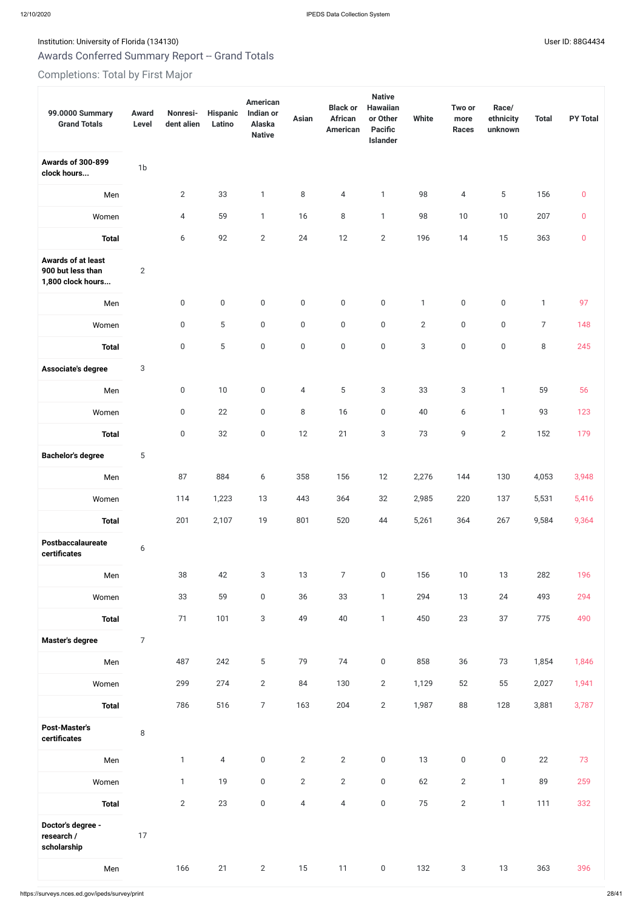# Institution: University of Florida (134130) Contract the USE of District of The User ID: 88G4434

# Awards Conferred Summary Report -- Grand Totals

# Completions: Total by First Major

| 99.0000 Summary<br><b>Grand Totals</b>                              | <b>Award</b><br>Level | Nonresi-<br>dent alien | <b>Hispanic</b><br>Latino | <b>American</b><br>Indian or<br>Alaska<br><b>Native</b> | <b>Asian</b>     | <b>Black or</b><br><b>African</b><br><b>American</b> | <b>Native</b><br><b>Hawaiian</b><br>or Other<br><b>Pacific</b><br>Islander | <b>White</b>   | Two or<br>more<br><b>Races</b> | Race/<br>ethnicity<br>unknown | <b>Total</b>   | <b>PY Total</b> |
|---------------------------------------------------------------------|-----------------------|------------------------|---------------------------|---------------------------------------------------------|------------------|------------------------------------------------------|----------------------------------------------------------------------------|----------------|--------------------------------|-------------------------------|----------------|-----------------|
| <b>Awards of 300-899</b><br>clock hours                             | 1 <sub>b</sub>        |                        |                           |                                                         |                  |                                                      |                                                                            |                |                                |                               |                |                 |
| Men                                                                 |                       | $\mathbf{2}$           | 33                        | $\mathbf{1}$                                            | 8                | 4                                                    | $\mathbf{1}$                                                               | 98             | 4                              | 5                             | 156            | $\mathbf 0$     |
| Women                                                               |                       | $\overline{4}$         | 59                        | $\mathbf{1}$                                            | 16               | 8                                                    | $\mathbf{1}$                                                               | 98             | 10                             | $10$                          | 207            | $\pmb{0}$       |
| <b>Total</b>                                                        |                       | 6                      | 92                        | $\mathbf{2}$                                            | 24               | 12                                                   | $\overline{2}$                                                             | 196            | 14                             | 15                            | 363            | $\pmb{0}$       |
| <b>Awards of at least</b><br>900 but less than<br>1,800 clock hours | $\mathbf{2}$          |                        |                           |                                                         |                  |                                                      |                                                                            |                |                                |                               |                |                 |
| Men                                                                 |                       | $\boldsymbol{0}$       | $\boldsymbol{0}$          | $\boldsymbol{0}$                                        | $\mathsf 0$      | $\boldsymbol{0}$                                     | $\boldsymbol{0}$                                                           | $\mathbf{1}$   | $\boldsymbol{0}$               | $\boldsymbol{0}$              | $\mathbf{1}$   | 97              |
| Women                                                               |                       | $\boldsymbol{0}$       | $5\,$                     | $\boldsymbol{0}$                                        | $\boldsymbol{0}$ | $\boldsymbol{0}$                                     | $\mathbf 0$                                                                | $\overline{2}$ | $\boldsymbol{0}$               | $\boldsymbol{0}$              | $\overline{7}$ | 148             |
| <b>Total</b>                                                        |                       | $\boldsymbol{0}$       | $5\,$                     | $\boldsymbol{0}$                                        | $\boldsymbol{0}$ | $\boldsymbol{0}$                                     | $\boldsymbol{0}$                                                           | $\sqrt{3}$     | $\boldsymbol{0}$               | $\boldsymbol{0}$              | 8              | 245             |
| Associate's degree                                                  | 3                     |                        |                           |                                                         |                  |                                                      |                                                                            |                |                                |                               |                |                 |
| Men                                                                 |                       | $\boldsymbol{0}$       | 10                        | $\boldsymbol{0}$                                        | $\overline{4}$   | 5                                                    | $\mathbf{3}$                                                               | 33             | 3                              | $\mathbf{1}$                  | 59             | 56              |
| Women                                                               |                       | $\boldsymbol{0}$       | 22                        | $\boldsymbol{0}$                                        | $\, 8$           | 16                                                   | $\boldsymbol{0}$                                                           | 40             | $\boldsymbol{6}$               | $\mathbf{1}$                  | 93             | 123             |
| <b>Total</b>                                                        |                       | $\mathbf 0$            | 32                        | $\Omega$                                                | 12               | 21                                                   | $\mathcal{S}$                                                              | 73             | 9                              | $\overline{2}$                | 152            | 179             |
| <b>Bachelor's degree</b>                                            | $\sqrt{5}$            |                        |                           |                                                         |                  |                                                      |                                                                            |                |                                |                               |                |                 |
| Men                                                                 |                       | 87                     | 884                       | 6                                                       | 358              | 156                                                  | 12                                                                         | 2,276          | 144                            | 130                           | 4,053          | 3,948           |
| Women                                                               |                       | 114                    | 1,223                     | 13                                                      | 443              | 364                                                  | 32                                                                         | 2,985          | 220                            | 137                           | 5,531          | 5,416           |
| <b>Total</b>                                                        |                       | 201                    | 2,107                     | 19                                                      | 801              | 520                                                  | 44                                                                         | 5,261          | 364                            | 267                           | 9,584          | 9,364           |
| Postbaccalaureate<br>certificates                                   | $\boldsymbol{6}$      |                        |                           |                                                         |                  |                                                      |                                                                            |                |                                |                               |                |                 |
| Men                                                                 |                       | 38                     | 42                        | 3                                                       | 13               | $\overline{7}$                                       | $\boldsymbol{0}$                                                           | 156            | 10                             | 13                            | 282            | 196             |
| Women                                                               |                       | 33                     | 59                        | $\boldsymbol{0}$                                        | 36               | 33                                                   | $\mathbf{1}$                                                               | 294            | 13                             | 24                            | 493            | 294             |
| <b>Total</b>                                                        |                       | 71                     | 101                       | 3                                                       | 49               | 40                                                   | $\mathbf{1}$                                                               | 450            | 23                             | 37                            | 775            | 490             |
| <b>Master's degree</b>                                              | $\overline{7}$        |                        |                           |                                                         |                  |                                                      |                                                                            |                |                                |                               |                |                 |
| Men                                                                 |                       | 487                    | 242                       | 5                                                       | 79               | 74                                                   | $\mathbf 0$                                                                | 858            | 36                             | 73                            | 1,854          | 1,846           |
| Women                                                               |                       | 299                    | 274                       | $\overline{2}$                                          | 84               | 130                                                  | $\overline{2}$                                                             | 1,129          | 52                             | 55                            | 2,027          | 1,941           |
| <b>Total</b>                                                        |                       | 786                    | 516                       | $\overline{7}$                                          | 163              | 204                                                  | $\overline{2}$                                                             | 1,987          | 88                             | 128                           | 3,881          | 3,787           |
| <b>Post-Master's</b><br>certificates                                | $\, 8$                |                        |                           |                                                         |                  |                                                      |                                                                            |                |                                |                               |                |                 |
| Men                                                                 |                       | $\mathbf{1}$           | $\overline{4}$            | $\boldsymbol{0}$                                        | $\overline{2}$   | $\overline{2}$                                       | $\mathsf 0$                                                                | 13             | $\mathbf 0$                    | $\boldsymbol{0}$              | 22             | 73              |
| Women                                                               |                       | $\mathbf{1}$           | 19                        | $\boldsymbol{0}$                                        | $\overline{2}$   | $\mathbf{2}$                                         | $\boldsymbol{0}$                                                           | 62             | $\mathbf{2}$                   | 1                             | 89             | 259             |
| <b>Total</b>                                                        |                       | $\mathbf{2}$           | 23                        | $\boldsymbol{0}$                                        | $\overline{4}$   | $\overline{4}$                                       | $\mathsf 0$                                                                | 75             | $\mathbf{2}$                   | $\mathbf{1}$                  | 111            | 332             |
| Doctor's degree -<br>research /<br>scholarship                      | 17                    |                        |                           |                                                         |                  |                                                      |                                                                            |                |                                |                               |                |                 |
| Men                                                                 |                       | 166                    | 21                        | $\overline{2}$                                          | $15$             | 11                                                   | $\boldsymbol{0}$                                                           | 132            | $\sqrt{3}$                     | $13\,$                        | 363            | 396             |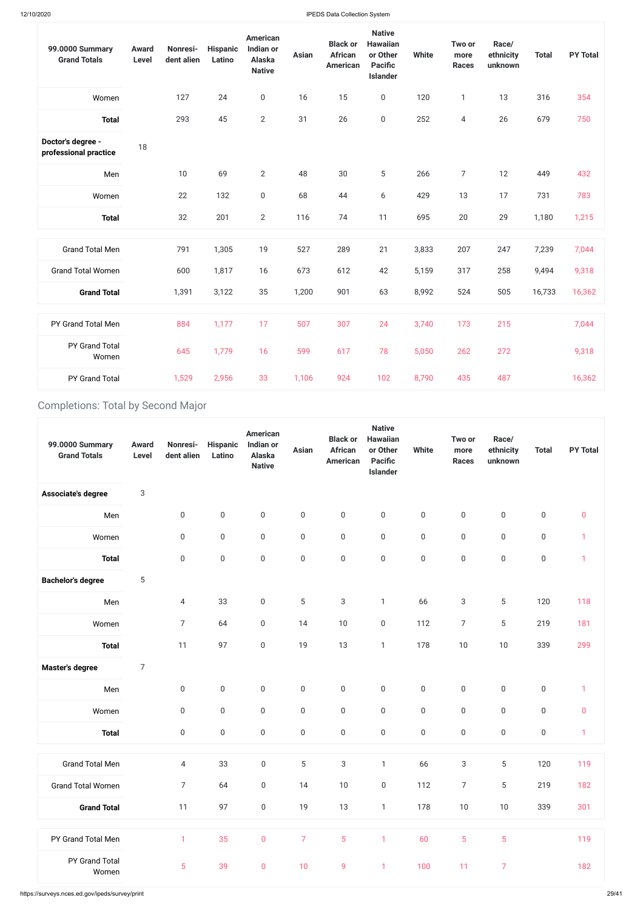https://surveys.nces.ed.gov/ipeds/survey/print 29/41

| 99.0000 Summary<br><b>Grand Totals</b>     | <b>Award</b><br><b>Level</b> | Nonresi-<br>dent alien | <b>Hispanic</b><br>Latino | <b>American</b><br><b>Indian or</b><br>Alaska<br><b>Native</b> | <b>Asian</b> | <b>Black or</b><br><b>African</b><br><b>American</b> | <b>Native</b><br><b>Hawaiian</b><br>or Other<br><b>Pacific</b><br><b>Islander</b> | <b>White</b> | Two or<br>more<br><b>Races</b> | Race/<br>ethnicity<br>unknown | <b>Total</b> | <b>PY Total</b> |
|--------------------------------------------|------------------------------|------------------------|---------------------------|----------------------------------------------------------------|--------------|------------------------------------------------------|-----------------------------------------------------------------------------------|--------------|--------------------------------|-------------------------------|--------------|-----------------|
| Women                                      |                              | 127                    | 24                        | $\boldsymbol{0}$                                               | 16           | 15                                                   | $\boldsymbol{0}$                                                                  | 120          | $\mathbf{1}$                   | 13                            | 316          | 354             |
| <b>Total</b>                               |                              | 293                    | 45                        | $\mathbf{2}$                                                   | 31           | 26                                                   | $\mathbf 0$                                                                       | 252          | $\overline{4}$                 | 26                            | 679          | 750             |
| Doctor's degree -<br>professional practice | 18                           |                        |                           |                                                                |              |                                                      |                                                                                   |              |                                |                               |              |                 |
| Men                                        |                              | 10                     | 69                        | $\mathbf{2}$                                                   | 48           | 30                                                   | 5                                                                                 | 266          | $\overline{7}$                 | 12                            | 449          | 432             |
| Women                                      |                              | 22                     | 132                       | $\mathbf 0$                                                    | 68           | 44                                                   | 6                                                                                 | 429          | 13                             | 17                            | 731          | 783             |
| <b>Total</b>                               |                              | 32                     | 201                       | $\overline{2}$                                                 | 116          | 74                                                   | 11                                                                                | 695          | 20                             | 29                            | 1,180        | 1,215           |
| <b>Grand Total Men</b>                     |                              | 791                    | 1,305                     | 19                                                             | 527          | 289                                                  | 21                                                                                | 3,833        | 207                            | 247                           | 7,239        | 7,044           |
| <b>Grand Total Women</b>                   |                              | 600                    | 1,817                     | 16                                                             | 673          | 612                                                  | 42                                                                                | 5,159        | 317                            | 258                           | 9,494        | 9,318           |
| <b>Grand Total</b>                         |                              | 1,391                  | 3,122                     | 35                                                             | 1,200        | 901                                                  | 63                                                                                | 8,992        | 524                            | 505                           | 16,733       | 16,362          |
| PY Grand Total Men                         |                              | 884                    | 1,177                     | 17                                                             | 507          | 307                                                  | 24                                                                                | 3,740        | 173                            | 215                           |              | 7,044           |
| PY Grand Total<br>Women                    |                              | 645                    | 1,779                     | 16                                                             | 599          | 617                                                  | 78                                                                                | 5,050        | 262                            | 272                           |              | 9,318           |
| PY Grand Total                             |                              | 1,529                  | 2,956                     | 33                                                             | 1,106        | 924                                                  | 102                                                                               | 8,790        | 435                            | 487                           |              | 16,362          |

# Completions: Total by Second Major

| 99.0000 Summary<br><b>Grand Totals</b> | <b>Award</b><br>Level | Nonresi-<br>dent alien | <b>Hispanic</b><br>Latino | <b>American</b><br>Indian or<br>Alaska<br><b>Native</b> | <b>Asian</b>     | <b>Black or</b><br><b>African</b><br><b>American</b> | <b>Native</b><br><b>Hawaiian</b><br>or Other<br><b>Pacific</b><br>Islander | <b>White</b>     | Two or<br>more<br><b>Races</b> | Race/<br>ethnicity<br>unknown | <b>Total</b>     | <b>PY Total</b> |
|----------------------------------------|-----------------------|------------------------|---------------------------|---------------------------------------------------------|------------------|------------------------------------------------------|----------------------------------------------------------------------------|------------------|--------------------------------|-------------------------------|------------------|-----------------|
| Associate's degree                     | 3                     |                        |                           |                                                         |                  |                                                      |                                                                            |                  |                                |                               |                  |                 |
| Men                                    |                       | $\boldsymbol{0}$       | $\boldsymbol{0}$          | $\boldsymbol{0}$                                        | $\mathsf 0$      | $\boldsymbol{0}$                                     | $\boldsymbol{0}$                                                           | $\boldsymbol{0}$ | $\boldsymbol{0}$               | $\boldsymbol{0}$              | $\mathbf 0$      | $\pmb{0}$       |
| Women                                  |                       | $\boldsymbol{0}$       | $\boldsymbol{0}$          | $\boldsymbol{0}$                                        | $\mathbf 0$      | $\boldsymbol{0}$                                     | $\boldsymbol{0}$                                                           | $\boldsymbol{0}$ | $\boldsymbol{0}$               | $\boldsymbol{0}$              | $\mathbf 0$      | $\mathbf 1$     |
| <b>Total</b>                           |                       | $\boldsymbol{0}$       | $\boldsymbol{0}$          | $\boldsymbol{0}$                                        | $\boldsymbol{0}$ | $\boldsymbol{0}$                                     | $\boldsymbol{0}$                                                           | $\boldsymbol{0}$ | $\boldsymbol{0}$               | $\boldsymbol{0}$              | $\boldsymbol{0}$ | $\mathbf 1$     |
| <b>Bachelor's degree</b>               | 5                     |                        |                           |                                                         |                  |                                                      |                                                                            |                  |                                |                               |                  |                 |
| Men                                    |                       | $\overline{4}$         | 33                        | $\boldsymbol{0}$                                        | $\sqrt{5}$       | $\sqrt{3}$                                           | $\mathbf{1}$                                                               | 66               | 3                              | $\overline{5}$                | 120              | 118             |
| Women                                  |                       | $\overline{7}$         | 64                        | $\boldsymbol{0}$                                        | 14               | 10                                                   | $\boldsymbol{0}$                                                           | 112              | $\overline{7}$                 | $\sqrt{5}$                    | 219              | 181             |
| <b>Total</b>                           |                       | 11                     | 97                        | $\boldsymbol{0}$                                        | 19               | 13                                                   | $\mathbf{1}$                                                               | 178              | $10$                           | $10$                          | 339              | 299             |
| <b>Master's degree</b>                 | 7                     |                        |                           |                                                         |                  |                                                      |                                                                            |                  |                                |                               |                  |                 |

| Men                      | 0                | 0           | 0                | 0                | $\boldsymbol{0}$ | 0                | $\overline{0}$ | 0                | 0                | 0                | м            |
|--------------------------|------------------|-------------|------------------|------------------|------------------|------------------|----------------|------------------|------------------|------------------|--------------|
| Women                    | $\boldsymbol{0}$ | $\mathsf 0$ | $\boldsymbol{0}$ | $\boldsymbol{0}$ | $\mathbf 0$      | $\boldsymbol{0}$ | $\mathsf 0$    | $\boldsymbol{0}$ | $\boldsymbol{0}$ | $\boldsymbol{0}$ | $\mathbf 0$  |
| <b>Total</b>             | $\boldsymbol{0}$ | $\mathsf 0$ | $\boldsymbol{0}$ | $\boldsymbol{0}$ | $\boldsymbol{0}$ | $\boldsymbol{0}$ | $\mathbf 0$    | $\boldsymbol{0}$ | $\boldsymbol{0}$ | $\boldsymbol{0}$ | $\mathbf{1}$ |
|                          |                  |             |                  |                  |                  |                  |                |                  |                  |                  |              |
| <b>Grand Total Men</b>   | $\overline{4}$   | 33          | $\mathbf 0$      | $\overline{5}$   | $\sqrt{3}$       | $\mathbf{1}$     | 66             | $\sqrt{3}$       | 5                | 120              | 119          |
| <b>Grand Total Women</b> | $\overline{7}$   | 64          | $\mathbf 0$      | 14               | $10$             | $\boldsymbol{0}$ | 112            | 7                | 5                | 219              | 182          |
| <b>Grand Total</b>       | 11               | 97          | $\boldsymbol{0}$ | 19               | 13               | $\mathbf{1}$     | 178            | $10$             | $10$             | 339              | 301          |
|                          |                  |             |                  |                  |                  |                  |                |                  |                  |                  |              |
| PY Grand Total Men       | 1                | 35          | $\pmb{0}$        | $\overline{7}$   | $\overline{5}$   | $\mathbf{1}$     | 60             | $\overline{5}$   | $\overline{5}$   |                  | 119          |
| PY Grand Total<br>Women  | 5                | 39          | $\pmb{0}$        | 10               | 9                | $\mathbf{1}$     | 100            | 11               | $\overline{7}$   |                  | 182          |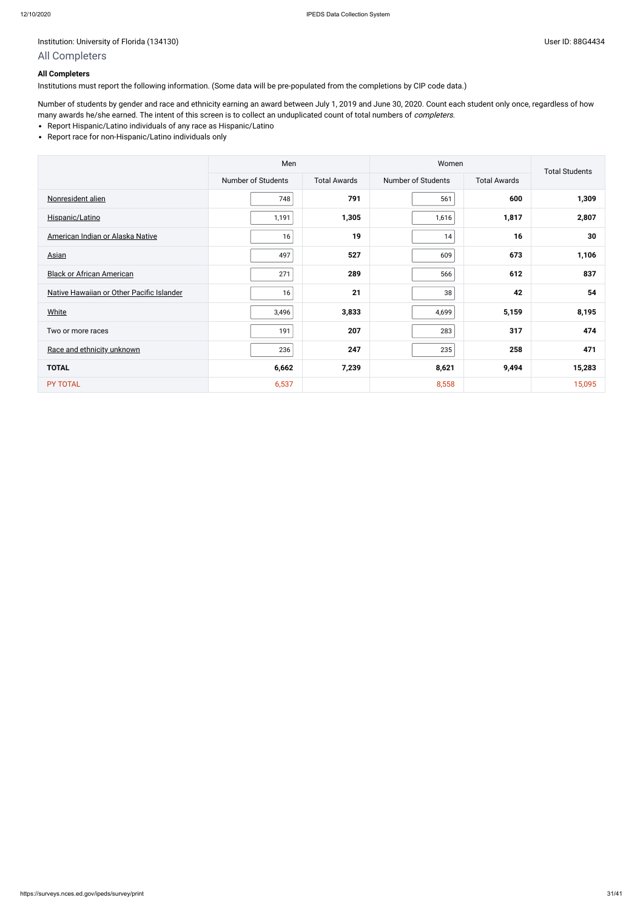# Institution: University of Florida (134130) Controlled to the User ID: 88G4434

Number of students by gender and race and ethnicity earning an award between July 1, 2019 and June 30, 2020. Count each student only once, regardless of how many awards he/she earned. The intent of this screen is to collect an unduplicated count of total numbers of completers.

# **All Completers**

Institutions must report the following information. (Some data will be pre-populated from the completions by CIP code data.)

- Report Hispanic/Latino individuals of any race as Hispanic/Latino
- Report race for non-Hispanic/Latino individuals only

|                                           | Men                |                     | Women              |                     | <b>Total Students</b> |
|-------------------------------------------|--------------------|---------------------|--------------------|---------------------|-----------------------|
|                                           | Number of Students | <b>Total Awards</b> | Number of Students | <b>Total Awards</b> |                       |
| Nonresident alien                         | 748                | 791                 | 561                | 600                 | 1,309                 |
| Hispanic/Latino                           | 1,191              | 1,305               | 1,616              | 1,817               | 2,807                 |
| American Indian or Alaska Native          | 16                 | 19                  | 14                 | 16                  | 30                    |
| <b>Asian</b>                              | 497                | 527                 | 609                | 673                 | 1,106                 |
| <b>Black or African American</b>          | 271                | 289                 | 566                | 612                 | 837                   |
| Native Hawaiian or Other Pacific Islander | 16                 | 21                  | 38                 | 42                  | 54                    |
| <b>White</b>                              | 3,496              | 3,833               | 4,699              | 5,159               | 8,195                 |
| Two or more races                         | 191                | 207                 | 283                | 317                 | 474                   |
| Race and ethnicity unknown                | 236                | 247                 | 235                | 258                 | 471                   |
| <b>TOTAL</b>                              | 6,662              | 7,239               | 8,621              | 9,494               | 15,283                |
| PY TOTAL                                  | 6,537              |                     | 8,558              |                     | 15,095                |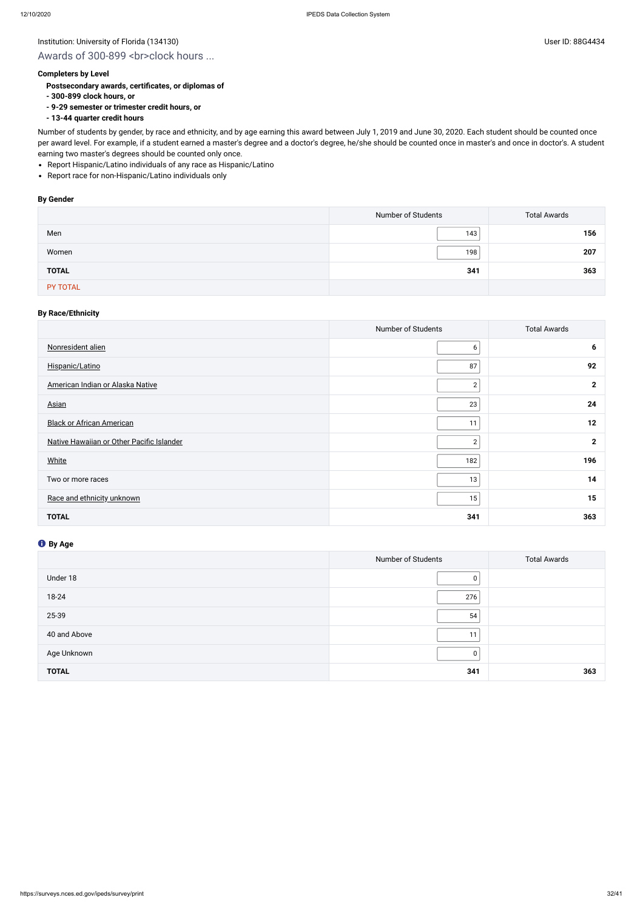# Institution: University of Florida (134130) Contract the USE of Discovery of Elorida (134130)

# Awards of 300-899 <br>>br>clock hours ...

## **Completers by Level**

- **Postsecondary awards, certificates, or diplomas of**
- **300-899 clock hours, or**
- **9-29 semester or trimester credit hours, or**
- **13-44 quarter credit hours**

- Report Hispanic/Latino individuals of any race as Hispanic/Latino
- Report race for non-Hispanic/Latino individuals only

Number of students by gender, by race and ethnicity, and by age earning this award between July 1, 2019 and June 30, 2020. Each student should be counted once per award level. For example, if a student earned a master's degree and a doctor's degree, he/she should be counted once in master's and once in doctor's. A student earning two master's degrees should be counted only once.

#### **By Gender**

|              | Number of Students | <b>Total Awards</b> |
|--------------|--------------------|---------------------|
| Men          | 143                | 156                 |
| Women        | 198                | 207                 |
| <b>TOTAL</b> | 341                | 363                 |
| PY TOTAL     |                    |                     |

# **By Race/Ethnicity**

|                                           | Number of Students | <b>Total Awards</b> |
|-------------------------------------------|--------------------|---------------------|
| Nonresident alien                         | 6                  | 6                   |
| Hispanic/Latino                           | 87                 | 92                  |
| American Indian or Alaska Native          | $\sqrt{2}$         | $\mathbf{2}$        |
| <b>Asian</b>                              | 23                 | 24                  |
| <b>Black or African American</b>          | 11                 | 12                  |
| Native Hawaiian or Other Pacific Islander | $\mathbf 2$        | $\mathbf{2}$        |
| <b>White</b>                              | 182                | 196                 |
| Two or more races                         | 13                 | 14                  |
| Race and ethnicity unknown                | 15                 | 15                  |
| <b>TOTAL</b>                              | 341                | 363                 |

|              | Number of Students | <b>Total Awards</b> |
|--------------|--------------------|---------------------|
| Under 18     | 0                  |                     |
| 18-24        | 276                |                     |
| 25-39        | 54                 |                     |
| 40 and Above | 11                 |                     |
| Age Unknown  | 0                  |                     |
| <b>TOTAL</b> | 341                | 363                 |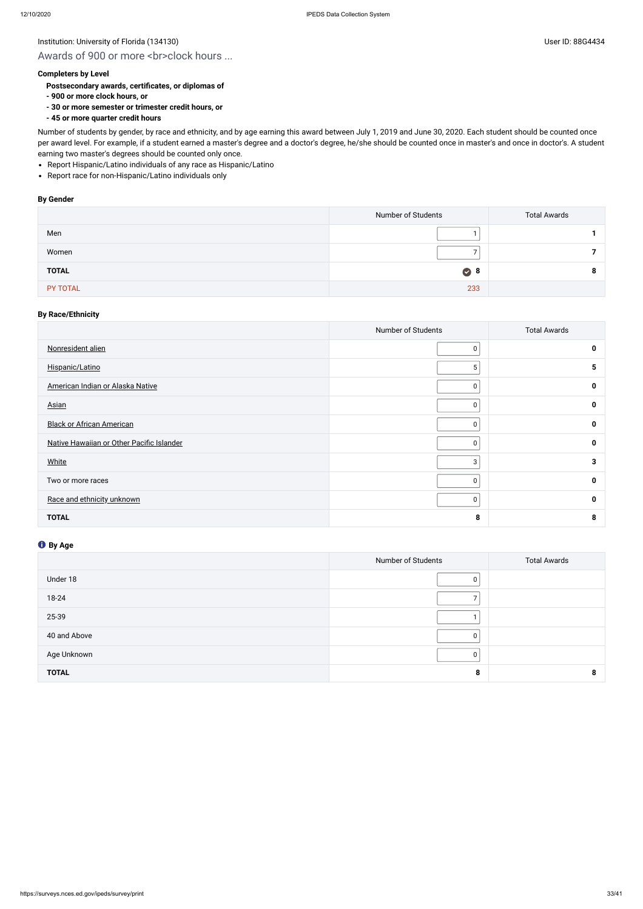# Awards of 900 or more <br>clock hours ...

## **Completers by Level**

- **Postsecondary awards, certificates, or diplomas of**
- **900 or more clock hours, or**
- **30 or more semester or trimester credit hours, or**
- **45 or more quarter credit hours**

- Report Hispanic/Latino individuals of any race as Hispanic/Latino
- Report race for non-Hispanic/Latino individuals only

Number of students by gender, by race and ethnicity, and by age earning this award between July 1, 2019 and June 30, 2020. Each student should be counted once per award level. For example, if a student earned a master's degree and a doctor's degree, he/she should be counted once in master's and once in doctor's. A student earning two master's degrees should be counted only once.

#### **By Gender**

|              | Number of Students | <b>Total Awards</b> |
|--------------|--------------------|---------------------|
| Men          |                    |                     |
| Women        |                    |                     |
| <b>TOTAL</b> | $\bullet$ 8        |                     |
| PY TOTAL     | 233                |                     |

# **By Race/Ethnicity**

|                                           | Number of Students | <b>Total Awards</b> |
|-------------------------------------------|--------------------|---------------------|
| Nonresident alien                         | 0                  | $\mathbf{0}$        |
| Hispanic/Latino                           | 5                  | 5                   |
| American Indian or Alaska Native          | 0                  | $\mathbf{0}$        |
| <b>Asian</b>                              | 0                  | 0                   |
| <b>Black or African American</b>          | $\mathbf 0$        | $\mathbf{0}$        |
| Native Hawaiian or Other Pacific Islander | 0                  | 0                   |
| White                                     | 3                  | 3                   |
| Two or more races                         | 0                  | 0                   |
| Race and ethnicity unknown                | 0                  | $\mathbf{0}$        |
| <b>TOTAL</b>                              | 8                  | 8                   |

|              | Number of Students | <b>Total Awards</b> |
|--------------|--------------------|---------------------|
| Under 18     | 0                  |                     |
| 18-24        |                    |                     |
| 25-39        |                    |                     |
| 40 and Above | 0                  |                     |
| Age Unknown  | $\mathbf{0}$       |                     |
| <b>TOTAL</b> | 8                  |                     |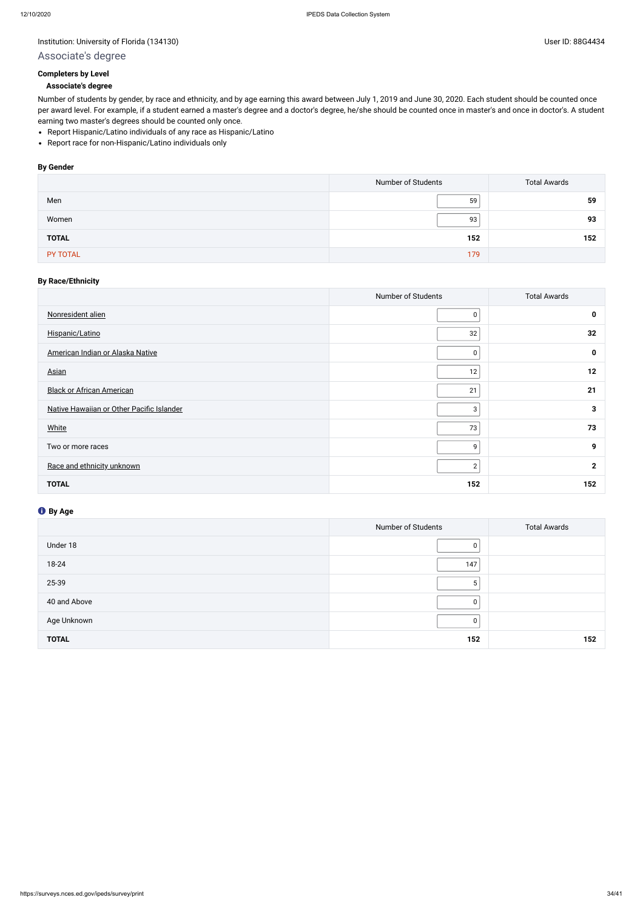# Associate's degree

# **Completers by Level**

#### **Associate's degree**

- Report Hispanic/Latino individuals of any race as Hispanic/Latino
- Report race for non-Hispanic/Latino individuals only

Number of students by gender, by race and ethnicity, and by age earning this award between July 1, 2019 and June 30, 2020. Each student should be counted once per award level. For example, if a student earned a master's degree and a doctor's degree, he/she should be counted once in master's and once in doctor's. A student earning two master's degrees should be counted only once.

# **By Gender**

|              | Number of Students | <b>Total Awards</b> |
|--------------|--------------------|---------------------|
| Men          | 59                 | 59                  |
| Women        | 93                 | 93                  |
| <b>TOTAL</b> | 152                | 152                 |
| PY TOTAL     | 179                |                     |

# **By Race/Ethnicity**

|                                           | Number of Students | <b>Total Awards</b> |
|-------------------------------------------|--------------------|---------------------|
| Nonresident alien                         | 0                  | $\mathbf 0$         |
| Hispanic/Latino                           | 32                 | 32                  |
| American Indian or Alaska Native          | 0                  | $\mathbf 0$         |
| <b>Asian</b>                              | 12                 | 12                  |
| <b>Black or African American</b>          | 21                 | 21                  |
| Native Hawaiian or Other Pacific Islander | 3                  | 3                   |
| White                                     | 73                 | 73                  |
| Two or more races                         | 9                  | 9                   |
| Race and ethnicity unknown                | $\overline{2}$     | $\mathbf{2}$        |
| <b>TOTAL</b>                              | 152                | 152                 |

|              | Number of Students | <b>Total Awards</b> |
|--------------|--------------------|---------------------|
| Under 18     | 0                  |                     |
| 18-24        | 147                |                     |
| 25-39        | 5                  |                     |
| 40 and Above | 0                  |                     |
| Age Unknown  | $\Omega$           |                     |
| <b>TOTAL</b> | 152                | 152                 |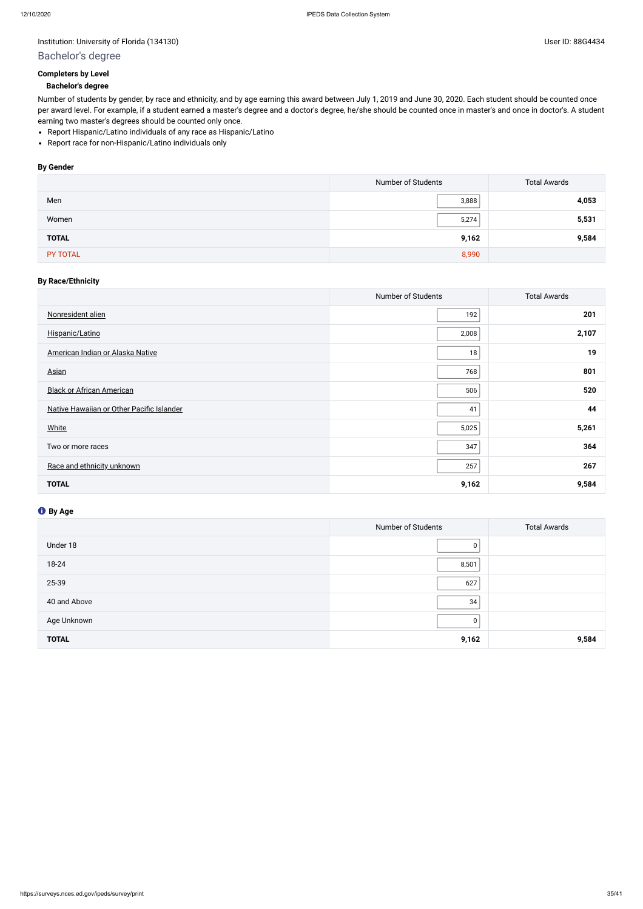# Bachelor's degree

# **Completers by Level**

# **Bachelor's degree**

- Report Hispanic/Latino individuals of any race as Hispanic/Latino
- Report race for non-Hispanic/Latino individuals only

Number of students by gender, by race and ethnicity, and by age earning this award between July 1, 2019 and June 30, 2020. Each student should be counted once per award level. For example, if a student earned a master's degree and a doctor's degree, he/she should be counted once in master's and once in doctor's. A student earning two master's degrees should be counted only once.

# **By Gender**

|              | Number of Students | <b>Total Awards</b> |
|--------------|--------------------|---------------------|
| Men          | 3,888              | 4,053               |
| Women        | 5,274              | 5,531               |
| <b>TOTAL</b> | 9,162              | 9,584               |
| PY TOTAL     | 8,990              |                     |

# **By Race/Ethnicity**

|                                           | Number of Students | <b>Total Awards</b> |
|-------------------------------------------|--------------------|---------------------|
| Nonresident alien                         | 192                | 201                 |
| Hispanic/Latino                           | 2,008              | 2,107               |
| American Indian or Alaska Native          | 18                 | 19                  |
| <b>Asian</b>                              | 768                | 801                 |
| <b>Black or African American</b>          | 506                | 520                 |
| Native Hawaiian or Other Pacific Islander | 41                 | 44                  |
| <b>White</b>                              | 5,025              | 5,261               |
| Two or more races                         | 347                | 364                 |
| Race and ethnicity unknown                | 257                | 267                 |
| <b>TOTAL</b>                              | 9,162              | 9,584               |

|              | Number of Students | <b>Total Awards</b> |
|--------------|--------------------|---------------------|
| Under 18     | 0                  |                     |
| 18-24        | 8,501              |                     |
| 25-39        | 627                |                     |
| 40 and Above | 34                 |                     |
| Age Unknown  | 0                  |                     |
| <b>TOTAL</b> | 9,162              | 9,584               |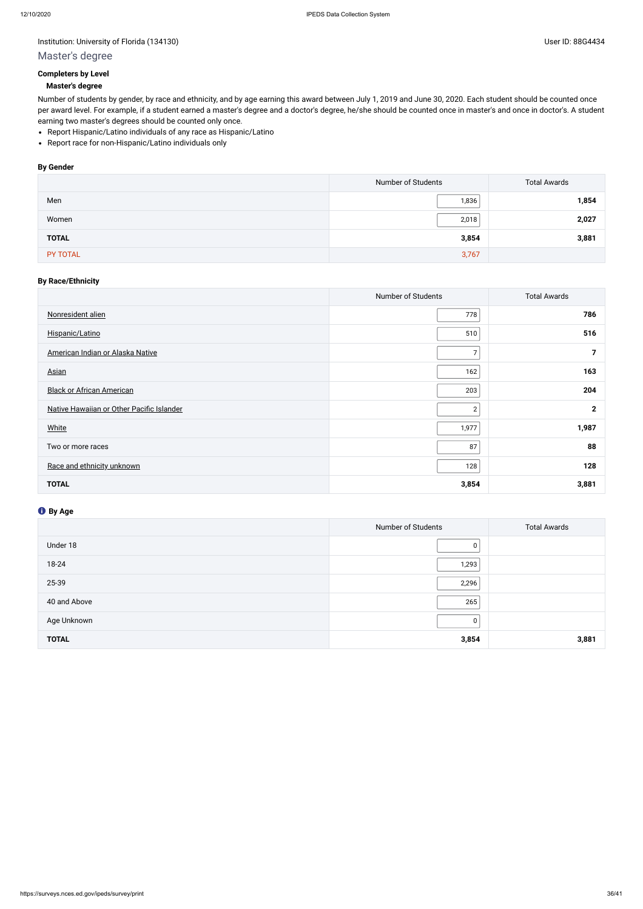# Institution: University of Florida (134130) Contract the USE of Discovery of Elorida (134130)

# Master's degree

# **Completers by Level**

## **Master's degree**

- Report Hispanic/Latino individuals of any race as Hispanic/Latino
- Report race for non-Hispanic/Latino individuals only

Number of students by gender, by race and ethnicity, and by age earning this award between July 1, 2019 and June 30, 2020. Each student should be counted once per award level. For example, if a student earned a master's degree and a doctor's degree, he/she should be counted once in master's and once in doctor's. A student earning two master's degrees should be counted only once.

# **By Gender**

|              | Number of Students | <b>Total Awards</b> |
|--------------|--------------------|---------------------|
| Men          | 1,836              | 1,854               |
| Women        | 2,018              | 2,027               |
| <b>TOTAL</b> | 3,854              | 3,881               |
| PY TOTAL     | 3,767              |                     |

# **By Race/Ethnicity**

|                                           | Number of Students | <b>Total Awards</b> |
|-------------------------------------------|--------------------|---------------------|
| Nonresident alien                         | 778                | 786                 |
| Hispanic/Latino                           | 510                | 516                 |
| American Indian or Alaska Native          | $\overline{7}$     |                     |
| <b>Asian</b>                              | 162                | 163                 |
| <b>Black or African American</b>          | 203                | 204                 |
| Native Hawaiian or Other Pacific Islander | $\overline{2}$     | $\mathbf{2}$        |
| White                                     | 1,977              | 1,987               |
| Two or more races                         | 87                 | 88                  |
| Race and ethnicity unknown                | 128                | 128                 |
| <b>TOTAL</b>                              | 3,854              | 3,881               |

|              | Number of Students | <b>Total Awards</b> |
|--------------|--------------------|---------------------|
| Under 18     | 0                  |                     |
| 18-24        | 1,293              |                     |
| 25-39        | 2,296              |                     |
| 40 and Above | 265                |                     |
| Age Unknown  | 0                  |                     |
| <b>TOTAL</b> | 3,854              | 3,881               |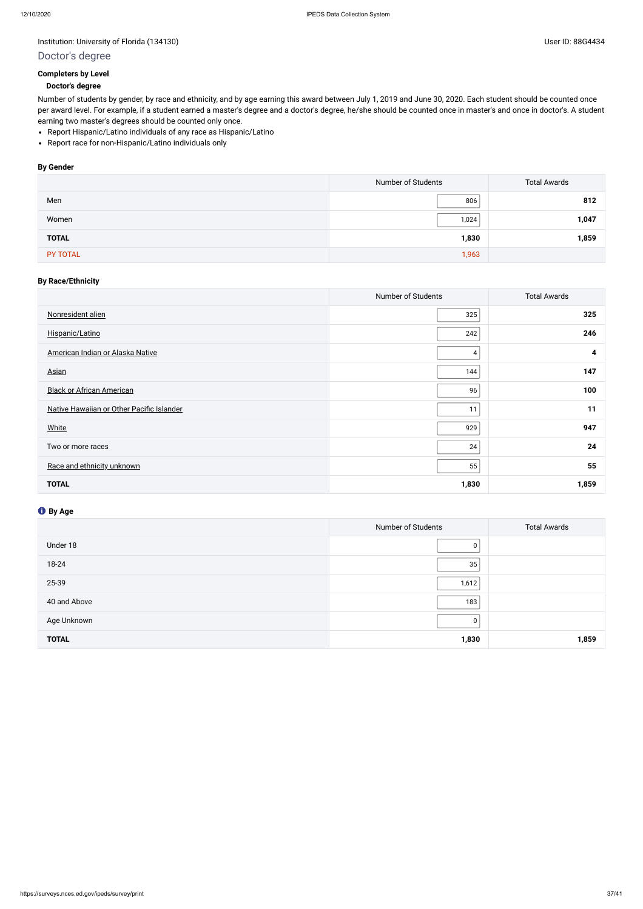# Institution: University of Florida (134130) Contract the USE of Discovery of Elorida (134130)

# Doctor's degree

# **Completers by Level**

# **Doctor's degree**

- Report Hispanic/Latino individuals of any race as Hispanic/Latino
- Report race for non-Hispanic/Latino individuals only

Number of students by gender, by race and ethnicity, and by age earning this award between July 1, 2019 and June 30, 2020. Each student should be counted once per award level. For example, if a student earned a master's degree and a doctor's degree, he/she should be counted once in master's and once in doctor's. A student earning two master's degrees should be counted only once.

# **By Gender**

|              | Number of Students | <b>Total Awards</b> |
|--------------|--------------------|---------------------|
| Men          | 806                | 812                 |
| Women        | 1,024              | 1,047               |
| <b>TOTAL</b> | 1,830              | 1,859               |
| PY TOTAL     | 1,963              |                     |

# **By Race/Ethnicity**

|                                           | Number of Students | <b>Total Awards</b> |
|-------------------------------------------|--------------------|---------------------|
| Nonresident alien                         | 325                | 325                 |
| Hispanic/Latino                           | 242                | 246                 |
| American Indian or Alaska Native          | 4                  | 4                   |
| <b>Asian</b>                              | 144                | 147                 |
| <b>Black or African American</b>          | 96                 | 100                 |
| Native Hawaiian or Other Pacific Islander | 11                 | 11                  |
| White                                     | 929                | 947                 |
| Two or more races                         | 24                 | 24                  |
| Race and ethnicity unknown                | 55                 | 55                  |
| <b>TOTAL</b>                              | 1,830              | 1,859               |

|              | Number of Students | <b>Total Awards</b> |
|--------------|--------------------|---------------------|
| Under 18     | 0                  |                     |
| 18-24        | 35                 |                     |
| 25-39        | 1,612              |                     |
| 40 and Above | 183                |                     |
| Age Unknown  | $\mathbf 0$        |                     |
| <b>TOTAL</b> | 1,830              | 1,859               |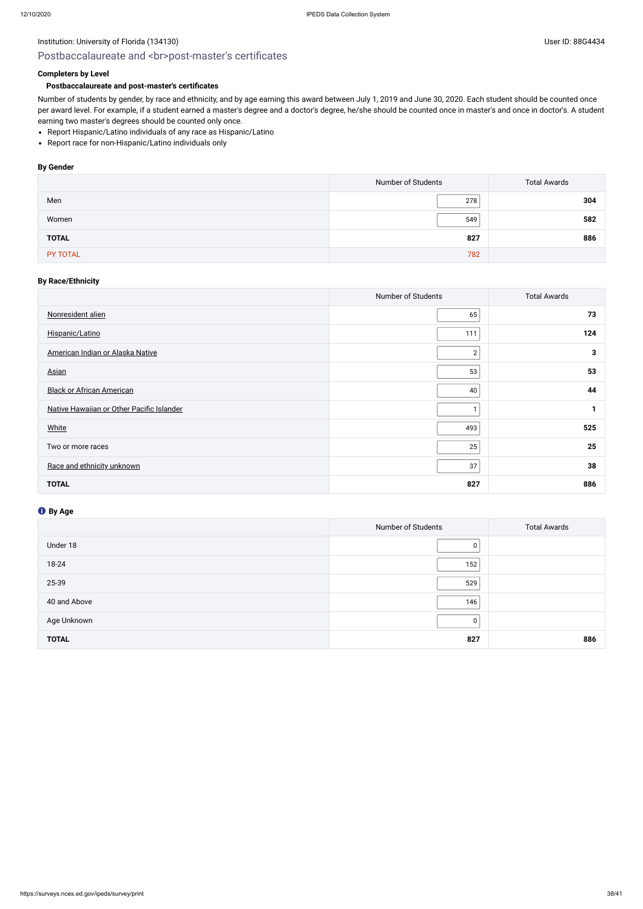# Postbaccalaureate and <br>>br>post-master's certificates

# **Completers by Level**

# **Postbaccalaureate and post-master's certificates**

- Report Hispanic/Latino individuals of any race as Hispanic/Latino
- Report race for non-Hispanic/Latino individuals only

Number of students by gender, by race and ethnicity, and by age earning this award between July 1, 2019 and June 30, 2020. Each student should be counted once per award level. For example, if a student earned a master's degree and a doctor's degree, he/she should be counted once in master's and once in doctor's. A student earning two master's degrees should be counted only once.

## **By Gender**

|              | Number of Students | <b>Total Awards</b> |
|--------------|--------------------|---------------------|
| Men          | 278                | 304                 |
| Women        | 549                | 582                 |
| <b>TOTAL</b> | 827                | 886                 |
| PY TOTAL     | 782                |                     |

## **By Race/Ethnicity**

|                                           | Number of Students | <b>Total Awards</b> |
|-------------------------------------------|--------------------|---------------------|
| Nonresident alien                         | 65                 | 73                  |
| Hispanic/Latino                           | 111                | 124                 |
| American Indian or Alaska Native          | $\mathbf{2}$       | 3                   |
| <b>Asian</b>                              | 53                 | 53                  |
| <b>Black or African American</b>          | 40                 | 44                  |
| Native Hawaiian or Other Pacific Islander | 1                  |                     |
| White                                     | 493                | 525                 |
| Two or more races                         | 25                 | 25                  |
| Race and ethnicity unknown                | 37                 | 38                  |
| <b>TOTAL</b>                              | 827                | 886                 |

|              | Number of Students | <b>Total Awards</b> |
|--------------|--------------------|---------------------|
| Under 18     | 0                  |                     |
| 18-24        | 152                |                     |
| 25-39        | 529                |                     |
| 40 and Above | 146                |                     |
| Age Unknown  | 0                  |                     |
| <b>TOTAL</b> | 827                | 886                 |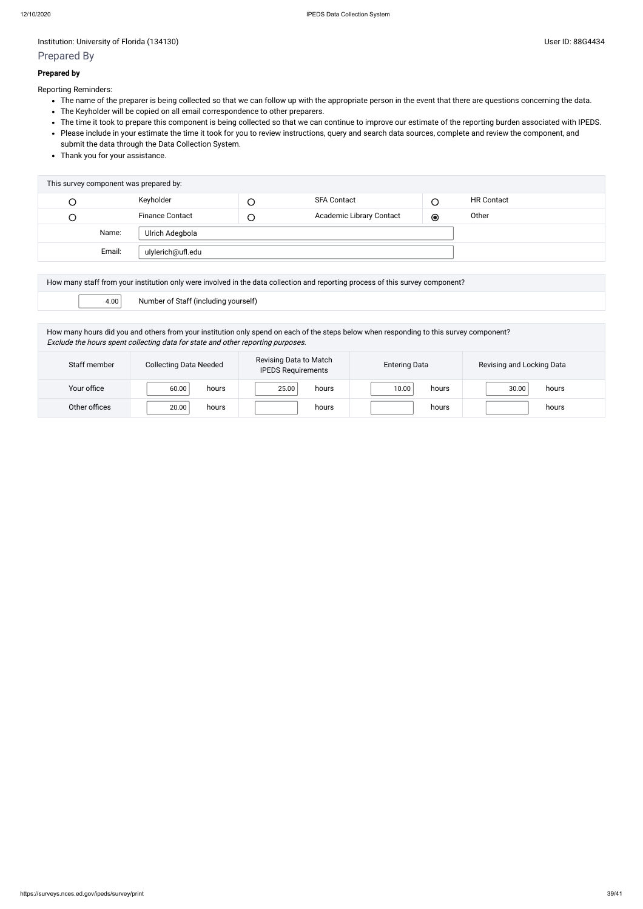# Prepared By

## **Prepared by**

Reporting Reminders:

- The name of the preparer is being collected so that we can follow up with the appropriate person in the event that there are questions concerning the data.
- The Keyholder will be copied on all email correspondence to other preparers.
- The time it took to prepare this component is being collected so that we can continue to improve our estimate of the reporting burden associated with IPEDS.
- Please include in your estimate the time it took for you to review instructions, query and search data sources, complete and review the component, and submit the data through the Data Collection System.
- Thank you for your assistance.

| Keyholder<br><b>SFA Contact</b><br><b>HR Contact</b>                                  |  |
|---------------------------------------------------------------------------------------|--|
| Academic Library Contact<br><b>Finance Contact</b><br>Other<br>$\odot$<br>U<br>$\cup$ |  |
| Name:<br>Ulrich Adegbola                                                              |  |
| Email:<br>ulylerich@ufl.edu                                                           |  |

| How many staff from your institution only were involved in the data collection and reporting process of this survey component? |                                      |  |
|--------------------------------------------------------------------------------------------------------------------------------|--------------------------------------|--|
| 4.00                                                                                                                           | Number of Staff (including yourself) |  |

How many hours did you and others from your institution only spend on each of the steps below when responding to this survey component? Exclude the hours spent collecting data for state and other reporting purposes.

| Staff member  | <b>Collecting Data Needed</b> | Revising Data to Match<br><b>IPEDS Requirements</b> | <b>Entering Data</b> | Revising and Locking Data |
|---------------|-------------------------------|-----------------------------------------------------|----------------------|---------------------------|
| Your office   | 60.00<br>hours                | 25.00<br>hours                                      | 10.00<br>hours       | 30.00<br>hours            |
| Other offices | 20.00<br>hours                | hours                                               | hours                | hours                     |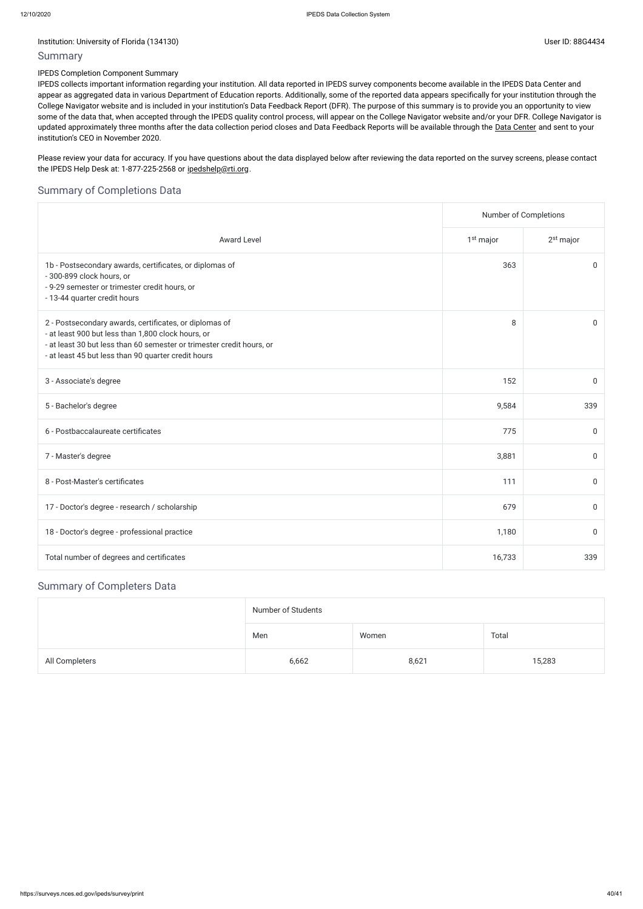# Summary

# IPEDS Completion Component Summary

Please review your data for accuracy. If you have questions about the data displayed below after reviewing the data reported on the survey screens, please contact the IPEDS Help Desk at: 1-877-225-2568 or [ipedshelp@rti.org](mailto:ipedshelp@rti.org).

IPEDS collects important information regarding your institution. All data reported in IPEDS survey components become available in the IPEDS Data Center and appear as aggregated data in various Department of Education reports. Additionally, some of the reported data appears specifically for your institution through the College Navigator website and is included in your institution's Data Feedback Report (DFR). The purpose of this summary is to provide you an opportunity to view some of the data that, when accepted through the IPEDS quality control process, will appear on the College Navigator website and/or your DFR. College Navigator is updated approximately three months after the data collection period closes and Data Feedback Reports will be available through the Data [Center](https://nces.ed.gov/ipeds/use-the-data) and sent to your institution's CEO in November 2020.

|                | Number of Students |       |        |
|----------------|--------------------|-------|--------|
|                | Men                | Women | Total  |
| All Completers | 6,662              | 8,621 | 15,283 |

# Summary of Completions Data

|                                                                                                                                                                                                                                              | Number of Completions |             |
|----------------------------------------------------------------------------------------------------------------------------------------------------------------------------------------------------------------------------------------------|-----------------------|-------------|
| <b>Award Level</b>                                                                                                                                                                                                                           | 1 <sup>st</sup> major | $2st$ major |
| 1b - Postsecondary awards, certificates, or diplomas of<br>- 300-899 clock hours, or<br>- 9-29 semester or trimester credit hours, or<br>- 13-44 quarter credit hours                                                                        | 363                   | $\mathbf 0$ |
| 2 - Postsecondary awards, certificates, or diplomas of<br>- at least 900 but less than 1,800 clock hours, or<br>- at least 30 but less than 60 semester or trimester credit hours, or<br>- at least 45 but less than 90 quarter credit hours | 8                     | $\mathbf 0$ |
| 3 - Associate's degree                                                                                                                                                                                                                       | 152                   | 0           |
| 5 - Bachelor's degree                                                                                                                                                                                                                        | 9,584                 | 339         |
| 6 - Postbaccalaureate certificates                                                                                                                                                                                                           | 775                   | $\mathbf 0$ |
| 7 - Master's degree                                                                                                                                                                                                                          | 3,881                 | $\mathbf 0$ |
| 8 - Post-Master's certificates                                                                                                                                                                                                               | 111                   | $\mathbf 0$ |
| 17 - Doctor's degree - research / scholarship                                                                                                                                                                                                | 679                   | $\mathbf 0$ |
| 18 - Doctor's degree - professional practice                                                                                                                                                                                                 | 1,180                 | $\mathbf 0$ |
| Total number of degrees and certificates                                                                                                                                                                                                     | 16,733                | 339         |

# Summary of Completers Data